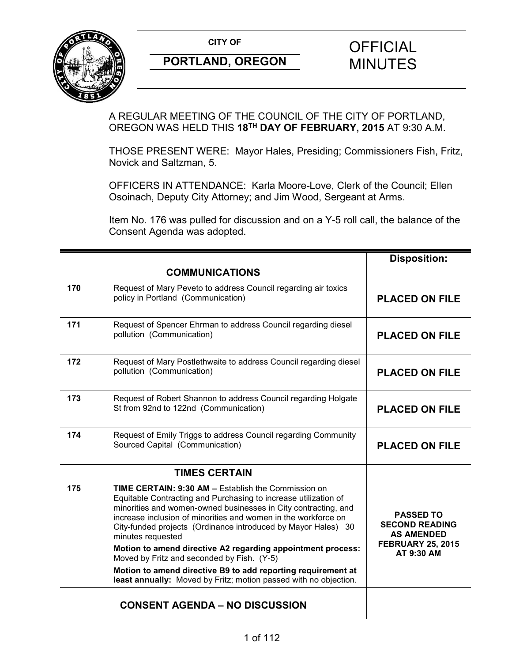

A REGULAR MEETING OF THE COUNCIL OF THE CITY OF PORTLAND, OREGON WAS HELD THIS **18TH DAY OF FEBRUARY, 2015** AT 9:30 A.M.

THOSE PRESENT WERE: Mayor Hales, Presiding; Commissioners Fish, Fritz, Novick and Saltzman, 5.

OFFICERS IN ATTENDANCE: Karla Moore-Love, Clerk of the Council; Ellen Osoinach, Deputy City Attorney; and Jim Wood, Sergeant at Arms.

Item No. 176 was pulled for discussion and on a Y-5 roll call, the balance of the Consent Agenda was adopted.

|     |                                                                                                                                                                                                                                                                                                                                                         | <b>Disposition:</b>                                                                        |
|-----|---------------------------------------------------------------------------------------------------------------------------------------------------------------------------------------------------------------------------------------------------------------------------------------------------------------------------------------------------------|--------------------------------------------------------------------------------------------|
|     | <b>COMMUNICATIONS</b>                                                                                                                                                                                                                                                                                                                                   |                                                                                            |
| 170 | Request of Mary Peveto to address Council regarding air toxics<br>policy in Portland (Communication)                                                                                                                                                                                                                                                    | <b>PLACED ON FILE</b>                                                                      |
| 171 | Request of Spencer Ehrman to address Council regarding diesel<br>pollution (Communication)                                                                                                                                                                                                                                                              | <b>PLACED ON FILE</b>                                                                      |
| 172 | Request of Mary Postlethwaite to address Council regarding diesel<br>pollution (Communication)                                                                                                                                                                                                                                                          | <b>PLACED ON FILE</b>                                                                      |
| 173 | Request of Robert Shannon to address Council regarding Holgate<br>St from 92nd to 122nd (Communication)                                                                                                                                                                                                                                                 | <b>PLACED ON FILE</b>                                                                      |
| 174 | Request of Emily Triggs to address Council regarding Community<br>Sourced Capital (Communication)                                                                                                                                                                                                                                                       | <b>PLACED ON FILE</b>                                                                      |
|     | <b>TIMES CERTAIN</b>                                                                                                                                                                                                                                                                                                                                    |                                                                                            |
| 175 | <b>TIME CERTAIN: 9:30 AM - Establish the Commission on</b><br>Equitable Contracting and Purchasing to increase utilization of<br>minorities and women-owned businesses in City contracting, and<br>increase inclusion of minorities and women in the workforce on<br>City-funded projects (Ordinance introduced by Mayor Hales) 30<br>minutes requested | <b>PASSED TO</b><br><b>SECOND READING</b><br><b>AS AMENDED</b><br><b>FEBRUARY 25, 2015</b> |
|     | Motion to amend directive A2 regarding appointment process:<br>Moved by Fritz and seconded by Fish. (Y-5)                                                                                                                                                                                                                                               | AT 9:30 AM                                                                                 |
|     | Motion to amend directive B9 to add reporting requirement at<br>least annually: Moved by Fritz; motion passed with no objection.                                                                                                                                                                                                                        |                                                                                            |
|     | <b>CONSENT AGENDA - NO DISCUSSION</b>                                                                                                                                                                                                                                                                                                                   |                                                                                            |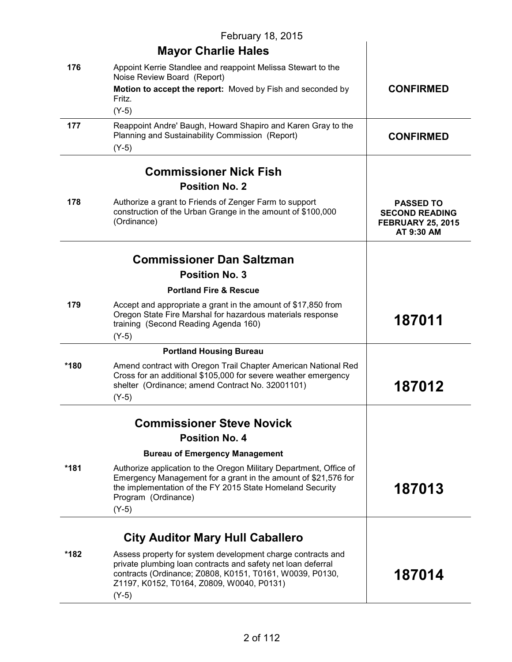|      | February 18, 2015                                                                                                                                                                                                        |                                                                                     |
|------|--------------------------------------------------------------------------------------------------------------------------------------------------------------------------------------------------------------------------|-------------------------------------------------------------------------------------|
|      | <b>Mayor Charlie Hales</b>                                                                                                                                                                                               |                                                                                     |
| 176  | Appoint Kerrie Standlee and reappoint Melissa Stewart to the<br>Noise Review Board (Report)                                                                                                                              |                                                                                     |
|      | Motion to accept the report: Moved by Fish and seconded by<br>Fritz.                                                                                                                                                     | <b>CONFIRMED</b>                                                                    |
|      | $(Y-5)$                                                                                                                                                                                                                  |                                                                                     |
| 177  | Reappoint Andre' Baugh, Howard Shapiro and Karen Gray to the<br>Planning and Sustainability Commission (Report)<br>$(Y-5)$                                                                                               | <b>CONFIRMED</b>                                                                    |
|      | <b>Commissioner Nick Fish</b>                                                                                                                                                                                            |                                                                                     |
|      | <b>Position No. 2</b>                                                                                                                                                                                                    |                                                                                     |
| 178  | Authorize a grant to Friends of Zenger Farm to support<br>construction of the Urban Grange in the amount of \$100,000<br>(Ordinance)                                                                                     | <b>PASSED TO</b><br><b>SECOND READING</b><br><b>FEBRUARY 25, 2015</b><br>AT 9:30 AM |
|      | <b>Commissioner Dan Saltzman</b>                                                                                                                                                                                         |                                                                                     |
|      | <b>Position No. 3</b>                                                                                                                                                                                                    |                                                                                     |
|      | <b>Portland Fire &amp; Rescue</b>                                                                                                                                                                                        |                                                                                     |
| 179  | Accept and appropriate a grant in the amount of \$17,850 from<br>Oregon State Fire Marshal for hazardous materials response<br>training (Second Reading Agenda 160)                                                      | 187011                                                                              |
|      | $(Y-5)$                                                                                                                                                                                                                  |                                                                                     |
|      | <b>Portland Housing Bureau</b>                                                                                                                                                                                           |                                                                                     |
| *180 | Amend contract with Oregon Trail Chapter American National Red<br>Cross for an additional \$105,000 for severe weather emergency<br>shelter (Ordinance; amend Contract No. 32001101)                                     | 187012                                                                              |
|      | $(Y-5)$                                                                                                                                                                                                                  |                                                                                     |
|      | <b>Commissioner Steve Novick</b>                                                                                                                                                                                         |                                                                                     |
|      | <b>Position No. 4</b>                                                                                                                                                                                                    |                                                                                     |
|      | <b>Bureau of Emergency Management</b>                                                                                                                                                                                    |                                                                                     |
| *181 | Authorize application to the Oregon Military Department, Office of<br>Emergency Management for a grant in the amount of \$21,576 for<br>the implementation of the FY 2015 State Homeland Security<br>Program (Ordinance) | 187013                                                                              |
|      | $(Y-5)$                                                                                                                                                                                                                  |                                                                                     |
|      | <b>City Auditor Mary Hull Caballero</b>                                                                                                                                                                                  |                                                                                     |
| *182 | Assess property for system development charge contracts and                                                                                                                                                              |                                                                                     |
|      | private plumbing loan contracts and safety net loan deferral<br>contracts (Ordinance; Z0808, K0151, T0161, W0039, P0130,<br>Z1197, K0152, T0164, Z0809, W0040, P0131)<br>$(Y-5)$                                         | 187014                                                                              |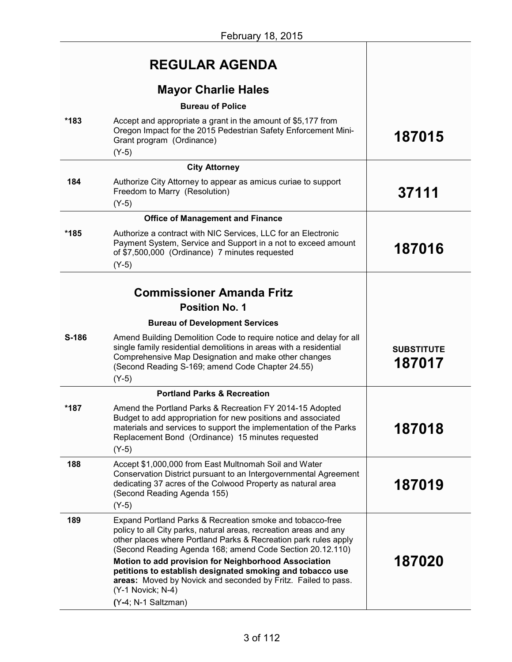|       | <b>REGULAR AGENDA</b>                                                                                                                                                                                                                                          |                             |
|-------|----------------------------------------------------------------------------------------------------------------------------------------------------------------------------------------------------------------------------------------------------------------|-----------------------------|
|       | <b>Mayor Charlie Hales</b>                                                                                                                                                                                                                                     |                             |
|       | <b>Bureau of Police</b>                                                                                                                                                                                                                                        |                             |
| *183  | Accept and appropriate a grant in the amount of \$5,177 from<br>Oregon Impact for the 2015 Pedestrian Safety Enforcement Mini-<br>Grant program (Ordinance)<br>$(Y-5)$                                                                                         | 187015                      |
|       | <b>City Attorney</b>                                                                                                                                                                                                                                           |                             |
| 184   | Authorize City Attorney to appear as amicus curiae to support<br>Freedom to Marry (Resolution)                                                                                                                                                                 | 37111                       |
|       | $(Y-5)$                                                                                                                                                                                                                                                        |                             |
|       | <b>Office of Management and Finance</b>                                                                                                                                                                                                                        |                             |
| *185  | Authorize a contract with NIC Services, LLC for an Electronic<br>Payment System, Service and Support in a not to exceed amount<br>of \$7,500,000 (Ordinance) 7 minutes requested                                                                               | 187016                      |
|       | $(Y-5)$                                                                                                                                                                                                                                                        |                             |
|       | <b>Commissioner Amanda Fritz</b><br><b>Position No. 1</b>                                                                                                                                                                                                      |                             |
|       |                                                                                                                                                                                                                                                                |                             |
|       | <b>Bureau of Development Services</b>                                                                                                                                                                                                                          |                             |
| S-186 | Amend Building Demolition Code to require notice and delay for all<br>single family residential demolitions in areas with a residential<br>Comprehensive Map Designation and make other changes<br>(Second Reading S-169; amend Code Chapter 24.55)<br>$(Y-5)$ | <b>SUBSTITUTE</b><br>187017 |
|       | <b>Portland Parks &amp; Recreation</b>                                                                                                                                                                                                                         |                             |
| *187  | Amend the Portland Parks & Recreation FY 2014-15 Adopted<br>Budget to add appropriation for new positions and associated<br>materials and services to support the implementation of the Parks<br>Replacement Bond (Ordinance) 15 minutes requested<br>$(Y-5)$  | 187018                      |
| 188   | Accept \$1,000,000 from East Multnomah Soil and Water<br>Conservation District pursuant to an Intergovernmental Agreement<br>dedicating 37 acres of the Colwood Property as natural area<br>(Second Reading Agenda 155)<br>$(Y-5)$                             | 187019                      |
|       |                                                                                                                                                                                                                                                                |                             |
| 189   | Expand Portland Parks & Recreation smoke and tobacco-free<br>policy to all City parks, natural areas, recreation areas and any<br>other places where Portland Parks & Recreation park rules apply<br>(Second Reading Agenda 168; amend Code Section 20.12.110) |                             |
|       | Motion to add provision for Neighborhood Association<br>petitions to establish designated smoking and tobacco use<br>areas: Moved by Novick and seconded by Fritz. Failed to pass.<br>(Y-1 Novick; N-4)                                                        | 187020                      |
|       | (Y-4; N-1 Saltzman)                                                                                                                                                                                                                                            |                             |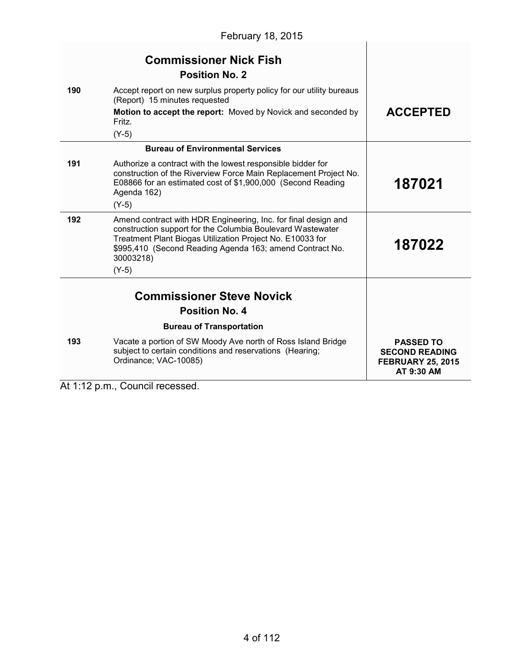|     | February 18, 2015                                                                                                                                                                                                                                                             |                                                                                     |
|-----|-------------------------------------------------------------------------------------------------------------------------------------------------------------------------------------------------------------------------------------------------------------------------------|-------------------------------------------------------------------------------------|
|     | <b>Commissioner Nick Fish</b><br><b>Position No. 2</b>                                                                                                                                                                                                                        |                                                                                     |
| 190 | Accept report on new surplus property policy for our utility bureaus<br>(Report) 15 minutes requested                                                                                                                                                                         |                                                                                     |
|     | Motion to accept the report: Moved by Novick and seconded by<br>Fritz.<br>$(Y-5)$                                                                                                                                                                                             | <b>ACCEPTED</b>                                                                     |
|     | <b>Bureau of Environmental Services</b>                                                                                                                                                                                                                                       |                                                                                     |
| 191 | Authorize a contract with the lowest responsible bidder for<br>construction of the Riverview Force Main Replacement Project No.<br>E08866 for an estimated cost of \$1,900,000 (Second Reading<br>Agenda 162)                                                                 | 187021                                                                              |
|     | $(Y-5)$                                                                                                                                                                                                                                                                       |                                                                                     |
| 192 | Amend contract with HDR Engineering, Inc. for final design and<br>construction support for the Columbia Boulevard Wastewater<br>Treatment Plant Biogas Utilization Project No. E10033 for<br>\$995,410 (Second Reading Agenda 163; amend Contract No.<br>30003218)<br>$(Y-5)$ | 187022                                                                              |
|     | <b>Commissioner Steve Novick</b>                                                                                                                                                                                                                                              |                                                                                     |
|     | <b>Position No. 4</b>                                                                                                                                                                                                                                                         |                                                                                     |
|     | <b>Bureau of Transportation</b>                                                                                                                                                                                                                                               |                                                                                     |
| 193 | Vacate a portion of SW Moody Ave north of Ross Island Bridge<br>subject to certain conditions and reservations (Hearing;<br>Ordinance; VAC-10085)                                                                                                                             | <b>PASSED TO</b><br><b>SECOND READING</b><br><b>FEBRUARY 25, 2015</b><br>AT 9:30 AM |

At 1:12 p.m., Council recessed.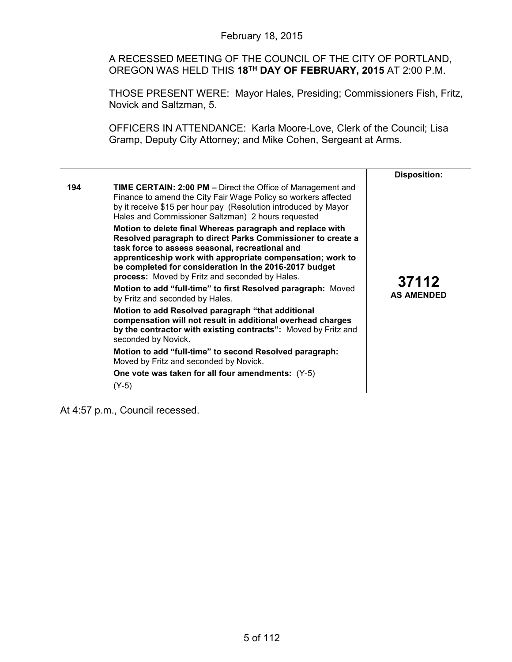A RECESSED MEETING OF THE COUNCIL OF THE CITY OF PORTLAND, OREGON WAS HELD THIS **18TH DAY OF FEBRUARY, 2015** AT 2:00 P.M.

THOSE PRESENT WERE: Mayor Hales, Presiding; Commissioners Fish, Fritz, Novick and Saltzman, 5.

OFFICERS IN ATTENDANCE: Karla Moore-Love, Clerk of the Council; Lisa Gramp, Deputy City Attorney; and Mike Cohen, Sergeant at Arms.

|     |                                                                                                                                                                                                                                                                                                                     | <b>Disposition:</b> |
|-----|---------------------------------------------------------------------------------------------------------------------------------------------------------------------------------------------------------------------------------------------------------------------------------------------------------------------|---------------------|
| 194 | TIME CERTAIN: 2:00 PM - Direct the Office of Management and<br>Finance to amend the City Fair Wage Policy so workers affected<br>by it receive \$15 per hour pay (Resolution introduced by Mayor<br>Hales and Commissioner Saltzman) 2 hours requested<br>Motion to delete final Whereas paragraph and replace with | 37112               |
|     | Resolved paragraph to direct Parks Commissioner to create a<br>task force to assess seasonal, recreational and<br>apprenticeship work with appropriate compensation; work to<br>be completed for consideration in the 2016-2017 budget<br>process: Moved by Fritz and seconded by Hales.                            |                     |
|     | Motion to add "full-time" to first Resolved paragraph: Moved<br>by Fritz and seconded by Hales.                                                                                                                                                                                                                     | <b>AS AMENDED</b>   |
|     | Motion to add Resolved paragraph "that additional<br>compensation will not result in additional overhead charges<br>by the contractor with existing contracts": Moved by Fritz and<br>seconded by Novick.                                                                                                           |                     |
|     | Motion to add "full-time" to second Resolved paragraph:<br>Moved by Fritz and seconded by Novick.                                                                                                                                                                                                                   |                     |
|     | One vote was taken for all four amendments: (Y-5)                                                                                                                                                                                                                                                                   |                     |
|     | $(Y-5)$                                                                                                                                                                                                                                                                                                             |                     |

At 4:57 p.m., Council recessed.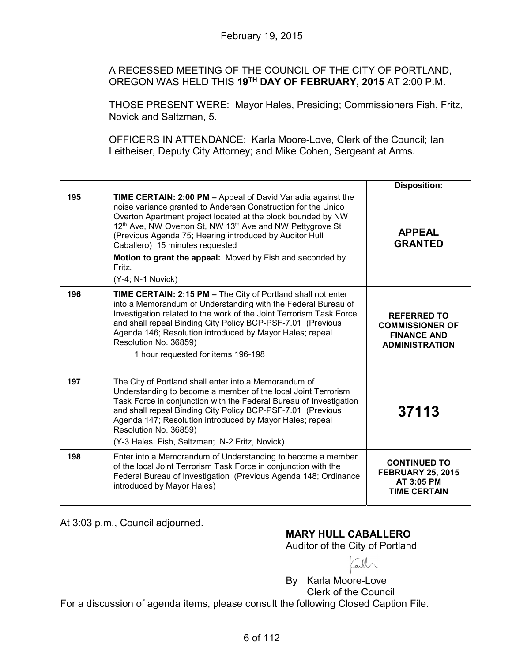A RECESSED MEETING OF THE COUNCIL OF THE CITY OF PORTLAND, OREGON WAS HELD THIS **19TH DAY OF FEBRUARY, 2015** AT 2:00 P.M.

THOSE PRESENT WERE: Mayor Hales, Presiding; Commissioners Fish, Fritz, Novick and Saltzman, 5.

OFFICERS IN ATTENDANCE: Karla Moore-Love, Clerk of the Council; Ian Leitheiser, Deputy City Attorney; and Mike Cohen, Sergeant at Arms.

|     |                                                                                                                                                                                                                                                                                                                                                                                                                                                                             | <b>Disposition:</b>                                                                         |
|-----|-----------------------------------------------------------------------------------------------------------------------------------------------------------------------------------------------------------------------------------------------------------------------------------------------------------------------------------------------------------------------------------------------------------------------------------------------------------------------------|---------------------------------------------------------------------------------------------|
| 195 | TIME CERTAIN: 2:00 PM - Appeal of David Vanadia against the<br>noise variance granted to Andersen Construction for the Unico<br>Overton Apartment project located at the block bounded by NW<br>12 <sup>th</sup> Ave, NW Overton St, NW 13 <sup>th</sup> Ave and NW Pettygrove St<br>(Previous Agenda 75; Hearing introduced by Auditor Hull<br>Caballero) 15 minutes requested<br>Motion to grant the appeal: Moved by Fish and seconded by<br>Fritz.<br>(Y-4; N-1 Novick) | <b>APPEAL</b><br><b>GRANTED</b>                                                             |
| 196 | TIME CERTAIN: 2:15 PM - The City of Portland shall not enter                                                                                                                                                                                                                                                                                                                                                                                                                |                                                                                             |
|     | into a Memorandum of Understanding with the Federal Bureau of<br>Investigation related to the work of the Joint Terrorism Task Force<br>and shall repeal Binding City Policy BCP-PSF-7.01 (Previous<br>Agenda 146; Resolution introduced by Mayor Hales; repeal<br>Resolution No. 36859)<br>1 hour requested for items 196-198                                                                                                                                              | <b>REFERRED TO</b><br><b>COMMISSIONER OF</b><br><b>FINANCE AND</b><br><b>ADMINISTRATION</b> |
| 197 | The City of Portland shall enter into a Memorandum of<br>Understanding to become a member of the local Joint Terrorism<br>Task Force in conjunction with the Federal Bureau of Investigation<br>and shall repeal Binding City Policy BCP-PSF-7.01 (Previous<br>Agenda 147; Resolution introduced by Mayor Hales; repeal<br>Resolution No. 36859)<br>(Y-3 Hales, Fish, Saltzman; N-2 Fritz, Novick)                                                                          | 37113                                                                                       |
| 198 | Enter into a Memorandum of Understanding to become a member<br>of the local Joint Terrorism Task Force in conjunction with the<br>Federal Bureau of Investigation (Previous Agenda 148; Ordinance<br>introduced by Mayor Hales)                                                                                                                                                                                                                                             | <b>CONTINUED TO</b><br><b>FEBRUARY 25, 2015</b><br>AT 3:05 PM<br><b>TIME CERTAIN</b>        |

At 3:03 p.m., Council adjourned.

**MARY HULL CABALLERO**

Auditor of the City of Portland

By Karla Moore-Love Clerk of the Council For a discussion of agenda items, please consult the following Closed Caption File.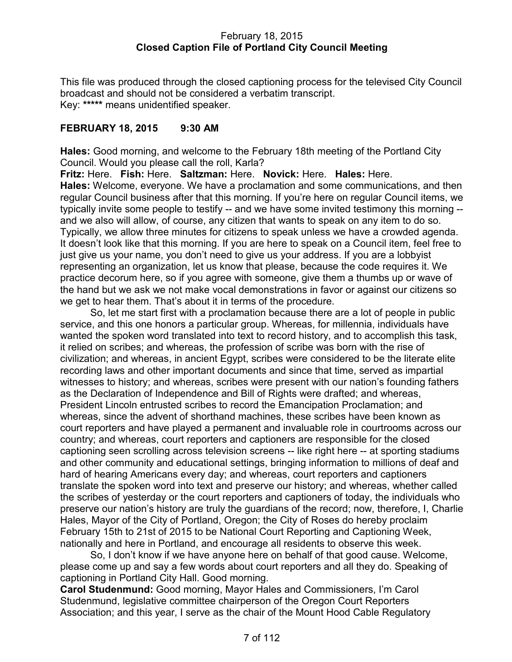### February 18, 2015 **Closed Caption File of Portland City Council Meeting**

This file was produced through the closed captioning process for the televised City Council broadcast and should not be considered a verbatim transcript. Key: **\*\*\*\*\*** means unidentified speaker.

# **FEBRUARY 18, 2015 9:30 AM**

**Hales:** Good morning, and welcome to the February 18th meeting of the Portland City Council. Would you please call the roll, Karla?

**Fritz:** Here. **Fish:** Here. **Saltzman:** Here. **Novick:** Here. **Hales:** Here. **Hales:** Welcome, everyone. We have a proclamation and some communications, and then regular Council business after that this morning. If you're here on regular Council items, we typically invite some people to testify -- and we have some invited testimony this morning - and we also will allow, of course, any citizen that wants to speak on any item to do so. Typically, we allow three minutes for citizens to speak unless we have a crowded agenda. It doesn't look like that this morning. If you are here to speak on a Council item, feel free to just give us your name, you don't need to give us your address. If you are a lobbyist representing an organization, let us know that please, because the code requires it. We practice decorum here, so if you agree with someone, give them a thumbs up or wave of the hand but we ask we not make vocal demonstrations in favor or against our citizens so we get to hear them. That's about it in terms of the procedure.

So, let me start first with a proclamation because there are a lot of people in public service, and this one honors a particular group. Whereas, for millennia, individuals have wanted the spoken word translated into text to record history, and to accomplish this task, it relied on scribes; and whereas, the profession of scribe was born with the rise of civilization; and whereas, in ancient Egypt, scribes were considered to be the literate elite recording laws and other important documents and since that time, served as impartial witnesses to history; and whereas, scribes were present with our nation's founding fathers as the Declaration of Independence and Bill of Rights were drafted; and whereas, President Lincoln entrusted scribes to record the Emancipation Proclamation; and whereas, since the advent of shorthand machines, these scribes have been known as court reporters and have played a permanent and invaluable role in courtrooms across our country; and whereas, court reporters and captioners are responsible for the closed captioning seen scrolling across television screens -- like right here -- at sporting stadiums and other community and educational settings, bringing information to millions of deaf and hard of hearing Americans every day; and whereas, court reporters and captioners translate the spoken word into text and preserve our history; and whereas, whether called the scribes of yesterday or the court reporters and captioners of today, the individuals who preserve our nation's history are truly the guardians of the record; now, therefore, I, Charlie Hales, Mayor of the City of Portland, Oregon; the City of Roses do hereby proclaim February 15th to 21st of 2015 to be National Court Reporting and Captioning Week, nationally and here in Portland, and encourage all residents to observe this week.

So, I don't know if we have anyone here on behalf of that good cause. Welcome, please come up and say a few words about court reporters and all they do. Speaking of captioning in Portland City Hall. Good morning.

**Carol Studenmund:** Good morning, Mayor Hales and Commissioners, I'm Carol Studenmund, legislative committee chairperson of the Oregon Court Reporters Association; and this year, I serve as the chair of the Mount Hood Cable Regulatory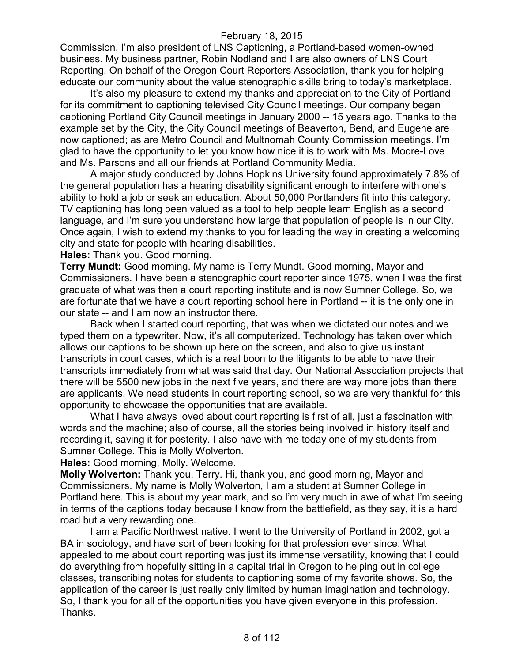Commission. I'm also president of LNS Captioning, a Portland-based women-owned business. My business partner, Robin Nodland and I are also owners of LNS Court Reporting. On behalf of the Oregon Court Reporters Association, thank you for helping educate our community about the value stenographic skills bring to today's marketplace.

It's also my pleasure to extend my thanks and appreciation to the City of Portland for its commitment to captioning televised City Council meetings. Our company began captioning Portland City Council meetings in January 2000 -- 15 years ago. Thanks to the example set by the City, the City Council meetings of Beaverton, Bend, and Eugene are now captioned; as are Metro Council and Multnomah County Commission meetings. I'm glad to have the opportunity to let you know how nice it is to work with Ms. Moore-Love and Ms. Parsons and all our friends at Portland Community Media.

A major study conducted by Johns Hopkins University found approximately 7.8% of the general population has a hearing disability significant enough to interfere with one's ability to hold a job or seek an education. About 50,000 Portlanders fit into this category. TV captioning has long been valued as a tool to help people learn English as a second language, and I'm sure you understand how large that population of people is in our City. Once again, I wish to extend my thanks to you for leading the way in creating a welcoming city and state for people with hearing disabilities.

**Hales:** Thank you. Good morning.

**Terry Mundt:** Good morning. My name is Terry Mundt. Good morning, Mayor and Commissioners. I have been a stenographic court reporter since 1975, when I was the first graduate of what was then a court reporting institute and is now Sumner College. So, we are fortunate that we have a court reporting school here in Portland -- it is the only one in our state -- and I am now an instructor there.

Back when I started court reporting, that was when we dictated our notes and we typed them on a typewriter. Now, it's all computerized. Technology has taken over which allows our captions to be shown up here on the screen, and also to give us instant transcripts in court cases, which is a real boon to the litigants to be able to have their transcripts immediately from what was said that day. Our National Association projects that there will be 5500 new jobs in the next five years, and there are way more jobs than there are applicants. We need students in court reporting school, so we are very thankful for this opportunity to showcase the opportunities that are available.

What I have always loved about court reporting is first of all, just a fascination with words and the machine; also of course, all the stories being involved in history itself and recording it, saving it for posterity. I also have with me today one of my students from Sumner College. This is Molly Wolverton.

**Hales:** Good morning, Molly. Welcome.

**Molly Wolverton:** Thank you, Terry. Hi, thank you, and good morning, Mayor and Commissioners. My name is Molly Wolverton, I am a student at Sumner College in Portland here. This is about my year mark, and so I'm very much in awe of what I'm seeing in terms of the captions today because I know from the battlefield, as they say, it is a hard road but a very rewarding one.

I am a Pacific Northwest native. I went to the University of Portland in 2002, got a BA in sociology, and have sort of been looking for that profession ever since. What appealed to me about court reporting was just its immense versatility, knowing that I could do everything from hopefully sitting in a capital trial in Oregon to helping out in college classes, transcribing notes for students to captioning some of my favorite shows. So, the application of the career is just really only limited by human imagination and technology. So, I thank you for all of the opportunities you have given everyone in this profession. Thanks.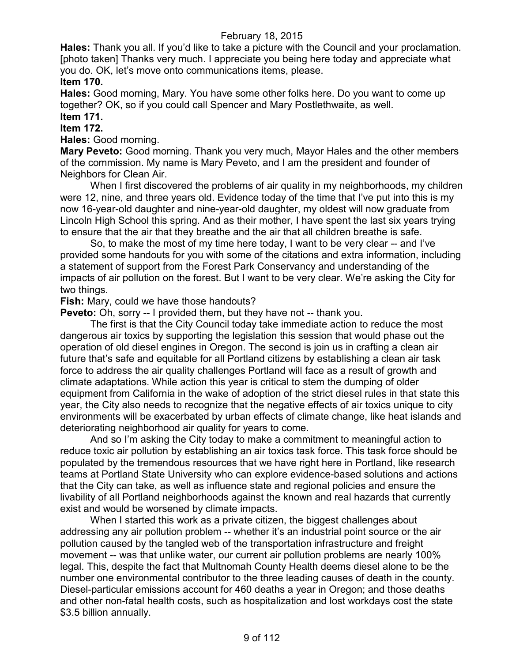**Hales:** Thank you all. If you'd like to take a picture with the Council and your proclamation. [photo taken] Thanks very much. I appreciate you being here today and appreciate what you do. OK, let's move onto communications items, please. **Item 170.**

**Hales:** Good morning, Mary. You have some other folks here. Do you want to come up together? OK, so if you could call Spencer and Mary Postlethwaite, as well. **Item 171.**

# **Item 172.**

**Hales:** Good morning.

**Mary Peveto:** Good morning. Thank you very much, Mayor Hales and the other members of the commission. My name is Mary Peveto, and I am the president and founder of Neighbors for Clean Air.

When I first discovered the problems of air quality in my neighborhoods, my children were 12, nine, and three years old. Evidence today of the time that I've put into this is my now 16-year-old daughter and nine-year-old daughter, my oldest will now graduate from Lincoln High School this spring. And as their mother, I have spent the last six years trying to ensure that the air that they breathe and the air that all children breathe is safe.

So, to make the most of my time here today, I want to be very clear -- and I've provided some handouts for you with some of the citations and extra information, including a statement of support from the Forest Park Conservancy and understanding of the impacts of air pollution on the forest. But I want to be very clear. We're asking the City for two things.

**Fish:** Mary, could we have those handouts?

**Peveto:** Oh, sorry -- I provided them, but they have not -- thank you.

The first is that the City Council today take immediate action to reduce the most dangerous air toxics by supporting the legislation this session that would phase out the operation of old diesel engines in Oregon. The second is join us in crafting a clean air future that's safe and equitable for all Portland citizens by establishing a clean air task force to address the air quality challenges Portland will face as a result of growth and climate adaptations. While action this year is critical to stem the dumping of older equipment from California in the wake of adoption of the strict diesel rules in that state this year, the City also needs to recognize that the negative effects of air toxics unique to city environments will be exacerbated by urban effects of climate change, like heat islands and deteriorating neighborhood air quality for years to come.

And so I'm asking the City today to make a commitment to meaningful action to reduce toxic air pollution by establishing an air toxics task force. This task force should be populated by the tremendous resources that we have right here in Portland, like research teams at Portland State University who can explore evidence-based solutions and actions that the City can take, as well as influence state and regional policies and ensure the livability of all Portland neighborhoods against the known and real hazards that currently exist and would be worsened by climate impacts.

When I started this work as a private citizen, the biggest challenges about addressing any air pollution problem -- whether it's an industrial point source or the air pollution caused by the tangled web of the transportation infrastructure and freight movement -- was that unlike water, our current air pollution problems are nearly 100% legal. This, despite the fact that Multnomah County Health deems diesel alone to be the number one environmental contributor to the three leading causes of death in the county. Diesel-particular emissions account for 460 deaths a year in Oregon; and those deaths and other non-fatal health costs, such as hospitalization and lost workdays cost the state \$3.5 billion annually.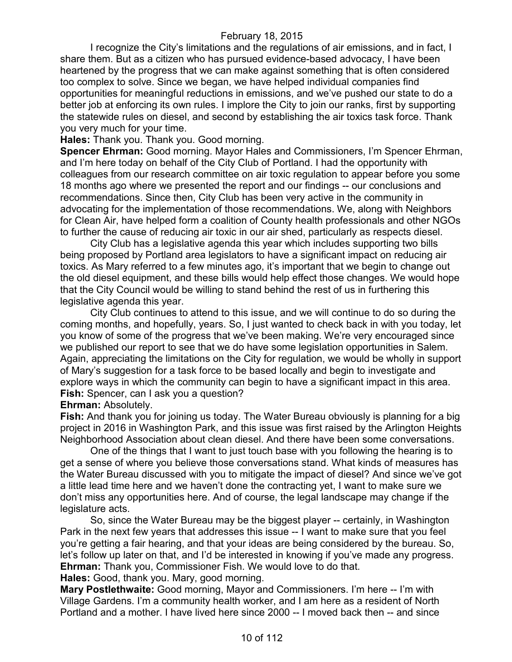I recognize the City's limitations and the regulations of air emissions, and in fact, I share them. But as a citizen who has pursued evidence-based advocacy, I have been heartened by the progress that we can make against something that is often considered too complex to solve. Since we began, we have helped individual companies find opportunities for meaningful reductions in emissions, and we've pushed our state to do a better job at enforcing its own rules. I implore the City to join our ranks, first by supporting the statewide rules on diesel, and second by establishing the air toxics task force. Thank you very much for your time.

**Hales:** Thank you. Thank you. Good morning.

**Spencer Ehrman:** Good morning. Mayor Hales and Commissioners, I'm Spencer Ehrman, and I'm here today on behalf of the City Club of Portland. I had the opportunity with colleagues from our research committee on air toxic regulation to appear before you some 18 months ago where we presented the report and our findings -- our conclusions and recommendations. Since then, City Club has been very active in the community in advocating for the implementation of those recommendations. We, along with Neighbors for Clean Air, have helped form a coalition of County health professionals and other NGOs to further the cause of reducing air toxic in our air shed, particularly as respects diesel.

City Club has a legislative agenda this year which includes supporting two bills being proposed by Portland area legislators to have a significant impact on reducing air toxics. As Mary referred to a few minutes ago, it's important that we begin to change out the old diesel equipment, and these bills would help effect those changes. We would hope that the City Council would be willing to stand behind the rest of us in furthering this legislative agenda this year.

City Club continues to attend to this issue, and we will continue to do so during the coming months, and hopefully, years. So, I just wanted to check back in with you today, let you know of some of the progress that we've been making. We're very encouraged since we published our report to see that we do have some legislation opportunities in Salem. Again, appreciating the limitations on the City for regulation, we would be wholly in support of Mary's suggestion for a task force to be based locally and begin to investigate and explore ways in which the community can begin to have a significant impact in this area. **Fish:** Spencer, can I ask you a question?

**Ehrman:** Absolutely.

**Fish:** And thank you for joining us today. The Water Bureau obviously is planning for a big project in 2016 in Washington Park, and this issue was first raised by the Arlington Heights Neighborhood Association about clean diesel. And there have been some conversations.

One of the things that I want to just touch base with you following the hearing is to get a sense of where you believe those conversations stand. What kinds of measures has the Water Bureau discussed with you to mitigate the impact of diesel? And since we've got a little lead time here and we haven't done the contracting yet, I want to make sure we don't miss any opportunities here. And of course, the legal landscape may change if the legislature acts.

So, since the Water Bureau may be the biggest player -- certainly, in Washington Park in the next few years that addresses this issue -- I want to make sure that you feel you're getting a fair hearing, and that your ideas are being considered by the bureau. So, let's follow up later on that, and I'd be interested in knowing if you've made any progress. **Ehrman:** Thank you, Commissioner Fish. We would love to do that. **Hales:** Good, thank you. Mary, good morning.

**Mary Postlethwaite:** Good morning, Mayor and Commissioners. I'm here -- I'm with Village Gardens. I'm a community health worker, and I am here as a resident of North Portland and a mother. I have lived here since 2000 -- I moved back then -- and since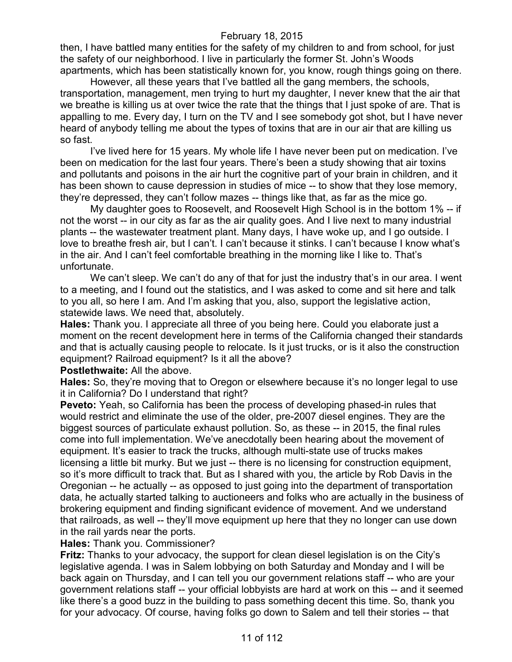then, I have battled many entities for the safety of my children to and from school, for just the safety of our neighborhood. I live in particularly the former St. John's Woods apartments, which has been statistically known for, you know, rough things going on there.

However, all these years that I've battled all the gang members, the schools, transportation, management, men trying to hurt my daughter, I never knew that the air that we breathe is killing us at over twice the rate that the things that I just spoke of are. That is appalling to me. Every day, I turn on the TV and I see somebody got shot, but I have never heard of anybody telling me about the types of toxins that are in our air that are killing us so fast.

I've lived here for 15 years. My whole life I have never been put on medication. I've been on medication for the last four years. There's been a study showing that air toxins and pollutants and poisons in the air hurt the cognitive part of your brain in children, and it has been shown to cause depression in studies of mice -- to show that they lose memory, they're depressed, they can't follow mazes -- things like that, as far as the mice go.

My daughter goes to Roosevelt, and Roosevelt High School is in the bottom 1% -- if not the worst -- in our city as far as the air quality goes. And I live next to many industrial plants -- the wastewater treatment plant. Many days, I have woke up, and I go outside. I love to breathe fresh air, but I can't. I can't because it stinks. I can't because I know what's in the air. And I can't feel comfortable breathing in the morning like I like to. That's unfortunate.

We can't sleep. We can't do any of that for just the industry that's in our area. I went to a meeting, and I found out the statistics, and I was asked to come and sit here and talk to you all, so here I am. And I'm asking that you, also, support the legislative action, statewide laws. We need that, absolutely.

**Hales:** Thank you. I appreciate all three of you being here. Could you elaborate just a moment on the recent development here in terms of the California changed their standards and that is actually causing people to relocate. Is it just trucks, or is it also the construction equipment? Railroad equipment? Is it all the above?

#### **Postlethwaite: All the above.**

**Hales:** So, they're moving that to Oregon or elsewhere because it's no longer legal to use it in California? Do I understand that right?

**Peveto:** Yeah, so California has been the process of developing phased-in rules that would restrict and eliminate the use of the older, pre-2007 diesel engines. They are the biggest sources of particulate exhaust pollution. So, as these -- in 2015, the final rules come into full implementation. We've anecdotally been hearing about the movement of equipment. It's easier to track the trucks, although multi-state use of trucks makes licensing a little bit murky. But we just -- there is no licensing for construction equipment, so it's more difficult to track that. But as I shared with you, the article by Rob Davis in the Oregonian -- he actually -- as opposed to just going into the department of transportation data, he actually started talking to auctioneers and folks who are actually in the business of brokering equipment and finding significant evidence of movement. And we understand that railroads, as well -- they'll move equipment up here that they no longer can use down in the rail yards near the ports.

#### **Hales:** Thank you. Commissioner?

**Fritz:** Thanks to your advocacy, the support for clean diesel legislation is on the City's legislative agenda. I was in Salem lobbying on both Saturday and Monday and I will be back again on Thursday, and I can tell you our government relations staff -- who are your government relations staff -- your official lobbyists are hard at work on this -- and it seemed like there's a good buzz in the building to pass something decent this time. So, thank you for your advocacy. Of course, having folks go down to Salem and tell their stories -- that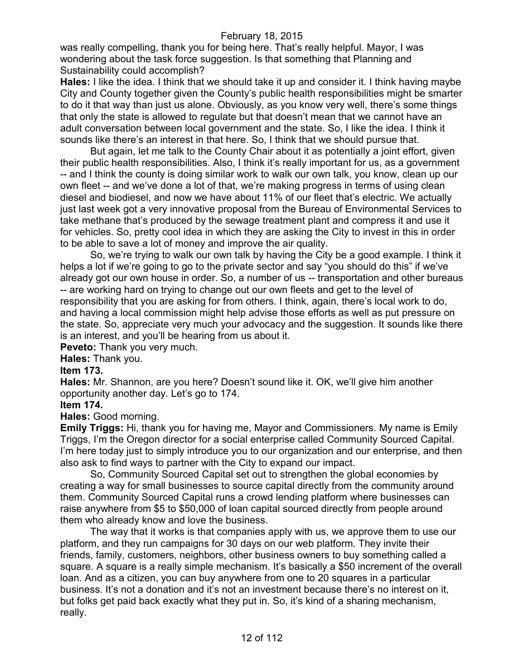was really compelling, thank you for being here. That's really helpful. Mayor, I was wondering about the task force suggestion. Is that something that Planning and Sustainability could accomplish?

**Hales:** I like the idea. I think that we should take it up and consider it. I think having maybe City and County together given the County's public health responsibilities might be smarter to do it that way than just us alone. Obviously, as you know very well, there's some things that only the state is allowed to regulate but that doesn't mean that we cannot have an adult conversation between local government and the state. So, I like the idea. I think it sounds like there's an interest in that here. So, I think that we should pursue that.

But again, let me talk to the County Chair about it as potentially a joint effort, given their public health responsibilities. Also, I think it's really important for us, as a government -- and I think the county is doing similar work to walk our own talk, you know, clean up our own fleet -- and we've done a lot of that, we're making progress in terms of using clean diesel and biodiesel, and now we have about 11% of our fleet that's electric. We actually just last week got a very innovative proposal from the Bureau of Environmental Services to take methane that's produced by the sewage treatment plant and compress it and use it for vehicles. So, pretty cool idea in which they are asking the City to invest in this in order to be able to save a lot of money and improve the air quality.

So, we're trying to walk our own talk by having the City be a good example. I think it helps a lot if we're going to go to the private sector and say "you should do this" if we've already got our own house in order. So, a number of us -- transportation and other bureaus -- are working hard on trying to change out our own fleets and get to the level of responsibility that you are asking for from others. I think, again, there's local work to do, and having a local commission might help advise those efforts as well as put pressure on the state. So, appreciate very much your advocacy and the suggestion. It sounds like there is an interest, and you'll be hearing from us about it.

**Peveto:** Thank you very much.

**Hales:** Thank you.

#### **Item 173.**

**Hales:** Mr. Shannon, are you here? Doesn't sound like it. OK, we'll give him another opportunity another day. Let's go to 174.

#### **Item 174.**

**Hales:** Good morning.

**Emily Triggs:** Hi, thank you for having me, Mayor and Commissioners. My name is Emily Triggs, I'm the Oregon director for a social enterprise called Community Sourced Capital. I'm here today just to simply introduce you to our organization and our enterprise, and then also ask to find ways to partner with the City to expand our impact.

So, Community Sourced Capital set out to strengthen the global economies by creating a way for small businesses to source capital directly from the community around them. Community Sourced Capital runs a crowd lending platform where businesses can raise anywhere from \$5 to \$50,000 of loan capital sourced directly from people around them who already know and love the business.

The way that it works is that companies apply with us, we approve them to use our platform, and they run campaigns for 30 days on our web platform. They invite their friends, family, customers, neighbors, other business owners to buy something called a square. A square is a really simple mechanism. It's basically a \$50 increment of the overall loan. And as a citizen, you can buy anywhere from one to 20 squares in a particular business. It's not a donation and it's not an investment because there's no interest on it, but folks get paid back exactly what they put in. So, it's kind of a sharing mechanism, really.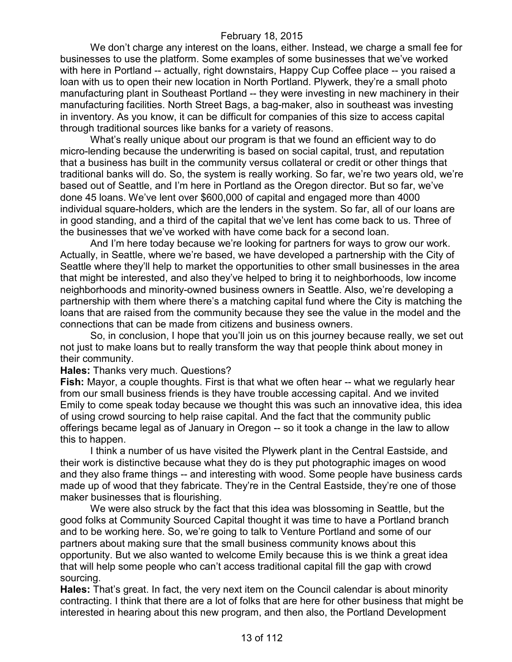We don't charge any interest on the loans, either. Instead, we charge a small fee for businesses to use the platform. Some examples of some businesses that we've worked with here in Portland -- actually, right downstairs, Happy Cup Coffee place -- you raised a loan with us to open their new location in North Portland. Plywerk, they're a small photo manufacturing plant in Southeast Portland -- they were investing in new machinery in their manufacturing facilities. North Street Bags, a bag-maker, also in southeast was investing in inventory. As you know, it can be difficult for companies of this size to access capital through traditional sources like banks for a variety of reasons.

What's really unique about our program is that we found an efficient way to do micro-lending because the underwriting is based on social capital, trust, and reputation that a business has built in the community versus collateral or credit or other things that traditional banks will do. So, the system is really working. So far, we're two years old, we're based out of Seattle, and I'm here in Portland as the Oregon director. But so far, we've done 45 loans. We've lent over \$600,000 of capital and engaged more than 4000 individual square-holders, which are the lenders in the system. So far, all of our loans are in good standing, and a third of the capital that we've lent has come back to us. Three of the businesses that we've worked with have come back for a second loan.

And I'm here today because we're looking for partners for ways to grow our work. Actually, in Seattle, where we're based, we have developed a partnership with the City of Seattle where they'll help to market the opportunities to other small businesses in the area that might be interested, and also they've helped to bring it to neighborhoods, low income neighborhoods and minority-owned business owners in Seattle. Also, we're developing a partnership with them where there's a matching capital fund where the City is matching the loans that are raised from the community because they see the value in the model and the connections that can be made from citizens and business owners.

So, in conclusion, I hope that you'll join us on this journey because really, we set out not just to make loans but to really transform the way that people think about money in their community.

**Hales:** Thanks very much. Questions?

**Fish:** Mayor, a couple thoughts. First is that what we often hear -- what we regularly hear from our small business friends is they have trouble accessing capital. And we invited Emily to come speak today because we thought this was such an innovative idea, this idea of using crowd sourcing to help raise capital. And the fact that the community public offerings became legal as of January in Oregon -- so it took a change in the law to allow this to happen.

I think a number of us have visited the Plywerk plant in the Central Eastside, and their work is distinctive because what they do is they put photographic images on wood and they also frame things -- and interesting with wood. Some people have business cards made up of wood that they fabricate. They're in the Central Eastside, they're one of those maker businesses that is flourishing.

We were also struck by the fact that this idea was blossoming in Seattle, but the good folks at Community Sourced Capital thought it was time to have a Portland branch and to be working here. So, we're going to talk to Venture Portland and some of our partners about making sure that the small business community knows about this opportunity. But we also wanted to welcome Emily because this is we think a great idea that will help some people who can't access traditional capital fill the gap with crowd sourcing.

**Hales:** That's great. In fact, the very next item on the Council calendar is about minority contracting. I think that there are a lot of folks that are here for other business that might be interested in hearing about this new program, and then also, the Portland Development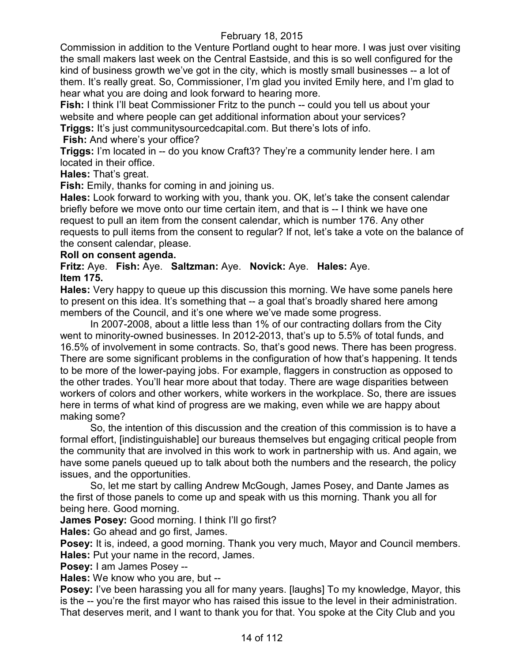Commission in addition to the Venture Portland ought to hear more. I was just over visiting the small makers last week on the Central Eastside, and this is so well configured for the kind of business growth we've got in the city, which is mostly small businesses -- a lot of them. It's really great. So, Commissioner, I'm glad you invited Emily here, and I'm glad to hear what you are doing and look forward to hearing more.

**Fish:** I think I'll beat Commissioner Fritz to the punch -- could you tell us about your website and where people can get additional information about your services?

**Triggs:** It's just communitysourcedcapital.com. But there's lots of info.

**Fish:** And where's your office?

**Triggs:** I'm located in -- do you know Craft3? They're a community lender here. I am located in their office.

**Hales:** That's great.

**Fish:** Emily, thanks for coming in and joining us.

**Hales:** Look forward to working with you, thank you. OK, let's take the consent calendar briefly before we move onto our time certain item, and that is -- I think we have one request to pull an item from the consent calendar, which is number 176. Any other requests to pull items from the consent to regular? If not, let's take a vote on the balance of the consent calendar, please.

### **Roll on consent agenda.**

**Fritz:** Aye. **Fish:** Aye. **Saltzman:** Aye. **Novick:** Aye. **Hales:** Aye. **Item 175.**

**Hales:** Very happy to queue up this discussion this morning. We have some panels here to present on this idea. It's something that -- a goal that's broadly shared here among members of the Council, and it's one where we've made some progress.

In 2007-2008, about a little less than 1% of our contracting dollars from the City went to minority-owned businesses. In 2012-2013, that's up to 5.5% of total funds, and 16.5% of involvement in some contracts. So, that's good news. There has been progress. There are some significant problems in the configuration of how that's happening. It tends to be more of the lower-paying jobs. For example, flaggers in construction as opposed to the other trades. You'll hear more about that today. There are wage disparities between workers of colors and other workers, white workers in the workplace. So, there are issues here in terms of what kind of progress are we making, even while we are happy about making some?

So, the intention of this discussion and the creation of this commission is to have a formal effort, [indistinguishable] our bureaus themselves but engaging critical people from the community that are involved in this work to work in partnership with us. And again, we have some panels queued up to talk about both the numbers and the research, the policy issues, and the opportunities.

So, let me start by calling Andrew McGough, James Posey, and Dante James as the first of those panels to come up and speak with us this morning. Thank you all for being here. Good morning.

**James Posey:** Good morning. I think I'll go first?

**Hales:** Go ahead and go first, James.

**Posey:** It is, indeed, a good morning. Thank you very much, Mayor and Council members. **Hales:** Put your name in the record, James.

**Posey:** I am James Posey --

**Hales:** We know who you are, but --

**Posey:** I've been harassing you all for many years. [laughs] To my knowledge, Mayor, this is the -- you're the first mayor who has raised this issue to the level in their administration. That deserves merit, and I want to thank you for that. You spoke at the City Club and you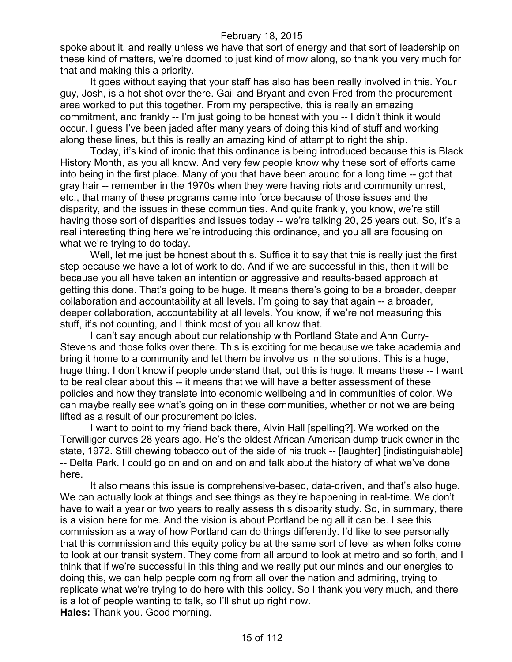spoke about it, and really unless we have that sort of energy and that sort of leadership on these kind of matters, we're doomed to just kind of mow along, so thank you very much for that and making this a priority.

It goes without saying that your staff has also has been really involved in this. Your guy, Josh, is a hot shot over there. Gail and Bryant and even Fred from the procurement area worked to put this together. From my perspective, this is really an amazing commitment, and frankly -- I'm just going to be honest with you -- I didn't think it would occur. I guess I've been jaded after many years of doing this kind of stuff and working along these lines, but this is really an amazing kind of attempt to right the ship.

Today, it's kind of ironic that this ordinance is being introduced because this is Black History Month, as you all know. And very few people know why these sort of efforts came into being in the first place. Many of you that have been around for a long time -- got that gray hair -- remember in the 1970s when they were having riots and community unrest, etc., that many of these programs came into force because of those issues and the disparity, and the issues in these communities. And quite frankly, you know, we're still having those sort of disparities and issues today -- we're talking 20, 25 years out. So, it's a real interesting thing here we're introducing this ordinance, and you all are focusing on what we're trying to do today.

Well, let me just be honest about this. Suffice it to say that this is really just the first step because we have a lot of work to do. And if we are successful in this, then it will be because you all have taken an intention or aggressive and results-based approach at getting this done. That's going to be huge. It means there's going to be a broader, deeper collaboration and accountability at all levels. I'm going to say that again -- a broader, deeper collaboration, accountability at all levels. You know, if we're not measuring this stuff, it's not counting, and I think most of you all know that.

I can't say enough about our relationship with Portland State and Ann Curry-Stevens and those folks over there. This is exciting for me because we take academia and bring it home to a community and let them be involve us in the solutions. This is a huge, huge thing. I don't know if people understand that, but this is huge. It means these -- I want to be real clear about this -- it means that we will have a better assessment of these policies and how they translate into economic wellbeing and in communities of color. We can maybe really see what's going on in these communities, whether or not we are being lifted as a result of our procurement policies.

I want to point to my friend back there, Alvin Hall [spelling?]. We worked on the Terwilliger curves 28 years ago. He's the oldest African American dump truck owner in the state, 1972. Still chewing tobacco out of the side of his truck -- [laughter] [indistinguishable] -- Delta Park. I could go on and on and on and talk about the history of what we've done here.

It also means this issue is comprehensive-based, data-driven, and that's also huge. We can actually look at things and see things as they're happening in real-time. We don't have to wait a year or two years to really assess this disparity study. So, in summary, there is a vision here for me. And the vision is about Portland being all it can be. I see this commission as a way of how Portland can do things differently. I'd like to see personally that this commission and this equity policy be at the same sort of level as when folks come to look at our transit system. They come from all around to look at metro and so forth, and I think that if we're successful in this thing and we really put our minds and our energies to doing this, we can help people coming from all over the nation and admiring, trying to replicate what we're trying to do here with this policy. So I thank you very much, and there is a lot of people wanting to talk, so I'll shut up right now. **Hales:** Thank you. Good morning.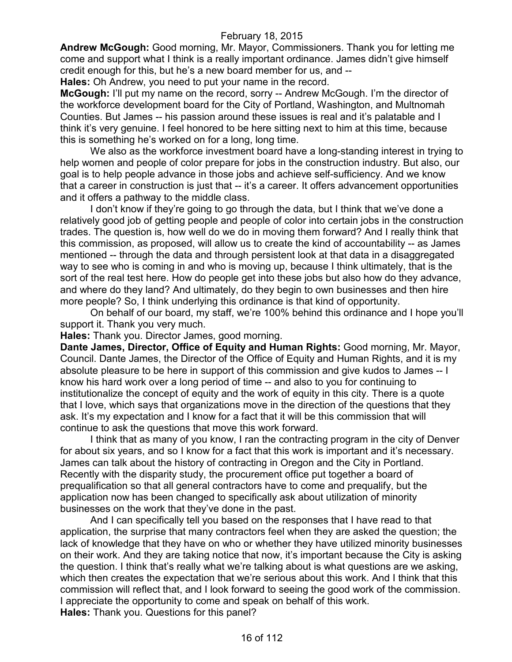**Andrew McGough:** Good morning, Mr. Mayor, Commissioners. Thank you for letting me come and support what I think is a really important ordinance. James didn't give himself credit enough for this, but he's a new board member for us, and --

**Hales:** Oh Andrew, you need to put your name in the record.

**McGough:** I'll put my name on the record, sorry -- Andrew McGough. I'm the director of the workforce development board for the City of Portland, Washington, and Multnomah Counties. But James -- his passion around these issues is real and it's palatable and I think it's very genuine. I feel honored to be here sitting next to him at this time, because this is something he's worked on for a long, long time.

We also as the workforce investment board have a long-standing interest in trying to help women and people of color prepare for jobs in the construction industry. But also, our goal is to help people advance in those jobs and achieve self-sufficiency. And we know that a career in construction is just that -- it's a career. It offers advancement opportunities and it offers a pathway to the middle class.

I don't know if they're going to go through the data, but I think that we've done a relatively good job of getting people and people of color into certain jobs in the construction trades. The question is, how well do we do in moving them forward? And I really think that this commission, as proposed, will allow us to create the kind of accountability -- as James mentioned -- through the data and through persistent look at that data in a disaggregated way to see who is coming in and who is moving up, because I think ultimately, that is the sort of the real test here. How do people get into these jobs but also how do they advance, and where do they land? And ultimately, do they begin to own businesses and then hire more people? So, I think underlying this ordinance is that kind of opportunity.

On behalf of our board, my staff, we're 100% behind this ordinance and I hope you'll support it. Thank you very much.

**Hales:** Thank you. Director James, good morning.

**Dante James, Director, Office of Equity and Human Rights:** Good morning, Mr. Mayor, Council. Dante James, the Director of the Office of Equity and Human Rights, and it is my absolute pleasure to be here in support of this commission and give kudos to James -- I know his hard work over a long period of time -- and also to you for continuing to institutionalize the concept of equity and the work of equity in this city. There is a quote that I love, which says that organizations move in the direction of the questions that they ask. It's my expectation and I know for a fact that it will be this commission that will continue to ask the questions that move this work forward.

I think that as many of you know, I ran the contracting program in the city of Denver for about six years, and so I know for a fact that this work is important and it's necessary. James can talk about the history of contracting in Oregon and the City in Portland. Recently with the disparity study, the procurement office put together a board of prequalification so that all general contractors have to come and prequalify, but the application now has been changed to specifically ask about utilization of minority businesses on the work that they've done in the past.

And I can specifically tell you based on the responses that I have read to that application, the surprise that many contractors feel when they are asked the question; the lack of knowledge that they have on who or whether they have utilized minority businesses on their work. And they are taking notice that now, it's important because the City is asking the question. I think that's really what we're talking about is what questions are we asking, which then creates the expectation that we're serious about this work. And I think that this commission will reflect that, and I look forward to seeing the good work of the commission. I appreciate the opportunity to come and speak on behalf of this work. **Hales:** Thank you. Questions for this panel?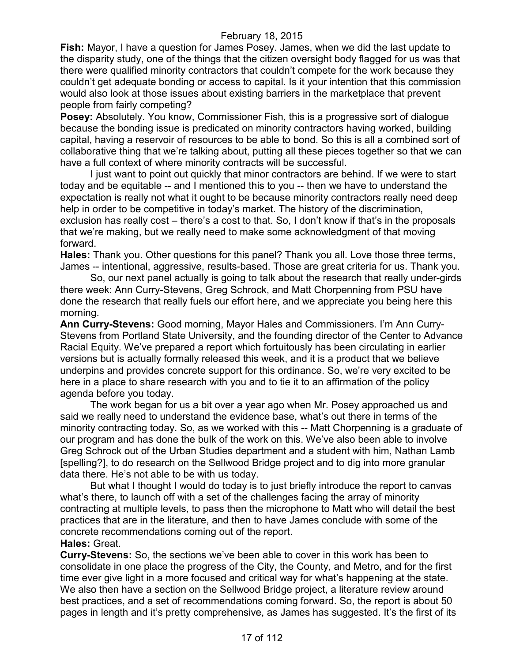**Fish:** Mayor, I have a question for James Posey. James, when we did the last update to the disparity study, one of the things that the citizen oversight body flagged for us was that there were qualified minority contractors that couldn't compete for the work because they couldn't get adequate bonding or access to capital. Is it your intention that this commission would also look at those issues about existing barriers in the marketplace that prevent people from fairly competing?

Posey: Absolutely. You know, Commissioner Fish, this is a progressive sort of dialogue because the bonding issue is predicated on minority contractors having worked, building capital, having a reservoir of resources to be able to bond. So this is all a combined sort of collaborative thing that we're talking about, putting all these pieces together so that we can have a full context of where minority contracts will be successful.

I just want to point out quickly that minor contractors are behind. If we were to start today and be equitable -- and I mentioned this to you -- then we have to understand the expectation is really not what it ought to be because minority contractors really need deep help in order to be competitive in today's market. The history of the discrimination, exclusion has really cost – there's a cost to that. So, I don't know if that's in the proposals that we're making, but we really need to make some acknowledgment of that moving forward.

**Hales:** Thank you. Other questions for this panel? Thank you all. Love those three terms, James -- intentional, aggressive, results-based. Those are great criteria for us. Thank you.

So, our next panel actually is going to talk about the research that really under-girds there week: Ann Curry-Stevens, Greg Schrock, and Matt Chorpenning from PSU have done the research that really fuels our effort here, and we appreciate you being here this morning.

**Ann Curry-Stevens:** Good morning, Mayor Hales and Commissioners. I'm Ann Curry-Stevens from Portland State University, and the founding director of the Center to Advance Racial Equity. We've prepared a report which fortuitously has been circulating in earlier versions but is actually formally released this week, and it is a product that we believe underpins and provides concrete support for this ordinance. So, we're very excited to be here in a place to share research with you and to tie it to an affirmation of the policy agenda before you today.

The work began for us a bit over a year ago when Mr. Posey approached us and said we really need to understand the evidence base, what's out there in terms of the minority contracting today. So, as we worked with this -- Matt Chorpenning is a graduate of our program and has done the bulk of the work on this. We've also been able to involve Greg Schrock out of the Urban Studies department and a student with him, Nathan Lamb [spelling?], to do research on the Sellwood Bridge project and to dig into more granular data there. He's not able to be with us today.

But what I thought I would do today is to just briefly introduce the report to canvas what's there, to launch off with a set of the challenges facing the array of minority contracting at multiple levels, to pass then the microphone to Matt who will detail the best practices that are in the literature, and then to have James conclude with some of the concrete recommendations coming out of the report. **Hales:** Great.

**Curry-Stevens:** So, the sections we've been able to cover in this work has been to consolidate in one place the progress of the City, the County, and Metro, and for the first time ever give light in a more focused and critical way for what's happening at the state. We also then have a section on the Sellwood Bridge project, a literature review around best practices, and a set of recommendations coming forward. So, the report is about 50 pages in length and it's pretty comprehensive, as James has suggested. It's the first of its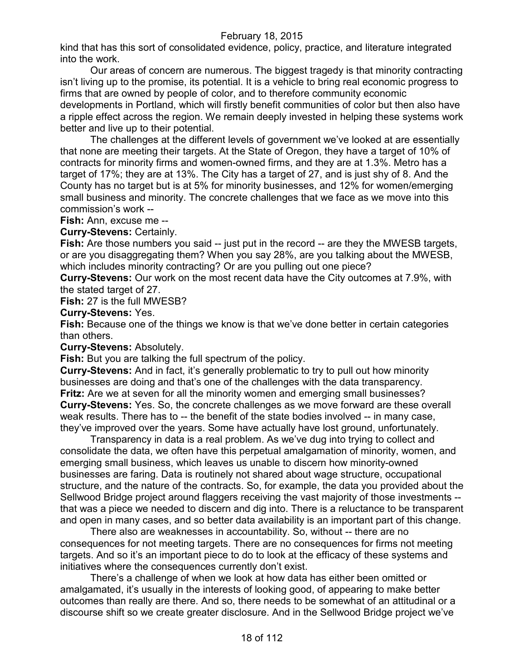kind that has this sort of consolidated evidence, policy, practice, and literature integrated into the work.

Our areas of concern are numerous. The biggest tragedy is that minority contracting isn't living up to the promise, its potential. It is a vehicle to bring real economic progress to firms that are owned by people of color, and to therefore community economic developments in Portland, which will firstly benefit communities of color but then also have a ripple effect across the region. We remain deeply invested in helping these systems work better and live up to their potential.

The challenges at the different levels of government we've looked at are essentially that none are meeting their targets. At the State of Oregon, they have a target of 10% of contracts for minority firms and women-owned firms, and they are at 1.3%. Metro has a target of 17%; they are at 13%. The City has a target of 27, and is just shy of 8. And the County has no target but is at 5% for minority businesses, and 12% for women/emerging small business and minority. The concrete challenges that we face as we move into this commission's work --

**Fish:** Ann, excuse me --

**Curry-Stevens:** Certainly.

**Fish:** Are those numbers you said -- just put in the record -- are they the MWESB targets, or are you disaggregating them? When you say 28%, are you talking about the MWESB, which includes minority contracting? Or are you pulling out one piece?

**Curry-Stevens:** Our work on the most recent data have the City outcomes at 7.9%, with the stated target of 27.

**Fish:** 27 is the full MWESB?

**Curry-Stevens:** Yes.

**Fish:** Because one of the things we know is that we've done better in certain categories than others.

**Curry-Stevens:** Absolutely.

**Fish:** But you are talking the full spectrum of the policy.

**Curry-Stevens:** And in fact, it's generally problematic to try to pull out how minority businesses are doing and that's one of the challenges with the data transparency. **Fritz:** Are we at seven for all the minority women and emerging small businesses? **Curry-Stevens:** Yes. So, the concrete challenges as we move forward are these overall weak results. There has to -- the benefit of the state bodies involved -- in many case, they've improved over the years. Some have actually have lost ground, unfortunately.

Transparency in data is a real problem. As we've dug into trying to collect and consolidate the data, we often have this perpetual amalgamation of minority, women, and emerging small business, which leaves us unable to discern how minority-owned businesses are faring. Data is routinely not shared about wage structure, occupational structure, and the nature of the contracts. So, for example, the data you provided about the Sellwood Bridge project around flaggers receiving the vast majority of those investments - that was a piece we needed to discern and dig into. There is a reluctance to be transparent and open in many cases, and so better data availability is an important part of this change.

There also are weaknesses in accountability. So, without -- there are no consequences for not meeting targets. There are no consequences for firms not meeting targets. And so it's an important piece to do to look at the efficacy of these systems and initiatives where the consequences currently don't exist.

There's a challenge of when we look at how data has either been omitted or amalgamated, it's usually in the interests of looking good, of appearing to make better outcomes than really are there. And so, there needs to be somewhat of an attitudinal or a discourse shift so we create greater disclosure. And in the Sellwood Bridge project we've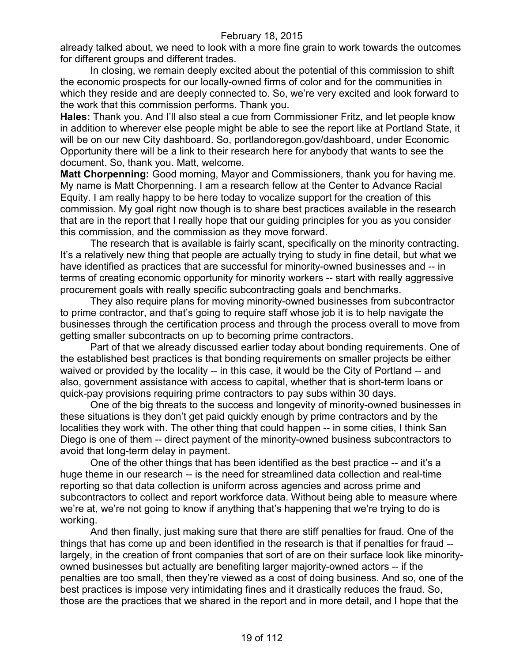already talked about, we need to look with a more fine grain to work towards the outcomes for different groups and different trades.

In closing, we remain deeply excited about the potential of this commission to shift the economic prospects for our locally-owned firms of color and for the communities in which they reside and are deeply connected to. So, we're very excited and look forward to the work that this commission performs. Thank you.

**Hales:** Thank you. And I'll also steal a cue from Commissioner Fritz, and let people know in addition to wherever else people might be able to see the report like at Portland State, it will be on our new City dashboard. So, portlandoregon.gov/dashboard, under Economic Opportunity there will be a link to their research here for anybody that wants to see the document. So, thank you. Matt, welcome.

**Matt Chorpenning:** Good morning, Mayor and Commissioners, thank you for having me. My name is Matt Chorpenning. I am a research fellow at the Center to Advance Racial Equity. I am really happy to be here today to vocalize support for the creation of this commission. My goal right now though is to share best practices available in the research that are in the report that I really hope that our guiding principles for you as you consider this commission, and the commission as they move forward.

The research that is available is fairly scant, specifically on the minority contracting. It's a relatively new thing that people are actually trying to study in fine detail, but what we have identified as practices that are successful for minority-owned businesses and -- in terms of creating economic opportunity for minority workers -- start with really aggressive procurement goals with really specific subcontracting goals and benchmarks.

They also require plans for moving minority-owned businesses from subcontractor to prime contractor, and that's going to require staff whose job it is to help navigate the businesses through the certification process and through the process overall to move from getting smaller subcontracts on up to becoming prime contractors.

Part of that we already discussed earlier today about bonding requirements. One of the established best practices is that bonding requirements on smaller projects be either waived or provided by the locality -- in this case, it would be the City of Portland -- and also, government assistance with access to capital, whether that is short-term loans or quick-pay provisions requiring prime contractors to pay subs within 30 days.

One of the big threats to the success and longevity of minority-owned businesses in these situations is they don't get paid quickly enough by prime contractors and by the localities they work with. The other thing that could happen -- in some cities, I think San Diego is one of them -- direct payment of the minority-owned business subcontractors to avoid that long-term delay in payment.

One of the other things that has been identified as the best practice -- and it's a huge theme in our research -- is the need for streamlined data collection and real-time reporting so that data collection is uniform across agencies and across prime and subcontractors to collect and report workforce data. Without being able to measure where we're at, we're not going to know if anything that's happening that we're trying to do is working.

And then finally, just making sure that there are stiff penalties for fraud. One of the things that has come up and been identified in the research is that if penalties for fraud - largely, in the creation of front companies that sort of are on their surface look like minorityowned businesses but actually are benefiting larger majority-owned actors -- if the penalties are too small, then they're viewed as a cost of doing business. And so, one of the best practices is impose very intimidating fines and it drastically reduces the fraud. So, those are the practices that we shared in the report and in more detail, and I hope that the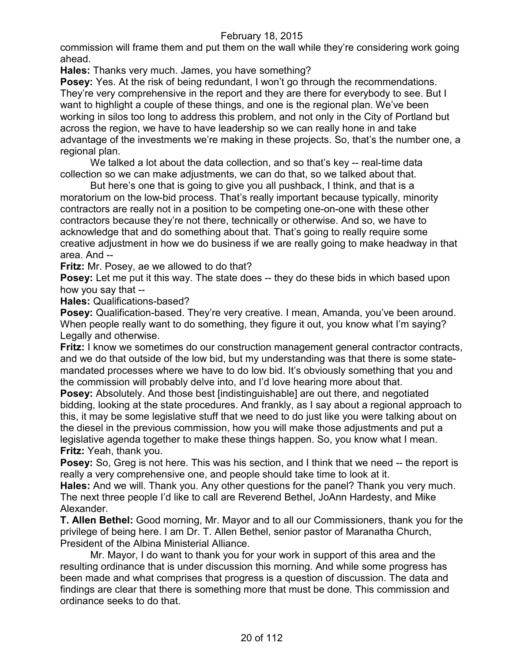commission will frame them and put them on the wall while they're considering work going ahead.

**Hales:** Thanks very much. James, you have something?

**Posey:** Yes. At the risk of being redundant, I won't go through the recommendations. They're very comprehensive in the report and they are there for everybody to see. But I want to highlight a couple of these things, and one is the regional plan. We've been working in silos too long to address this problem, and not only in the City of Portland but across the region, we have to have leadership so we can really hone in and take advantage of the investments we're making in these projects. So, that's the number one, a regional plan.

We talked a lot about the data collection, and so that's key -- real-time data collection so we can make adjustments, we can do that, so we talked about that.

But here's one that is going to give you all pushback, I think, and that is a moratorium on the low-bid process. That's really important because typically, minority contractors are really not in a position to be competing one-on-one with these other contractors because they're not there, technically or otherwise. And so, we have to acknowledge that and do something about that. That's going to really require some creative adjustment in how we do business if we are really going to make headway in that area. And --

**Fritz:** Mr. Posey, ae we allowed to do that?

**Posey:** Let me put it this way. The state does -- they do these bids in which based upon how you say that --

**Hales:** Qualifications-based?

Posey: Qualification-based. They're very creative. I mean, Amanda, you've been around. When people really want to do something, they figure it out, you know what I'm saying? Legally and otherwise.

**Fritz:** I know we sometimes do our construction management general contractor contracts, and we do that outside of the low bid, but my understanding was that there is some statemandated processes where we have to do low bid. It's obviously something that you and the commission will probably delve into, and I'd love hearing more about that.

**Posey:** Absolutely. And those best [indistinguishable] are out there, and negotiated bidding, looking at the state procedures. And frankly, as I say about a regional approach to this, it may be some legislative stuff that we need to do just like you were talking about on the diesel in the previous commission, how you will make those adjustments and put a legislative agenda together to make these things happen. So, you know what I mean. **Fritz:** Yeah, thank you.

**Posey:** So, Greg is not here. This was his section, and I think that we need -- the report is really a very comprehensive one, and people should take time to look at it.

**Hales:** And we will. Thank you. Any other questions for the panel? Thank you very much. The next three people I'd like to call are Reverend Bethel, JoAnn Hardesty, and Mike Alexander.

**T. Allen Bethel:** Good morning, Mr. Mayor and to all our Commissioners, thank you for the privilege of being here. I am Dr. T. Allen Bethel, senior pastor of Maranatha Church, President of the Albina Ministerial Alliance.

Mr. Mayor, I do want to thank you for your work in support of this area and the resulting ordinance that is under discussion this morning. And while some progress has been made and what comprises that progress is a question of discussion. The data and findings are clear that there is something more that must be done. This commission and ordinance seeks to do that.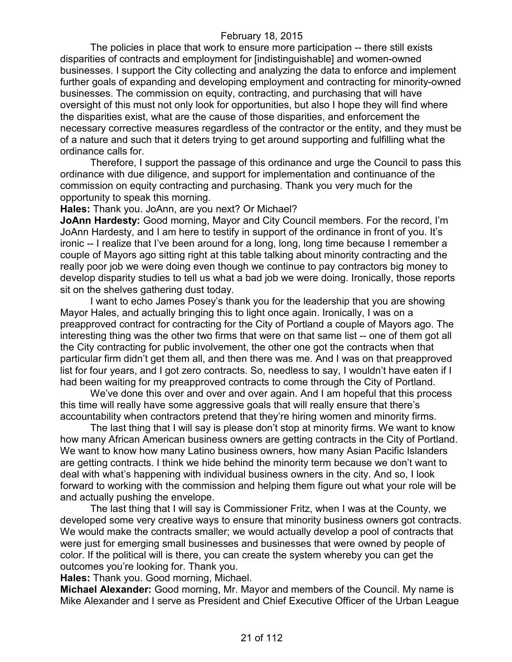The policies in place that work to ensure more participation -- there still exists disparities of contracts and employment for [indistinguishable] and women-owned businesses. I support the City collecting and analyzing the data to enforce and implement further goals of expanding and developing employment and contracting for minority-owned businesses. The commission on equity, contracting, and purchasing that will have oversight of this must not only look for opportunities, but also I hope they will find where the disparities exist, what are the cause of those disparities, and enforcement the necessary corrective measures regardless of the contractor or the entity, and they must be of a nature and such that it deters trying to get around supporting and fulfilling what the ordinance calls for.

Therefore, I support the passage of this ordinance and urge the Council to pass this ordinance with due diligence, and support for implementation and continuance of the commission on equity contracting and purchasing. Thank you very much for the opportunity to speak this morning.

**Hales:** Thank you. JoAnn, are you next? Or Michael?

**JoAnn Hardesty:** Good morning, Mayor and City Council members. For the record, I'm JoAnn Hardesty, and I am here to testify in support of the ordinance in front of you. It's ironic -- I realize that I've been around for a long, long, long time because I remember a couple of Mayors ago sitting right at this table talking about minority contracting and the really poor job we were doing even though we continue to pay contractors big money to develop disparity studies to tell us what a bad job we were doing. Ironically, those reports sit on the shelves gathering dust today.

I want to echo James Posey's thank you for the leadership that you are showing Mayor Hales, and actually bringing this to light once again. Ironically, I was on a preapproved contract for contracting for the City of Portland a couple of Mayors ago. The interesting thing was the other two firms that were on that same list -- one of them got all the City contracting for public involvement, the other one got the contracts when that particular firm didn't get them all, and then there was me. And I was on that preapproved list for four years, and I got zero contracts. So, needless to say, I wouldn't have eaten if I had been waiting for my preapproved contracts to come through the City of Portland.

We've done this over and over and over again. And I am hopeful that this process this time will really have some aggressive goals that will really ensure that there's accountability when contractors pretend that they're hiring women and minority firms.

The last thing that I will say is please don't stop at minority firms. We want to know how many African American business owners are getting contracts in the City of Portland. We want to know how many Latino business owners, how many Asian Pacific Islanders are getting contracts. I think we hide behind the minority term because we don't want to deal with what's happening with individual business owners in the city. And so, I look forward to working with the commission and helping them figure out what your role will be and actually pushing the envelope.

The last thing that I will say is Commissioner Fritz, when I was at the County, we developed some very creative ways to ensure that minority business owners got contracts. We would make the contracts smaller; we would actually develop a pool of contracts that were just for emerging small businesses and businesses that were owned by people of color. If the political will is there, you can create the system whereby you can get the outcomes you're looking for. Thank you.

**Hales:** Thank you. Good morning, Michael.

**Michael Alexander:** Good morning, Mr. Mayor and members of the Council. My name is Mike Alexander and I serve as President and Chief Executive Officer of the Urban League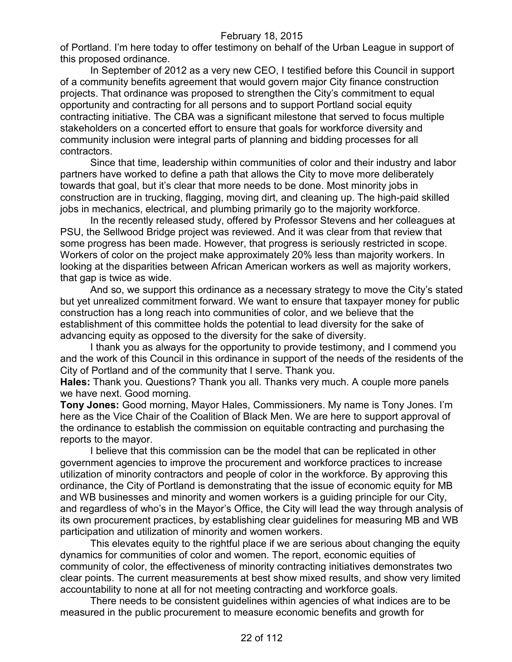of Portland. I'm here today to offer testimony on behalf of the Urban League in support of this proposed ordinance.

In September of 2012 as a very new CEO, I testified before this Council in support of a community benefits agreement that would govern major City finance construction projects. That ordinance was proposed to strengthen the City's commitment to equal opportunity and contracting for all persons and to support Portland social equity contracting initiative. The CBA was a significant milestone that served to focus multiple stakeholders on a concerted effort to ensure that goals for workforce diversity and community inclusion were integral parts of planning and bidding processes for all contractors.

Since that time, leadership within communities of color and their industry and labor partners have worked to define a path that allows the City to move more deliberately towards that goal, but it's clear that more needs to be done. Most minority jobs in construction are in trucking, flagging, moving dirt, and cleaning up. The high-paid skilled jobs in mechanics, electrical, and plumbing primarily go to the majority workforce.

In the recently released study, offered by Professor Stevens and her colleagues at PSU, the Sellwood Bridge project was reviewed. And it was clear from that review that some progress has been made. However, that progress is seriously restricted in scope. Workers of color on the project make approximately 20% less than majority workers. In looking at the disparities between African American workers as well as majority workers, that gap is twice as wide.

And so, we support this ordinance as a necessary strategy to move the City's stated but yet unrealized commitment forward. We want to ensure that taxpayer money for public construction has a long reach into communities of color, and we believe that the establishment of this committee holds the potential to lead diversity for the sake of advancing equity as opposed to the diversity for the sake of diversity.

I thank you as always for the opportunity to provide testimony, and I commend you and the work of this Council in this ordinance in support of the needs of the residents of the City of Portland and of the community that I serve. Thank you.

**Hales:** Thank you. Questions? Thank you all. Thanks very much. A couple more panels we have next. Good morning.

**Tony Jones:** Good morning, Mayor Hales, Commissioners. My name is Tony Jones. I'm here as the Vice Chair of the Coalition of Black Men. We are here to support approval of the ordinance to establish the commission on equitable contracting and purchasing the reports to the mayor.

I believe that this commission can be the model that can be replicated in other government agencies to improve the procurement and workforce practices to increase utilization of minority contractors and people of color in the workforce. By approving this ordinance, the City of Portland is demonstrating that the issue of economic equity for MB and WB businesses and minority and women workers is a guiding principle for our City, and regardless of who's in the Mayor's Office, the City will lead the way through analysis of its own procurement practices, by establishing clear guidelines for measuring MB and WB participation and utilization of minority and women workers.

This elevates equity to the rightful place if we are serious about changing the equity dynamics for communities of color and women. The report, economic equities of community of color, the effectiveness of minority contracting initiatives demonstrates two clear points. The current measurements at best show mixed results, and show very limited accountability to none at all for not meeting contracting and workforce goals.

There needs to be consistent guidelines within agencies of what indices are to be measured in the public procurement to measure economic benefits and growth for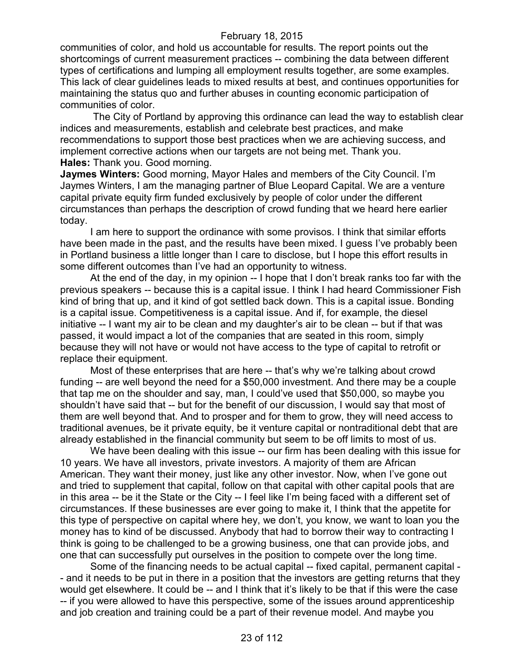communities of color, and hold us accountable for results. The report points out the shortcomings of current measurement practices -- combining the data between different types of certifications and lumping all employment results together, are some examples. This lack of clear guidelines leads to mixed results at best, and continues opportunities for maintaining the status quo and further abuses in counting economic participation of communities of color.

The City of Portland by approving this ordinance can lead the way to establish clear indices and measurements, establish and celebrate best practices, and make recommendations to support those best practices when we are achieving success, and implement corrective actions when our targets are not being met. Thank you. **Hales:** Thank you. Good morning.

**Jaymes Winters:** Good morning, Mayor Hales and members of the City Council. I'm Jaymes Winters, I am the managing partner of Blue Leopard Capital. We are a venture capital private equity firm funded exclusively by people of color under the different circumstances than perhaps the description of crowd funding that we heard here earlier today.

I am here to support the ordinance with some provisos. I think that similar efforts have been made in the past, and the results have been mixed. I guess I've probably been in Portland business a little longer than I care to disclose, but I hope this effort results in some different outcomes than I've had an opportunity to witness.

At the end of the day, in my opinion -- I hope that I don't break ranks too far with the previous speakers -- because this is a capital issue. I think I had heard Commissioner Fish kind of bring that up, and it kind of got settled back down. This is a capital issue. Bonding is a capital issue. Competitiveness is a capital issue. And if, for example, the diesel initiative -- I want my air to be clean and my daughter's air to be clean -- but if that was passed, it would impact a lot of the companies that are seated in this room, simply because they will not have or would not have access to the type of capital to retrofit or replace their equipment.

Most of these enterprises that are here -- that's why we're talking about crowd funding -- are well beyond the need for a \$50,000 investment. And there may be a couple that tap me on the shoulder and say, man, I could've used that \$50,000, so maybe you shouldn't have said that -- but for the benefit of our discussion, I would say that most of them are well beyond that. And to prosper and for them to grow, they will need access to traditional avenues, be it private equity, be it venture capital or nontraditional debt that are already established in the financial community but seem to be off limits to most of us.

We have been dealing with this issue -- our firm has been dealing with this issue for 10 years. We have all investors, private investors. A majority of them are African American. They want their money, just like any other investor. Now, when I've gone out and tried to supplement that capital, follow on that capital with other capital pools that are in this area -- be it the State or the City -- I feel like I'm being faced with a different set of circumstances. If these businesses are ever going to make it, I think that the appetite for this type of perspective on capital where hey, we don't, you know, we want to loan you the money has to kind of be discussed. Anybody that had to borrow their way to contracting I think is going to be challenged to be a growing business, one that can provide jobs, and one that can successfully put ourselves in the position to compete over the long time.

Some of the financing needs to be actual capital -- fixed capital, permanent capital - - and it needs to be put in there in a position that the investors are getting returns that they would get elsewhere. It could be -- and I think that it's likely to be that if this were the case -- if you were allowed to have this perspective, some of the issues around apprenticeship and job creation and training could be a part of their revenue model. And maybe you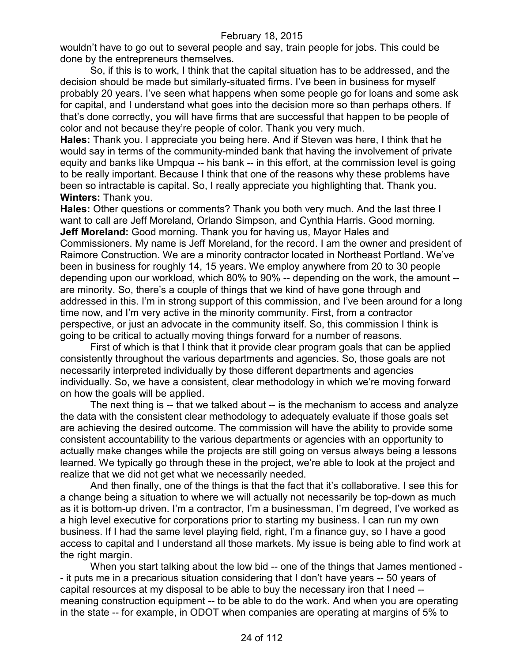wouldn't have to go out to several people and say, train people for jobs. This could be done by the entrepreneurs themselves.

So, if this is to work, I think that the capital situation has to be addressed, and the decision should be made but similarly-situated firms. I've been in business for myself probably 20 years. I've seen what happens when some people go for loans and some ask for capital, and I understand what goes into the decision more so than perhaps others. If that's done correctly, you will have firms that are successful that happen to be people of color and not because they're people of color. Thank you very much.

**Hales:** Thank you. I appreciate you being here. And if Steven was here, I think that he would say in terms of the community-minded bank that having the involvement of private equity and banks like Umpqua -- his bank -- in this effort, at the commission level is going to be really important. Because I think that one of the reasons why these problems have been so intractable is capital. So, I really appreciate you highlighting that. Thank you. **Winters:** Thank you.

**Hales:** Other questions or comments? Thank you both very much. And the last three I want to call are Jeff Moreland, Orlando Simpson, and Cynthia Harris. Good morning. **Jeff Moreland:** Good morning. Thank you for having us, Mayor Hales and Commissioners. My name is Jeff Moreland, for the record. I am the owner and president of Raimore Construction. We are a minority contractor located in Northeast Portland. We've been in business for roughly 14, 15 years. We employ anywhere from 20 to 30 people depending upon our workload, which 80% to 90% -- depending on the work, the amount - are minority. So, there's a couple of things that we kind of have gone through and addressed in this. I'm in strong support of this commission, and I've been around for a long time now, and I'm very active in the minority community. First, from a contractor perspective, or just an advocate in the community itself. So, this commission I think is going to be critical to actually moving things forward for a number of reasons.

First of which is that I think that it provide clear program goals that can be applied consistently throughout the various departments and agencies. So, those goals are not necessarily interpreted individually by those different departments and agencies individually. So, we have a consistent, clear methodology in which we're moving forward on how the goals will be applied.

The next thing is -- that we talked about -- is the mechanism to access and analyze the data with the consistent clear methodology to adequately evaluate if those goals set are achieving the desired outcome. The commission will have the ability to provide some consistent accountability to the various departments or agencies with an opportunity to actually make changes while the projects are still going on versus always being a lessons learned. We typically go through these in the project, we're able to look at the project and realize that we did not get what we necessarily needed.

And then finally, one of the things is that the fact that it's collaborative. I see this for a change being a situation to where we will actually not necessarily be top-down as much as it is bottom-up driven. I'm a contractor, I'm a businessman, I'm degreed, I've worked as a high level executive for corporations prior to starting my business. I can run my own business. If I had the same level playing field, right, I'm a finance guy, so I have a good access to capital and I understand all those markets. My issue is being able to find work at the right margin.

When you start talking about the low bid -- one of the things that James mentioned - - it puts me in a precarious situation considering that I don't have years -- 50 years of capital resources at my disposal to be able to buy the necessary iron that I need - meaning construction equipment -- to be able to do the work. And when you are operating in the state -- for example, in ODOT when companies are operating at margins of 5% to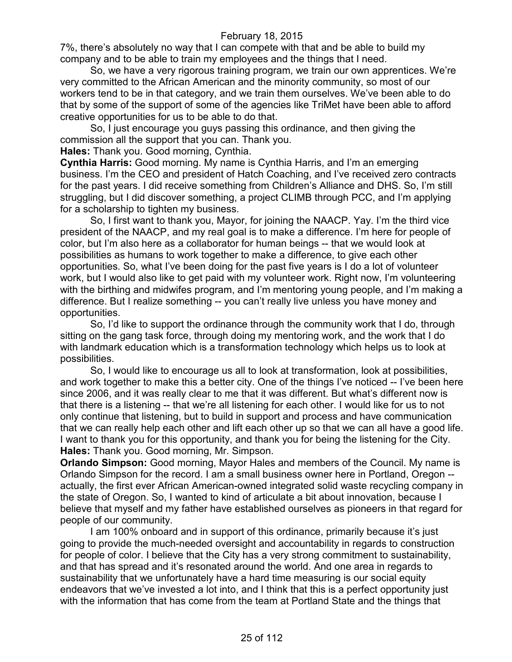7%, there's absolutely no way that I can compete with that and be able to build my company and to be able to train my employees and the things that I need.

So, we have a very rigorous training program, we train our own apprentices. We're very committed to the African American and the minority community, so most of our workers tend to be in that category, and we train them ourselves. We've been able to do that by some of the support of some of the agencies like TriMet have been able to afford creative opportunities for us to be able to do that.

So, I just encourage you guys passing this ordinance, and then giving the commission all the support that you can. Thank you.

**Hales:** Thank you. Good morning, Cynthia.

**Cynthia Harris:** Good morning. My name is Cynthia Harris, and I'm an emerging business. I'm the CEO and president of Hatch Coaching, and I've received zero contracts for the past years. I did receive something from Children's Alliance and DHS. So, I'm still struggling, but I did discover something, a project CLIMB through PCC, and I'm applying for a scholarship to tighten my business.

So, I first want to thank you, Mayor, for joining the NAACP. Yay. I'm the third vice president of the NAACP, and my real goal is to make a difference. I'm here for people of color, but I'm also here as a collaborator for human beings -- that we would look at possibilities as humans to work together to make a difference, to give each other opportunities. So, what I've been doing for the past five years is I do a lot of volunteer work, but I would also like to get paid with my volunteer work. Right now, I'm volunteering with the birthing and midwifes program, and I'm mentoring young people, and I'm making a difference. But I realize something -- you can't really live unless you have money and opportunities.

So, I'd like to support the ordinance through the community work that I do, through sitting on the gang task force, through doing my mentoring work, and the work that I do with landmark education which is a transformation technology which helps us to look at possibilities.

So, I would like to encourage us all to look at transformation, look at possibilities, and work together to make this a better city. One of the things I've noticed -- I've been here since 2006, and it was really clear to me that it was different. But what's different now is that there is a listening -- that we're all listening for each other. I would like for us to not only continue that listening, but to build in support and process and have communication that we can really help each other and lift each other up so that we can all have a good life. I want to thank you for this opportunity, and thank you for being the listening for the City. **Hales:** Thank you. Good morning, Mr. Simpson.

**Orlando Simpson:** Good morning, Mayor Hales and members of the Council. My name is Orlando Simpson for the record. I am a small business owner here in Portland, Oregon - actually, the first ever African American-owned integrated solid waste recycling company in the state of Oregon. So, I wanted to kind of articulate a bit about innovation, because I believe that myself and my father have established ourselves as pioneers in that regard for people of our community.

I am 100% onboard and in support of this ordinance, primarily because it's just going to provide the much-needed oversight and accountability in regards to construction for people of color. I believe that the City has a very strong commitment to sustainability, and that has spread and it's resonated around the world. And one area in regards to sustainability that we unfortunately have a hard time measuring is our social equity endeavors that we've invested a lot into, and I think that this is a perfect opportunity just with the information that has come from the team at Portland State and the things that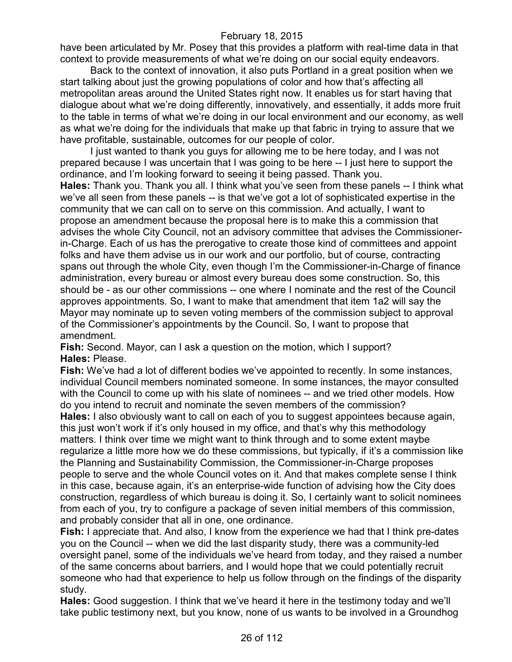have been articulated by Mr. Posey that this provides a platform with real-time data in that context to provide measurements of what we're doing on our social equity endeavors.

Back to the context of innovation, it also puts Portland in a great position when we start talking about just the growing populations of color and how that's affecting all metropolitan areas around the United States right now. It enables us for start having that dialogue about what we're doing differently, innovatively, and essentially, it adds more fruit to the table in terms of what we're doing in our local environment and our economy, as well as what we're doing for the individuals that make up that fabric in trying to assure that we have profitable, sustainable, outcomes for our people of color.

I just wanted to thank you guys for allowing me to be here today, and I was not prepared because I was uncertain that I was going to be here -- I just here to support the ordinance, and I'm looking forward to seeing it being passed. Thank you.

**Hales:** Thank you. Thank you all. I think what you've seen from these panels -- I think what we've all seen from these panels -- is that we've got a lot of sophisticated expertise in the community that we can call on to serve on this commission. And actually, I want to propose an amendment because the proposal here is to make this a commission that advises the whole City Council, not an advisory committee that advises the Commissionerin-Charge. Each of us has the prerogative to create those kind of committees and appoint folks and have them advise us in our work and our portfolio, but of course, contracting spans out through the whole City, even though I'm the Commissioner-in-Charge of finance administration, every bureau or almost every bureau does some construction. So, this should be - as our other commissions -- one where I nominate and the rest of the Council approves appointments. So, I want to make that amendment that item 1a2 will say the Mayor may nominate up to seven voting members of the commission subject to approval of the Commissioner's appointments by the Council. So, I want to propose that amendment.

**Fish:** Second. Mayor, can I ask a question on the motion, which I support? **Hales:** Please.

**Fish:** We've had a lot of different bodies we've appointed to recently. In some instances, individual Council members nominated someone. In some instances, the mayor consulted with the Council to come up with his slate of nominees -- and we tried other models. How do you intend to recruit and nominate the seven members of the commission? **Hales:** I also obviously want to call on each of you to suggest appointees because again, this just won't work if it's only housed in my office, and that's why this methodology matters. I think over time we might want to think through and to some extent maybe regularize a little more how we do these commissions, but typically, if it's a commission like the Planning and Sustainability Commission, the Commissioner-in-Charge proposes people to serve and the whole Council votes on it. And that makes complete sense I think in this case, because again, it's an enterprise-wide function of advising how the City does construction, regardless of which bureau is doing it. So, I certainly want to solicit nominees from each of you, try to configure a package of seven initial members of this commission, and probably consider that all in one, one ordinance.

**Fish:** I appreciate that. And also, I know from the experience we had that I think pre-dates you on the Council -- when we did the last disparity study, there was a community-led oversight panel, some of the individuals we've heard from today, and they raised a number of the same concerns about barriers, and I would hope that we could potentially recruit someone who had that experience to help us follow through on the findings of the disparity study.

**Hales:** Good suggestion. I think that we've heard it here in the testimony today and we'll take public testimony next, but you know, none of us wants to be involved in a Groundhog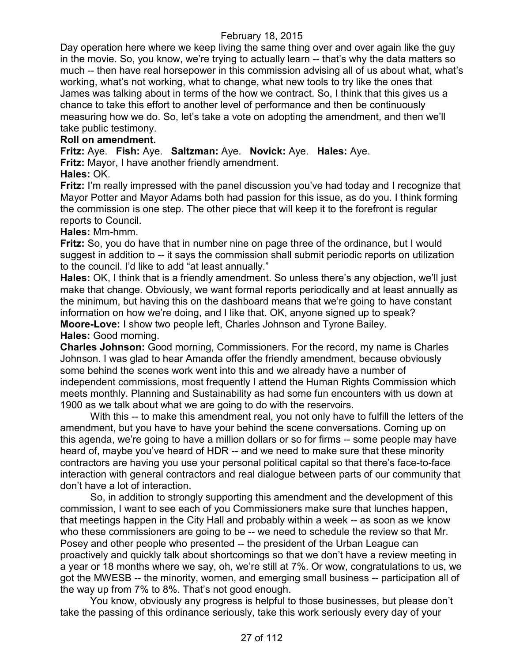Day operation here where we keep living the same thing over and over again like the guy in the movie. So, you know, we're trying to actually learn -- that's why the data matters so much -- then have real horsepower in this commission advising all of us about what, what's working, what's not working, what to change, what new tools to try like the ones that James was talking about in terms of the how we contract. So, I think that this gives us a chance to take this effort to another level of performance and then be continuously measuring how we do. So, let's take a vote on adopting the amendment, and then we'll take public testimony.

# **Roll on amendment.**

**Fritz:** Aye. **Fish:** Aye. **Saltzman:** Aye. **Novick:** Aye. **Hales:** Aye.

**Fritz:** Mayor, I have another friendly amendment.

### **Hales:** OK.

**Fritz:** I'm really impressed with the panel discussion you've had today and I recognize that Mayor Potter and Mayor Adams both had passion for this issue, as do you. I think forming the commission is one step. The other piece that will keep it to the forefront is regular reports to Council.

### **Hales:** Mm-hmm.

**Fritz:** So, you do have that in number nine on page three of the ordinance, but I would suggest in addition to -- it says the commission shall submit periodic reports on utilization to the council. I'd like to add "at least annually."

**Hales:** OK, I think that is a friendly amendment. So unless there's any objection, we'll just make that change. Obviously, we want formal reports periodically and at least annually as the minimum, but having this on the dashboard means that we're going to have constant information on how we're doing, and I like that. OK, anyone signed up to speak?

**Moore-Love:** I show two people left, Charles Johnson and Tyrone Bailey. **Hales:** Good morning.

**Charles Johnson:** Good morning, Commissioners. For the record, my name is Charles Johnson. I was glad to hear Amanda offer the friendly amendment, because obviously some behind the scenes work went into this and we already have a number of independent commissions, most frequently I attend the Human Rights Commission which meets monthly. Planning and Sustainability as had some fun encounters with us down at 1900 as we talk about what we are going to do with the reservoirs.

With this -- to make this amendment real, you not only have to fulfill the letters of the amendment, but you have to have your behind the scene conversations. Coming up on this agenda, we're going to have a million dollars or so for firms -- some people may have heard of, maybe you've heard of HDR -- and we need to make sure that these minority contractors are having you use your personal political capital so that there's face-to-face interaction with general contractors and real dialogue between parts of our community that don't have a lot of interaction.

So, in addition to strongly supporting this amendment and the development of this commission, I want to see each of you Commissioners make sure that lunches happen, that meetings happen in the City Hall and probably within a week -- as soon as we know who these commissioners are going to be -- we need to schedule the review so that Mr. Posey and other people who presented -- the president of the Urban League can proactively and quickly talk about shortcomings so that we don't have a review meeting in a year or 18 months where we say, oh, we're still at 7%. Or wow, congratulations to us, we got the MWESB -- the minority, women, and emerging small business -- participation all of the way up from 7% to 8%. That's not good enough.

You know, obviously any progress is helpful to those businesses, but please don't take the passing of this ordinance seriously, take this work seriously every day of your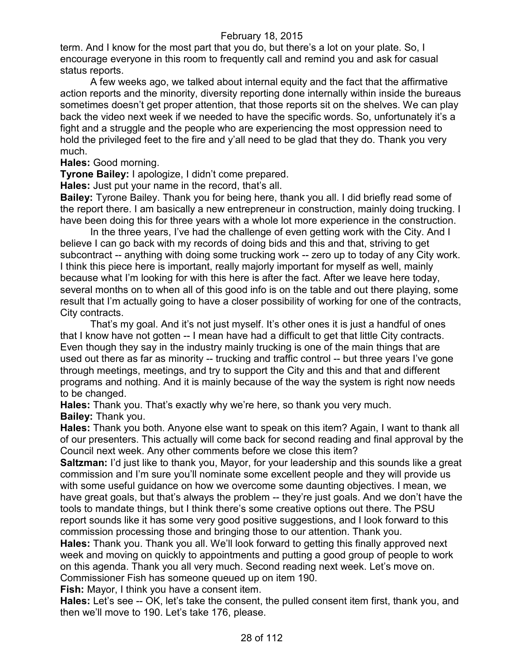term. And I know for the most part that you do, but there's a lot on your plate. So, I encourage everyone in this room to frequently call and remind you and ask for casual status reports.

A few weeks ago, we talked about internal equity and the fact that the affirmative action reports and the minority, diversity reporting done internally within inside the bureaus sometimes doesn't get proper attention, that those reports sit on the shelves. We can play back the video next week if we needed to have the specific words. So, unfortunately it's a fight and a struggle and the people who are experiencing the most oppression need to hold the privileged feet to the fire and y'all need to be glad that they do. Thank you very much.

**Hales:** Good morning.

**Tyrone Bailey:** I apologize, I didn't come prepared.

**Hales:** Just put your name in the record, that's all.

**Bailey:** Tyrone Bailey. Thank you for being here, thank you all. I did briefly read some of the report there. I am basically a new entrepreneur in construction, mainly doing trucking. I have been doing this for three years with a whole lot more experience in the construction.

In the three years, I've had the challenge of even getting work with the City. And I believe I can go back with my records of doing bids and this and that, striving to get subcontract -- anything with doing some trucking work -- zero up to today of any City work. I think this piece here is important, really majorly important for myself as well, mainly because what I'm looking for with this here is after the fact. After we leave here today, several months on to when all of this good info is on the table and out there playing, some result that I'm actually going to have a closer possibility of working for one of the contracts, City contracts.

That's my goal. And it's not just myself. It's other ones it is just a handful of ones that I know have not gotten -- I mean have had a difficult to get that little City contracts. Even though they say in the industry mainly trucking is one of the main things that are used out there as far as minority -- trucking and traffic control -- but three years I've gone through meetings, meetings, and try to support the City and this and that and different programs and nothing. And it is mainly because of the way the system is right now needs to be changed.

**Hales:** Thank you. That's exactly why we're here, so thank you very much. **Bailey:** Thank you.

**Hales:** Thank you both. Anyone else want to speak on this item? Again, I want to thank all of our presenters. This actually will come back for second reading and final approval by the Council next week. Any other comments before we close this item?

**Saltzman:** I'd just like to thank you, Mayor, for your leadership and this sounds like a great commission and I'm sure you'll nominate some excellent people and they will provide us with some useful guidance on how we overcome some daunting objectives. I mean, we have great goals, but that's always the problem -- they're just goals. And we don't have the tools to mandate things, but I think there's some creative options out there. The PSU report sounds like it has some very good positive suggestions, and I look forward to this commission processing those and bringing those to our attention. Thank you.

**Hales:** Thank you. Thank you all. We'll look forward to getting this finally approved next week and moving on quickly to appointments and putting a good group of people to work on this agenda. Thank you all very much. Second reading next week. Let's move on. Commissioner Fish has someone queued up on item 190.

**Fish:** Mayor, I think you have a consent item.

**Hales:** Let's see -- OK, let's take the consent, the pulled consent item first, thank you, and then we'll move to 190. Let's take 176, please.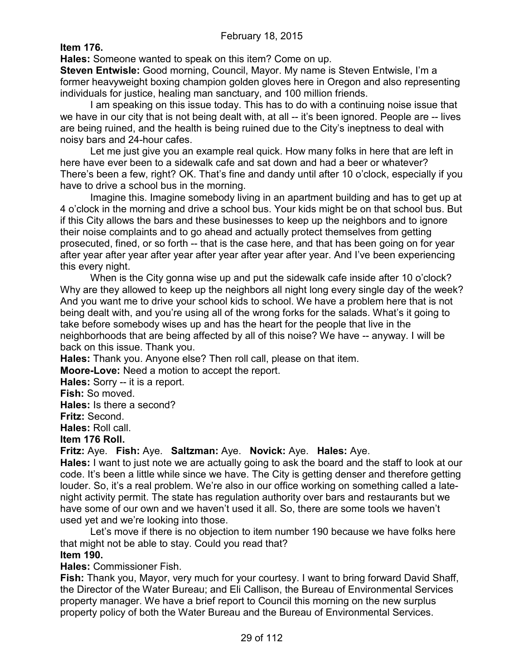**Item 176.**

**Hales:** Someone wanted to speak on this item? Come on up.

**Steven Entwisle:** Good morning, Council, Mayor. My name is Steven Entwisle, I'm a former heavyweight boxing champion golden gloves here in Oregon and also representing individuals for justice, healing man sanctuary, and 100 million friends.

I am speaking on this issue today. This has to do with a continuing noise issue that we have in our city that is not being dealt with, at all -- it's been ignored. People are -- lives are being ruined, and the health is being ruined due to the City's ineptness to deal with noisy bars and 24-hour cafes.

Let me just give you an example real quick. How many folks in here that are left in here have ever been to a sidewalk cafe and sat down and had a beer or whatever? There's been a few, right? OK. That's fine and dandy until after 10 o'clock, especially if you have to drive a school bus in the morning.

Imagine this. Imagine somebody living in an apartment building and has to get up at 4 o'clock in the morning and drive a school bus. Your kids might be on that school bus. But if this City allows the bars and these businesses to keep up the neighbors and to ignore their noise complaints and to go ahead and actually protect themselves from getting prosecuted, fined, or so forth -- that is the case here, and that has been going on for year after year after year after year after year after year after year. And I've been experiencing this every night.

When is the City gonna wise up and put the sidewalk cafe inside after 10 o'clock? Why are they allowed to keep up the neighbors all night long every single day of the week? And you want me to drive your school kids to school. We have a problem here that is not being dealt with, and you're using all of the wrong forks for the salads. What's it going to take before somebody wises up and has the heart for the people that live in the neighborhoods that are being affected by all of this noise? We have -- anyway. I will be back on this issue. Thank you.

**Hales:** Thank you. Anyone else? Then roll call, please on that item.

**Moore-Love:** Need a motion to accept the report.

**Hales:** Sorry -- it is a report.

**Fish:** So moved.

**Hales:** Is there a second?

**Fritz:** Second.

**Hales:** Roll call.

#### **Item 176 Roll.**

**Fritz:** Aye. **Fish:** Aye. **Saltzman:** Aye. **Novick:** Aye. **Hales:** Aye.

**Hales:** I want to just note we are actually going to ask the board and the staff to look at our code. It's been a little while since we have. The City is getting denser and therefore getting louder. So, it's a real problem. We're also in our office working on something called a latenight activity permit. The state has regulation authority over bars and restaurants but we have some of our own and we haven't used it all. So, there are some tools we haven't used yet and we're looking into those.

Let's move if there is no objection to item number 190 because we have folks here that might not be able to stay. Could you read that?

#### **Item 190.**

**Hales:** Commissioner Fish.

**Fish:** Thank you, Mayor, very much for your courtesy. I want to bring forward David Shaff, the Director of the Water Bureau; and Eli Callison, the Bureau of Environmental Services property manager. We have a brief report to Council this morning on the new surplus property policy of both the Water Bureau and the Bureau of Environmental Services.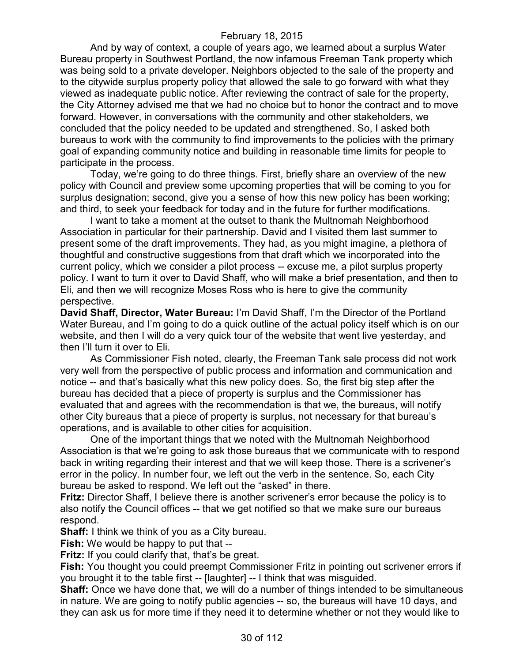And by way of context, a couple of years ago, we learned about a surplus Water Bureau property in Southwest Portland, the now infamous Freeman Tank property which was being sold to a private developer. Neighbors objected to the sale of the property and to the citywide surplus property policy that allowed the sale to go forward with what they viewed as inadequate public notice. After reviewing the contract of sale for the property, the City Attorney advised me that we had no choice but to honor the contract and to move forward. However, in conversations with the community and other stakeholders, we concluded that the policy needed to be updated and strengthened. So, I asked both bureaus to work with the community to find improvements to the policies with the primary goal of expanding community notice and building in reasonable time limits for people to participate in the process.

Today, we're going to do three things. First, briefly share an overview of the new policy with Council and preview some upcoming properties that will be coming to you for surplus designation; second, give you a sense of how this new policy has been working; and third, to seek your feedback for today and in the future for further modifications.

I want to take a moment at the outset to thank the Multnomah Neighborhood Association in particular for their partnership. David and I visited them last summer to present some of the draft improvements. They had, as you might imagine, a plethora of thoughtful and constructive suggestions from that draft which we incorporated into the current policy, which we consider a pilot process -- excuse me, a pilot surplus property policy. I want to turn it over to David Shaff, who will make a brief presentation, and then to Eli, and then we will recognize Moses Ross who is here to give the community perspective.

**David Shaff, Director, Water Bureau:** I'm David Shaff, I'm the Director of the Portland Water Bureau, and I'm going to do a quick outline of the actual policy itself which is on our website, and then I will do a very quick tour of the website that went live yesterday, and then I'll turn it over to Eli.

As Commissioner Fish noted, clearly, the Freeman Tank sale process did not work very well from the perspective of public process and information and communication and notice -- and that's basically what this new policy does. So, the first big step after the bureau has decided that a piece of property is surplus and the Commissioner has evaluated that and agrees with the recommendation is that we, the bureaus, will notify other City bureaus that a piece of property is surplus, not necessary for that bureau's operations, and is available to other cities for acquisition.

One of the important things that we noted with the Multnomah Neighborhood Association is that we're going to ask those bureaus that we communicate with to respond back in writing regarding their interest and that we will keep those. There is a scrivener's error in the policy. In number four, we left out the verb in the sentence. So, each City bureau be asked to respond. We left out the "asked" in there.

**Fritz:** Director Shaff, I believe there is another scrivener's error because the policy is to also notify the Council offices -- that we get notified so that we make sure our bureaus respond.

**Shaff:** I think we think of you as a City bureau.

**Fish:** We would be happy to put that --

**Fritz:** If you could clarify that, that's be great.

**Fish:** You thought you could preempt Commissioner Fritz in pointing out scrivener errors if you brought it to the table first -- [laughter] -- I think that was misguided.

**Shaff:** Once we have done that, we will do a number of things intended to be simultaneous in nature. We are going to notify public agencies -- so, the bureaus will have 10 days, and they can ask us for more time if they need it to determine whether or not they would like to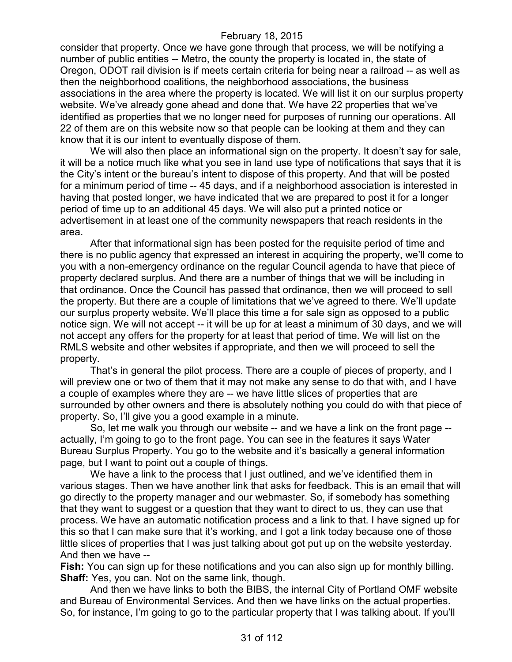consider that property. Once we have gone through that process, we will be notifying a number of public entities -- Metro, the county the property is located in, the state of Oregon, ODOT rail division is if meets certain criteria for being near a railroad -- as well as then the neighborhood coalitions, the neighborhood associations, the business associations in the area where the property is located. We will list it on our surplus property website. We've already gone ahead and done that. We have 22 properties that we've identified as properties that we no longer need for purposes of running our operations. All 22 of them are on this website now so that people can be looking at them and they can know that it is our intent to eventually dispose of them.

We will also then place an informational sign on the property. It doesn't say for sale, it will be a notice much like what you see in land use type of notifications that says that it is the City's intent or the bureau's intent to dispose of this property. And that will be posted for a minimum period of time -- 45 days, and if a neighborhood association is interested in having that posted longer, we have indicated that we are prepared to post it for a longer period of time up to an additional 45 days. We will also put a printed notice or advertisement in at least one of the community newspapers that reach residents in the area.

After that informational sign has been posted for the requisite period of time and there is no public agency that expressed an interest in acquiring the property, we'll come to you with a non-emergency ordinance on the regular Council agenda to have that piece of property declared surplus. And there are a number of things that we will be including in that ordinance. Once the Council has passed that ordinance, then we will proceed to sell the property. But there are a couple of limitations that we've agreed to there. We'll update our surplus property website. We'll place this time a for sale sign as opposed to a public notice sign. We will not accept -- it will be up for at least a minimum of 30 days, and we will not accept any offers for the property for at least that period of time. We will list on the RMLS website and other websites if appropriate, and then we will proceed to sell the property.

That's in general the pilot process. There are a couple of pieces of property, and I will preview one or two of them that it may not make any sense to do that with, and I have a couple of examples where they are -- we have little slices of properties that are surrounded by other owners and there is absolutely nothing you could do with that piece of property. So, I'll give you a good example in a minute.

So, let me walk you through our website -- and we have a link on the front page - actually, I'm going to go to the front page. You can see in the features it says Water Bureau Surplus Property. You go to the website and it's basically a general information page, but I want to point out a couple of things.

We have a link to the process that I just outlined, and we've identified them in various stages. Then we have another link that asks for feedback. This is an email that will go directly to the property manager and our webmaster. So, if somebody has something that they want to suggest or a question that they want to direct to us, they can use that process. We have an automatic notification process and a link to that. I have signed up for this so that I can make sure that it's working, and I got a link today because one of those little slices of properties that I was just talking about got put up on the website yesterday. And then we have --

**Fish:** You can sign up for these notifications and you can also sign up for monthly billing. **Shaff:** Yes, you can. Not on the same link, though.

And then we have links to both the BIBS, the internal City of Portland OMF website and Bureau of Environmental Services. And then we have links on the actual properties. So, for instance, I'm going to go to the particular property that I was talking about. If you'll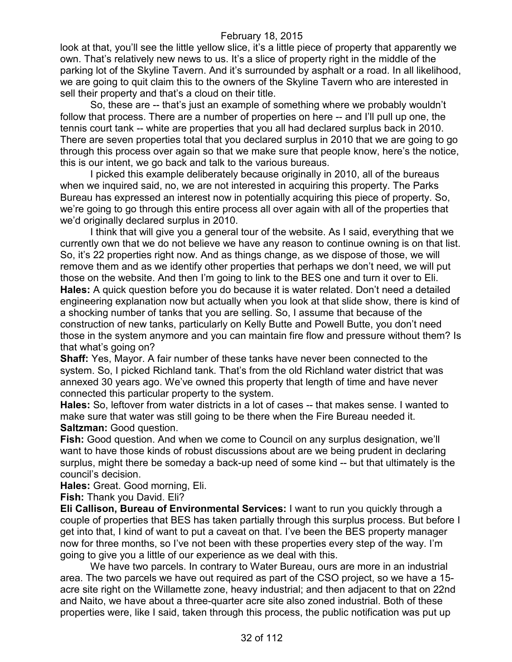look at that, you'll see the little yellow slice, it's a little piece of property that apparently we own. That's relatively new news to us. It's a slice of property right in the middle of the parking lot of the Skyline Tavern. And it's surrounded by asphalt or a road. In all likelihood, we are going to quit claim this to the owners of the Skyline Tavern who are interested in sell their property and that's a cloud on their title.

So, these are -- that's just an example of something where we probably wouldn't follow that process. There are a number of properties on here -- and I'll pull up one, the tennis court tank -- white are properties that you all had declared surplus back in 2010. There are seven properties total that you declared surplus in 2010 that we are going to go through this process over again so that we make sure that people know, here's the notice, this is our intent, we go back and talk to the various bureaus.

I picked this example deliberately because originally in 2010, all of the bureaus when we inquired said, no, we are not interested in acquiring this property. The Parks Bureau has expressed an interest now in potentially acquiring this piece of property. So, we're going to go through this entire process all over again with all of the properties that we'd originally declared surplus in 2010.

I think that will give you a general tour of the website. As I said, everything that we currently own that we do not believe we have any reason to continue owning is on that list. So, it's 22 properties right now. And as things change, as we dispose of those, we will remove them and as we identify other properties that perhaps we don't need, we will put those on the website. And then I'm going to link to the BES one and turn it over to Eli. **Hales:** A quick question before you do because it is water related. Don't need a detailed engineering explanation now but actually when you look at that slide show, there is kind of a shocking number of tanks that you are selling. So, I assume that because of the construction of new tanks, particularly on Kelly Butte and Powell Butte, you don't need those in the system anymore and you can maintain fire flow and pressure without them? Is that what's going on?

**Shaff:** Yes, Mayor. A fair number of these tanks have never been connected to the system. So, I picked Richland tank. That's from the old Richland water district that was annexed 30 years ago. We've owned this property that length of time and have never connected this particular property to the system.

**Hales:** So, leftover from water districts in a lot of cases -- that makes sense. I wanted to make sure that water was still going to be there when the Fire Bureau needed it. **Saltzman:** Good question.

**Fish:** Good question. And when we come to Council on any surplus designation, we'll want to have those kinds of robust discussions about are we being prudent in declaring surplus, might there be someday a back-up need of some kind -- but that ultimately is the council's decision.

**Hales:** Great. Good morning, Eli.

**Fish:** Thank you David. Eli?

**Eli Callison, Bureau of Environmental Services:** I want to run you quickly through a couple of properties that BES has taken partially through this surplus process. But before I get into that, I kind of want to put a caveat on that. I've been the BES property manager now for three months, so I've not been with these properties every step of the way. I'm going to give you a little of our experience as we deal with this.

We have two parcels. In contrary to Water Bureau, ours are more in an industrial area. The two parcels we have out required as part of the CSO project, so we have a 15 acre site right on the Willamette zone, heavy industrial; and then adjacent to that on 22nd and Naito, we have about a three-quarter acre site also zoned industrial. Both of these properties were, like I said, taken through this process, the public notification was put up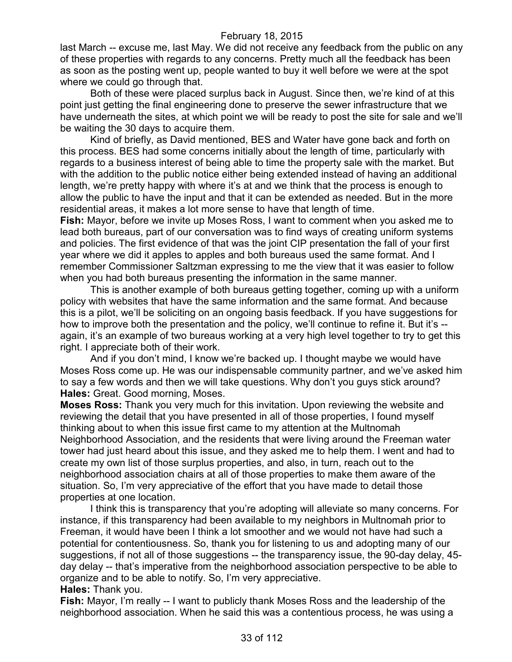last March -- excuse me, last May. We did not receive any feedback from the public on any of these properties with regards to any concerns. Pretty much all the feedback has been as soon as the posting went up, people wanted to buy it well before we were at the spot where we could go through that.

Both of these were placed surplus back in August. Since then, we're kind of at this point just getting the final engineering done to preserve the sewer infrastructure that we have underneath the sites, at which point we will be ready to post the site for sale and we'll be waiting the 30 days to acquire them.

Kind of briefly, as David mentioned, BES and Water have gone back and forth on this process. BES had some concerns initially about the length of time, particularly with regards to a business interest of being able to time the property sale with the market. But with the addition to the public notice either being extended instead of having an additional length, we're pretty happy with where it's at and we think that the process is enough to allow the public to have the input and that it can be extended as needed. But in the more residential areas, it makes a lot more sense to have that length of time.

**Fish:** Mayor, before we invite up Moses Ross, I want to comment when you asked me to lead both bureaus, part of our conversation was to find ways of creating uniform systems and policies. The first evidence of that was the joint CIP presentation the fall of your first year where we did it apples to apples and both bureaus used the same format. And I remember Commissioner Saltzman expressing to me the view that it was easier to follow when you had both bureaus presenting the information in the same manner.

This is another example of both bureaus getting together, coming up with a uniform policy with websites that have the same information and the same format. And because this is a pilot, we'll be soliciting on an ongoing basis feedback. If you have suggestions for how to improve both the presentation and the policy, we'll continue to refine it. But it's - again, it's an example of two bureaus working at a very high level together to try to get this right. I appreciate both of their work.

And if you don't mind, I know we're backed up. I thought maybe we would have Moses Ross come up. He was our indispensable community partner, and we've asked him to say a few words and then we will take questions. Why don't you guys stick around? **Hales:** Great. Good morning, Moses.

**Moses Ross:** Thank you very much for this invitation. Upon reviewing the website and reviewing the detail that you have presented in all of those properties, I found myself thinking about to when this issue first came to my attention at the Multnomah Neighborhood Association, and the residents that were living around the Freeman water tower had just heard about this issue, and they asked me to help them. I went and had to create my own list of those surplus properties, and also, in turn, reach out to the neighborhood association chairs at all of those properties to make them aware of the situation. So, I'm very appreciative of the effort that you have made to detail those properties at one location.

I think this is transparency that you're adopting will alleviate so many concerns. For instance, if this transparency had been available to my neighbors in Multnomah prior to Freeman, it would have been I think a lot smoother and we would not have had such a potential for contentiousness. So, thank you for listening to us and adopting many of our suggestions, if not all of those suggestions -- the transparency issue, the 90-day delay, 45 day delay -- that's imperative from the neighborhood association perspective to be able to organize and to be able to notify. So, I'm very appreciative. **Hales:** Thank you.

**Fish:** Mayor, I'm really -- I want to publicly thank Moses Ross and the leadership of the neighborhood association. When he said this was a contentious process, he was using a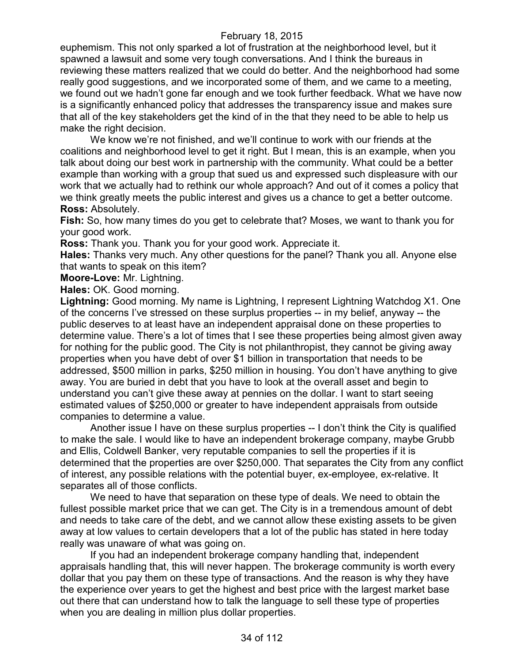euphemism. This not only sparked a lot of frustration at the neighborhood level, but it spawned a lawsuit and some very tough conversations. And I think the bureaus in reviewing these matters realized that we could do better. And the neighborhood had some really good suggestions, and we incorporated some of them, and we came to a meeting, we found out we hadn't gone far enough and we took further feedback. What we have now is a significantly enhanced policy that addresses the transparency issue and makes sure that all of the key stakeholders get the kind of in the that they need to be able to help us make the right decision.

We know we're not finished, and we'll continue to work with our friends at the coalitions and neighborhood level to get it right. But I mean, this is an example, when you talk about doing our best work in partnership with the community. What could be a better example than working with a group that sued us and expressed such displeasure with our work that we actually had to rethink our whole approach? And out of it comes a policy that we think greatly meets the public interest and gives us a chance to get a better outcome. **Ross:** Absolutely.

**Fish:** So, how many times do you get to celebrate that? Moses, we want to thank you for your good work.

**Ross:** Thank you. Thank you for your good work. Appreciate it.

**Hales:** Thanks very much. Any other questions for the panel? Thank you all. Anyone else that wants to speak on this item?

**Moore-Love:** Mr. Lightning.

**Hales:** OK. Good morning.

**Lightning:** Good morning. My name is Lightning, I represent Lightning Watchdog X1. One of the concerns I've stressed on these surplus properties -- in my belief, anyway -- the public deserves to at least have an independent appraisal done on these properties to determine value. There's a lot of times that I see these properties being almost given away for nothing for the public good. The City is not philanthropist, they cannot be giving away properties when you have debt of over \$1 billion in transportation that needs to be addressed, \$500 million in parks, \$250 million in housing. You don't have anything to give away. You are buried in debt that you have to look at the overall asset and begin to understand you can't give these away at pennies on the dollar. I want to start seeing estimated values of \$250,000 or greater to have independent appraisals from outside companies to determine a value.

Another issue I have on these surplus properties -- I don't think the City is qualified to make the sale. I would like to have an independent brokerage company, maybe Grubb and Ellis, Coldwell Banker, very reputable companies to sell the properties if it is determined that the properties are over \$250,000. That separates the City from any conflict of interest, any possible relations with the potential buyer, ex-employee, ex-relative. It separates all of those conflicts.

We need to have that separation on these type of deals. We need to obtain the fullest possible market price that we can get. The City is in a tremendous amount of debt and needs to take care of the debt, and we cannot allow these existing assets to be given away at low values to certain developers that a lot of the public has stated in here today really was unaware of what was going on.

If you had an independent brokerage company handling that, independent appraisals handling that, this will never happen. The brokerage community is worth every dollar that you pay them on these type of transactions. And the reason is why they have the experience over years to get the highest and best price with the largest market base out there that can understand how to talk the language to sell these type of properties when you are dealing in million plus dollar properties.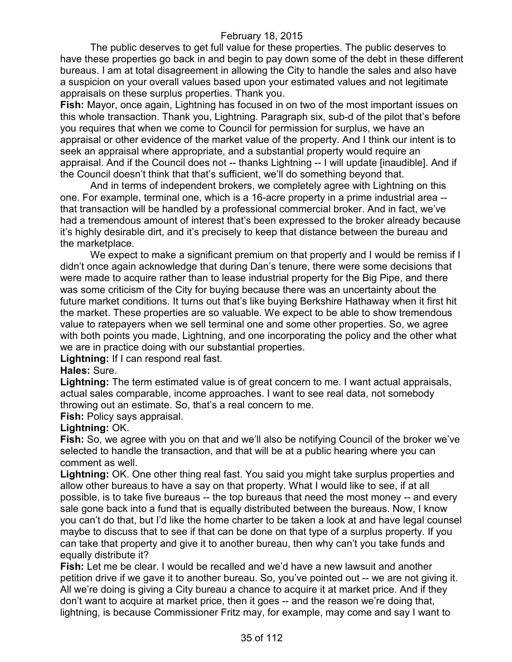The public deserves to get full value for these properties. The public deserves to have these properties go back in and begin to pay down some of the debt in these different bureaus. I am at total disagreement in allowing the City to handle the sales and also have a suspicion on your overall values based upon your estimated values and not legitimate appraisals on these surplus properties. Thank you.

**Fish:** Mayor, once again, Lightning has focused in on two of the most important issues on this whole transaction. Thank you, Lightning. Paragraph six, sub-d of the pilot that's before you requires that when we come to Council for permission for surplus, we have an appraisal or other evidence of the market value of the property. And I think our intent is to seek an appraisal where appropriate, and a substantial property would require an appraisal. And if the Council does not -- thanks Lightning -- I will update [inaudible]. And if the Council doesn't think that that's sufficient, we'll do something beyond that.

And in terms of independent brokers, we completely agree with Lightning on this one. For example, terminal one, which is a 16-acre property in a prime industrial area - that transaction will be handled by a professional commercial broker. And in fact, we've had a tremendous amount of interest that's been expressed to the broker already because it's highly desirable dirt, and it's precisely to keep that distance between the bureau and the marketplace.

We expect to make a significant premium on that property and I would be remiss if I didn't once again acknowledge that during Dan's tenure, there were some decisions that were made to acquire rather than to lease industrial property for the Big Pipe, and there was some criticism of the City for buying because there was an uncertainty about the future market conditions. It turns out that's like buying Berkshire Hathaway when it first hit the market. These properties are so valuable. We expect to be able to show tremendous value to ratepayers when we sell terminal one and some other properties. So, we agree with both points you made, Lightning, and one incorporating the policy and the other what we are in practice doing with our substantial properties.

**Lightning:** If I can respond real fast.

# **Hales:** Sure.

**Lightning:** The term estimated value is of great concern to me. I want actual appraisals, actual sales comparable, income approaches. I want to see real data, not somebody throwing out an estimate. So, that's a real concern to me.

**Fish:** Policy says appraisal.

#### **Lightning:** OK.

**Fish:** So, we agree with you on that and we'll also be notifying Council of the broker we've selected to handle the transaction, and that will be at a public hearing where you can comment as well.

**Lightning:** OK. One other thing real fast. You said you might take surplus properties and allow other bureaus to have a say on that property. What I would like to see, if at all possible, is to take five bureaus -- the top bureaus that need the most money -- and every sale gone back into a fund that is equally distributed between the bureaus. Now, I know you can't do that, but I'd like the home charter to be taken a look at and have legal counsel maybe to discuss that to see if that can be done on that type of a surplus property. If you can take that property and give it to another bureau, then why can't you take funds and equally distribute it?

**Fish:** Let me be clear. I would be recalled and we'd have a new lawsuit and another petition drive if we gave it to another bureau. So, you've pointed out -- we are not giving it. All we're doing is giving a City bureau a chance to acquire it at market price. And if they don't want to acquire at market price, then it goes -- and the reason we're doing that, lightning, is because Commissioner Fritz may, for example, may come and say I want to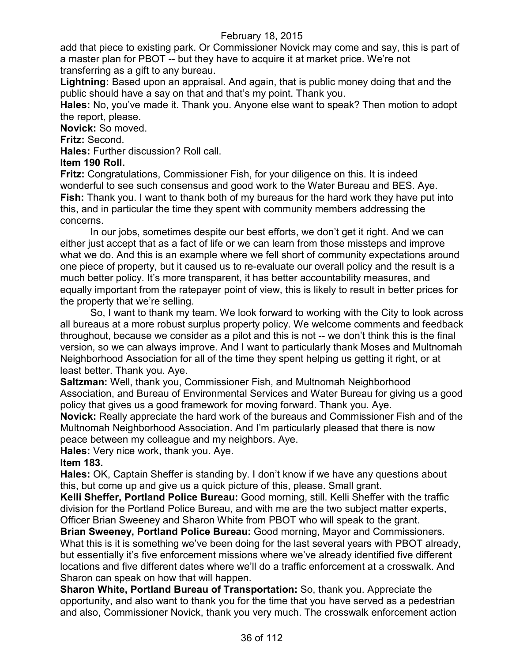add that piece to existing park. Or Commissioner Novick may come and say, this is part of a master plan for PBOT -- but they have to acquire it at market price. We're not transferring as a gift to any bureau.

**Lightning:** Based upon an appraisal. And again, that is public money doing that and the public should have a say on that and that's my point. Thank you.

**Hales:** No, you've made it. Thank you. Anyone else want to speak? Then motion to adopt the report, please.

**Novick:** So moved.

**Fritz:** Second.

**Hales:** Further discussion? Roll call.

**Item 190 Roll.**

**Fritz:** Congratulations, Commissioner Fish, for your diligence on this. It is indeed wonderful to see such consensus and good work to the Water Bureau and BES. Aye. **Fish:** Thank you. I want to thank both of my bureaus for the hard work they have put into this, and in particular the time they spent with community members addressing the concerns.

In our jobs, sometimes despite our best efforts, we don't get it right. And we can either just accept that as a fact of life or we can learn from those missteps and improve what we do. And this is an example where we fell short of community expectations around one piece of property, but it caused us to re-evaluate our overall policy and the result is a much better policy. It's more transparent, it has better accountability measures, and equally important from the ratepayer point of view, this is likely to result in better prices for the property that we're selling.

So, I want to thank my team. We look forward to working with the City to look across all bureaus at a more robust surplus property policy. We welcome comments and feedback throughout, because we consider as a pilot and this is not -- we don't think this is the final version, so we can always improve. And I want to particularly thank Moses and Multnomah Neighborhood Association for all of the time they spent helping us getting it right, or at least better. Thank you. Aye.

**Saltzman:** Well, thank you, Commissioner Fish, and Multnomah Neighborhood Association, and Bureau of Environmental Services and Water Bureau for giving us a good policy that gives us a good framework for moving forward. Thank you. Aye.

**Novick:** Really appreciate the hard work of the bureaus and Commissioner Fish and of the Multnomah Neighborhood Association. And I'm particularly pleased that there is now peace between my colleague and my neighbors. Aye.

**Hales:** Very nice work, thank you. Aye.

# **Item 183.**

**Hales:** OK, Captain Sheffer is standing by. I don't know if we have any questions about this, but come up and give us a quick picture of this, please. Small grant.

**Kelli Sheffer, Portland Police Bureau:** Good morning, still. Kelli Sheffer with the traffic division for the Portland Police Bureau, and with me are the two subject matter experts, Officer Brian Sweeney and Sharon White from PBOT who will speak to the grant.

**Brian Sweeney, Portland Police Bureau:** Good morning, Mayor and Commissioners. What this is it is something we've been doing for the last several years with PBOT already, but essentially it's five enforcement missions where we've already identified five different locations and five different dates where we'll do a traffic enforcement at a crosswalk. And Sharon can speak on how that will happen.

**Sharon White, Portland Bureau of Transportation:** So, thank you. Appreciate the opportunity, and also want to thank you for the time that you have served as a pedestrian and also, Commissioner Novick, thank you very much. The crosswalk enforcement action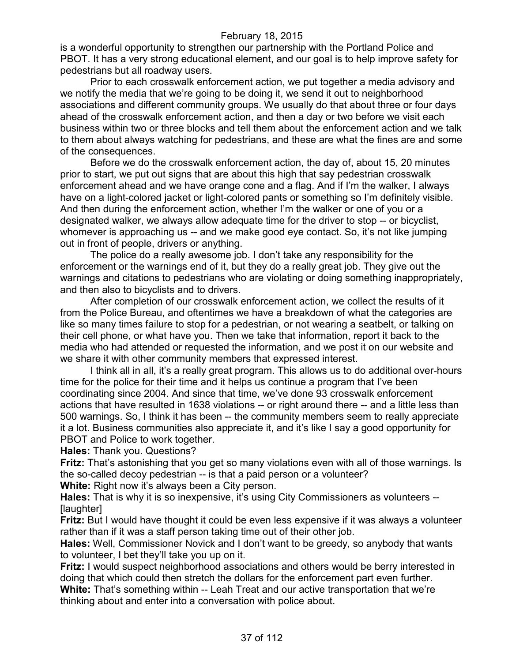is a wonderful opportunity to strengthen our partnership with the Portland Police and PBOT. It has a very strong educational element, and our goal is to help improve safety for pedestrians but all roadway users.

Prior to each crosswalk enforcement action, we put together a media advisory and we notify the media that we're going to be doing it, we send it out to neighborhood associations and different community groups. We usually do that about three or four days ahead of the crosswalk enforcement action, and then a day or two before we visit each business within two or three blocks and tell them about the enforcement action and we talk to them about always watching for pedestrians, and these are what the fines are and some of the consequences.

Before we do the crosswalk enforcement action, the day of, about 15, 20 minutes prior to start, we put out signs that are about this high that say pedestrian crosswalk enforcement ahead and we have orange cone and a flag. And if I'm the walker, I always have on a light-colored jacket or light-colored pants or something so I'm definitely visible. And then during the enforcement action, whether I'm the walker or one of you or a designated walker, we always allow adequate time for the driver to stop -- or bicyclist, whomever is approaching us -- and we make good eye contact. So, it's not like jumping out in front of people, drivers or anything.

The police do a really awesome job. I don't take any responsibility for the enforcement or the warnings end of it, but they do a really great job. They give out the warnings and citations to pedestrians who are violating or doing something inappropriately, and then also to bicyclists and to drivers.

After completion of our crosswalk enforcement action, we collect the results of it from the Police Bureau, and oftentimes we have a breakdown of what the categories are like so many times failure to stop for a pedestrian, or not wearing a seatbelt, or talking on their cell phone, or what have you. Then we take that information, report it back to the media who had attended or requested the information, and we post it on our website and we share it with other community members that expressed interest.

I think all in all, it's a really great program. This allows us to do additional over-hours time for the police for their time and it helps us continue a program that I've been coordinating since 2004. And since that time, we've done 93 crosswalk enforcement actions that have resulted in 1638 violations -- or right around there -- and a little less than 500 warnings. So, I think it has been -- the community members seem to really appreciate it a lot. Business communities also appreciate it, and it's like I say a good opportunity for PBOT and Police to work together.

**Hales:** Thank you. Questions?

**Fritz:** That's astonishing that you get so many violations even with all of those warnings. Is the so-called decoy pedestrian -- is that a paid person or a volunteer?

**White:** Right now it's always been a City person.

**Hales:** That is why it is so inexpensive, it's using City Commissioners as volunteers -- [laughter]

**Fritz:** But I would have thought it could be even less expensive if it was always a volunteer rather than if it was a staff person taking time out of their other job.

**Hales:** Well, Commissioner Novick and I don't want to be greedy, so anybody that wants to volunteer, I bet they'll take you up on it.

**Fritz:** I would suspect neighborhood associations and others would be berry interested in doing that which could then stretch the dollars for the enforcement part even further.

**White:** That's something within -- Leah Treat and our active transportation that we're thinking about and enter into a conversation with police about.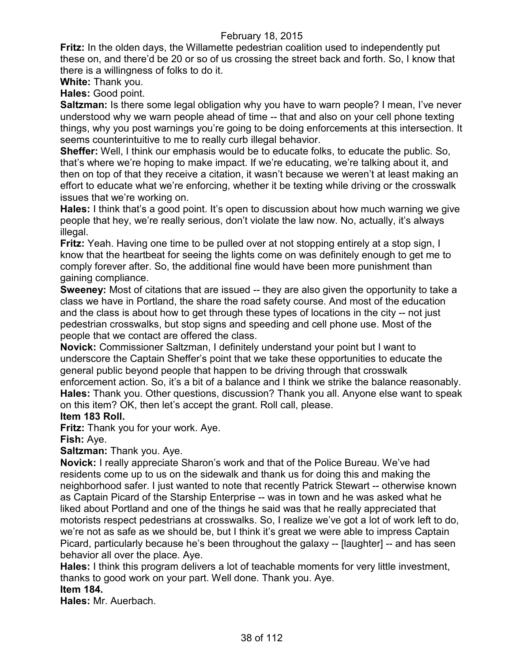**Fritz:** In the olden days, the Willamette pedestrian coalition used to independently put these on, and there'd be 20 or so of us crossing the street back and forth. So, I know that there is a willingness of folks to do it.

**White:** Thank you.

**Hales:** Good point.

**Saltzman:** Is there some legal obligation why you have to warn people? I mean, I've never understood why we warn people ahead of time -- that and also on your cell phone texting things, why you post warnings you're going to be doing enforcements at this intersection. It seems counterintuitive to me to really curb illegal behavior.

**Sheffer:** Well, I think our emphasis would be to educate folks, to educate the public. So, that's where we're hoping to make impact. If we're educating, we're talking about it, and then on top of that they receive a citation, it wasn't because we weren't at least making an effort to educate what we're enforcing, whether it be texting while driving or the crosswalk issues that we're working on.

**Hales:** I think that's a good point. It's open to discussion about how much warning we give people that hey, we're really serious, don't violate the law now. No, actually, it's always illegal.

**Fritz:** Yeah. Having one time to be pulled over at not stopping entirely at a stop sign, I know that the heartbeat for seeing the lights come on was definitely enough to get me to comply forever after. So, the additional fine would have been more punishment than gaining compliance.

**Sweeney:** Most of citations that are issued -- they are also given the opportunity to take a class we have in Portland, the share the road safety course. And most of the education and the class is about how to get through these types of locations in the city -- not just pedestrian crosswalks, but stop signs and speeding and cell phone use. Most of the people that we contact are offered the class.

**Novick:** Commissioner Saltzman, I definitely understand your point but I want to underscore the Captain Sheffer's point that we take these opportunities to educate the general public beyond people that happen to be driving through that crosswalk enforcement action. So, it's a bit of a balance and I think we strike the balance reasonably. **Hales:** Thank you. Other questions, discussion? Thank you all. Anyone else want to speak on this item? OK, then let's accept the grant. Roll call, please.

## **Item 183 Roll.**

**Fritz:** Thank you for your work. Aye.

## **Fish:** Aye.

**Saltzman:** Thank you. Aye.

**Novick:** I really appreciate Sharon's work and that of the Police Bureau. We've had residents come up to us on the sidewalk and thank us for doing this and making the neighborhood safer. I just wanted to note that recently Patrick Stewart -- otherwise known as Captain Picard of the Starship Enterprise -- was in town and he was asked what he liked about Portland and one of the things he said was that he really appreciated that motorists respect pedestrians at crosswalks. So, I realize we've got a lot of work left to do, we're not as safe as we should be, but I think it's great we were able to impress Captain Picard, particularly because he's been throughout the galaxy -- [laughter] -- and has seen behavior all over the place. Aye.

**Hales:** I think this program delivers a lot of teachable moments for very little investment, thanks to good work on your part. Well done. Thank you. Aye.

# **Item 184.**

**Hales:** Mr. Auerbach.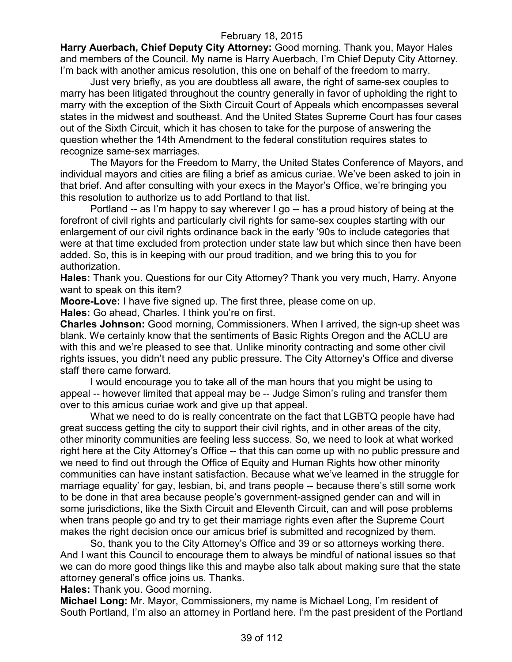**Harry Auerbach, Chief Deputy City Attorney:** Good morning. Thank you, Mayor Hales and members of the Council. My name is Harry Auerbach, I'm Chief Deputy City Attorney. I'm back with another amicus resolution, this one on behalf of the freedom to marry.

Just very briefly, as you are doubtless all aware, the right of same-sex couples to marry has been litigated throughout the country generally in favor of upholding the right to marry with the exception of the Sixth Circuit Court of Appeals which encompasses several states in the midwest and southeast. And the United States Supreme Court has four cases out of the Sixth Circuit, which it has chosen to take for the purpose of answering the question whether the 14th Amendment to the federal constitution requires states to recognize same-sex marriages.

The Mayors for the Freedom to Marry, the United States Conference of Mayors, and individual mayors and cities are filing a brief as amicus curiae. We've been asked to join in that brief. And after consulting with your execs in the Mayor's Office, we're bringing you this resolution to authorize us to add Portland to that list.

Portland -- as I'm happy to say wherever I go -- has a proud history of being at the forefront of civil rights and particularly civil rights for same-sex couples starting with our enlargement of our civil rights ordinance back in the early '90s to include categories that were at that time excluded from protection under state law but which since then have been added. So, this is in keeping with our proud tradition, and we bring this to you for authorization.

**Hales:** Thank you. Questions for our City Attorney? Thank you very much, Harry. Anyone want to speak on this item?

**Moore-Love:** I have five signed up. The first three, please come on up. **Hales:** Go ahead, Charles. I think you're on first.

**Charles Johnson:** Good morning, Commissioners. When I arrived, the sign-up sheet was blank. We certainly know that the sentiments of Basic Rights Oregon and the ACLU are with this and we're pleased to see that. Unlike minority contracting and some other civil rights issues, you didn't need any public pressure. The City Attorney's Office and diverse staff there came forward.

I would encourage you to take all of the man hours that you might be using to appeal -- however limited that appeal may be -- Judge Simon's ruling and transfer them over to this amicus curiae work and give up that appeal.

What we need to do is really concentrate on the fact that LGBTQ people have had great success getting the city to support their civil rights, and in other areas of the city, other minority communities are feeling less success. So, we need to look at what worked right here at the City Attorney's Office -- that this can come up with no public pressure and we need to find out through the Office of Equity and Human Rights how other minority communities can have instant satisfaction. Because what we've learned in the struggle for marriage equality' for gay, lesbian, bi, and trans people -- because there's still some work to be done in that area because people's government-assigned gender can and will in some jurisdictions, like the Sixth Circuit and Eleventh Circuit, can and will pose problems when trans people go and try to get their marriage rights even after the Supreme Court makes the right decision once our amicus brief is submitted and recognized by them.

So, thank you to the City Attorney's Office and 39 or so attorneys working there. And I want this Council to encourage them to always be mindful of national issues so that we can do more good things like this and maybe also talk about making sure that the state attorney general's office joins us. Thanks.

**Hales:** Thank you. Good morning.

**Michael Long:** Mr. Mayor, Commissioners, my name is Michael Long, I'm resident of South Portland, I'm also an attorney in Portland here. I'm the past president of the Portland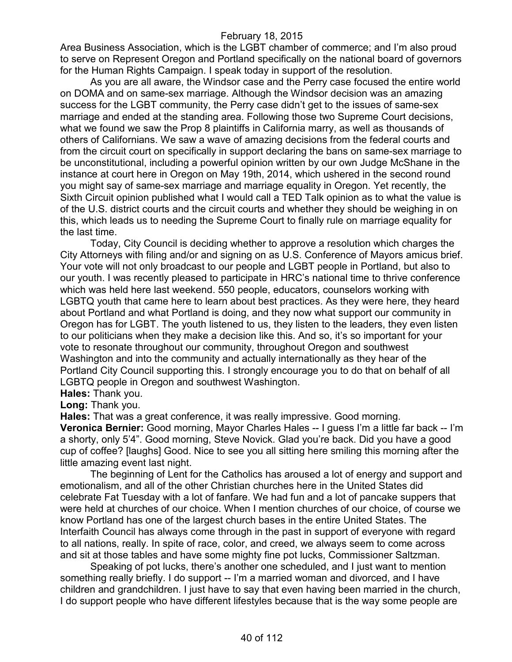Area Business Association, which is the LGBT chamber of commerce; and I'm also proud to serve on Represent Oregon and Portland specifically on the national board of governors for the Human Rights Campaign. I speak today in support of the resolution.

As you are all aware, the Windsor case and the Perry case focused the entire world on DOMA and on same-sex marriage. Although the Windsor decision was an amazing success for the LGBT community, the Perry case didn't get to the issues of same-sex marriage and ended at the standing area. Following those two Supreme Court decisions, what we found we saw the Prop 8 plaintiffs in California marry, as well as thousands of others of Californians. We saw a wave of amazing decisions from the federal courts and from the circuit court on specifically in support declaring the bans on same-sex marriage to be unconstitutional, including a powerful opinion written by our own Judge McShane in the instance at court here in Oregon on May 19th, 2014, which ushered in the second round you might say of same-sex marriage and marriage equality in Oregon. Yet recently, the Sixth Circuit opinion published what I would call a TED Talk opinion as to what the value is of the U.S. district courts and the circuit courts and whether they should be weighing in on this, which leads us to needing the Supreme Court to finally rule on marriage equality for the last time.

Today, City Council is deciding whether to approve a resolution which charges the City Attorneys with filing and/or and signing on as U.S. Conference of Mayors amicus brief. Your vote will not only broadcast to our people and LGBT people in Portland, but also to our youth. I was recently pleased to participate in HRC's national time to thrive conference which was held here last weekend. 550 people, educators, counselors working with LGBTQ youth that came here to learn about best practices. As they were here, they heard about Portland and what Portland is doing, and they now what support our community in Oregon has for LGBT. The youth listened to us, they listen to the leaders, they even listen to our politicians when they make a decision like this. And so, it's so important for your vote to resonate throughout our community, throughout Oregon and southwest Washington and into the community and actually internationally as they hear of the Portland City Council supporting this. I strongly encourage you to do that on behalf of all LGBTQ people in Oregon and southwest Washington.

**Hales:** Thank you.

**Long:** Thank you.

**Hales:** That was a great conference, it was really impressive. Good morning.

**Veronica Bernier:** Good morning, Mayor Charles Hales -- I guess I'm a little far back -- I'm a shorty, only 5'4". Good morning, Steve Novick. Glad you're back. Did you have a good cup of coffee? [laughs] Good. Nice to see you all sitting here smiling this morning after the little amazing event last night.

The beginning of Lent for the Catholics has aroused a lot of energy and support and emotionalism, and all of the other Christian churches here in the United States did celebrate Fat Tuesday with a lot of fanfare. We had fun and a lot of pancake suppers that were held at churches of our choice. When I mention churches of our choice, of course we know Portland has one of the largest church bases in the entire United States. The Interfaith Council has always come through in the past in support of everyone with regard to all nations, really. In spite of race, color, and creed, we always seem to come across and sit at those tables and have some mighty fine pot lucks, Commissioner Saltzman.

Speaking of pot lucks, there's another one scheduled, and I just want to mention something really briefly. I do support -- I'm a married woman and divorced, and I have children and grandchildren. I just have to say that even having been married in the church, I do support people who have different lifestyles because that is the way some people are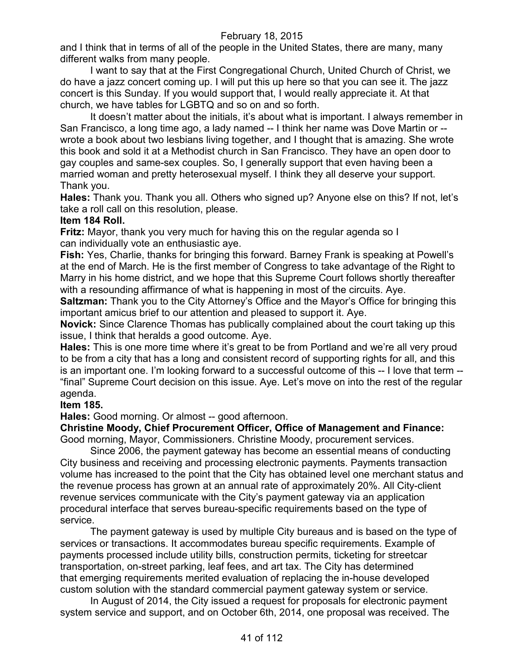and I think that in terms of all of the people in the United States, there are many, many different walks from many people.

I want to say that at the First Congregational Church, United Church of Christ, we do have a jazz concert coming up. I will put this up here so that you can see it. The jazz concert is this Sunday. If you would support that, I would really appreciate it. At that church, we have tables for LGBTQ and so on and so forth.

It doesn't matter about the initials, it's about what is important. I always remember in San Francisco, a long time ago, a lady named -- I think her name was Dove Martin or - wrote a book about two lesbians living together, and I thought that is amazing. She wrote this book and sold it at a Methodist church in San Francisco. They have an open door to gay couples and same-sex couples. So, I generally support that even having been a married woman and pretty heterosexual myself. I think they all deserve your support. Thank you.

**Hales:** Thank you. Thank you all. Others who signed up? Anyone else on this? If not, let's take a roll call on this resolution, please.

## **Item 184 Roll.**

**Fritz:** Mayor, thank you very much for having this on the regular agenda so I can individually vote an enthusiastic aye.

**Fish:** Yes, Charlie, thanks for bringing this forward. Barney Frank is speaking at Powell's at the end of March. He is the first member of Congress to take advantage of the Right to Marry in his home district, and we hope that this Supreme Court follows shortly thereafter with a resounding affirmance of what is happening in most of the circuits. Aye.

**Saltzman:** Thank you to the City Attorney's Office and the Mayor's Office for bringing this important amicus brief to our attention and pleased to support it. Aye.

**Novick:** Since Clarence Thomas has publically complained about the court taking up this issue, I think that heralds a good outcome. Aye.

**Hales:** This is one more time where it's great to be from Portland and we're all very proud to be from a city that has a long and consistent record of supporting rights for all, and this is an important one. I'm looking forward to a successful outcome of this -- I love that term -- "final" Supreme Court decision on this issue. Aye. Let's move on into the rest of the regular agenda.

## **Item 185.**

**Hales:** Good morning. Or almost -- good afternoon.

**Christine Moody, Chief Procurement Officer, Office of Management and Finance:**  Good morning, Mayor, Commissioners. Christine Moody, procurement services.

Since 2006, the payment gateway has become an essential means of conducting City business and receiving and processing electronic payments. Payments transaction volume has increased to the point that the City has obtained level one merchant status and the revenue process has grown at an annual rate of approximately 20%. All City-client revenue services communicate with the City's payment gateway via an application procedural interface that serves bureau-specific requirements based on the type of service.

The payment gateway is used by multiple City bureaus and is based on the type of services or transactions. It accommodates bureau specific requirements. Example of payments processed include utility bills, construction permits, ticketing for streetcar transportation, on-street parking, leaf fees, and art tax. The City has determined that emerging requirements merited evaluation of replacing the in-house developed custom solution with the standard commercial payment gateway system or service.

In August of 2014, the City issued a request for proposals for electronic payment system service and support, and on October 6th, 2014, one proposal was received. The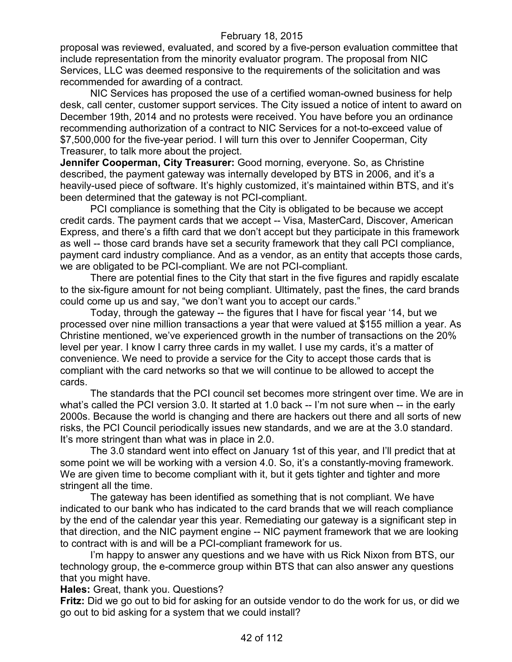proposal was reviewed, evaluated, and scored by a five-person evaluation committee that include representation from the minority evaluator program. The proposal from NIC Services, LLC was deemed responsive to the requirements of the solicitation and was recommended for awarding of a contract.

NIC Services has proposed the use of a certified woman-owned business for help desk, call center, customer support services. The City issued a notice of intent to award on December 19th, 2014 and no protests were received. You have before you an ordinance recommending authorization of a contract to NIC Services for a not-to-exceed value of \$7,500,000 for the five-year period. I will turn this over to Jennifer Cooperman, City Treasurer, to talk more about the project.

**Jennifer Cooperman, City Treasurer:** Good morning, everyone. So, as Christine described, the payment gateway was internally developed by BTS in 2006, and it's a heavily-used piece of software. It's highly customized, it's maintained within BTS, and it's been determined that the gateway is not PCI-compliant.

PCI compliance is something that the City is obligated to be because we accept credit cards. The payment cards that we accept -- Visa, MasterCard, Discover, American Express, and there's a fifth card that we don't accept but they participate in this framework as well -- those card brands have set a security framework that they call PCI compliance, payment card industry compliance. And as a vendor, as an entity that accepts those cards, we are obligated to be PCI-compliant. We are not PCI-compliant.

There are potential fines to the City that start in the five figures and rapidly escalate to the six-figure amount for not being compliant. Ultimately, past the fines, the card brands could come up us and say, "we don't want you to accept our cards."

Today, through the gateway -- the figures that I have for fiscal year '14, but we processed over nine million transactions a year that were valued at \$155 million a year. As Christine mentioned, we've experienced growth in the number of transactions on the 20% level per year. I know I carry three cards in my wallet. I use my cards, it's a matter of convenience. We need to provide a service for the City to accept those cards that is compliant with the card networks so that we will continue to be allowed to accept the cards.

The standards that the PCI council set becomes more stringent over time. We are in what's called the PCI version 3.0. It started at 1.0 back -- I'm not sure when -- in the early 2000s. Because the world is changing and there are hackers out there and all sorts of new risks, the PCI Council periodically issues new standards, and we are at the 3.0 standard. It's more stringent than what was in place in 2.0.

The 3.0 standard went into effect on January 1st of this year, and I'll predict that at some point we will be working with a version 4.0. So, it's a constantly-moving framework. We are given time to become compliant with it, but it gets tighter and tighter and more stringent all the time.

The gateway has been identified as something that is not compliant. We have indicated to our bank who has indicated to the card brands that we will reach compliance by the end of the calendar year this year. Remediating our gateway is a significant step in that direction, and the NIC payment engine -- NIC payment framework that we are looking to contract with is and will be a PCI-compliant framework for us.

I'm happy to answer any questions and we have with us Rick Nixon from BTS, our technology group, the e-commerce group within BTS that can also answer any questions that you might have.

**Hales:** Great, thank you. Questions?

**Fritz:** Did we go out to bid for asking for an outside vendor to do the work for us, or did we go out to bid asking for a system that we could install?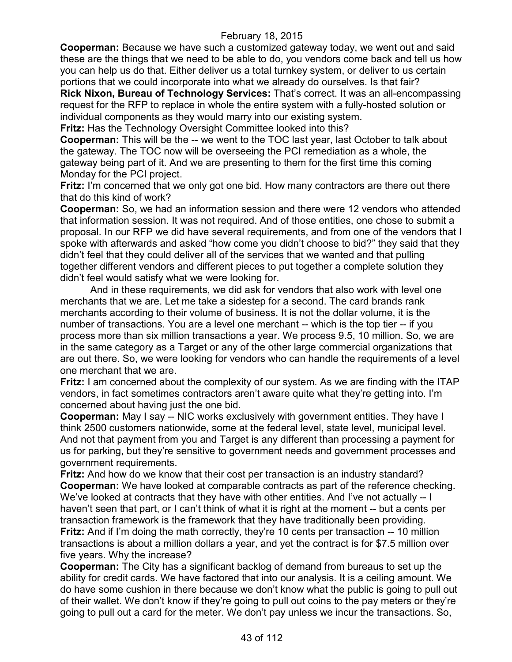**Cooperman:** Because we have such a customized gateway today, we went out and said these are the things that we need to be able to do, you vendors come back and tell us how you can help us do that. Either deliver us a total turnkey system, or deliver to us certain portions that we could incorporate into what we already do ourselves. Is that fair?

**Rick Nixon, Bureau of Technology Services:** That's correct. It was an all-encompassing request for the RFP to replace in whole the entire system with a fully-hosted solution or individual components as they would marry into our existing system.

**Fritz:** Has the Technology Oversight Committee looked into this?

**Cooperman:** This will be the -- we went to the TOC last year, last October to talk about the gateway. The TOC now will be overseeing the PCI remediation as a whole, the gateway being part of it. And we are presenting to them for the first time this coming Monday for the PCI project.

**Fritz:** I'm concerned that we only got one bid. How many contractors are there out there that do this kind of work?

**Cooperman:** So, we had an information session and there were 12 vendors who attended that information session. It was not required. And of those entities, one chose to submit a proposal. In our RFP we did have several requirements, and from one of the vendors that I spoke with afterwards and asked "how come you didn't choose to bid?" they said that they didn't feel that they could deliver all of the services that we wanted and that pulling together different vendors and different pieces to put together a complete solution they didn't feel would satisfy what we were looking for.

And in these requirements, we did ask for vendors that also work with level one merchants that we are. Let me take a sidestep for a second. The card brands rank merchants according to their volume of business. It is not the dollar volume, it is the number of transactions. You are a level one merchant -- which is the top tier -- if you process more than six million transactions a year. We process 9.5, 10 million. So, we are in the same category as a Target or any of the other large commercial organizations that are out there. So, we were looking for vendors who can handle the requirements of a level one merchant that we are.

**Fritz:** I am concerned about the complexity of our system. As we are finding with the ITAP vendors, in fact sometimes contractors aren't aware quite what they're getting into. I'm concerned about having just the one bid.

**Cooperman:** May I say -- NIC works exclusively with government entities. They have I think 2500 customers nationwide, some at the federal level, state level, municipal level. And not that payment from you and Target is any different than processing a payment for us for parking, but they're sensitive to government needs and government processes and government requirements.

**Fritz:** And how do we know that their cost per transaction is an industry standard? **Cooperman:** We have looked at comparable contracts as part of the reference checking. We've looked at contracts that they have with other entities. And I've not actually -- I haven't seen that part, or I can't think of what it is right at the moment -- but a cents per transaction framework is the framework that they have traditionally been providing. **Fritz:** And if I'm doing the math correctly, they're 10 cents per transaction -- 10 million transactions is about a million dollars a year, and yet the contract is for \$7.5 million over five years. Why the increase?

**Cooperman:** The City has a significant backlog of demand from bureaus to set up the ability for credit cards. We have factored that into our analysis. It is a ceiling amount. We do have some cushion in there because we don't know what the public is going to pull out of their wallet. We don't know if they're going to pull out coins to the pay meters or they're going to pull out a card for the meter. We don't pay unless we incur the transactions. So,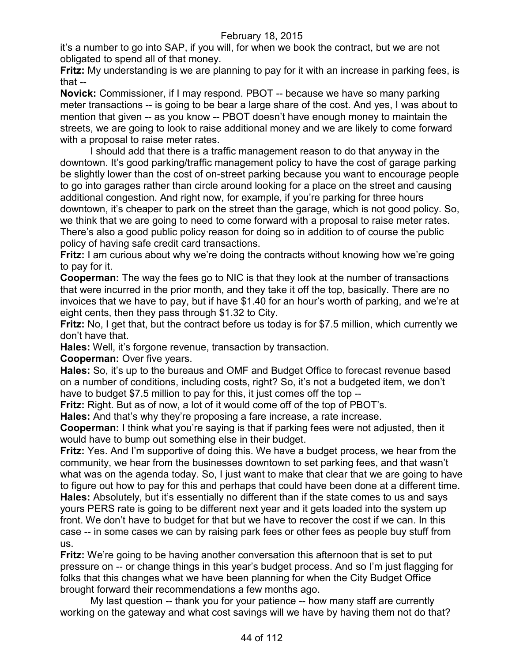it's a number to go into SAP, if you will, for when we book the contract, but we are not obligated to spend all of that money.

**Fritz:** My understanding is we are planning to pay for it with an increase in parking fees, is that --

**Novick:** Commissioner, if I may respond. PBOT -- because we have so many parking meter transactions -- is going to be bear a large share of the cost. And yes, I was about to mention that given -- as you know -- PBOT doesn't have enough money to maintain the streets, we are going to look to raise additional money and we are likely to come forward with a proposal to raise meter rates.

I should add that there is a traffic management reason to do that anyway in the downtown. It's good parking/traffic management policy to have the cost of garage parking be slightly lower than the cost of on-street parking because you want to encourage people to go into garages rather than circle around looking for a place on the street and causing additional congestion. And right now, for example, if you're parking for three hours downtown, it's cheaper to park on the street than the garage, which is not good policy. So, we think that we are going to need to come forward with a proposal to raise meter rates. There's also a good public policy reason for doing so in addition to of course the public policy of having safe credit card transactions.

**Fritz:** I am curious about why we're doing the contracts without knowing how we're going to pay for it.

**Cooperman:** The way the fees go to NIC is that they look at the number of transactions that were incurred in the prior month, and they take it off the top, basically. There are no invoices that we have to pay, but if have \$1.40 for an hour's worth of parking, and we're at eight cents, then they pass through \$1.32 to City.

**Fritz:** No, I get that, but the contract before us today is for \$7.5 million, which currently we don't have that.

**Hales:** Well, it's forgone revenue, transaction by transaction.

**Cooperman:** Over five years.

**Hales:** So, it's up to the bureaus and OMF and Budget Office to forecast revenue based on a number of conditions, including costs, right? So, it's not a budgeted item, we don't have to budget \$7.5 million to pay for this, it just comes off the top --

**Fritz:** Right. But as of now, a lot of it would come off of the top of PBOT's.

**Hales:** And that's why they're proposing a fare increase, a rate increase.

**Cooperman:** I think what you're saying is that if parking fees were not adjusted, then it would have to bump out something else in their budget.

**Fritz:** Yes. And I'm supportive of doing this. We have a budget process, we hear from the community, we hear from the businesses downtown to set parking fees, and that wasn't what was on the agenda today. So, I just want to make that clear that we are going to have to figure out how to pay for this and perhaps that could have been done at a different time. **Hales:** Absolutely, but it's essentially no different than if the state comes to us and says yours PERS rate is going to be different next year and it gets loaded into the system up front. We don't have to budget for that but we have to recover the cost if we can. In this case -- in some cases we can by raising park fees or other fees as people buy stuff from us.

**Fritz:** We're going to be having another conversation this afternoon that is set to put pressure on -- or change things in this year's budget process. And so I'm just flagging for folks that this changes what we have been planning for when the City Budget Office brought forward their recommendations a few months ago.

My last question -- thank you for your patience -- how many staff are currently working on the gateway and what cost savings will we have by having them not do that?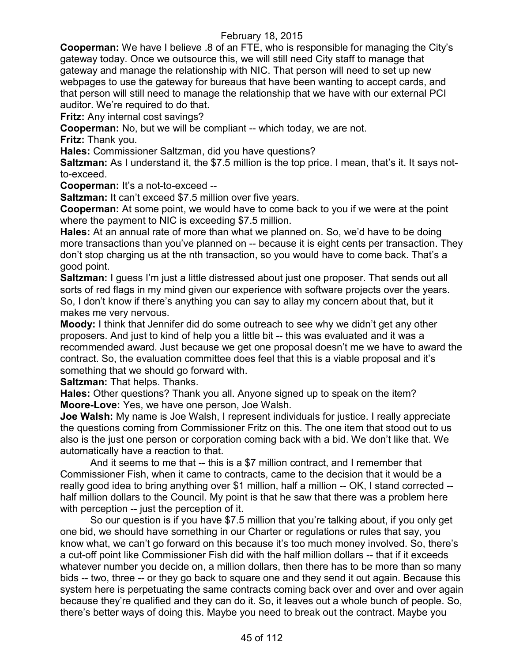**Cooperman:** We have I believe .8 of an FTE, who is responsible for managing the City's gateway today. Once we outsource this, we will still need City staff to manage that gateway and manage the relationship with NIC. That person will need to set up new webpages to use the gateway for bureaus that have been wanting to accept cards, and that person will still need to manage the relationship that we have with our external PCI auditor. We're required to do that.

**Fritz:** Any internal cost savings?

**Cooperman:** No, but we will be compliant -- which today, we are not.

**Fritz:** Thank you.

**Hales:** Commissioner Saltzman, did you have questions?

**Saltzman:** As I understand it, the \$7.5 million is the top price. I mean, that's it. It says notto-exceed.

**Cooperman:** It's a not-to-exceed --

**Saltzman:** It can't exceed \$7.5 million over five years.

**Cooperman:** At some point, we would have to come back to you if we were at the point where the payment to NIC is exceeding \$7.5 million.

**Hales:** At an annual rate of more than what we planned on. So, we'd have to be doing more transactions than you've planned on -- because it is eight cents per transaction. They don't stop charging us at the nth transaction, so you would have to come back. That's a good point.

**Saltzman:** I guess I'm just a little distressed about just one proposer. That sends out all sorts of red flags in my mind given our experience with software projects over the years. So, I don't know if there's anything you can say to allay my concern about that, but it makes me very nervous.

**Moody:** I think that Jennifer did do some outreach to see why we didn't get any other proposers. And just to kind of help you a little bit -- this was evaluated and it was a recommended award. Just because we get one proposal doesn't me we have to award the contract. So, the evaluation committee does feel that this is a viable proposal and it's something that we should go forward with.

**Saltzman:** That helps. Thanks.

**Hales:** Other questions? Thank you all. Anyone signed up to speak on the item? **Moore-Love:** Yes, we have one person, Joe Walsh.

**Joe Walsh:** My name is Joe Walsh, I represent individuals for justice. I really appreciate the questions coming from Commissioner Fritz on this. The one item that stood out to us also is the just one person or corporation coming back with a bid. We don't like that. We automatically have a reaction to that.

And it seems to me that -- this is a \$7 million contract, and I remember that Commissioner Fish, when it came to contracts, came to the decision that it would be a really good idea to bring anything over \$1 million, half a million -- OK, I stand corrected - half million dollars to the Council. My point is that he saw that there was a problem here with perception -- just the perception of it.

So our question is if you have \$7.5 million that you're talking about, if you only get one bid, we should have something in our Charter or regulations or rules that say, you know what, we can't go forward on this because it's too much money involved. So, there's a cut-off point like Commissioner Fish did with the half million dollars -- that if it exceeds whatever number you decide on, a million dollars, then there has to be more than so many bids -- two, three -- or they go back to square one and they send it out again. Because this system here is perpetuating the same contracts coming back over and over and over again because they're qualified and they can do it. So, it leaves out a whole bunch of people. So, there's better ways of doing this. Maybe you need to break out the contract. Maybe you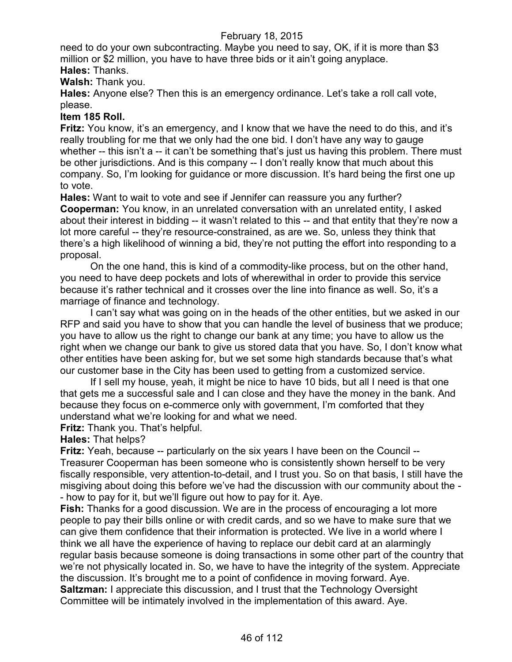need to do your own subcontracting. Maybe you need to say, OK, if it is more than \$3 million or \$2 million, you have to have three bids or it ain't going anyplace. **Hales:** Thanks.

**Walsh:** Thank you.

**Hales:** Anyone else? Then this is an emergency ordinance. Let's take a roll call vote, please.

## **Item 185 Roll.**

**Fritz:** You know, it's an emergency, and I know that we have the need to do this, and it's really troubling for me that we only had the one bid. I don't have any way to gauge whether -- this isn't a -- it can't be something that's just us having this problem. There must be other jurisdictions. And is this company -- I don't really know that much about this company. So, I'm looking for guidance or more discussion. It's hard being the first one up to vote.

**Hales:** Want to wait to vote and see if Jennifer can reassure you any further? **Cooperman:** You know, in an unrelated conversation with an unrelated entity, I asked about their interest in bidding -- it wasn't related to this -- and that entity that they're now a lot more careful -- they're resource-constrained, as are we. So, unless they think that there's a high likelihood of winning a bid, they're not putting the effort into responding to a proposal.

On the one hand, this is kind of a commodity-like process, but on the other hand, you need to have deep pockets and lots of wherewithal in order to provide this service because it's rather technical and it crosses over the line into finance as well. So, it's a marriage of finance and technology.

I can't say what was going on in the heads of the other entities, but we asked in our RFP and said you have to show that you can handle the level of business that we produce; you have to allow us the right to change our bank at any time; you have to allow us the right when we change our bank to give us stored data that you have. So, I don't know what other entities have been asking for, but we set some high standards because that's what our customer base in the City has been used to getting from a customized service.

If I sell my house, yeah, it might be nice to have 10 bids, but all I need is that one that gets me a successful sale and I can close and they have the money in the bank. And because they focus on e-commerce only with government, I'm comforted that they understand what we're looking for and what we need.

**Fritz:** Thank you. That's helpful.

**Hales:** That helps?

**Fritz:** Yeah, because -- particularly on the six years I have been on the Council -- Treasurer Cooperman has been someone who is consistently shown herself to be very fiscally responsible, very attention-to-detail, and I trust you. So on that basis, I still have the misgiving about doing this before we've had the discussion with our community about the - - how to pay for it, but we'll figure out how to pay for it. Aye.

**Fish:** Thanks for a good discussion. We are in the process of encouraging a lot more people to pay their bills online or with credit cards, and so we have to make sure that we can give them confidence that their information is protected. We live in a world where I think we all have the experience of having to replace our debit card at an alarmingly regular basis because someone is doing transactions in some other part of the country that we're not physically located in. So, we have to have the integrity of the system. Appreciate the discussion. It's brought me to a point of confidence in moving forward. Aye. **Saltzman:** I appreciate this discussion, and I trust that the Technology Oversight Committee will be intimately involved in the implementation of this award. Aye.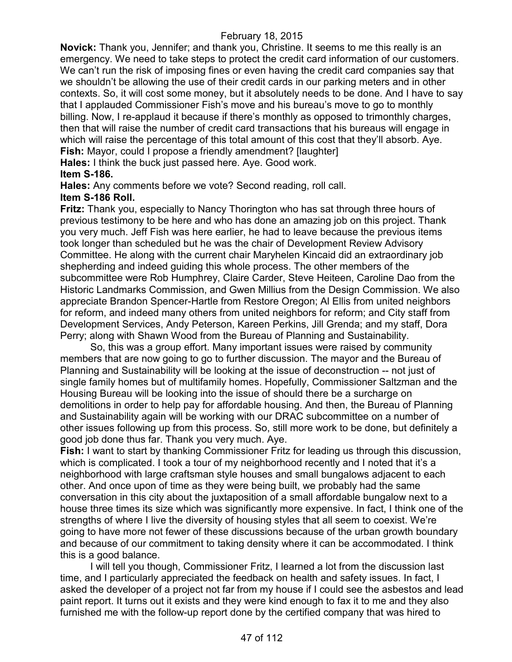**Novick:** Thank you, Jennifer; and thank you, Christine. It seems to me this really is an emergency. We need to take steps to protect the credit card information of our customers. We can't run the risk of imposing fines or even having the credit card companies say that we shouldn't be allowing the use of their credit cards in our parking meters and in other contexts. So, it will cost some money, but it absolutely needs to be done. And I have to say that I applauded Commissioner Fish's move and his bureau's move to go to monthly billing. Now, I re-applaud it because if there's monthly as opposed to trimonthly charges, then that will raise the number of credit card transactions that his bureaus will engage in which will raise the percentage of this total amount of this cost that they'll absorb. Aye. **Fish:** Mayor, could I propose a friendly amendment? [laughter]

**Hales:** I think the buck just passed here. Aye. Good work.

## **Item S-186.**

**Hales:** Any comments before we vote? Second reading, roll call.

#### **Item S-186 Roll.**

**Fritz:** Thank you, especially to Nancy Thorington who has sat through three hours of previous testimony to be here and who has done an amazing job on this project. Thank you very much. Jeff Fish was here earlier, he had to leave because the previous items took longer than scheduled but he was the chair of Development Review Advisory Committee. He along with the current chair Maryhelen Kincaid did an extraordinary job shepherding and indeed guiding this whole process. The other members of the subcommittee were Rob Humphrey, Claire Carder, Steve Heiteen, Caroline Dao from the Historic Landmarks Commission, and Gwen Millius from the Design Commission. We also appreciate Brandon Spencer-Hartle from Restore Oregon; Al Ellis from united neighbors for reform, and indeed many others from united neighbors for reform; and City staff from Development Services, Andy Peterson, Kareen Perkins, Jill Grenda; and my staff, Dora Perry; along with Shawn Wood from the Bureau of Planning and Sustainability.

So, this was a group effort. Many important issues were raised by community members that are now going to go to further discussion. The mayor and the Bureau of Planning and Sustainability will be looking at the issue of deconstruction -- not just of single family homes but of multifamily homes. Hopefully, Commissioner Saltzman and the Housing Bureau will be looking into the issue of should there be a surcharge on demolitions in order to help pay for affordable housing. And then, the Bureau of Planning and Sustainability again will be working with our DRAC subcommittee on a number of other issues following up from this process. So, still more work to be done, but definitely a good job done thus far. Thank you very much. Aye.

**Fish:** I want to start by thanking Commissioner Fritz for leading us through this discussion, which is complicated. I took a tour of my neighborhood recently and I noted that it's a neighborhood with large craftsman style houses and small bungalows adjacent to each other. And once upon of time as they were being built, we probably had the same conversation in this city about the juxtaposition of a small affordable bungalow next to a house three times its size which was significantly more expensive. In fact, I think one of the strengths of where I live the diversity of housing styles that all seem to coexist. We're going to have more not fewer of these discussions because of the urban growth boundary and because of our commitment to taking density where it can be accommodated. I think this is a good balance.

I will tell you though, Commissioner Fritz, I learned a lot from the discussion last time, and I particularly appreciated the feedback on health and safety issues. In fact, I asked the developer of a project not far from my house if I could see the asbestos and lead paint report. It turns out it exists and they were kind enough to fax it to me and they also furnished me with the follow-up report done by the certified company that was hired to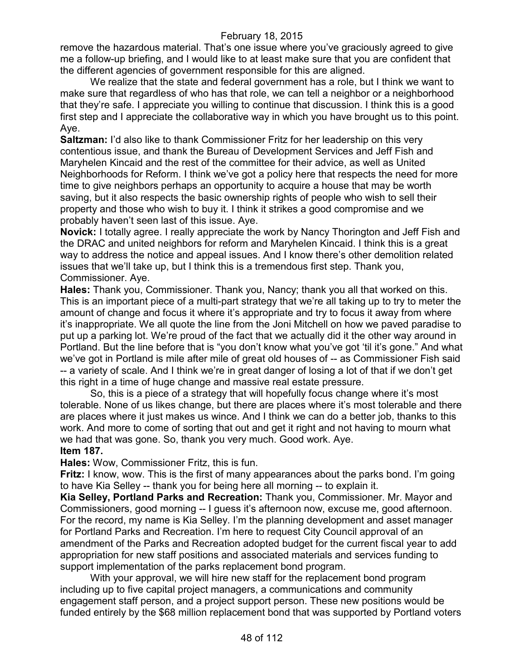remove the hazardous material. That's one issue where you've graciously agreed to give me a follow-up briefing, and I would like to at least make sure that you are confident that the different agencies of government responsible for this are aligned.

We realize that the state and federal government has a role, but I think we want to make sure that regardless of who has that role, we can tell a neighbor or a neighborhood that they're safe. I appreciate you willing to continue that discussion. I think this is a good first step and I appreciate the collaborative way in which you have brought us to this point. Aye.

**Saltzman:** I'd also like to thank Commissioner Fritz for her leadership on this very contentious issue, and thank the Bureau of Development Services and Jeff Fish and Maryhelen Kincaid and the rest of the committee for their advice, as well as United Neighborhoods for Reform. I think we've got a policy here that respects the need for more time to give neighbors perhaps an opportunity to acquire a house that may be worth saving, but it also respects the basic ownership rights of people who wish to sell their property and those who wish to buy it. I think it strikes a good compromise and we probably haven't seen last of this issue. Aye.

**Novick:** I totally agree. I really appreciate the work by Nancy Thorington and Jeff Fish and the DRAC and united neighbors for reform and Maryhelen Kincaid. I think this is a great way to address the notice and appeal issues. And I know there's other demolition related issues that we'll take up, but I think this is a tremendous first step. Thank you, Commissioner. Aye.

**Hales:** Thank you, Commissioner. Thank you, Nancy; thank you all that worked on this. This is an important piece of a multi-part strategy that we're all taking up to try to meter the amount of change and focus it where it's appropriate and try to focus it away from where it's inappropriate. We all quote the line from the Joni Mitchell on how we paved paradise to put up a parking lot. We're proud of the fact that we actually did it the other way around in Portland. But the line before that is "you don't know what you've got 'til it's gone." And what we've got in Portland is mile after mile of great old houses of -- as Commissioner Fish said -- a variety of scale. And I think we're in great danger of losing a lot of that if we don't get this right in a time of huge change and massive real estate pressure.

So, this is a piece of a strategy that will hopefully focus change where it's most tolerable. None of us likes change, but there are places where it's most tolerable and there are places where it just makes us wince. And I think we can do a better job, thanks to this work. And more to come of sorting that out and get it right and not having to mourn what we had that was gone. So, thank you very much. Good work. Aye. **Item 187.**

**Hales:** Wow, Commissioner Fritz, this is fun.

**Fritz:** I know, wow. This is the first of many appearances about the parks bond. I'm going to have Kia Selley -- thank you for being here all morning -- to explain it.

**Kia Selley, Portland Parks and Recreation:** Thank you, Commissioner. Mr. Mayor and Commissioners, good morning -- I guess it's afternoon now, excuse me, good afternoon. For the record, my name is Kia Selley. I'm the planning development and asset manager for Portland Parks and Recreation. I'm here to request City Council approval of an amendment of the Parks and Recreation adopted budget for the current fiscal year to add appropriation for new staff positions and associated materials and services funding to support implementation of the parks replacement bond program.

With your approval, we will hire new staff for the replacement bond program including up to five capital project managers, a communications and community engagement staff person, and a project support person. These new positions would be funded entirely by the \$68 million replacement bond that was supported by Portland voters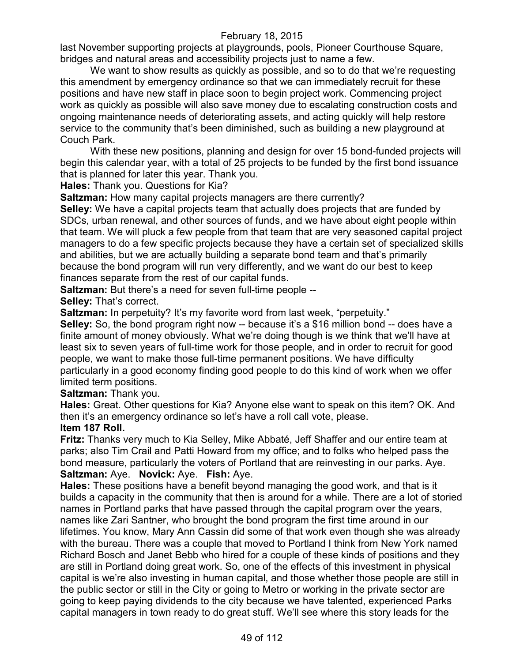last November supporting projects at playgrounds, pools, Pioneer Courthouse Square, bridges and natural areas and accessibility projects just to name a few.

We want to show results as quickly as possible, and so to do that we're requesting this amendment by emergency ordinance so that we can immediately recruit for these positions and have new staff in place soon to begin project work. Commencing project work as quickly as possible will also save money due to escalating construction costs and ongoing maintenance needs of deteriorating assets, and acting quickly will help restore service to the community that's been diminished, such as building a new playground at Couch Park.

With these new positions, planning and design for over 15 bond-funded projects will begin this calendar year, with a total of 25 projects to be funded by the first bond issuance that is planned for later this year. Thank you.

**Hales:** Thank you. Questions for Kia?

**Saltzman:** How many capital projects managers are there currently?

**Selley:** We have a capital projects team that actually does projects that are funded by SDCs, urban renewal, and other sources of funds, and we have about eight people within that team. We will pluck a few people from that team that are very seasoned capital project managers to do a few specific projects because they have a certain set of specialized skills and abilities, but we are actually building a separate bond team and that's primarily because the bond program will run very differently, and we want do our best to keep finances separate from the rest of our capital funds.

**Saltzman:** But there's a need for seven full-time people --

**Selley:** That's correct.

**Saltzman:** In perpetuity? It's my favorite word from last week, "perpetuity."

**Selley:** So, the bond program right now -- because it's a \$16 million bond -- does have a finite amount of money obviously. What we're doing though is we think that we'll have at least six to seven years of full-time work for those people, and in order to recruit for good people, we want to make those full-time permanent positions. We have difficulty particularly in a good economy finding good people to do this kind of work when we offer limited term positions.

**Saltzman:** Thank you.

**Hales:** Great. Other questions for Kia? Anyone else want to speak on this item? OK. And then it's an emergency ordinance so let's have a roll call vote, please.

## **Item 187 Roll.**

**Fritz:** Thanks very much to Kia Selley, Mike Abbaté, Jeff Shaffer and our entire team at parks; also Tim Crail and Patti Howard from my office; and to folks who helped pass the bond measure, particularly the voters of Portland that are reinvesting in our parks. Aye. **Saltzman:** Aye. **Novick:** Aye. **Fish:** Aye.

**Hales:** These positions have a benefit beyond managing the good work, and that is it builds a capacity in the community that then is around for a while. There are a lot of storied names in Portland parks that have passed through the capital program over the years, names like Zari Santner, who brought the bond program the first time around in our lifetimes. You know, Mary Ann Cassin did some of that work even though she was already with the bureau. There was a couple that moved to Portland I think from New York named Richard Bosch and Janet Bebb who hired for a couple of these kinds of positions and they are still in Portland doing great work. So, one of the effects of this investment in physical capital is we're also investing in human capital, and those whether those people are still in the public sector or still in the City or going to Metro or working in the private sector are going to keep paying dividends to the city because we have talented, experienced Parks capital managers in town ready to do great stuff. We'll see where this story leads for the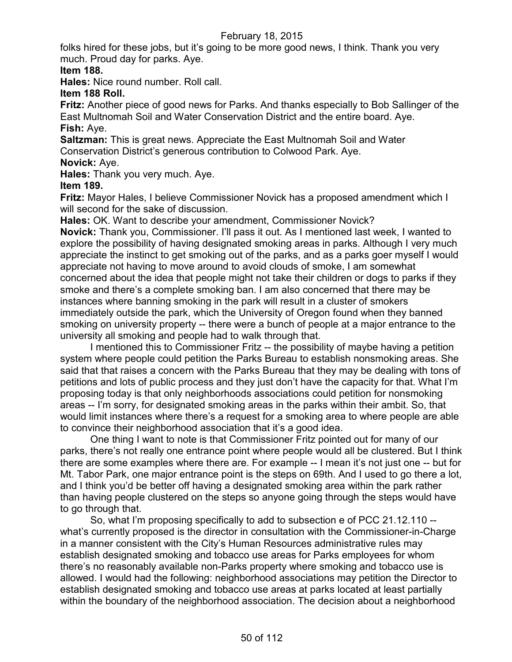folks hired for these jobs, but it's going to be more good news, I think. Thank you very much. Proud day for parks. Aye.

## **Item 188.**

**Hales:** Nice round number. Roll call.

## **Item 188 Roll.**

**Fritz:** Another piece of good news for Parks. And thanks especially to Bob Sallinger of the East Multnomah Soil and Water Conservation District and the entire board. Aye. **Fish:** Aye.

**Saltzman:** This is great news. Appreciate the East Multnomah Soil and Water Conservation District's generous contribution to Colwood Park. Aye.

# **Novick:** Aye.

**Hales:** Thank you very much. Aye.

## **Item 189.**

**Fritz:** Mayor Hales, I believe Commissioner Novick has a proposed amendment which I will second for the sake of discussion.

**Hales:** OK. Want to describe your amendment, Commissioner Novick?

**Novick:** Thank you, Commissioner. I'll pass it out. As I mentioned last week, I wanted to explore the possibility of having designated smoking areas in parks. Although I very much appreciate the instinct to get smoking out of the parks, and as a parks goer myself I would appreciate not having to move around to avoid clouds of smoke, I am somewhat concerned about the idea that people might not take their children or dogs to parks if they smoke and there's a complete smoking ban. I am also concerned that there may be instances where banning smoking in the park will result in a cluster of smokers immediately outside the park, which the University of Oregon found when they banned smoking on university property -- there were a bunch of people at a major entrance to the university all smoking and people had to walk through that.

I mentioned this to Commissioner Fritz -- the possibility of maybe having a petition system where people could petition the Parks Bureau to establish nonsmoking areas. She said that that raises a concern with the Parks Bureau that they may be dealing with tons of petitions and lots of public process and they just don't have the capacity for that. What I'm proposing today is that only neighborhoods associations could petition for nonsmoking areas -- I'm sorry, for designated smoking areas in the parks within their ambit. So, that would limit instances where there's a request for a smoking area to where people are able to convince their neighborhood association that it's a good idea.

One thing I want to note is that Commissioner Fritz pointed out for many of our parks, there's not really one entrance point where people would all be clustered. But I think there are some examples where there are. For example -- I mean it's not just one -- but for Mt. Tabor Park, one major entrance point is the steps on 69th. And I used to go there a lot, and I think you'd be better off having a designated smoking area within the park rather than having people clustered on the steps so anyone going through the steps would have to go through that.

So, what I'm proposing specifically to add to subsection e of PCC 21.12.110 - what's currently proposed is the director in consultation with the Commissioner-in-Charge in a manner consistent with the City's Human Resources administrative rules may establish designated smoking and tobacco use areas for Parks employees for whom there's no reasonably available non-Parks property where smoking and tobacco use is allowed. I would had the following: neighborhood associations may petition the Director to establish designated smoking and tobacco use areas at parks located at least partially within the boundary of the neighborhood association. The decision about a neighborhood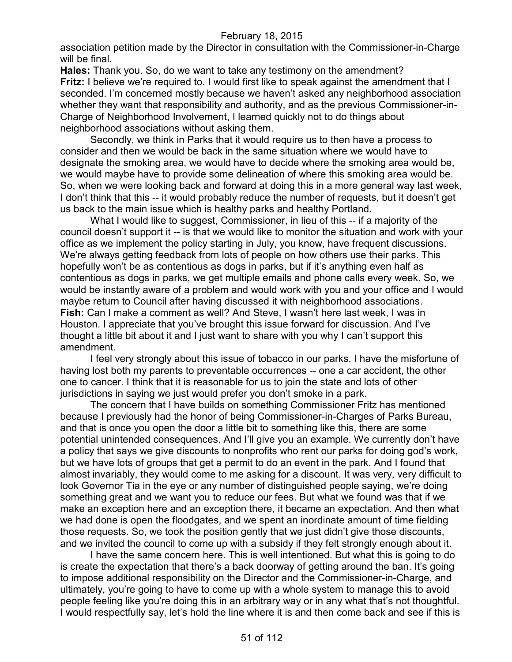association petition made by the Director in consultation with the Commissioner-in-Charge will be final.

**Hales:** Thank you. So, do we want to take any testimony on the amendment? **Fritz:** I believe we're required to. I would first like to speak against the amendment that I seconded. I'm concerned mostly because we haven't asked any neighborhood association whether they want that responsibility and authority, and as the previous Commissioner-in-Charge of Neighborhood Involvement, I learned quickly not to do things about neighborhood associations without asking them.

Secondly, we think in Parks that it would require us to then have a process to consider and then we would be back in the same situation where we would have to designate the smoking area, we would have to decide where the smoking area would be, we would maybe have to provide some delineation of where this smoking area would be. So, when we were looking back and forward at doing this in a more general way last week, I don't think that this -- it would probably reduce the number of requests, but it doesn't get us back to the main issue which is healthy parks and healthy Portland.

What I would like to suggest, Commissioner, in lieu of this -- if a majority of the council doesn't support it -- is that we would like to monitor the situation and work with your office as we implement the policy starting in July, you know, have frequent discussions. We're always getting feedback from lots of people on how others use their parks. This hopefully won't be as contentious as dogs in parks, but if it's anything even half as contentious as dogs in parks, we get multiple emails and phone calls every week. So, we would be instantly aware of a problem and would work with you and your office and I would maybe return to Council after having discussed it with neighborhood associations. **Fish:** Can I make a comment as well? And Steve, I wasn't here last week, I was in Houston. I appreciate that you've brought this issue forward for discussion. And I've thought a little bit about it and I just want to share with you why I can't support this amendment.

I feel very strongly about this issue of tobacco in our parks. I have the misfortune of having lost both my parents to preventable occurrences -- one a car accident, the other one to cancer. I think that it is reasonable for us to join the state and lots of other jurisdictions in saying we just would prefer you don't smoke in a park.

The concern that I have builds on something Commissioner Fritz has mentioned because I previously had the honor of being Commissioner-in-Charges of Parks Bureau, and that is once you open the door a little bit to something like this, there are some potential unintended consequences. And I'll give you an example. We currently don't have a policy that says we give discounts to nonprofits who rent our parks for doing god's work, but we have lots of groups that get a permit to do an event in the park. And I found that almost invariably, they would come to me asking for a discount. It was very, very difficult to look Governor Tia in the eye or any number of distinguished people saying, we're doing something great and we want you to reduce our fees. But what we found was that if we make an exception here and an exception there, it became an expectation. And then what we had done is open the floodgates, and we spent an inordinate amount of time fielding those requests. So, we took the position gently that we just didn't give those discounts, and we invited the council to come up with a subsidy if they felt strongly enough about it.

I have the same concern here. This is well intentioned. But what this is going to do is create the expectation that there's a back doorway of getting around the ban. It's going to impose additional responsibility on the Director and the Commissioner-in-Charge, and ultimately, you're going to have to come up with a whole system to manage this to avoid people feeling like you're doing this in an arbitrary way or in any what that's not thoughtful. I would respectfully say, let's hold the line where it is and then come back and see if this is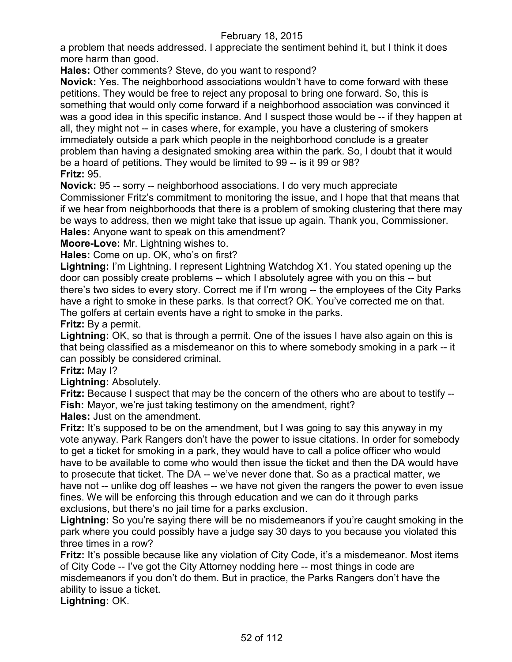a problem that needs addressed. I appreciate the sentiment behind it, but I think it does more harm than good.

**Hales:** Other comments? Steve, do you want to respond?

**Novick:** Yes. The neighborhood associations wouldn't have to come forward with these petitions. They would be free to reject any proposal to bring one forward. So, this is something that would only come forward if a neighborhood association was convinced it was a good idea in this specific instance. And I suspect those would be -- if they happen at all, they might not -- in cases where, for example, you have a clustering of smokers immediately outside a park which people in the neighborhood conclude is a greater problem than having a designated smoking area within the park. So, I doubt that it would be a hoard of petitions. They would be limited to 99 -- is it 99 or 98? **Fritz:** 95.

**Novick:** 95 -- sorry -- neighborhood associations. I do very much appreciate Commissioner Fritz's commitment to monitoring the issue, and I hope that that means that if we hear from neighborhoods that there is a problem of smoking clustering that there may be ways to address, then we might take that issue up again. Thank you, Commissioner. **Hales:** Anyone want to speak on this amendment?

**Moore-Love:** Mr. Lightning wishes to.

**Hales:** Come on up. OK, who's on first?

**Lightning:** I'm Lightning. I represent Lightning Watchdog X1. You stated opening up the door can possibly create problems -- which I absolutely agree with you on this -- but there's two sides to every story. Correct me if I'm wrong -- the employees of the City Parks have a right to smoke in these parks. Is that correct? OK. You've corrected me on that. The golfers at certain events have a right to smoke in the parks.

**Fritz:** By a permit.

**Lightning:** OK, so that is through a permit. One of the issues I have also again on this is that being classified as a misdemeanor on this to where somebody smoking in a park -- it can possibly be considered criminal.

**Fritz:** May I?

**Lightning:** Absolutely.

**Fritz:** Because I suspect that may be the concern of the others who are about to testify -- **Fish:** Mayor, we're just taking testimony on the amendment, right?

**Hales:** Just on the amendment.

**Fritz:** It's supposed to be on the amendment, but I was going to say this anyway in my vote anyway. Park Rangers don't have the power to issue citations. In order for somebody to get a ticket for smoking in a park, they would have to call a police officer who would have to be available to come who would then issue the ticket and then the DA would have to prosecute that ticket. The DA -- we've never done that. So as a practical matter, we have not -- unlike dog off leashes -- we have not given the rangers the power to even issue fines. We will be enforcing this through education and we can do it through parks exclusions, but there's no jail time for a parks exclusion.

**Lightning:** So you're saying there will be no misdemeanors if you're caught smoking in the park where you could possibly have a judge say 30 days to you because you violated this three times in a row?

**Fritz:** It's possible because like any violation of City Code, it's a misdemeanor. Most items of City Code -- I've got the City Attorney nodding here -- most things in code are misdemeanors if you don't do them. But in practice, the Parks Rangers don't have the ability to issue a ticket.

**Lightning:** OK.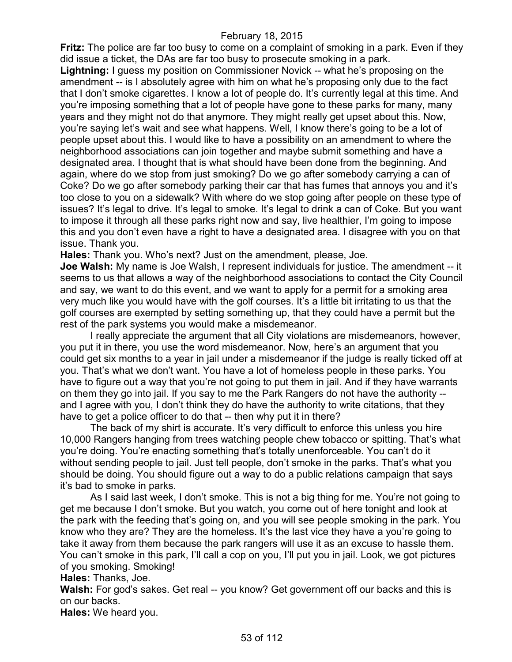**Fritz:** The police are far too busy to come on a complaint of smoking in a park. Even if they did issue a ticket, the DAs are far too busy to prosecute smoking in a park.

**Lightning:** I guess my position on Commissioner Novick -- what he's proposing on the amendment -- is I absolutely agree with him on what he's proposing only due to the fact that I don't smoke cigarettes. I know a lot of people do. It's currently legal at this time. And you're imposing something that a lot of people have gone to these parks for many, many years and they might not do that anymore. They might really get upset about this. Now, you're saying let's wait and see what happens. Well, I know there's going to be a lot of people upset about this. I would like to have a possibility on an amendment to where the neighborhood associations can join together and maybe submit something and have a designated area. I thought that is what should have been done from the beginning. And again, where do we stop from just smoking? Do we go after somebody carrying a can of Coke? Do we go after somebody parking their car that has fumes that annoys you and it's too close to you on a sidewalk? With where do we stop going after people on these type of issues? It's legal to drive. It's legal to smoke. It's legal to drink a can of Coke. But you want to impose it through all these parks right now and say, live healthier, I'm going to impose this and you don't even have a right to have a designated area. I disagree with you on that issue. Thank you.

**Hales:** Thank you. Who's next? Just on the amendment, please, Joe.

**Joe Walsh:** My name is Joe Walsh, I represent individuals for justice. The amendment -- it seems to us that allows a way of the neighborhood associations to contact the City Council and say, we want to do this event, and we want to apply for a permit for a smoking area very much like you would have with the golf courses. It's a little bit irritating to us that the golf courses are exempted by setting something up, that they could have a permit but the rest of the park systems you would make a misdemeanor.

I really appreciate the argument that all City violations are misdemeanors, however, you put it in there, you use the word misdemeanor. Now, here's an argument that you could get six months to a year in jail under a misdemeanor if the judge is really ticked off at you. That's what we don't want. You have a lot of homeless people in these parks. You have to figure out a way that you're not going to put them in jail. And if they have warrants on them they go into jail. If you say to me the Park Rangers do not have the authority - and I agree with you, I don't think they do have the authority to write citations, that they have to get a police officer to do that -- then why put it in there?

The back of my shirt is accurate. It's very difficult to enforce this unless you hire 10,000 Rangers hanging from trees watching people chew tobacco or spitting. That's what you're doing. You're enacting something that's totally unenforceable. You can't do it without sending people to jail. Just tell people, don't smoke in the parks. That's what you should be doing. You should figure out a way to do a public relations campaign that says it's bad to smoke in parks.

As I said last week, I don't smoke. This is not a big thing for me. You're not going to get me because I don't smoke. But you watch, you come out of here tonight and look at the park with the feeding that's going on, and you will see people smoking in the park. You know who they are? They are the homeless. It's the last vice they have a you're going to take it away from them because the park rangers will use it as an excuse to hassle them. You can't smoke in this park, I'll call a cop on you, I'll put you in jail. Look, we got pictures of you smoking. Smoking!

**Hales:** Thanks, Joe.

Walsh: For god's sakes. Get real -- you know? Get government off our backs and this is on our backs.

**Hales:** We heard you.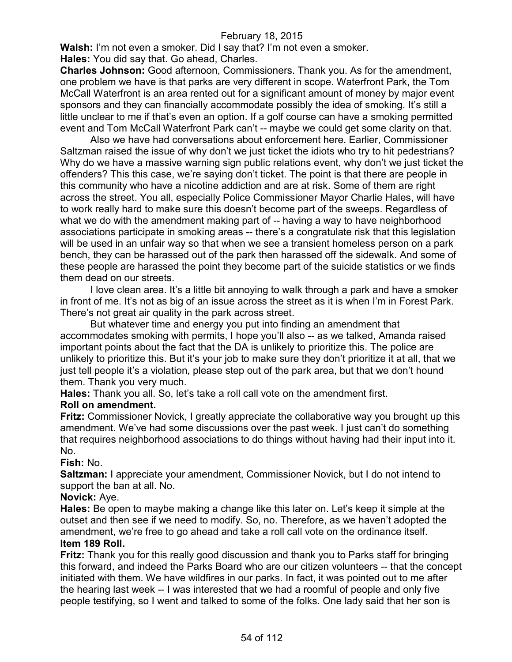**Walsh:** I'm not even a smoker. Did I say that? I'm not even a smoker.

**Hales:** You did say that. Go ahead, Charles.

**Charles Johnson:** Good afternoon, Commissioners. Thank you. As for the amendment, one problem we have is that parks are very different in scope. Waterfront Park, the Tom McCall Waterfront is an area rented out for a significant amount of money by major event sponsors and they can financially accommodate possibly the idea of smoking. It's still a little unclear to me if that's even an option. If a golf course can have a smoking permitted event and Tom McCall Waterfront Park can't -- maybe we could get some clarity on that.

Also we have had conversations about enforcement here. Earlier, Commissioner Saltzman raised the issue of why don't we just ticket the idiots who try to hit pedestrians? Why do we have a massive warning sign public relations event, why don't we just ticket the offenders? This this case, we're saying don't ticket. The point is that there are people in this community who have a nicotine addiction and are at risk. Some of them are right across the street. You all, especially Police Commissioner Mayor Charlie Hales, will have to work really hard to make sure this doesn't become part of the sweeps. Regardless of what we do with the amendment making part of -- having a way to have neighborhood associations participate in smoking areas -- there's a congratulate risk that this legislation will be used in an unfair way so that when we see a transient homeless person on a park bench, they can be harassed out of the park then harassed off the sidewalk. And some of these people are harassed the point they become part of the suicide statistics or we finds them dead on our streets.

I love clean area. It's a little bit annoying to walk through a park and have a smoker in front of me. It's not as big of an issue across the street as it is when I'm in Forest Park. There's not great air quality in the park across street.

But whatever time and energy you put into finding an amendment that accommodates smoking with permits, I hope you'll also -- as we talked, Amanda raised important points about the fact that the DA is unlikely to prioritize this. The police are unlikely to prioritize this. But it's your job to make sure they don't prioritize it at all, that we just tell people it's a violation, please step out of the park area, but that we don't hound them. Thank you very much.

**Hales:** Thank you all. So, let's take a roll call vote on the amendment first.

## **Roll on amendment.**

**Fritz:** Commissioner Novick, I greatly appreciate the collaborative way you brought up this amendment. We've had some discussions over the past week. I just can't do something that requires neighborhood associations to do things without having had their input into it. No.

## **Fish:** No.

**Saltzman:** I appreciate your amendment, Commissioner Novick, but I do not intend to support the ban at all. No.

#### **Novick:** Aye.

**Hales:** Be open to maybe making a change like this later on. Let's keep it simple at the outset and then see if we need to modify. So, no. Therefore, as we haven't adopted the amendment, we're free to go ahead and take a roll call vote on the ordinance itself. **Item 189 Roll.**

**Fritz:** Thank you for this really good discussion and thank you to Parks staff for bringing this forward, and indeed the Parks Board who are our citizen volunteers -- that the concept initiated with them. We have wildfires in our parks. In fact, it was pointed out to me after the hearing last week -- I was interested that we had a roomful of people and only five people testifying, so I went and talked to some of the folks. One lady said that her son is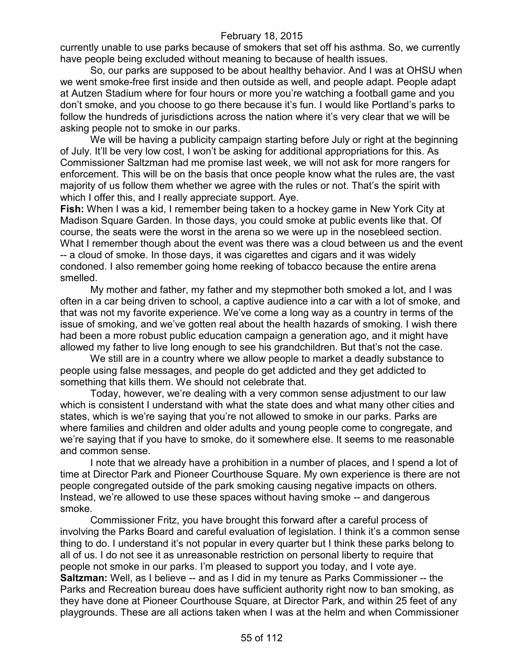currently unable to use parks because of smokers that set off his asthma. So, we currently have people being excluded without meaning to because of health issues.

So, our parks are supposed to be about healthy behavior. And I was at OHSU when we went smoke-free first inside and then outside as well, and people adapt. People adapt at Autzen Stadium where for four hours or more you're watching a football game and you don't smoke, and you choose to go there because it's fun. I would like Portland's parks to follow the hundreds of jurisdictions across the nation where it's very clear that we will be asking people not to smoke in our parks.

We will be having a publicity campaign starting before July or right at the beginning of July. It'll be very low cost, I won't be asking for additional appropriations for this. As Commissioner Saltzman had me promise last week, we will not ask for more rangers for enforcement. This will be on the basis that once people know what the rules are, the vast majority of us follow them whether we agree with the rules or not. That's the spirit with which I offer this, and I really appreciate support. Aye.

**Fish:** When I was a kid, I remember being taken to a hockey game in New York City at Madison Square Garden. In those days, you could smoke at public events like that. Of course, the seats were the worst in the arena so we were up in the nosebleed section. What I remember though about the event was there was a cloud between us and the event -- a cloud of smoke. In those days, it was cigarettes and cigars and it was widely condoned. I also remember going home reeking of tobacco because the entire arena smelled.

My mother and father, my father and my stepmother both smoked a lot, and I was often in a car being driven to school, a captive audience into a car with a lot of smoke, and that was not my favorite experience. We've come a long way as a country in terms of the issue of smoking, and we've gotten real about the health hazards of smoking. I wish there had been a more robust public education campaign a generation ago, and it might have allowed my father to live long enough to see his grandchildren. But that's not the case.

We still are in a country where we allow people to market a deadly substance to people using false messages, and people do get addicted and they get addicted to something that kills them. We should not celebrate that.

Today, however, we're dealing with a very common sense adjustment to our law which is consistent I understand with what the state does and what many other cities and states, which is we're saying that you're not allowed to smoke in our parks. Parks are where families and children and older adults and young people come to congregate, and we're saying that if you have to smoke, do it somewhere else. It seems to me reasonable and common sense.

I note that we already have a prohibition in a number of places, and I spend a lot of time at Director Park and Pioneer Courthouse Square. My own experience is there are not people congregated outside of the park smoking causing negative impacts on others. Instead, we're allowed to use these spaces without having smoke -- and dangerous smoke.

Commissioner Fritz, you have brought this forward after a careful process of involving the Parks Board and careful evaluation of legislation. I think it's a common sense thing to do. I understand it's not popular in every quarter but I think these parks belong to all of us. I do not see it as unreasonable restriction on personal liberty to require that people not smoke in our parks. I'm pleased to support you today, and I vote aye. **Saltzman:** Well, as I believe -- and as I did in my tenure as Parks Commissioner -- the Parks and Recreation bureau does have sufficient authority right now to ban smoking, as they have done at Pioneer Courthouse Square, at Director Park, and within 25 feet of any playgrounds. These are all actions taken when I was at the helm and when Commissioner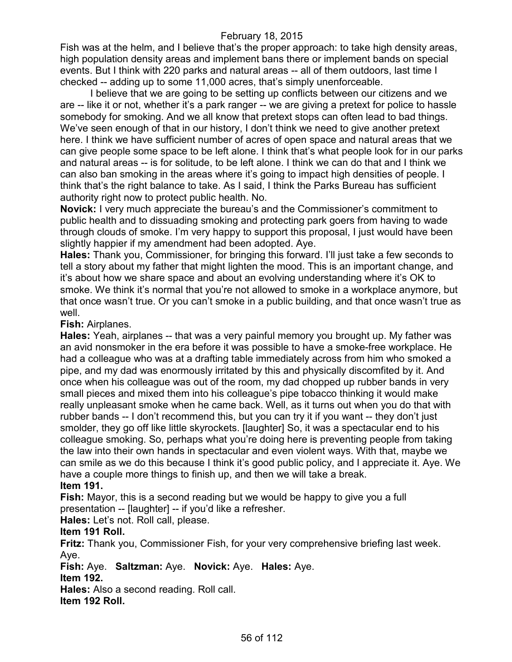Fish was at the helm, and I believe that's the proper approach: to take high density areas, high population density areas and implement bans there or implement bands on special events. But I think with 220 parks and natural areas -- all of them outdoors, last time I checked -- adding up to some 11,000 acres, that's simply unenforceable.

I believe that we are going to be setting up conflicts between our citizens and we are -- like it or not, whether it's a park ranger -- we are giving a pretext for police to hassle somebody for smoking. And we all know that pretext stops can often lead to bad things. We've seen enough of that in our history, I don't think we need to give another pretext here. I think we have sufficient number of acres of open space and natural areas that we can give people some space to be left alone. I think that's what people look for in our parks and natural areas -- is for solitude, to be left alone. I think we can do that and I think we can also ban smoking in the areas where it's going to impact high densities of people. I think that's the right balance to take. As I said, I think the Parks Bureau has sufficient authority right now to protect public health. No.

**Novick:** I very much appreciate the bureau's and the Commissioner's commitment to public health and to dissuading smoking and protecting park goers from having to wade through clouds of smoke. I'm very happy to support this proposal, I just would have been slightly happier if my amendment had been adopted. Aye.

**Hales:** Thank you, Commissioner, for bringing this forward. I'll just take a few seconds to tell a story about my father that might lighten the mood. This is an important change, and it's about how we share space and about an evolving understanding where it's OK to smoke. We think it's normal that you're not allowed to smoke in a workplace anymore, but that once wasn't true. Or you can't smoke in a public building, and that once wasn't true as well.

**Fish:** Airplanes.

**Hales:** Yeah, airplanes -- that was a very painful memory you brought up. My father was an avid nonsmoker in the era before it was possible to have a smoke-free workplace. He had a colleague who was at a drafting table immediately across from him who smoked a pipe, and my dad was enormously irritated by this and physically discomfited by it. And once when his colleague was out of the room, my dad chopped up rubber bands in very small pieces and mixed them into his colleague's pipe tobacco thinking it would make really unpleasant smoke when he came back. Well, as it turns out when you do that with rubber bands -- I don't recommend this, but you can try it if you want -- they don't just smolder, they go off like little skyrockets. [laughter] So, it was a spectacular end to his colleague smoking. So, perhaps what you're doing here is preventing people from taking the law into their own hands in spectacular and even violent ways. With that, maybe we can smile as we do this because I think it's good public policy, and I appreciate it. Aye. We have a couple more things to finish up, and then we will take a break. **Item 191.**

**Fish:** Mayor, this is a second reading but we would be happy to give you a full presentation -- [laughter] -- if you'd like a refresher.

**Hales:** Let's not. Roll call, please.

## **Item 191 Roll.**

**Fritz:** Thank you, Commissioner Fish, for your very comprehensive briefing last week. Aye.

**Fish:** Aye. **Saltzman:** Aye. **Novick:** Aye. **Hales:** Aye. **Item 192.**

**Hales:** Also a second reading. Roll call. **Item 192 Roll.**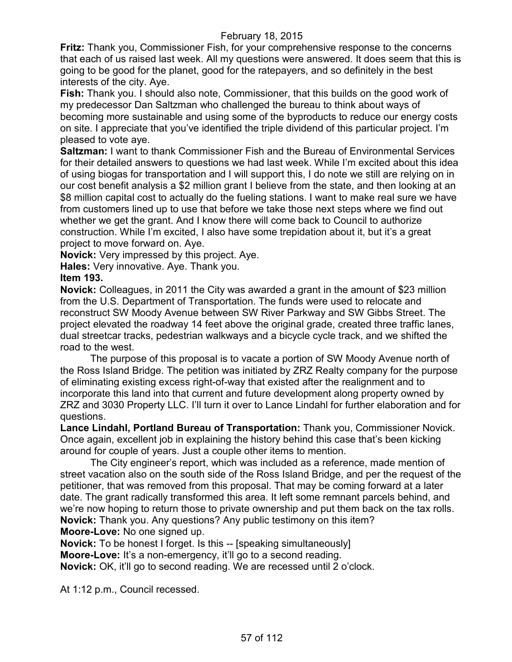**Fritz:** Thank you, Commissioner Fish, for your comprehensive response to the concerns that each of us raised last week. All my questions were answered. It does seem that this is going to be good for the planet, good for the ratepayers, and so definitely in the best interests of the city. Aye.

**Fish:** Thank you. I should also note, Commissioner, that this builds on the good work of my predecessor Dan Saltzman who challenged the bureau to think about ways of becoming more sustainable and using some of the byproducts to reduce our energy costs on site. I appreciate that you've identified the triple dividend of this particular project. I'm pleased to vote aye.

**Saltzman:** I want to thank Commissioner Fish and the Bureau of Environmental Services for their detailed answers to questions we had last week. While I'm excited about this idea of using biogas for transportation and I will support this, I do note we still are relying on in our cost benefit analysis a \$2 million grant I believe from the state, and then looking at an \$8 million capital cost to actually do the fueling stations. I want to make real sure we have from customers lined up to use that before we take those next steps where we find out whether we get the grant. And I know there will come back to Council to authorize construction. While I'm excited, I also have some trepidation about it, but it's a great project to move forward on. Aye.

**Novick:** Very impressed by this project. Aye.

**Hales:** Very innovative. Aye. Thank you.

**Item 193.**

**Novick:** Colleagues, in 2011 the City was awarded a grant in the amount of \$23 million from the U.S. Department of Transportation. The funds were used to relocate and reconstruct SW Moody Avenue between SW River Parkway and SW Gibbs Street. The project elevated the roadway 14 feet above the original grade, created three traffic lanes, dual streetcar tracks, pedestrian walkways and a bicycle cycle track, and we shifted the road to the west.

The purpose of this proposal is to vacate a portion of SW Moody Avenue north of the Ross Island Bridge. The petition was initiated by ZRZ Realty company for the purpose of eliminating existing excess right-of-way that existed after the realignment and to incorporate this land into that current and future development along property owned by ZRZ and 3030 Property LLC. I'll turn it over to Lance Lindahl for further elaboration and for questions.

**Lance Lindahl, Portland Bureau of Transportation:** Thank you, Commissioner Novick. Once again, excellent job in explaining the history behind this case that's been kicking around for couple of years. Just a couple other items to mention.

The City engineer's report, which was included as a reference, made mention of street vacation also on the south side of the Ross Island Bridge, and per the request of the petitioner, that was removed from this proposal. That may be coming forward at a later date. The grant radically transformed this area. It left some remnant parcels behind, and we're now hoping to return those to private ownership and put them back on the tax rolls. **Novick:** Thank you. Any questions? Any public testimony on this item? **Moore-Love:** No one signed up.

**Novick:** To be honest I forget. Is this -- [speaking simultaneously] **Moore-Love:** It's a non-emergency, it'll go to a second reading. **Novick:** OK, it'll go to second reading. We are recessed until 2 o'clock.

At 1:12 p.m., Council recessed.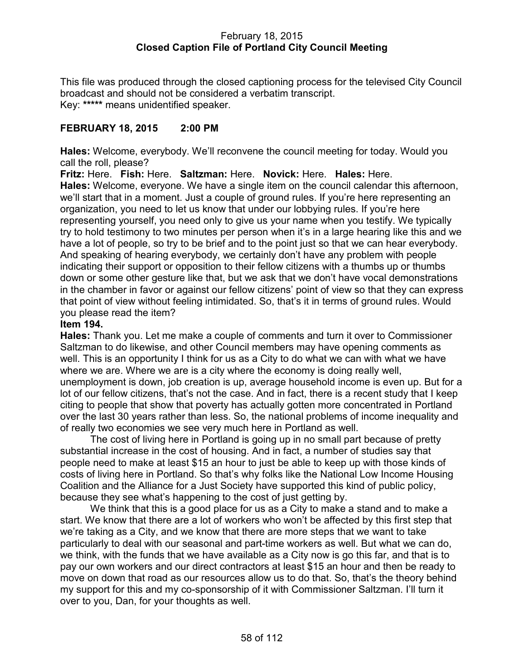### February 18, 2015 **Closed Caption File of Portland City Council Meeting**

This file was produced through the closed captioning process for the televised City Council broadcast and should not be considered a verbatim transcript. Key: **\*\*\*\*\*** means unidentified speaker.

## **FEBRUARY 18, 2015 2:00 PM**

**Hales:** Welcome, everybody. We'll reconvene the council meeting for today. Would you call the roll, please?

**Fritz:** Here. **Fish:** Here. **Saltzman:** Here. **Novick:** Here. **Hales:** Here. **Hales:** Welcome, everyone. We have a single item on the council calendar this afternoon, we'll start that in a moment. Just a couple of ground rules. If you're here representing an organization, you need to let us know that under our lobbying rules. If you're here representing yourself, you need only to give us your name when you testify. We typically try to hold testimony to two minutes per person when it's in a large hearing like this and we have a lot of people, so try to be brief and to the point just so that we can hear everybody. And speaking of hearing everybody, we certainly don't have any problem with people indicating their support or opposition to their fellow citizens with a thumbs up or thumbs down or some other gesture like that, but we ask that we don't have vocal demonstrations in the chamber in favor or against our fellow citizens' point of view so that they can express that point of view without feeling intimidated. So, that's it in terms of ground rules. Would you please read the item?

#### **Item 194.**

**Hales:** Thank you. Let me make a couple of comments and turn it over to Commissioner Saltzman to do likewise, and other Council members may have opening comments as well. This is an opportunity I think for us as a City to do what we can with what we have where we are. Where we are is a city where the economy is doing really well, unemployment is down, job creation is up, average household income is even up. But for a lot of our fellow citizens, that's not the case. And in fact, there is a recent study that I keep citing to people that show that poverty has actually gotten more concentrated in Portland over the last 30 years rather than less. So, the national problems of income inequality and of really two economies we see very much here in Portland as well.

The cost of living here in Portland is going up in no small part because of pretty substantial increase in the cost of housing. And in fact, a number of studies say that people need to make at least \$15 an hour to just be able to keep up with those kinds of costs of living here in Portland. So that's why folks like the National Low Income Housing Coalition and the Alliance for a Just Society have supported this kind of public policy, because they see what's happening to the cost of just getting by.

We think that this is a good place for us as a City to make a stand and to make a start. We know that there are a lot of workers who won't be affected by this first step that we're taking as a City, and we know that there are more steps that we want to take particularly to deal with our seasonal and part-time workers as well. But what we can do, we think, with the funds that we have available as a City now is go this far, and that is to pay our own workers and our direct contractors at least \$15 an hour and then be ready to move on down that road as our resources allow us to do that. So, that's the theory behind my support for this and my co-sponsorship of it with Commissioner Saltzman. I'll turn it over to you, Dan, for your thoughts as well.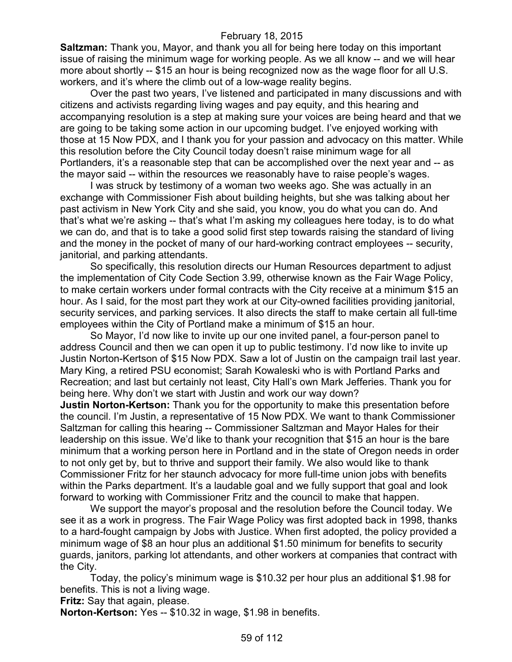**Saltzman:** Thank you, Mayor, and thank you all for being here today on this important issue of raising the minimum wage for working people. As we all know -- and we will hear more about shortly -- \$15 an hour is being recognized now as the wage floor for all U.S. workers, and it's where the climb out of a low-wage reality begins.

Over the past two years, I've listened and participated in many discussions and with citizens and activists regarding living wages and pay equity, and this hearing and accompanying resolution is a step at making sure your voices are being heard and that we are going to be taking some action in our upcoming budget. I've enjoyed working with those at 15 Now PDX, and I thank you for your passion and advocacy on this matter. While this resolution before the City Council today doesn't raise minimum wage for all Portlanders, it's a reasonable step that can be accomplished over the next year and -- as the mayor said -- within the resources we reasonably have to raise people's wages.

I was struck by testimony of a woman two weeks ago. She was actually in an exchange with Commissioner Fish about building heights, but she was talking about her past activism in New York City and she said, you know, you do what you can do. And that's what we're asking -- that's what I'm asking my colleagues here today, is to do what we can do, and that is to take a good solid first step towards raising the standard of living and the money in the pocket of many of our hard-working contract employees -- security, janitorial, and parking attendants.

So specifically, this resolution directs our Human Resources department to adjust the implementation of City Code Section 3.99, otherwise known as the Fair Wage Policy, to make certain workers under formal contracts with the City receive at a minimum \$15 an hour. As I said, for the most part they work at our City-owned facilities providing janitorial, security services, and parking services. It also directs the staff to make certain all full-time employees within the City of Portland make a minimum of \$15 an hour.

So Mayor, I'd now like to invite up our one invited panel, a four-person panel to address Council and then we can open it up to public testimony. I'd now like to invite up Justin Norton-Kertson of \$15 Now PDX. Saw a lot of Justin on the campaign trail last year. Mary King, a retired PSU economist; Sarah Kowaleski who is with Portland Parks and Recreation; and last but certainly not least, City Hall's own Mark Jefferies. Thank you for being here. Why don't we start with Justin and work our way down?

**Justin Norton-Kertson:** Thank you for the opportunity to make this presentation before the council. I'm Justin, a representative of 15 Now PDX. We want to thank Commissioner Saltzman for calling this hearing -- Commissioner Saltzman and Mayor Hales for their leadership on this issue. We'd like to thank your recognition that \$15 an hour is the bare minimum that a working person here in Portland and in the state of Oregon needs in order to not only get by, but to thrive and support their family. We also would like to thank Commissioner Fritz for her staunch advocacy for more full-time union jobs with benefits within the Parks department. It's a laudable goal and we fully support that goal and look forward to working with Commissioner Fritz and the council to make that happen.

We support the mayor's proposal and the resolution before the Council today. We see it as a work in progress. The Fair Wage Policy was first adopted back in 1998, thanks to a hard-fought campaign by Jobs with Justice. When first adopted, the policy provided a minimum wage of \$8 an hour plus an additional \$1.50 minimum for benefits to security guards, janitors, parking lot attendants, and other workers at companies that contract with the City.

Today, the policy's minimum wage is \$10.32 per hour plus an additional \$1.98 for benefits. This is not a living wage.

**Fritz:** Say that again, please.

**Norton-Kertson:** Yes -- \$10.32 in wage, \$1.98 in benefits.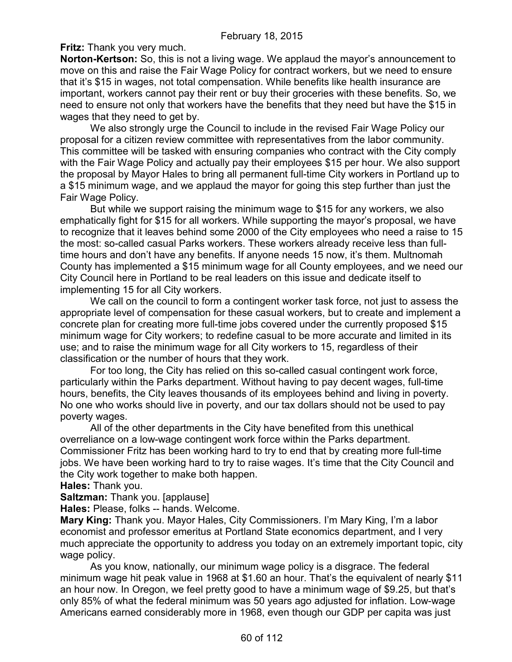**Fritz:** Thank you very much.

**Norton-Kertson:** So, this is not a living wage. We applaud the mayor's announcement to move on this and raise the Fair Wage Policy for contract workers, but we need to ensure that it's \$15 in wages, not total compensation. While benefits like health insurance are important, workers cannot pay their rent or buy their groceries with these benefits. So, we need to ensure not only that workers have the benefits that they need but have the \$15 in wages that they need to get by.

We also strongly urge the Council to include in the revised Fair Wage Policy our proposal for a citizen review committee with representatives from the labor community. This committee will be tasked with ensuring companies who contract with the City comply with the Fair Wage Policy and actually pay their employees \$15 per hour. We also support the proposal by Mayor Hales to bring all permanent full-time City workers in Portland up to a \$15 minimum wage, and we applaud the mayor for going this step further than just the Fair Wage Policy.

But while we support raising the minimum wage to \$15 for any workers, we also emphatically fight for \$15 for all workers. While supporting the mayor's proposal, we have to recognize that it leaves behind some 2000 of the City employees who need a raise to 15 the most: so-called casual Parks workers. These workers already receive less than fulltime hours and don't have any benefits. If anyone needs 15 now, it's them. Multnomah County has implemented a \$15 minimum wage for all County employees, and we need our City Council here in Portland to be real leaders on this issue and dedicate itself to implementing 15 for all City workers.

We call on the council to form a contingent worker task force, not just to assess the appropriate level of compensation for these casual workers, but to create and implement a concrete plan for creating more full-time jobs covered under the currently proposed \$15 minimum wage for City workers; to redefine casual to be more accurate and limited in its use; and to raise the minimum wage for all City workers to 15, regardless of their classification or the number of hours that they work.

For too long, the City has relied on this so-called casual contingent work force, particularly within the Parks department. Without having to pay decent wages, full-time hours, benefits, the City leaves thousands of its employees behind and living in poverty. No one who works should live in poverty, and our tax dollars should not be used to pay poverty wages.

All of the other departments in the City have benefited from this unethical overreliance on a low-wage contingent work force within the Parks department. Commissioner Fritz has been working hard to try to end that by creating more full-time jobs. We have been working hard to try to raise wages. It's time that the City Council and the City work together to make both happen.

**Hales:** Thank you.

**Saltzman:** Thank you. [applause]

**Hales:** Please, folks -- hands. Welcome.

**Mary King:** Thank you. Mayor Hales, City Commissioners. I'm Mary King, I'm a labor economist and professor emeritus at Portland State economics department, and I very much appreciate the opportunity to address you today on an extremely important topic, city wage policy.

As you know, nationally, our minimum wage policy is a disgrace. The federal minimum wage hit peak value in 1968 at \$1.60 an hour. That's the equivalent of nearly \$11 an hour now. In Oregon, we feel pretty good to have a minimum wage of \$9.25, but that's only 85% of what the federal minimum was 50 years ago adjusted for inflation. Low-wage Americans earned considerably more in 1968, even though our GDP per capita was just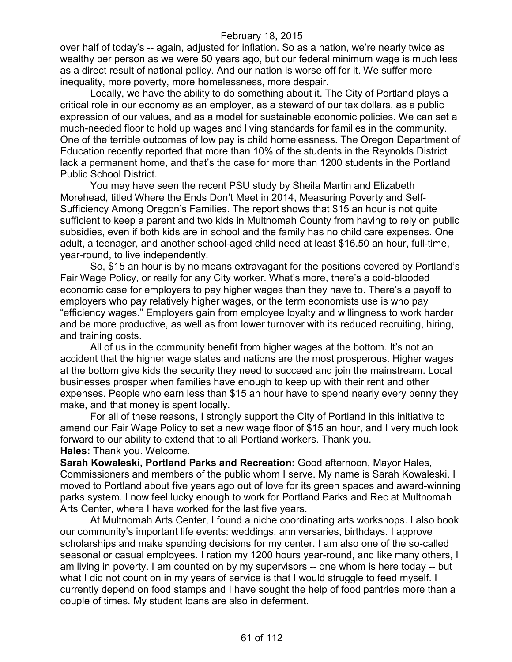over half of today's -- again, adjusted for inflation. So as a nation, we're nearly twice as wealthy per person as we were 50 years ago, but our federal minimum wage is much less as a direct result of national policy. And our nation is worse off for it. We suffer more inequality, more poverty, more homelessness, more despair.

Locally, we have the ability to do something about it. The City of Portland plays a critical role in our economy as an employer, as a steward of our tax dollars, as a public expression of our values, and as a model for sustainable economic policies. We can set a much-needed floor to hold up wages and living standards for families in the community. One of the terrible outcomes of low pay is child homelessness. The Oregon Department of Education recently reported that more than 10% of the students in the Reynolds District lack a permanent home, and that's the case for more than 1200 students in the Portland Public School District.

You may have seen the recent PSU study by Sheila Martin and Elizabeth Morehead, titled Where the Ends Don't Meet in 2014, Measuring Poverty and Self-Sufficiency Among Oregon's Families. The report shows that \$15 an hour is not quite sufficient to keep a parent and two kids in Multnomah County from having to rely on public subsidies, even if both kids are in school and the family has no child care expenses. One adult, a teenager, and another school-aged child need at least \$16.50 an hour, full-time, year-round, to live independently.

So, \$15 an hour is by no means extravagant for the positions covered by Portland's Fair Wage Policy, or really for any City worker. What's more, there's a cold-blooded economic case for employers to pay higher wages than they have to. There's a payoff to employers who pay relatively higher wages, or the term economists use is who pay "efficiency wages." Employers gain from employee loyalty and willingness to work harder and be more productive, as well as from lower turnover with its reduced recruiting, hiring, and training costs.

All of us in the community benefit from higher wages at the bottom. It's not an accident that the higher wage states and nations are the most prosperous. Higher wages at the bottom give kids the security they need to succeed and join the mainstream. Local businesses prosper when families have enough to keep up with their rent and other expenses. People who earn less than \$15 an hour have to spend nearly every penny they make, and that money is spent locally.

For all of these reasons, I strongly support the City of Portland in this initiative to amend our Fair Wage Policy to set a new wage floor of \$15 an hour, and I very much look forward to our ability to extend that to all Portland workers. Thank you. **Hales:** Thank you. Welcome.

**Sarah Kowaleski, Portland Parks and Recreation:** Good afternoon, Mayor Hales, Commissioners and members of the public whom I serve. My name is Sarah Kowaleski. I moved to Portland about five years ago out of love for its green spaces and award-winning parks system. I now feel lucky enough to work for Portland Parks and Rec at Multnomah Arts Center, where I have worked for the last five years.

At Multnomah Arts Center, I found a niche coordinating arts workshops. I also book our community's important life events: weddings, anniversaries, birthdays. I approve scholarships and make spending decisions for my center. I am also one of the so-called seasonal or casual employees. I ration my 1200 hours year-round, and like many others, I am living in poverty. I am counted on by my supervisors -- one whom is here today -- but what I did not count on in my years of service is that I would struggle to feed myself. I currently depend on food stamps and I have sought the help of food pantries more than a couple of times. My student loans are also in deferment.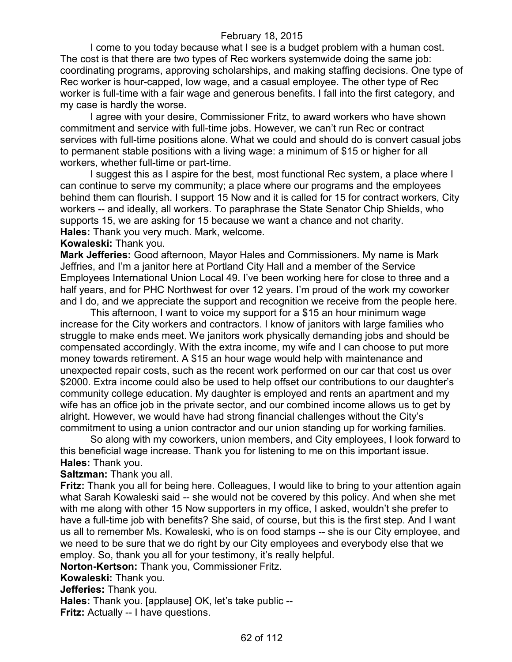I come to you today because what I see is a budget problem with a human cost. The cost is that there are two types of Rec workers systemwide doing the same job: coordinating programs, approving scholarships, and making staffing decisions. One type of Rec worker is hour-capped, low wage, and a casual employee. The other type of Rec worker is full-time with a fair wage and generous benefits. I fall into the first category, and my case is hardly the worse.

I agree with your desire, Commissioner Fritz, to award workers who have shown commitment and service with full-time jobs. However, we can't run Rec or contract services with full-time positions alone. What we could and should do is convert casual jobs to permanent stable positions with a living wage: a minimum of \$15 or higher for all workers, whether full-time or part-time.

I suggest this as I aspire for the best, most functional Rec system, a place where I can continue to serve my community; a place where our programs and the employees behind them can flourish. I support 15 Now and it is called for 15 for contract workers, City workers -- and ideally, all workers. To paraphrase the State Senator Chip Shields, who supports 15, we are asking for 15 because we want a chance and not charity. **Hales:** Thank you very much. Mark, welcome.

#### **Kowaleski:** Thank you.

**Mark Jefferies:** Good afternoon, Mayor Hales and Commissioners. My name is Mark Jeffries, and I'm a janitor here at Portland City Hall and a member of the Service Employees International Union Local 49. I've been working here for close to three and a half years, and for PHC Northwest for over 12 years. I'm proud of the work my coworker and I do, and we appreciate the support and recognition we receive from the people here.

This afternoon, I want to voice my support for a \$15 an hour minimum wage increase for the City workers and contractors. I know of janitors with large families who struggle to make ends meet. We janitors work physically demanding jobs and should be compensated accordingly. With the extra income, my wife and I can choose to put more money towards retirement. A \$15 an hour wage would help with maintenance and unexpected repair costs, such as the recent work performed on our car that cost us over \$2000. Extra income could also be used to help offset our contributions to our daughter's community college education. My daughter is employed and rents an apartment and my wife has an office job in the private sector, and our combined income allows us to get by alright. However, we would have had strong financial challenges without the City's commitment to using a union contractor and our union standing up for working families.

So along with my coworkers, union members, and City employees, I look forward to this beneficial wage increase. Thank you for listening to me on this important issue. **Hales:** Thank you.

**Saltzman:** Thank you all.

**Fritz:** Thank you all for being here. Colleagues, I would like to bring to your attention again what Sarah Kowaleski said -- she would not be covered by this policy. And when she met with me along with other 15 Now supporters in my office, I asked, wouldn't she prefer to have a full-time job with benefits? She said, of course, but this is the first step. And I want us all to remember Ms. Kowaleski, who is on food stamps -- she is our City employee, and we need to be sure that we do right by our City employees and everybody else that we employ. So, thank you all for your testimony, it's really helpful.

**Norton-Kertson:** Thank you, Commissioner Fritz.

## **Kowaleski:** Thank you.

**Jefferies:** Thank you.

**Hales:** Thank you. [applause] OK, let's take public --

**Fritz:** Actually -- I have questions.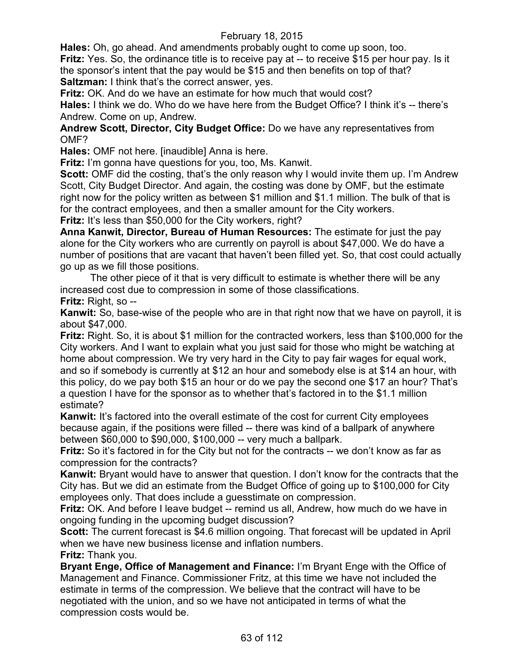**Hales:** Oh, go ahead. And amendments probably ought to come up soon, too.

**Fritz:** Yes. So, the ordinance title is to receive pay at -- to receive \$15 per hour pay. Is it the sponsor's intent that the pay would be \$15 and then benefits on top of that? **Saltzman:** I think that's the correct answer, yes.

**Fritz:** OK. And do we have an estimate for how much that would cost?

**Hales:** I think we do. Who do we have here from the Budget Office? I think it's -- there's Andrew. Come on up, Andrew.

**Andrew Scott, Director, City Budget Office:** Do we have any representatives from OMF?

**Hales:** OMF not here. [inaudible] Anna is here.

**Fritz:** I'm gonna have questions for you, too, Ms. Kanwit.

**Scott:** OMF did the costing, that's the only reason why I would invite them up. I'm Andrew Scott, City Budget Director. And again, the costing was done by OMF, but the estimate right now for the policy written as between \$1 million and \$1.1 million. The bulk of that is for the contract employees, and then a smaller amount for the City workers.

Fritz: It's less than \$50,000 for the City workers, right?

**Anna Kanwit, Director, Bureau of Human Resources:** The estimate for just the pay alone for the City workers who are currently on payroll is about \$47,000. We do have a number of positions that are vacant that haven't been filled yet. So, that cost could actually go up as we fill those positions.

The other piece of it that is very difficult to estimate is whether there will be any increased cost due to compression in some of those classifications.

**Fritz:** Right, so --

**Kanwit:** So, base-wise of the people who are in that right now that we have on payroll, it is about \$47,000.

**Fritz:** Right. So, it is about \$1 million for the contracted workers, less than \$100,000 for the City workers. And I want to explain what you just said for those who might be watching at home about compression. We try very hard in the City to pay fair wages for equal work, and so if somebody is currently at \$12 an hour and somebody else is at \$14 an hour, with this policy, do we pay both \$15 an hour or do we pay the second one \$17 an hour? That's a question I have for the sponsor as to whether that's factored in to the \$1.1 million estimate?

**Kanwit:** It's factored into the overall estimate of the cost for current City employees because again, if the positions were filled -- there was kind of a ballpark of anywhere between \$60,000 to \$90,000, \$100,000 -- very much a ballpark.

**Fritz:** So it's factored in for the City but not for the contracts -- we don't know as far as compression for the contracts?

**Kanwit:** Bryant would have to answer that question. I don't know for the contracts that the City has. But we did an estimate from the Budget Office of going up to \$100,000 for City employees only. That does include a guesstimate on compression.

**Fritz:** OK. And before I leave budget -- remind us all, Andrew, how much do we have in ongoing funding in the upcoming budget discussion?

**Scott:** The current forecast is \$4.6 million ongoing. That forecast will be updated in April when we have new business license and inflation numbers.

**Fritz:** Thank you.

**Bryant Enge, Office of Management and Finance:** I'm Bryant Enge with the Office of Management and Finance. Commissioner Fritz, at this time we have not included the estimate in terms of the compression. We believe that the contract will have to be negotiated with the union, and so we have not anticipated in terms of what the compression costs would be.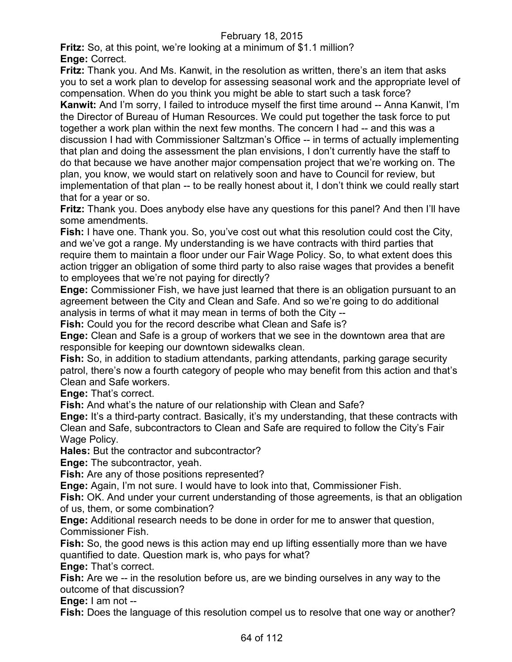**Fritz:** So, at this point, we're looking at a minimum of \$1.1 million? **Enge:** Correct.

**Fritz:** Thank you. And Ms. Kanwit, in the resolution as written, there's an item that asks you to set a work plan to develop for assessing seasonal work and the appropriate level of compensation. When do you think you might be able to start such a task force?

**Kanwit:** And I'm sorry, I failed to introduce myself the first time around -- Anna Kanwit, I'm the Director of Bureau of Human Resources. We could put together the task force to put together a work plan within the next few months. The concern I had -- and this was a discussion I had with Commissioner Saltzman's Office -- in terms of actually implementing that plan and doing the assessment the plan envisions, I don't currently have the staff to do that because we have another major compensation project that we're working on. The plan, you know, we would start on relatively soon and have to Council for review, but implementation of that plan -- to be really honest about it, I don't think we could really start that for a year or so.

**Fritz:** Thank you. Does anybody else have any questions for this panel? And then I'll have some amendments.

**Fish:** I have one. Thank you. So, you've cost out what this resolution could cost the City, and we've got a range. My understanding is we have contracts with third parties that require them to maintain a floor under our Fair Wage Policy. So, to what extent does this action trigger an obligation of some third party to also raise wages that provides a benefit to employees that we're not paying for directly?

**Enge:** Commissioner Fish, we have just learned that there is an obligation pursuant to an agreement between the City and Clean and Safe. And so we're going to do additional analysis in terms of what it may mean in terms of both the City --

**Fish:** Could you for the record describe what Clean and Safe is?

**Enge:** Clean and Safe is a group of workers that we see in the downtown area that are responsible for keeping our downtown sidewalks clean.

**Fish:** So, in addition to stadium attendants, parking attendants, parking garage security patrol, there's now a fourth category of people who may benefit from this action and that's Clean and Safe workers.

**Enge:** That's correct.

**Fish:** And what's the nature of our relationship with Clean and Safe?

**Enge:** It's a third-party contract. Basically, it's my understanding, that these contracts with Clean and Safe, subcontractors to Clean and Safe are required to follow the City's Fair Wage Policy.

**Hales:** But the contractor and subcontractor?

**Enge:** The subcontractor, yeah.

**Fish:** Are any of those positions represented?

**Enge:** Again, I'm not sure. I would have to look into that, Commissioner Fish.

**Fish:** OK. And under your current understanding of those agreements, is that an obligation of us, them, or some combination?

**Enge:** Additional research needs to be done in order for me to answer that question, Commissioner Fish.

**Fish:** So, the good news is this action may end up lifting essentially more than we have quantified to date. Question mark is, who pays for what?

**Enge:** That's correct.

**Fish:** Are we -- in the resolution before us, are we binding ourselves in any way to the outcome of that discussion?

**Enge:** I am not --

**Fish:** Does the language of this resolution compel us to resolve that one way or another?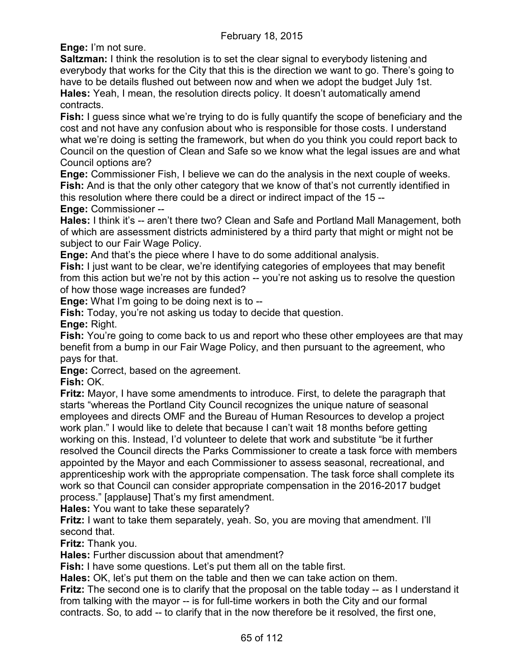**Enge:** I'm not sure.

**Saltzman:** I think the resolution is to set the clear signal to everybody listening and everybody that works for the City that this is the direction we want to go. There's going to have to be details flushed out between now and when we adopt the budget July 1st. **Hales:** Yeah, I mean, the resolution directs policy. It doesn't automatically amend contracts.

**Fish:** I guess since what we're trying to do is fully quantify the scope of beneficiary and the cost and not have any confusion about who is responsible for those costs. I understand what we're doing is setting the framework, but when do you think you could report back to Council on the question of Clean and Safe so we know what the legal issues are and what Council options are?

**Enge:** Commissioner Fish, I believe we can do the analysis in the next couple of weeks. **Fish:** And is that the only other category that we know of that's not currently identified in this resolution where there could be a direct or indirect impact of the 15 --

**Enge:** Commissioner --

**Hales:** I think it's -- aren't there two? Clean and Safe and Portland Mall Management, both of which are assessment districts administered by a third party that might or might not be subject to our Fair Wage Policy.

**Enge:** And that's the piece where I have to do some additional analysis.

**Fish:** I just want to be clear, we're identifying categories of employees that may benefit from this action but we're not by this action -- you're not asking us to resolve the question of how those wage increases are funded?

**Enge:** What I'm going to be doing next is to --

**Fish:** Today, you're not asking us today to decide that question.

**Enge:** Right.

**Fish:** You're going to come back to us and report who these other employees are that may benefit from a bump in our Fair Wage Policy, and then pursuant to the agreement, who pays for that.

**Enge:** Correct, based on the agreement.

**Fish:** OK.

**Fritz:** Mayor, I have some amendments to introduce. First, to delete the paragraph that starts "whereas the Portland City Council recognizes the unique nature of seasonal employees and directs OMF and the Bureau of Human Resources to develop a project work plan." I would like to delete that because I can't wait 18 months before getting working on this. Instead, I'd volunteer to delete that work and substitute "be it further resolved the Council directs the Parks Commissioner to create a task force with members appointed by the Mayor and each Commissioner to assess seasonal, recreational, and apprenticeship work with the appropriate compensation. The task force shall complete its work so that Council can consider appropriate compensation in the 2016-2017 budget process." [applause] That's my first amendment.

**Hales:** You want to take these separately?

**Fritz:** I want to take them separately, yeah. So, you are moving that amendment. I'll second that.

**Fritz:** Thank you.

**Hales:** Further discussion about that amendment?

**Fish:** I have some questions. Let's put them all on the table first.

**Hales:** OK, let's put them on the table and then we can take action on them.

**Fritz:** The second one is to clarify that the proposal on the table today -- as I understand it from talking with the mayor -- is for full-time workers in both the City and our formal contracts. So, to add -- to clarify that in the now therefore be it resolved, the first one,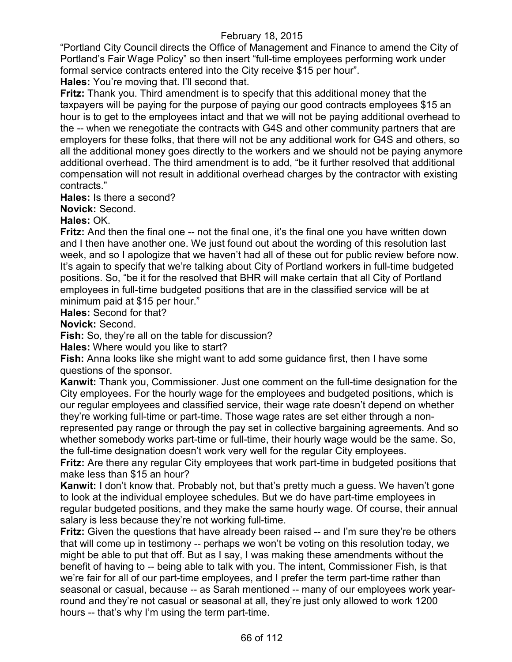"Portland City Council directs the Office of Management and Finance to amend the City of Portland's Fair Wage Policy" so then insert "full-time employees performing work under formal service contracts entered into the City receive \$15 per hour".

**Hales:** You're moving that. I'll second that.

**Fritz:** Thank you. Third amendment is to specify that this additional money that the taxpayers will be paying for the purpose of paying our good contracts employees \$15 an hour is to get to the employees intact and that we will not be paying additional overhead to the -- when we renegotiate the contracts with G4S and other community partners that are employers for these folks, that there will not be any additional work for G4S and others, so all the additional money goes directly to the workers and we should not be paying anymore additional overhead. The third amendment is to add, "be it further resolved that additional compensation will not result in additional overhead charges by the contractor with existing contracts."

**Hales:** Is there a second?

**Novick:** Second.

**Hales:** OK.

**Fritz:** And then the final one -- not the final one, it's the final one you have written down and I then have another one. We just found out about the wording of this resolution last week, and so I apologize that we haven't had all of these out for public review before now. It's again to specify that we're talking about City of Portland workers in full-time budgeted positions. So, "be it for the resolved that BHR will make certain that all City of Portland employees in full-time budgeted positions that are in the classified service will be at minimum paid at \$15 per hour."

**Hales:** Second for that?

**Novick:** Second.

**Fish:** So, they're all on the table for discussion?

**Hales:** Where would you like to start?

**Fish:** Anna looks like she might want to add some guidance first, then I have some questions of the sponsor.

**Kanwit:** Thank you, Commissioner. Just one comment on the full-time designation for the City employees. For the hourly wage for the employees and budgeted positions, which is our regular employees and classified service, their wage rate doesn't depend on whether they're working full-time or part-time. Those wage rates are set either through a nonrepresented pay range or through the pay set in collective bargaining agreements. And so whether somebody works part-time or full-time, their hourly wage would be the same. So, the full-time designation doesn't work very well for the regular City employees.

**Fritz:** Are there any regular City employees that work part-time in budgeted positions that make less than \$15 an hour?

**Kanwit:** I don't know that. Probably not, but that's pretty much a guess. We haven't gone to look at the individual employee schedules. But we do have part-time employees in regular budgeted positions, and they make the same hourly wage. Of course, their annual salary is less because they're not working full-time.

**Fritz:** Given the questions that have already been raised -- and I'm sure they're be others that will come up in testimony -- perhaps we won't be voting on this resolution today, we might be able to put that off. But as I say, I was making these amendments without the benefit of having to -- being able to talk with you. The intent, Commissioner Fish, is that we're fair for all of our part-time employees, and I prefer the term part-time rather than seasonal or casual, because -- as Sarah mentioned -- many of our employees work yearround and they're not casual or seasonal at all, they're just only allowed to work 1200 hours -- that's why I'm using the term part-time.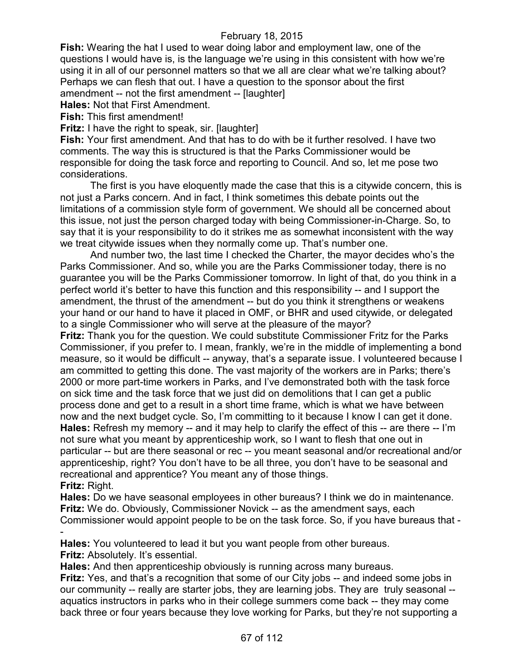**Fish:** Wearing the hat I used to wear doing labor and employment law, one of the questions I would have is, is the language we're using in this consistent with how we're using it in all of our personnel matters so that we all are clear what we're talking about? Perhaps we can flesh that out. I have a question to the sponsor about the first amendment -- not the first amendment -- [laughter]

**Hales:** Not that First Amendment.

**Fish:** This first amendment!

**Fritz:** I have the right to speak, sir. [laughter]

**Fish:** Your first amendment. And that has to do with be it further resolved. I have two comments. The way this is structured is that the Parks Commissioner would be responsible for doing the task force and reporting to Council. And so, let me pose two considerations.

The first is you have eloquently made the case that this is a citywide concern, this is not just a Parks concern. And in fact, I think sometimes this debate points out the limitations of a commission style form of government. We should all be concerned about this issue, not just the person charged today with being Commissioner-in-Charge. So, to say that it is your responsibility to do it strikes me as somewhat inconsistent with the way we treat citywide issues when they normally come up. That's number one.

And number two, the last time I checked the Charter, the mayor decides who's the Parks Commissioner. And so, while you are the Parks Commissioner today, there is no guarantee you will be the Parks Commissioner tomorrow. In light of that, do you think in a perfect world it's better to have this function and this responsibility -- and I support the amendment, the thrust of the amendment -- but do you think it strengthens or weakens your hand or our hand to have it placed in OMF, or BHR and used citywide, or delegated to a single Commissioner who will serve at the pleasure of the mayor?

**Fritz:** Thank you for the question. We could substitute Commissioner Fritz for the Parks Commissioner, if you prefer to. I mean, frankly, we're in the middle of implementing a bond measure, so it would be difficult -- anyway, that's a separate issue. I volunteered because I am committed to getting this done. The vast majority of the workers are in Parks; there's 2000 or more part-time workers in Parks, and I've demonstrated both with the task force on sick time and the task force that we just did on demolitions that I can get a public process done and get to a result in a short time frame, which is what we have between now and the next budget cycle. So, I'm committing to it because I know I can get it done. **Hales:** Refresh my memory -- and it may help to clarify the effect of this -- are there -- I'm not sure what you meant by apprenticeship work, so I want to flesh that one out in particular -- but are there seasonal or rec -- you meant seasonal and/or recreational and/or apprenticeship, right? You don't have to be all three, you don't have to be seasonal and recreational and apprentice? You meant any of those things. **Fritz:** Right.

**Hales:** Do we have seasonal employees in other bureaus? I think we do in maintenance. **Fritz:** We do. Obviously, Commissioner Novick -- as the amendment says, each Commissioner would appoint people to be on the task force. So, if you have bureaus that - -

**Hales:** You volunteered to lead it but you want people from other bureaus. **Fritz:** Absolutely. It's essential.

**Hales:** And then apprenticeship obviously is running across many bureaus.

**Fritz:** Yes, and that's a recognition that some of our City jobs -- and indeed some jobs in our community -- really are starter jobs, they are learning jobs. They are truly seasonal - aquatics instructors in parks who in their college summers come back -- they may come back three or four years because they love working for Parks, but they're not supporting a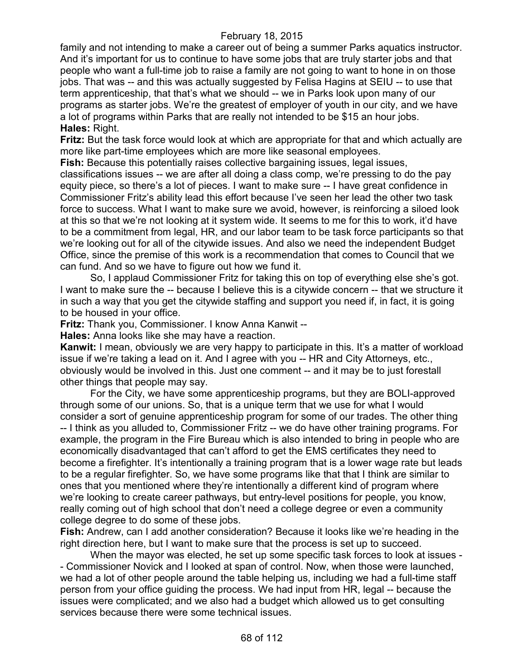family and not intending to make a career out of being a summer Parks aquatics instructor. And it's important for us to continue to have some jobs that are truly starter jobs and that people who want a full-time job to raise a family are not going to want to hone in on those jobs. That was -- and this was actually suggested by Felisa Hagins at SEIU -- to use that term apprenticeship, that that's what we should -- we in Parks look upon many of our programs as starter jobs. We're the greatest of employer of youth in our city, and we have a lot of programs within Parks that are really not intended to be \$15 an hour jobs. **Hales:** Right.

**Fritz:** But the task force would look at which are appropriate for that and which actually are more like part-time employees which are more like seasonal employees.

**Fish:** Because this potentially raises collective bargaining issues, legal issues,

classifications issues -- we are after all doing a class comp, we're pressing to do the pay equity piece, so there's a lot of pieces. I want to make sure -- I have great confidence in Commissioner Fritz's ability lead this effort because I've seen her lead the other two task force to success. What I want to make sure we avoid, however, is reinforcing a siloed look at this so that we're not looking at it system wide. It seems to me for this to work, it'd have to be a commitment from legal, HR, and our labor team to be task force participants so that we're looking out for all of the citywide issues. And also we need the independent Budget Office, since the premise of this work is a recommendation that comes to Council that we can fund. And so we have to figure out how we fund it.

So, I applaud Commissioner Fritz for taking this on top of everything else she's got. I want to make sure the -- because I believe this is a citywide concern -- that we structure it in such a way that you get the citywide staffing and support you need if, in fact, it is going to be housed in your office.

**Fritz:** Thank you, Commissioner. I know Anna Kanwit --

**Hales:** Anna looks like she may have a reaction.

**Kanwit:** I mean, obviously we are very happy to participate in this. It's a matter of workload issue if we're taking a lead on it. And I agree with you -- HR and City Attorneys, etc., obviously would be involved in this. Just one comment -- and it may be to just forestall other things that people may say.

For the City, we have some apprenticeship programs, but they are BOLI-approved through some of our unions. So, that is a unique term that we use for what I would consider a sort of genuine apprenticeship program for some of our trades. The other thing -- I think as you alluded to, Commissioner Fritz -- we do have other training programs. For example, the program in the Fire Bureau which is also intended to bring in people who are economically disadvantaged that can't afford to get the EMS certificates they need to become a firefighter. It's intentionally a training program that is a lower wage rate but leads to be a regular firefighter. So, we have some programs like that that I think are similar to ones that you mentioned where they're intentionally a different kind of program where we're looking to create career pathways, but entry-level positions for people, you know, really coming out of high school that don't need a college degree or even a community college degree to do some of these jobs.

**Fish:** Andrew, can I add another consideration? Because it looks like we're heading in the right direction here, but I want to make sure that the process is set up to succeed.

When the mayor was elected, he set up some specific task forces to look at issues - - Commissioner Novick and I looked at span of control. Now, when those were launched, we had a lot of other people around the table helping us, including we had a full-time staff person from your office guiding the process. We had input from HR, legal -- because the issues were complicated; and we also had a budget which allowed us to get consulting services because there were some technical issues.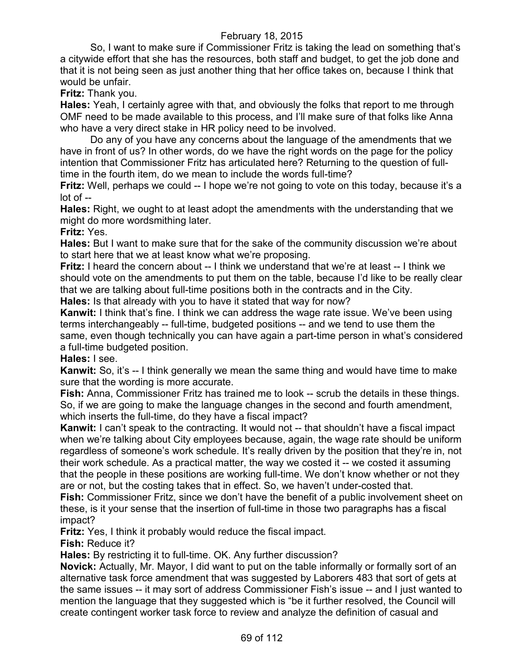So, I want to make sure if Commissioner Fritz is taking the lead on something that's a citywide effort that she has the resources, both staff and budget, to get the job done and that it is not being seen as just another thing that her office takes on, because I think that would be unfair.

**Fritz:** Thank you.

**Hales:** Yeah, I certainly agree with that, and obviously the folks that report to me through OMF need to be made available to this process, and I'll make sure of that folks like Anna who have a very direct stake in HR policy need to be involved.

Do any of you have any concerns about the language of the amendments that we have in front of us? In other words, do we have the right words on the page for the policy intention that Commissioner Fritz has articulated here? Returning to the question of fulltime in the fourth item, do we mean to include the words full-time?

**Fritz:** Well, perhaps we could -- I hope we're not going to vote on this today, because it's a lot of --

**Hales:** Right, we ought to at least adopt the amendments with the understanding that we might do more wordsmithing later.

#### **Fritz:** Yes.

**Hales:** But I want to make sure that for the sake of the community discussion we're about to start here that we at least know what we're proposing.

**Fritz:** I heard the concern about -- I think we understand that we're at least -- I think we should vote on the amendments to put them on the table, because I'd like to be really clear that we are talking about full-time positions both in the contracts and in the City. **Hales:** Is that already with you to have it stated that way for now?

**Kanwit:** I think that's fine. I think we can address the wage rate issue. We've been using terms interchangeably -- full-time, budgeted positions -- and we tend to use them the same, even though technically you can have again a part-time person in what's considered a full-time budgeted position.

## **Hales:** I see.

**Kanwit:** So, it's -- I think generally we mean the same thing and would have time to make sure that the wording is more accurate.

**Fish:** Anna, Commissioner Fritz has trained me to look -- scrub the details in these things. So, if we are going to make the language changes in the second and fourth amendment, which inserts the full-time, do they have a fiscal impact?

**Kanwit:** I can't speak to the contracting. It would not -- that shouldn't have a fiscal impact when we're talking about City employees because, again, the wage rate should be uniform regardless of someone's work schedule. It's really driven by the position that they're in, not their work schedule. As a practical matter, the way we costed it -- we costed it assuming that the people in these positions are working full-time. We don't know whether or not they are or not, but the costing takes that in effect. So, we haven't under-costed that.

**Fish:** Commissioner Fritz, since we don't have the benefit of a public involvement sheet on these, is it your sense that the insertion of full-time in those two paragraphs has a fiscal impact?

**Fritz:** Yes, I think it probably would reduce the fiscal impact.

**Fish:** Reduce it?

**Hales:** By restricting it to full-time. OK. Any further discussion?

**Novick:** Actually, Mr. Mayor, I did want to put on the table informally or formally sort of an alternative task force amendment that was suggested by Laborers 483 that sort of gets at the same issues -- it may sort of address Commissioner Fish's issue -- and I just wanted to mention the language that they suggested which is "be it further resolved, the Council will create contingent worker task force to review and analyze the definition of casual and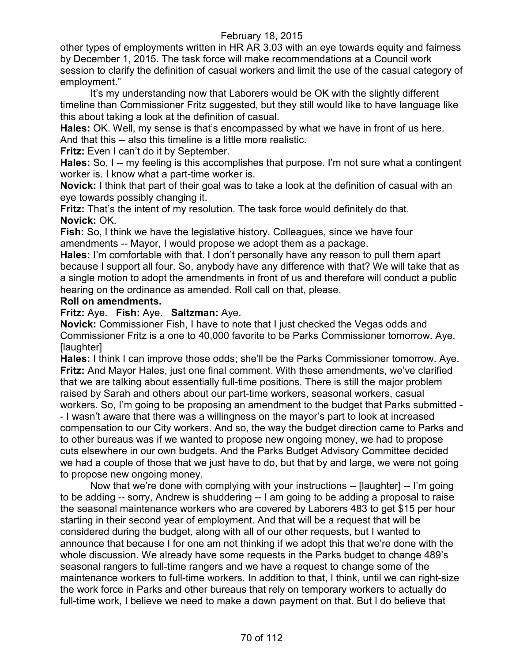other types of employments written in HR AR 3.03 with an eye towards equity and fairness by December 1, 2015. The task force will make recommendations at a Council work session to clarify the definition of casual workers and limit the use of the casual category of employment."

It's my understanding now that Laborers would be OK with the slightly different timeline than Commissioner Fritz suggested, but they still would like to have language like this about taking a look at the definition of casual.

**Hales:** OK. Well, my sense is that's encompassed by what we have in front of us here. And that this -- also this timeline is a little more realistic.

**Fritz:** Even I can't do it by September.

**Hales:** So, I -- my feeling is this accomplishes that purpose. I'm not sure what a contingent worker is. I know what a part-time worker is.

**Novick:** I think that part of their goal was to take a look at the definition of casual with an eye towards possibly changing it.

**Fritz:** That's the intent of my resolution. The task force would definitely do that. **Novick:** OK.

**Fish:** So, I think we have the legislative history. Colleagues, since we have four amendments -- Mayor, I would propose we adopt them as a package.

**Hales:** I'm comfortable with that. I don't personally have any reason to pull them apart because I support all four. So, anybody have any difference with that? We will take that as a single motion to adopt the amendments in front of us and therefore will conduct a public hearing on the ordinance as amended. Roll call on that, please.

## **Roll on amendments.**

**Fritz:** Aye. **Fish:** Aye. **Saltzman:** Aye.

**Novick:** Commissioner Fish, I have to note that I just checked the Vegas odds and Commissioner Fritz is a one to 40,000 favorite to be Parks Commissioner tomorrow. Aye. [laughter]

**Hales:** I think I can improve those odds; she'll be the Parks Commissioner tomorrow. Aye. **Fritz:** And Mayor Hales, just one final comment. With these amendments, we've clarified that we are talking about essentially full-time positions. There is still the major problem raised by Sarah and others about our part-time workers, seasonal workers, casual workers. So, I'm going to be proposing an amendment to the budget that Parks submitted - - I wasn't aware that there was a willingness on the mayor's part to look at increased compensation to our City workers. And so, the way the budget direction came to Parks and to other bureaus was if we wanted to propose new ongoing money, we had to propose cuts elsewhere in our own budgets. And the Parks Budget Advisory Committee decided we had a couple of those that we just have to do, but that by and large, we were not going to propose new ongoing money.

Now that we're done with complying with your instructions -- [laughter] -- I'm going to be adding -- sorry, Andrew is shuddering -- I am going to be adding a proposal to raise the seasonal maintenance workers who are covered by Laborers 483 to get \$15 per hour starting in their second year of employment. And that will be a request that will be considered during the budget, along with all of our other requests, but I wanted to announce that because I for one am not thinking if we adopt this that we're done with the whole discussion. We already have some requests in the Parks budget to change 489's seasonal rangers to full-time rangers and we have a request to change some of the maintenance workers to full-time workers. In addition to that, I think, until we can right-size the work force in Parks and other bureaus that rely on temporary workers to actually do full-time work, I believe we need to make a down payment on that. But I do believe that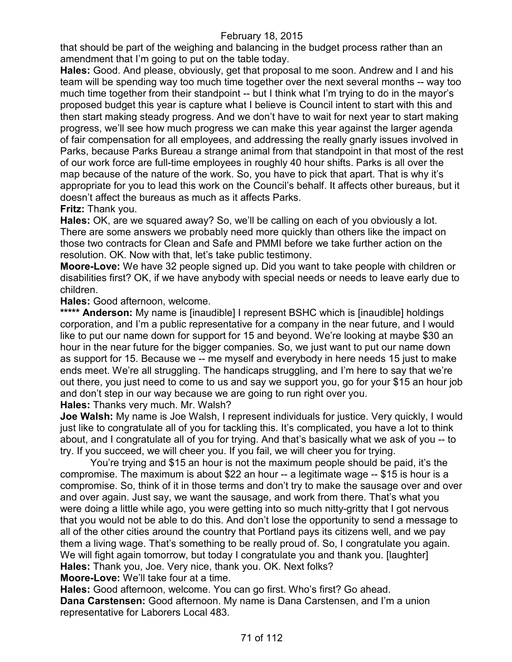that should be part of the weighing and balancing in the budget process rather than an amendment that I'm going to put on the table today.

**Hales:** Good. And please, obviously, get that proposal to me soon. Andrew and I and his team will be spending way too much time together over the next several months -- way too much time together from their standpoint -- but I think what I'm trying to do in the mayor's proposed budget this year is capture what I believe is Council intent to start with this and then start making steady progress. And we don't have to wait for next year to start making progress, we'll see how much progress we can make this year against the larger agenda of fair compensation for all employees, and addressing the really gnarly issues involved in Parks, because Parks Bureau a strange animal from that standpoint in that most of the rest of our work force are full-time employees in roughly 40 hour shifts. Parks is all over the map because of the nature of the work. So, you have to pick that apart. That is why it's appropriate for you to lead this work on the Council's behalf. It affects other bureaus, but it doesn't affect the bureaus as much as it affects Parks.

## **Fritz:** Thank you.

**Hales:** OK, are we squared away? So, we'll be calling on each of you obviously a lot. There are some answers we probably need more quickly than others like the impact on those two contracts for Clean and Safe and PMMI before we take further action on the resolution. OK. Now with that, let's take public testimony.

**Moore-Love:** We have 32 people signed up. Did you want to take people with children or disabilities first? OK, if we have anybody with special needs or needs to leave early due to children.

## **Hales:** Good afternoon, welcome.

\*\*\*\*\* **Anderson:** My name is [inaudible] I represent BSHC which is [inaudible] holdings corporation, and I'm a public representative for a company in the near future, and I would like to put our name down for support for 15 and beyond. We're looking at maybe \$30 an hour in the near future for the bigger companies. So, we just want to put our name down as support for 15. Because we -- me myself and everybody in here needs 15 just to make ends meet. We're all struggling. The handicaps struggling, and I'm here to say that we're out there, you just need to come to us and say we support you, go for your \$15 an hour job and don't step in our way because we are going to run right over you.

**Hales:** Thanks very much. Mr. Walsh?

**Joe Walsh:** My name is Joe Walsh, I represent individuals for justice. Very quickly, I would just like to congratulate all of you for tackling this. It's complicated, you have a lot to think about, and I congratulate all of you for trying. And that's basically what we ask of you -- to try. If you succeed, we will cheer you. If you fail, we will cheer you for trying.

You're trying and \$15 an hour is not the maximum people should be paid, it's the compromise. The maximum is about \$22 an hour -- a legitimate wage -- \$15 is hour is a compromise. So, think of it in those terms and don't try to make the sausage over and over and over again. Just say, we want the sausage, and work from there. That's what you were doing a little while ago, you were getting into so much nitty-gritty that I got nervous that you would not be able to do this. And don't lose the opportunity to send a message to all of the other cities around the country that Portland pays its citizens well, and we pay them a living wage. That's something to be really proud of. So, I congratulate you again. We will fight again tomorrow, but today I congratulate you and thank you. [laughter] **Hales:** Thank you, Joe. Very nice, thank you. OK. Next folks?

**Moore-Love:** We'll take four at a time.

**Hales:** Good afternoon, welcome. You can go first. Who's first? Go ahead. **Dana Carstensen:** Good afternoon. My name is Dana Carstensen, and I'm a union representative for Laborers Local 483.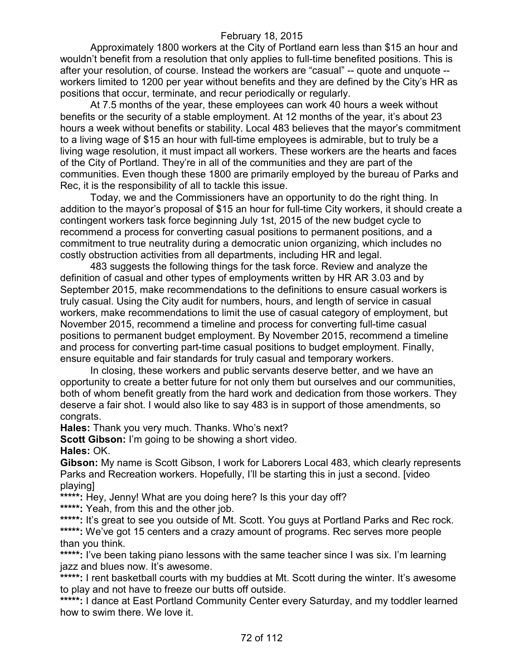Approximately 1800 workers at the City of Portland earn less than \$15 an hour and wouldn't benefit from a resolution that only applies to full-time benefited positions. This is after your resolution, of course. Instead the workers are "casual" -- quote and unquote - workers limited to 1200 per year without benefits and they are defined by the City's HR as positions that occur, terminate, and recur periodically or regularly.

At 7.5 months of the year, these employees can work 40 hours a week without benefits or the security of a stable employment. At 12 months of the year, it's about 23 hours a week without benefits or stability. Local 483 believes that the mayor's commitment to a living wage of \$15 an hour with full-time employees is admirable, but to truly be a living wage resolution, it must impact all workers. These workers are the hearts and faces of the City of Portland. They're in all of the communities and they are part of the communities. Even though these 1800 are primarily employed by the bureau of Parks and Rec, it is the responsibility of all to tackle this issue.

Today, we and the Commissioners have an opportunity to do the right thing. In addition to the mayor's proposal of \$15 an hour for full-time City workers, it should create a contingent workers task force beginning July 1st, 2015 of the new budget cycle to recommend a process for converting casual positions to permanent positions, and a commitment to true neutrality during a democratic union organizing, which includes no costly obstruction activities from all departments, including HR and legal.

483 suggests the following things for the task force. Review and analyze the definition of casual and other types of employments written by HR AR 3.03 and by September 2015, make recommendations to the definitions to ensure casual workers is truly casual. Using the City audit for numbers, hours, and length of service in casual workers, make recommendations to limit the use of casual category of employment, but November 2015, recommend a timeline and process for converting full-time casual positions to permanent budget employment. By November 2015, recommend a timeline and process for converting part-time casual positions to budget employment. Finally, ensure equitable and fair standards for truly casual and temporary workers.

In closing, these workers and public servants deserve better, and we have an opportunity to create a better future for not only them but ourselves and our communities, both of whom benefit greatly from the hard work and dedication from those workers. They deserve a fair shot. I would also like to say 483 is in support of those amendments, so congrats.

**Hales:** Thank you very much. Thanks. Who's next?

**Scott Gibson:** I'm going to be showing a short video.

**Hales:** OK.

**Gibson:** My name is Scott Gibson, I work for Laborers Local 483, which clearly represents Parks and Recreation workers. Hopefully, I'll be starting this in just a second. [video playing]

**\*\*\*\*\*:** Hey, Jenny! What are you doing here? Is this your day off? **\*\*\*\*\*:** Yeah, from this and the other job.

\*\*\*\*\*: It's great to see you outside of Mt. Scott. You guys at Portland Parks and Rec rock. \*\*\*\*\*: We've got 15 centers and a crazy amount of programs. Rec serves more people than you think.

\*\*\*\*\*: I've been taking piano lessons with the same teacher since I was six. I'm learning jazz and blues now. It's awesome.

\*\*\*\*\*: I rent basketball courts with my buddies at Mt. Scott during the winter. It's awesome to play and not have to freeze our butts off outside.

**\*\*\*\*\*:** I dance at East Portland Community Center every Saturday, and my toddler learned how to swim there. We love it.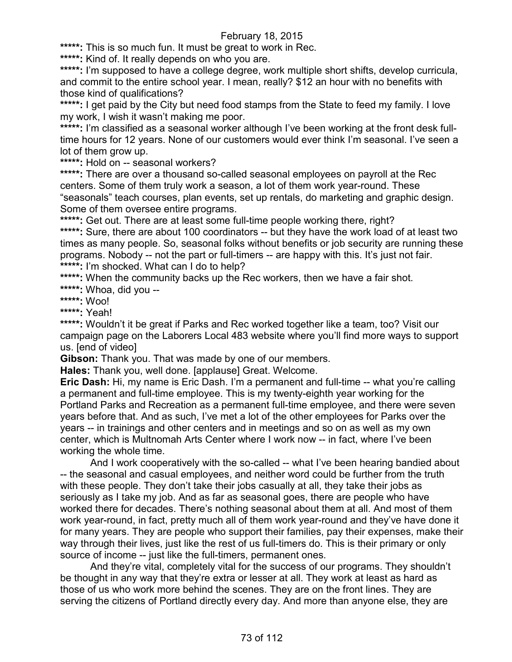**\*\*\*\*\*:** This is so much fun. It must be great to work in Rec.

**\*\*\*\*\*:** Kind of. It really depends on who you are.

\*\*\*\*\*: I'm supposed to have a college degree, work multiple short shifts, develop curricula, and commit to the entire school year. I mean, really? \$12 an hour with no benefits with those kind of qualifications?

\*\*\*\*\*: I get paid by the City but need food stamps from the State to feed my family. I love my work, I wish it wasn't making me poor.

**\*\*\*\*\*:** I'm classified as a seasonal worker although I've been working at the front desk fulltime hours for 12 years. None of our customers would ever think I'm seasonal. I've seen a lot of them grow up.

**\*\*\*\*\*:** Hold on -- seasonal workers?

\*\*\*\*\*: There are over a thousand so-called seasonal employees on payroll at the Rec centers. Some of them truly work a season, a lot of them work year-round. These "seasonals" teach courses, plan events, set up rentals, do marketing and graphic design. Some of them oversee entire programs.

**\*\*\*\*\*:** Get out. There are at least some full-time people working there, right?

\*\*\*\*\*: Sure, there are about 100 coordinators -- but they have the work load of at least two times as many people. So, seasonal folks without benefits or job security are running these programs. Nobody -- not the part or full-timers -- are happy with this. It's just not fair. **\*\*\*\*\*:** I'm shocked. What can I do to help?

\*\*\*\*\*: When the community backs up the Rec workers, then we have a fair shot.

**\*\*\*\*\*:** Whoa, did you --

**\*\*\*\*\*:** Woo!

**\*\*\*\*\*:** Yeah!

**\*\*\*\*\*:** Wouldn't it be great if Parks and Rec worked together like a team, too? Visit our campaign page on the Laborers Local 483 website where you'll find more ways to support us. [end of video]

**Gibson:** Thank you. That was made by one of our members.

**Hales:** Thank you, well done. [applause] Great. Welcome.

**Eric Dash:** Hi, my name is Eric Dash. I'm a permanent and full-time -- what you're calling a permanent and full-time employee. This is my twenty-eighth year working for the Portland Parks and Recreation as a permanent full-time employee, and there were seven years before that. And as such, I've met a lot of the other employees for Parks over the years -- in trainings and other centers and in meetings and so on as well as my own center, which is Multnomah Arts Center where I work now -- in fact, where I've been working the whole time.

And I work cooperatively with the so-called -- what I've been hearing bandied about -- the seasonal and casual employees, and neither word could be further from the truth with these people. They don't take their jobs casually at all, they take their jobs as seriously as I take my job. And as far as seasonal goes, there are people who have worked there for decades. There's nothing seasonal about them at all. And most of them work year-round, in fact, pretty much all of them work year-round and they've have done it for many years. They are people who support their families, pay their expenses, make their way through their lives, just like the rest of us full-timers do. This is their primary or only source of income -- just like the full-timers, permanent ones.

And they're vital, completely vital for the success of our programs. They shouldn't be thought in any way that they're extra or lesser at all. They work at least as hard as those of us who work more behind the scenes. They are on the front lines. They are serving the citizens of Portland directly every day. And more than anyone else, they are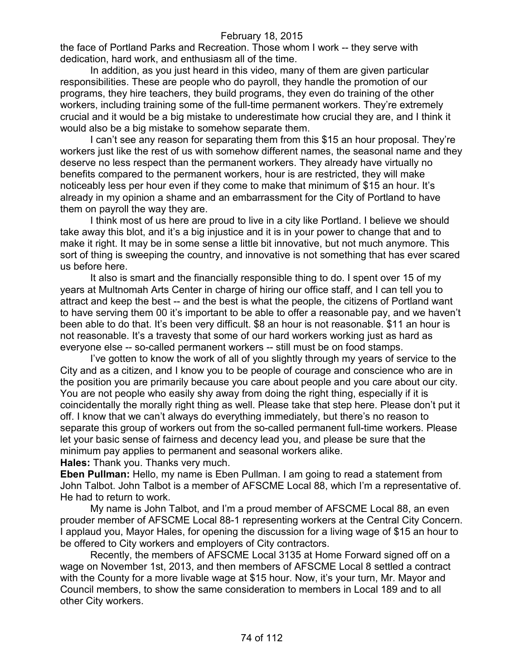the face of Portland Parks and Recreation. Those whom I work -- they serve with dedication, hard work, and enthusiasm all of the time.

In addition, as you just heard in this video, many of them are given particular responsibilities. These are people who do payroll, they handle the promotion of our programs, they hire teachers, they build programs, they even do training of the other workers, including training some of the full-time permanent workers. They're extremely crucial and it would be a big mistake to underestimate how crucial they are, and I think it would also be a big mistake to somehow separate them.

I can't see any reason for separating them from this \$15 an hour proposal. They're workers just like the rest of us with somehow different names, the seasonal name and they deserve no less respect than the permanent workers. They already have virtually no benefits compared to the permanent workers, hour is are restricted, they will make noticeably less per hour even if they come to make that minimum of \$15 an hour. It's already in my opinion a shame and an embarrassment for the City of Portland to have them on payroll the way they are.

I think most of us here are proud to live in a city like Portland. I believe we should take away this blot, and it's a big injustice and it is in your power to change that and to make it right. It may be in some sense a little bit innovative, but not much anymore. This sort of thing is sweeping the country, and innovative is not something that has ever scared us before here.

It also is smart and the financially responsible thing to do. I spent over 15 of my years at Multnomah Arts Center in charge of hiring our office staff, and I can tell you to attract and keep the best -- and the best is what the people, the citizens of Portland want to have serving them 00 it's important to be able to offer a reasonable pay, and we haven't been able to do that. It's been very difficult. \$8 an hour is not reasonable. \$11 an hour is not reasonable. It's a travesty that some of our hard workers working just as hard as everyone else -- so-called permanent workers -- still must be on food stamps.

I've gotten to know the work of all of you slightly through my years of service to the City and as a citizen, and I know you to be people of courage and conscience who are in the position you are primarily because you care about people and you care about our city. You are not people who easily shy away from doing the right thing, especially if it is coincidentally the morally right thing as well. Please take that step here. Please don't put it off. I know that we can't always do everything immediately, but there's no reason to separate this group of workers out from the so-called permanent full-time workers. Please let your basic sense of fairness and decency lead you, and please be sure that the minimum pay applies to permanent and seasonal workers alike.

**Hales:** Thank you. Thanks very much.

**Eben Pullman:** Hello, my name is Eben Pullman. I am going to read a statement from John Talbot. John Talbot is a member of AFSCME Local 88, which I'm a representative of. He had to return to work.

My name is John Talbot, and I'm a proud member of AFSCME Local 88, an even prouder member of AFSCME Local 88-1 representing workers at the Central City Concern. I applaud you, Mayor Hales, for opening the discussion for a living wage of \$15 an hour to be offered to City workers and employers of City contractors.

Recently, the members of AFSCME Local 3135 at Home Forward signed off on a wage on November 1st, 2013, and then members of AFSCME Local 8 settled a contract with the County for a more livable wage at \$15 hour. Now, it's your turn, Mr. Mayor and Council members, to show the same consideration to members in Local 189 and to all other City workers.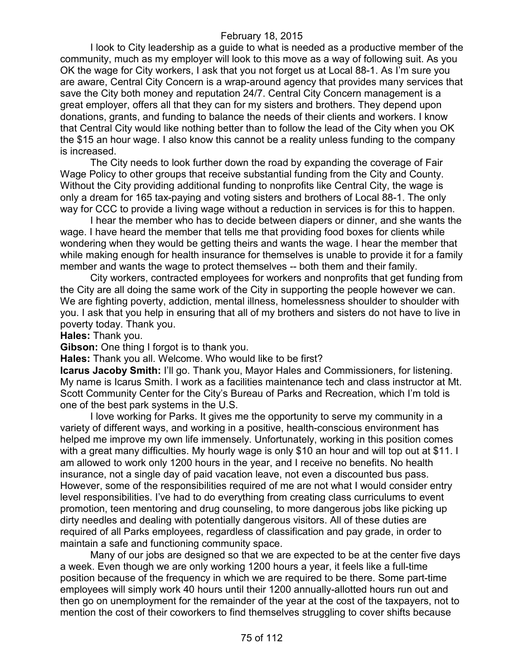I look to City leadership as a guide to what is needed as a productive member of the community, much as my employer will look to this move as a way of following suit. As you OK the wage for City workers, I ask that you not forget us at Local 88-1. As I'm sure you are aware, Central City Concern is a wrap-around agency that provides many services that save the City both money and reputation 24/7. Central City Concern management is a great employer, offers all that they can for my sisters and brothers. They depend upon donations, grants, and funding to balance the needs of their clients and workers. I know that Central City would like nothing better than to follow the lead of the City when you OK the \$15 an hour wage. I also know this cannot be a reality unless funding to the company is increased.

The City needs to look further down the road by expanding the coverage of Fair Wage Policy to other groups that receive substantial funding from the City and County. Without the City providing additional funding to nonprofits like Central City, the wage is only a dream for 165 tax-paying and voting sisters and brothers of Local 88-1. The only way for CCC to provide a living wage without a reduction in services is for this to happen.

I hear the member who has to decide between diapers or dinner, and she wants the wage. I have heard the member that tells me that providing food boxes for clients while wondering when they would be getting theirs and wants the wage. I hear the member that while making enough for health insurance for themselves is unable to provide it for a family member and wants the wage to protect themselves -- both them and their family.

City workers, contracted employees for workers and nonprofits that get funding from the City are all doing the same work of the City in supporting the people however we can. We are fighting poverty, addiction, mental illness, homelessness shoulder to shoulder with you. I ask that you help in ensuring that all of my brothers and sisters do not have to live in poverty today. Thank you.

**Hales:** Thank you.

**Gibson:** One thing I forgot is to thank you.

**Hales:** Thank you all. Welcome. Who would like to be first?

**Icarus Jacoby Smith:** I'll go. Thank you, Mayor Hales and Commissioners, for listening. My name is Icarus Smith. I work as a facilities maintenance tech and class instructor at Mt. Scott Community Center for the City's Bureau of Parks and Recreation, which I'm told is one of the best park systems in the U.S.

I love working for Parks. It gives me the opportunity to serve my community in a variety of different ways, and working in a positive, health-conscious environment has helped me improve my own life immensely. Unfortunately, working in this position comes with a great many difficulties. My hourly wage is only \$10 an hour and will top out at \$11. I am allowed to work only 1200 hours in the year, and I receive no benefits. No health insurance, not a single day of paid vacation leave, not even a discounted bus pass. However, some of the responsibilities required of me are not what I would consider entry level responsibilities. I've had to do everything from creating class curriculums to event promotion, teen mentoring and drug counseling, to more dangerous jobs like picking up dirty needles and dealing with potentially dangerous visitors. All of these duties are required of all Parks employees, regardless of classification and pay grade, in order to maintain a safe and functioning community space.

Many of our jobs are designed so that we are expected to be at the center five days a week. Even though we are only working 1200 hours a year, it feels like a full-time position because of the frequency in which we are required to be there. Some part-time employees will simply work 40 hours until their 1200 annually-allotted hours run out and then go on unemployment for the remainder of the year at the cost of the taxpayers, not to mention the cost of their coworkers to find themselves struggling to cover shifts because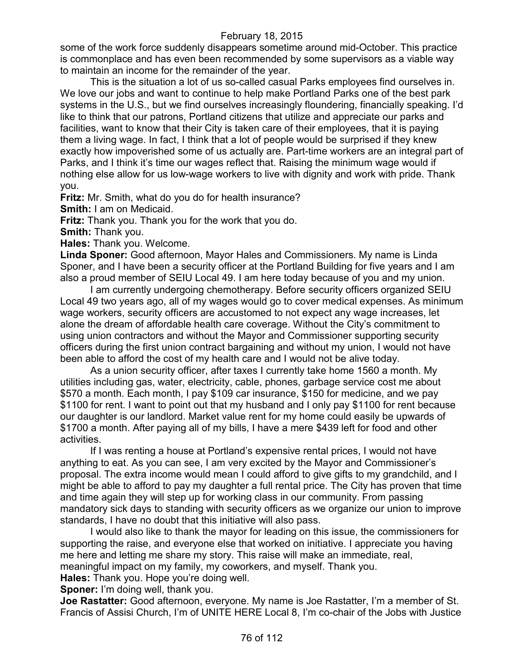some of the work force suddenly disappears sometime around mid-October. This practice is commonplace and has even been recommended by some supervisors as a viable way to maintain an income for the remainder of the year.

This is the situation a lot of us so-called casual Parks employees find ourselves in. We love our jobs and want to continue to help make Portland Parks one of the best park systems in the U.S., but we find ourselves increasingly floundering, financially speaking. I'd like to think that our patrons, Portland citizens that utilize and appreciate our parks and facilities, want to know that their City is taken care of their employees, that it is paying them a living wage. In fact, I think that a lot of people would be surprised if they knew exactly how impoverished some of us actually are. Part-time workers are an integral part of Parks, and I think it's time our wages reflect that. Raising the minimum wage would if nothing else allow for us low-wage workers to live with dignity and work with pride. Thank you.

**Fritz:** Mr. Smith, what do you do for health insurance?

**Smith:** I am on Medicaid.

**Fritz:** Thank you. Thank you for the work that you do.

**Smith:** Thank you.

**Hales:** Thank you. Welcome.

**Linda Sponer:** Good afternoon, Mayor Hales and Commissioners. My name is Linda Sponer, and I have been a security officer at the Portland Building for five years and I am also a proud member of SEIU Local 49. I am here today because of you and my union.

I am currently undergoing chemotherapy. Before security officers organized SEIU Local 49 two years ago, all of my wages would go to cover medical expenses. As minimum wage workers, security officers are accustomed to not expect any wage increases, let alone the dream of affordable health care coverage. Without the City's commitment to using union contractors and without the Mayor and Commissioner supporting security officers during the first union contract bargaining and without my union, I would not have been able to afford the cost of my health care and I would not be alive today.

As a union security officer, after taxes I currently take home 1560 a month. My utilities including gas, water, electricity, cable, phones, garbage service cost me about \$570 a month. Each month, I pay \$109 car insurance, \$150 for medicine, and we pay \$1100 for rent. I want to point out that my husband and I only pay \$1100 for rent because our daughter is our landlord. Market value rent for my home could easily be upwards of \$1700 a month. After paying all of my bills, I have a mere \$439 left for food and other activities.

If I was renting a house at Portland's expensive rental prices, I would not have anything to eat. As you can see, I am very excited by the Mayor and Commissioner's proposal. The extra income would mean I could afford to give gifts to my grandchild, and I might be able to afford to pay my daughter a full rental price. The City has proven that time and time again they will step up for working class in our community. From passing mandatory sick days to standing with security officers as we organize our union to improve standards, I have no doubt that this initiative will also pass.

I would also like to thank the mayor for leading on this issue, the commissioners for supporting the raise, and everyone else that worked on initiative. I appreciate you having me here and letting me share my story. This raise will make an immediate, real,

meaningful impact on my family, my coworkers, and myself. Thank you.

**Hales:** Thank you. Hope you're doing well.

**Sponer:** I'm doing well, thank you.

**Joe Rastatter:** Good afternoon, everyone. My name is Joe Rastatter, I'm a member of St. Francis of Assisi Church, I'm of UNITE HERE Local 8, I'm co-chair of the Jobs with Justice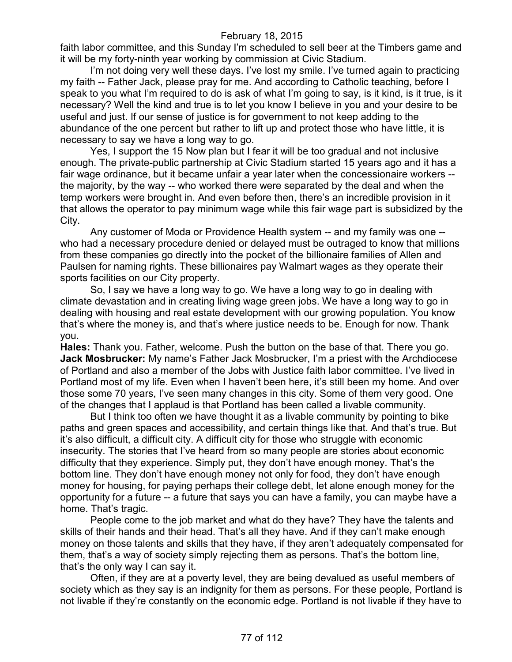faith labor committee, and this Sunday I'm scheduled to sell beer at the Timbers game and it will be my forty-ninth year working by commission at Civic Stadium.

I'm not doing very well these days. I've lost my smile. I've turned again to practicing my faith -- Father Jack, please pray for me. And according to Catholic teaching, before I speak to you what I'm required to do is ask of what I'm going to say, is it kind, is it true, is it necessary? Well the kind and true is to let you know I believe in you and your desire to be useful and just. If our sense of justice is for government to not keep adding to the abundance of the one percent but rather to lift up and protect those who have little, it is necessary to say we have a long way to go.

Yes, I support the 15 Now plan but I fear it will be too gradual and not inclusive enough. The private-public partnership at Civic Stadium started 15 years ago and it has a fair wage ordinance, but it became unfair a year later when the concessionaire workers - the majority, by the way -- who worked there were separated by the deal and when the temp workers were brought in. And even before then, there's an incredible provision in it that allows the operator to pay minimum wage while this fair wage part is subsidized by the City.

Any customer of Moda or Providence Health system -- and my family was one - who had a necessary procedure denied or delayed must be outraged to know that millions from these companies go directly into the pocket of the billionaire families of Allen and Paulsen for naming rights. These billionaires pay Walmart wages as they operate their sports facilities on our City property.

So, I say we have a long way to go. We have a long way to go in dealing with climate devastation and in creating living wage green jobs. We have a long way to go in dealing with housing and real estate development with our growing population. You know that's where the money is, and that's where justice needs to be. Enough for now. Thank you.

**Hales:** Thank you. Father, welcome. Push the button on the base of that. There you go. **Jack Mosbrucker:** My name's Father Jack Mosbrucker, I'm a priest with the Archdiocese of Portland and also a member of the Jobs with Justice faith labor committee. I've lived in Portland most of my life. Even when I haven't been here, it's still been my home. And over those some 70 years, I've seen many changes in this city. Some of them very good. One of the changes that I applaud is that Portland has been called a livable community.

But I think too often we have thought it as a livable community by pointing to bike paths and green spaces and accessibility, and certain things like that. And that's true. But it's also difficult, a difficult city. A difficult city for those who struggle with economic insecurity. The stories that I've heard from so many people are stories about economic difficulty that they experience. Simply put, they don't have enough money. That's the bottom line. They don't have enough money not only for food, they don't have enough money for housing, for paying perhaps their college debt, let alone enough money for the opportunity for a future -- a future that says you can have a family, you can maybe have a home. That's tragic.

People come to the job market and what do they have? They have the talents and skills of their hands and their head. That's all they have. And if they can't make enough money on those talents and skills that they have, if they aren't adequately compensated for them, that's a way of society simply rejecting them as persons. That's the bottom line, that's the only way I can say it.

Often, if they are at a poverty level, they are being devalued as useful members of society which as they say is an indignity for them as persons. For these people, Portland is not livable if they're constantly on the economic edge. Portland is not livable if they have to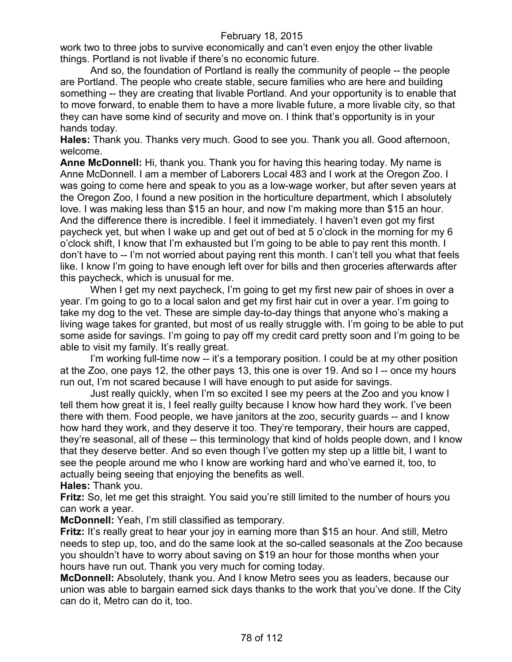work two to three jobs to survive economically and can't even enjoy the other livable things. Portland is not livable if there's no economic future.

And so, the foundation of Portland is really the community of people -- the people are Portland. The people who create stable, secure families who are here and building something -- they are creating that livable Portland. And your opportunity is to enable that to move forward, to enable them to have a more livable future, a more livable city, so that they can have some kind of security and move on. I think that's opportunity is in your hands today.

**Hales:** Thank you. Thanks very much. Good to see you. Thank you all. Good afternoon, welcome.

**Anne McDonnell:** Hi, thank you. Thank you for having this hearing today. My name is Anne McDonnell. I am a member of Laborers Local 483 and I work at the Oregon Zoo. I was going to come here and speak to you as a low-wage worker, but after seven years at the Oregon Zoo, I found a new position in the horticulture department, which I absolutely love. I was making less than \$15 an hour, and now I'm making more than \$15 an hour. And the difference there is incredible. I feel it immediately. I haven't even got my first paycheck yet, but when I wake up and get out of bed at 5 o'clock in the morning for my 6 o'clock shift, I know that I'm exhausted but I'm going to be able to pay rent this month. I don't have to -- I'm not worried about paying rent this month. I can't tell you what that feels like. I know I'm going to have enough left over for bills and then groceries afterwards after this paycheck, which is unusual for me.

When I get my next paycheck, I'm going to get my first new pair of shoes in over a year. I'm going to go to a local salon and get my first hair cut in over a year. I'm going to take my dog to the vet. These are simple day-to-day things that anyone who's making a living wage takes for granted, but most of us really struggle with. I'm going to be able to put some aside for savings. I'm going to pay off my credit card pretty soon and I'm going to be able to visit my family. It's really great.

I'm working full-time now -- it's a temporary position. I could be at my other position at the Zoo, one pays 12, the other pays 13, this one is over 19. And so I -- once my hours run out, I'm not scared because I will have enough to put aside for savings.

Just really quickly, when I'm so excited I see my peers at the Zoo and you know I tell them how great it is, I feel really guilty because I know how hard they work. I've been there with them. Food people, we have janitors at the zoo, security guards -- and I know how hard they work, and they deserve it too. They're temporary, their hours are capped, they're seasonal, all of these -- this terminology that kind of holds people down, and I know that they deserve better. And so even though I've gotten my step up a little bit, I want to see the people around me who I know are working hard and who've earned it, too, to actually being seeing that enjoying the benefits as well.

**Hales:** Thank you.

**Fritz:** So, let me get this straight. You said you're still limited to the number of hours you can work a year.

**McDonnell:** Yeah, I'm still classified as temporary.

**Fritz:** It's really great to hear your joy in earning more than \$15 an hour. And still, Metro needs to step up, too, and do the same look at the so-called seasonals at the Zoo because you shouldn't have to worry about saving on \$19 an hour for those months when your hours have run out. Thank you very much for coming today.

**McDonnell:** Absolutely, thank you. And I know Metro sees you as leaders, because our union was able to bargain earned sick days thanks to the work that you've done. If the City can do it, Metro can do it, too.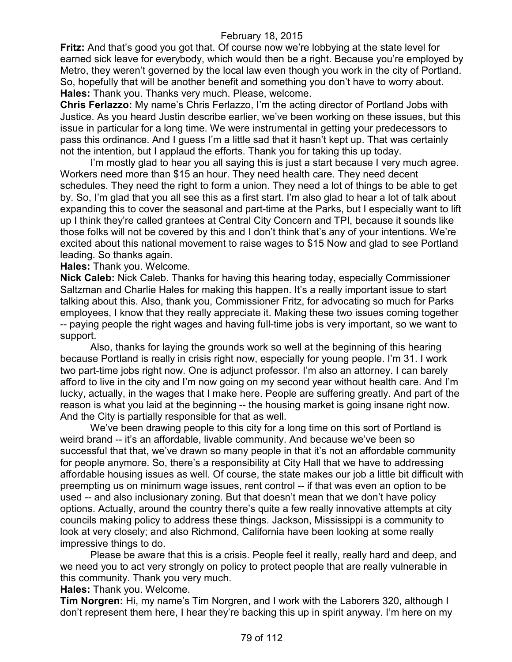**Fritz:** And that's good you got that. Of course now we're lobbying at the state level for earned sick leave for everybody, which would then be a right. Because you're employed by Metro, they weren't governed by the local law even though you work in the city of Portland. So, hopefully that will be another benefit and something you don't have to worry about. **Hales:** Thank you. Thanks very much. Please, welcome.

**Chris Ferlazzo:** My name's Chris Ferlazzo, I'm the acting director of Portland Jobs with Justice. As you heard Justin describe earlier, we've been working on these issues, but this issue in particular for a long time. We were instrumental in getting your predecessors to pass this ordinance. And I guess I'm a little sad that it hasn't kept up. That was certainly not the intention, but I applaud the efforts. Thank you for taking this up today.

I'm mostly glad to hear you all saying this is just a start because I very much agree. Workers need more than \$15 an hour. They need health care. They need decent schedules. They need the right to form a union. They need a lot of things to be able to get by. So, I'm glad that you all see this as a first start. I'm also glad to hear a lot of talk about expanding this to cover the seasonal and part-time at the Parks, but I especially want to lift up I think they're called grantees at Central City Concern and TPI, because it sounds like those folks will not be covered by this and I don't think that's any of your intentions. We're excited about this national movement to raise wages to \$15 Now and glad to see Portland leading. So thanks again.

**Hales:** Thank you. Welcome.

**Nick Caleb:** Nick Caleb. Thanks for having this hearing today, especially Commissioner Saltzman and Charlie Hales for making this happen. It's a really important issue to start talking about this. Also, thank you, Commissioner Fritz, for advocating so much for Parks employees, I know that they really appreciate it. Making these two issues coming together -- paying people the right wages and having full-time jobs is very important, so we want to support.

Also, thanks for laying the grounds work so well at the beginning of this hearing because Portland is really in crisis right now, especially for young people. I'm 31. I work two part-time jobs right now. One is adjunct professor. I'm also an attorney. I can barely afford to live in the city and I'm now going on my second year without health care. And I'm lucky, actually, in the wages that I make here. People are suffering greatly. And part of the reason is what you laid at the beginning -- the housing market is going insane right now. And the City is partially responsible for that as well.

We've been drawing people to this city for a long time on this sort of Portland is weird brand -- it's an affordable, livable community. And because we've been so successful that that, we've drawn so many people in that it's not an affordable community for people anymore. So, there's a responsibility at City Hall that we have to addressing affordable housing issues as well. Of course, the state makes our job a little bit difficult with preempting us on minimum wage issues, rent control -- if that was even an option to be used -- and also inclusionary zoning. But that doesn't mean that we don't have policy options. Actually, around the country there's quite a few really innovative attempts at city councils making policy to address these things. Jackson, Mississippi is a community to look at very closely; and also Richmond, California have been looking at some really impressive things to do.

Please be aware that this is a crisis. People feel it really, really hard and deep, and we need you to act very strongly on policy to protect people that are really vulnerable in this community. Thank you very much.

**Hales:** Thank you. Welcome.

**Tim Norgren:** Hi, my name's Tim Norgren, and I work with the Laborers 320, although I don't represent them here, I hear they're backing this up in spirit anyway. I'm here on my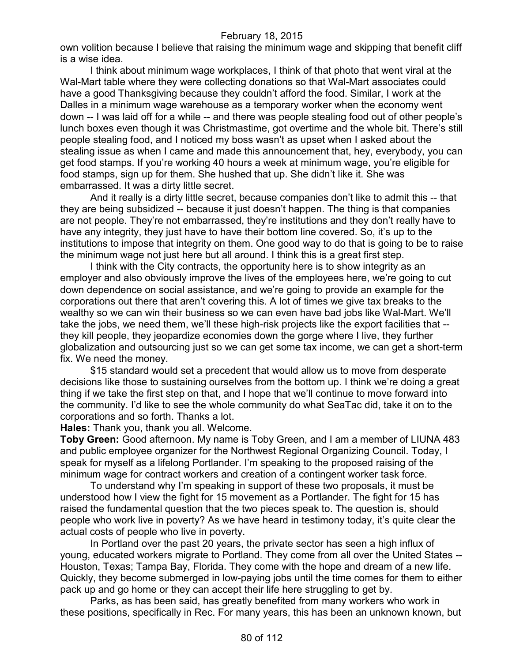own volition because I believe that raising the minimum wage and skipping that benefit cliff is a wise idea.

I think about minimum wage workplaces, I think of that photo that went viral at the Wal-Mart table where they were collecting donations so that Wal-Mart associates could have a good Thanksgiving because they couldn't afford the food. Similar, I work at the Dalles in a minimum wage warehouse as a temporary worker when the economy went down -- I was laid off for a while -- and there was people stealing food out of other people's lunch boxes even though it was Christmastime, got overtime and the whole bit. There's still people stealing food, and I noticed my boss wasn't as upset when I asked about the stealing issue as when I came and made this announcement that, hey, everybody, you can get food stamps. If you're working 40 hours a week at minimum wage, you're eligible for food stamps, sign up for them. She hushed that up. She didn't like it. She was embarrassed. It was a dirty little secret.

And it really is a dirty little secret, because companies don't like to admit this -- that they are being subsidized -- because it just doesn't happen. The thing is that companies are not people. They're not embarrassed, they're institutions and they don't really have to have any integrity, they just have to have their bottom line covered. So, it's up to the institutions to impose that integrity on them. One good way to do that is going to be to raise the minimum wage not just here but all around. I think this is a great first step.

I think with the City contracts, the opportunity here is to show integrity as an employer and also obviously improve the lives of the employees here, we're going to cut down dependence on social assistance, and we're going to provide an example for the corporations out there that aren't covering this. A lot of times we give tax breaks to the wealthy so we can win their business so we can even have bad jobs like Wal-Mart. We'll take the jobs, we need them, we'll these high-risk projects like the export facilities that - they kill people, they jeopardize economies down the gorge where I live, they further globalization and outsourcing just so we can get some tax income, we can get a short-term fix. We need the money.

\$15 standard would set a precedent that would allow us to move from desperate decisions like those to sustaining ourselves from the bottom up. I think we're doing a great thing if we take the first step on that, and I hope that we'll continue to move forward into the community. I'd like to see the whole community do what SeaTac did, take it on to the corporations and so forth. Thanks a lot.

**Hales:** Thank you, thank you all. Welcome.

**Toby Green:** Good afternoon. My name is Toby Green, and I am a member of LIUNA 483 and public employee organizer for the Northwest Regional Organizing Council. Today, I speak for myself as a lifelong Portlander. I'm speaking to the proposed raising of the minimum wage for contract workers and creation of a contingent worker task force.

To understand why I'm speaking in support of these two proposals, it must be understood how I view the fight for 15 movement as a Portlander. The fight for 15 has raised the fundamental question that the two pieces speak to. The question is, should people who work live in poverty? As we have heard in testimony today, it's quite clear the actual costs of people who live in poverty.

In Portland over the past 20 years, the private sector has seen a high influx of young, educated workers migrate to Portland. They come from all over the United States -- Houston, Texas; Tampa Bay, Florida. They come with the hope and dream of a new life. Quickly, they become submerged in low-paying jobs until the time comes for them to either pack up and go home or they can accept their life here struggling to get by.

Parks, as has been said, has greatly benefited from many workers who work in these positions, specifically in Rec. For many years, this has been an unknown known, but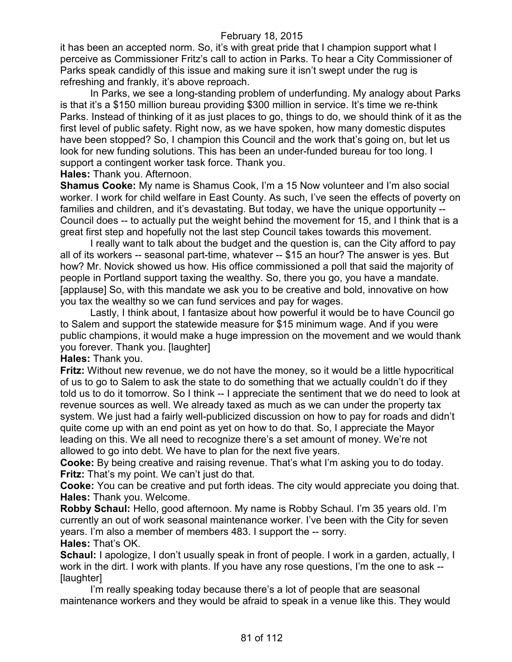it has been an accepted norm. So, it's with great pride that I champion support what I perceive as Commissioner Fritz's call to action in Parks. To hear a City Commissioner of Parks speak candidly of this issue and making sure it isn't swept under the rug is refreshing and frankly, it's above reproach.

In Parks, we see a long-standing problem of underfunding. My analogy about Parks is that it's a \$150 million bureau providing \$300 million in service. It's time we re-think Parks. Instead of thinking of it as just places to go, things to do, we should think of it as the first level of public safety. Right now, as we have spoken, how many domestic disputes have been stopped? So, I champion this Council and the work that's going on, but let us look for new funding solutions. This has been an under-funded bureau for too long. I support a contingent worker task force. Thank you.

**Hales:** Thank you. Afternoon.

**Shamus Cooke:** My name is Shamus Cook, I'm a 15 Now volunteer and I'm also social worker. I work for child welfare in East County. As such, I've seen the effects of poverty on families and children, and it's devastating. But today, we have the unique opportunity --Council does -- to actually put the weight behind the movement for 15, and I think that is a great first step and hopefully not the last step Council takes towards this movement.

I really want to talk about the budget and the question is, can the City afford to pay all of its workers -- seasonal part-time, whatever -- \$15 an hour? The answer is yes. But how? Mr. Novick showed us how. His office commissioned a poll that said the majority of people in Portland support taxing the wealthy. So, there you go, you have a mandate. [applause] So, with this mandate we ask you to be creative and bold, innovative on how you tax the wealthy so we can fund services and pay for wages.

Lastly, I think about, I fantasize about how powerful it would be to have Council go to Salem and support the statewide measure for \$15 minimum wage. And if you were public champions, it would make a huge impression on the movement and we would thank you forever. Thank you. [laughter]

**Hales:** Thank you.

**Fritz:** Without new revenue, we do not have the money, so it would be a little hypocritical of us to go to Salem to ask the state to do something that we actually couldn't do if they told us to do it tomorrow. So I think -- I appreciate the sentiment that we do need to look at revenue sources as well. We already taxed as much as we can under the property tax system. We just had a fairly well-publicized discussion on how to pay for roads and didn't quite come up with an end point as yet on how to do that. So, I appreciate the Mayor leading on this. We all need to recognize there's a set amount of money. We're not allowed to go into debt. We have to plan for the next five years.

**Cooke:** By being creative and raising revenue. That's what I'm asking you to do today. **Fritz:** That's my point. We can't just do that.

**Cooke:** You can be creative and put forth ideas. The city would appreciate you doing that. **Hales:** Thank you. Welcome.

**Robby Schaul:** Hello, good afternoon. My name is Robby Schaul. I'm 35 years old. I'm currently an out of work seasonal maintenance worker. I've been with the City for seven years. I'm also a member of members 483. I support the -- sorry. **Hales:** That's OK.

**Schaul:** I apologize, I don't usually speak in front of people. I work in a garden, actually, I work in the dirt. I work with plants. If you have any rose questions, I'm the one to ask -- [laughter]

I'm really speaking today because there's a lot of people that are seasonal maintenance workers and they would be afraid to speak in a venue like this. They would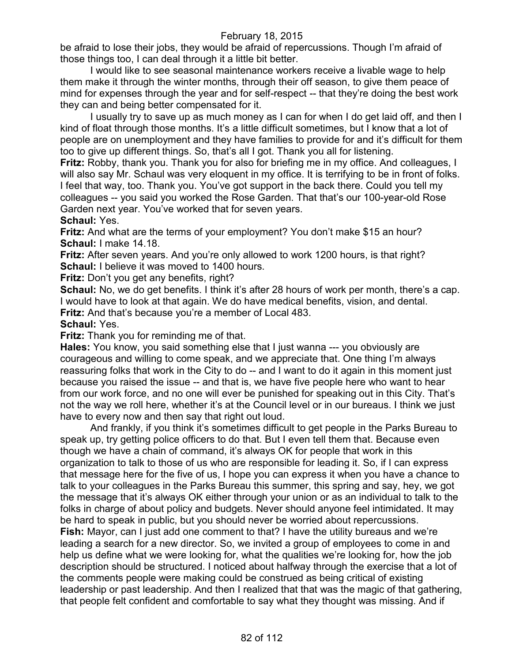be afraid to lose their jobs, they would be afraid of repercussions. Though I'm afraid of those things too, I can deal through it a little bit better.

I would like to see seasonal maintenance workers receive a livable wage to help them make it through the winter months, through their off season, to give them peace of mind for expenses through the year and for self-respect -- that they're doing the best work they can and being better compensated for it.

I usually try to save up as much money as I can for when I do get laid off, and then I kind of float through those months. It's a little difficult sometimes, but I know that a lot of people are on unemployment and they have families to provide for and it's difficult for them too to give up different things. So, that's all I got. Thank you all for listening.

**Fritz:** Robby, thank you. Thank you for also for briefing me in my office. And colleagues, I will also say Mr. Schaul was very eloquent in my office. It is terrifying to be in front of folks. I feel that way, too. Thank you. You've got support in the back there. Could you tell my colleagues -- you said you worked the Rose Garden. That that's our 100-year-old Rose Garden next year. You've worked that for seven years.

**Schaul:** Yes.

**Fritz:** And what are the terms of your employment? You don't make \$15 an hour? **Schaul:** I make 14.18.

**Fritz:** After seven years. And you're only allowed to work 1200 hours, is that right? **Schaul:** I believe it was moved to 1400 hours.

**Fritz:** Don't you get any benefits, right?

**Schaul:** No, we do get benefits. I think it's after 28 hours of work per month, there's a cap. I would have to look at that again. We do have medical benefits, vision, and dental. **Fritz:** And that's because you're a member of Local 483.

**Schaul:** Yes.

**Fritz:** Thank you for reminding me of that.

**Hales:** You know, you said something else that I just wanna --- you obviously are courageous and willing to come speak, and we appreciate that. One thing I'm always reassuring folks that work in the City to do -- and I want to do it again in this moment just because you raised the issue -- and that is, we have five people here who want to hear from our work force, and no one will ever be punished for speaking out in this City. That's not the way we roll here, whether it's at the Council level or in our bureaus. I think we just have to every now and then say that right out loud.

And frankly, if you think it's sometimes difficult to get people in the Parks Bureau to speak up, try getting police officers to do that. But I even tell them that. Because even though we have a chain of command, it's always OK for people that work in this organization to talk to those of us who are responsible for leading it. So, if I can express that message here for the five of us, I hope you can express it when you have a chance to talk to your colleagues in the Parks Bureau this summer, this spring and say, hey, we got the message that it's always OK either through your union or as an individual to talk to the folks in charge of about policy and budgets. Never should anyone feel intimidated. It may be hard to speak in public, but you should never be worried about repercussions. **Fish:** Mayor, can I just add one comment to that? I have the utility bureaus and we're leading a search for a new director. So, we invited a group of employees to come in and help us define what we were looking for, what the qualities we're looking for, how the job description should be structured. I noticed about halfway through the exercise that a lot of the comments people were making could be construed as being critical of existing leadership or past leadership. And then I realized that that was the magic of that gathering, that people felt confident and comfortable to say what they thought was missing. And if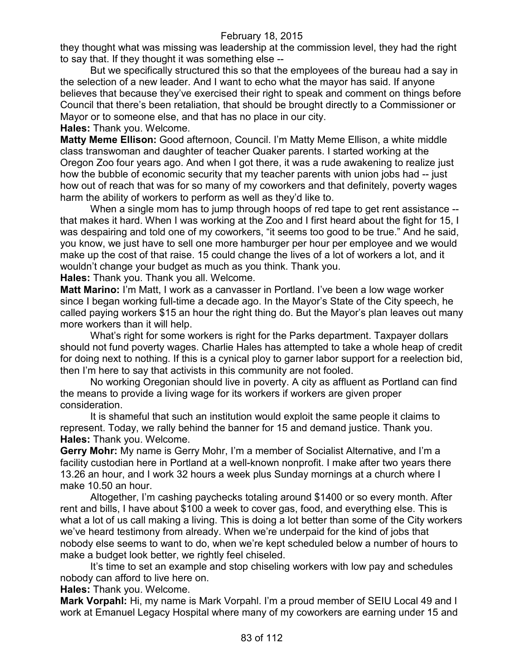they thought what was missing was leadership at the commission level, they had the right to say that. If they thought it was something else --

But we specifically structured this so that the employees of the bureau had a say in the selection of a new leader. And I want to echo what the mayor has said. If anyone believes that because they've exercised their right to speak and comment on things before Council that there's been retaliation, that should be brought directly to a Commissioner or Mayor or to someone else, and that has no place in our city.

**Hales:** Thank you. Welcome.

**Matty Meme Ellison:** Good afternoon, Council. I'm Matty Meme Ellison, a white middle class transwoman and daughter of teacher Quaker parents. I started working at the Oregon Zoo four years ago. And when I got there, it was a rude awakening to realize just how the bubble of economic security that my teacher parents with union jobs had -- just how out of reach that was for so many of my coworkers and that definitely, poverty wages harm the ability of workers to perform as well as they'd like to.

When a single mom has to jump through hoops of red tape to get rent assistance - that makes it hard. When I was working at the Zoo and I first heard about the fight for 15, I was despairing and told one of my coworkers, "it seems too good to be true." And he said, you know, we just have to sell one more hamburger per hour per employee and we would make up the cost of that raise. 15 could change the lives of a lot of workers a lot, and it wouldn't change your budget as much as you think. Thank you.

**Hales:** Thank you. Thank you all. Welcome.

**Matt Marino:** I'm Matt, I work as a canvasser in Portland. I've been a low wage worker since I began working full-time a decade ago. In the Mayor's State of the City speech, he called paying workers \$15 an hour the right thing do. But the Mayor's plan leaves out many more workers than it will help.

What's right for some workers is right for the Parks department. Taxpayer dollars should not fund poverty wages. Charlie Hales has attempted to take a whole heap of credit for doing next to nothing. If this is a cynical ploy to garner labor support for a reelection bid, then I'm here to say that activists in this community are not fooled.

No working Oregonian should live in poverty. A city as affluent as Portland can find the means to provide a living wage for its workers if workers are given proper consideration.

It is shameful that such an institution would exploit the same people it claims to represent. Today, we rally behind the banner for 15 and demand justice. Thank you. **Hales:** Thank you. Welcome.

**Gerry Mohr:** My name is Gerry Mohr, I'm a member of Socialist Alternative, and I'm a facility custodian here in Portland at a well-known nonprofit. I make after two years there 13.26 an hour, and I work 32 hours a week plus Sunday mornings at a church where I make 10.50 an hour.

Altogether, I'm cashing paychecks totaling around \$1400 or so every month. After rent and bills, I have about \$100 a week to cover gas, food, and everything else. This is what a lot of us call making a living. This is doing a lot better than some of the City workers we've heard testimony from already. When we're underpaid for the kind of jobs that nobody else seems to want to do, when we're kept scheduled below a number of hours to make a budget look better, we rightly feel chiseled.

It's time to set an example and stop chiseling workers with low pay and schedules nobody can afford to live here on.

**Hales:** Thank you. Welcome.

**Mark Vorpahl:** Hi, my name is Mark Vorpahl. I'm a proud member of SEIU Local 49 and I work at Emanuel Legacy Hospital where many of my coworkers are earning under 15 and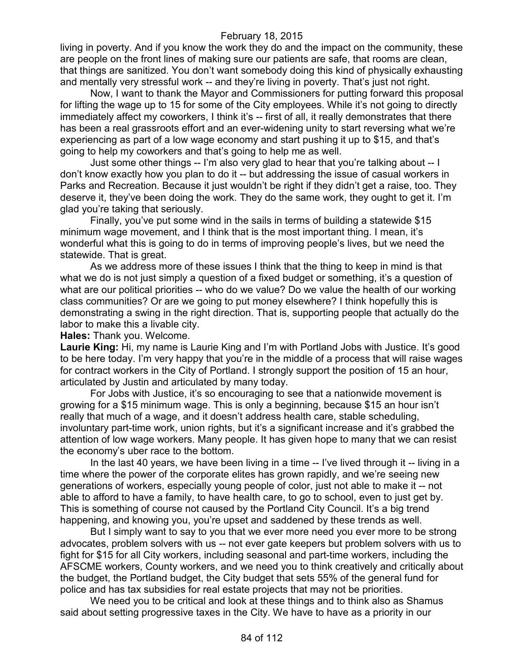living in poverty. And if you know the work they do and the impact on the community, these are people on the front lines of making sure our patients are safe, that rooms are clean, that things are sanitized. You don't want somebody doing this kind of physically exhausting and mentally very stressful work -- and they're living in poverty. That's just not right.

Now, I want to thank the Mayor and Commissioners for putting forward this proposal for lifting the wage up to 15 for some of the City employees. While it's not going to directly immediately affect my coworkers, I think it's -- first of all, it really demonstrates that there has been a real grassroots effort and an ever-widening unity to start reversing what we're experiencing as part of a low wage economy and start pushing it up to \$15, and that's going to help my coworkers and that's going to help me as well.

Just some other things -- I'm also very glad to hear that you're talking about -- I don't know exactly how you plan to do it -- but addressing the issue of casual workers in Parks and Recreation. Because it just wouldn't be right if they didn't get a raise, too. They deserve it, they've been doing the work. They do the same work, they ought to get it. I'm glad you're taking that seriously.

Finally, you've put some wind in the sails in terms of building a statewide \$15 minimum wage movement, and I think that is the most important thing. I mean, it's wonderful what this is going to do in terms of improving people's lives, but we need the statewide. That is great.

As we address more of these issues I think that the thing to keep in mind is that what we do is not just simply a question of a fixed budget or something, it's a question of what are our political priorities -- who do we value? Do we value the health of our working class communities? Or are we going to put money elsewhere? I think hopefully this is demonstrating a swing in the right direction. That is, supporting people that actually do the labor to make this a livable city.

**Hales:** Thank you. Welcome.

**Laurie King:** Hi, my name is Laurie King and I'm with Portland Jobs with Justice. It's good to be here today. I'm very happy that you're in the middle of a process that will raise wages for contract workers in the City of Portland. I strongly support the position of 15 an hour, articulated by Justin and articulated by many today.

For Jobs with Justice, it's so encouraging to see that a nationwide movement is growing for a \$15 minimum wage. This is only a beginning, because \$15 an hour isn't really that much of a wage, and it doesn't address health care, stable scheduling, involuntary part-time work, union rights, but it's a significant increase and it's grabbed the attention of low wage workers. Many people. It has given hope to many that we can resist the economy's uber race to the bottom.

In the last 40 years, we have been living in a time -- I've lived through it -- living in a time where the power of the corporate elites has grown rapidly, and we're seeing new generations of workers, especially young people of color, just not able to make it -- not able to afford to have a family, to have health care, to go to school, even to just get by. This is something of course not caused by the Portland City Council. It's a big trend happening, and knowing you, you're upset and saddened by these trends as well.

But I simply want to say to you that we ever more need you ever more to be strong advocates, problem solvers with us -- not ever gate keepers but problem solvers with us to fight for \$15 for all City workers, including seasonal and part-time workers, including the AFSCME workers, County workers, and we need you to think creatively and critically about the budget, the Portland budget, the City budget that sets 55% of the general fund for police and has tax subsidies for real estate projects that may not be priorities.

We need you to be critical and look at these things and to think also as Shamus said about setting progressive taxes in the City. We have to have as a priority in our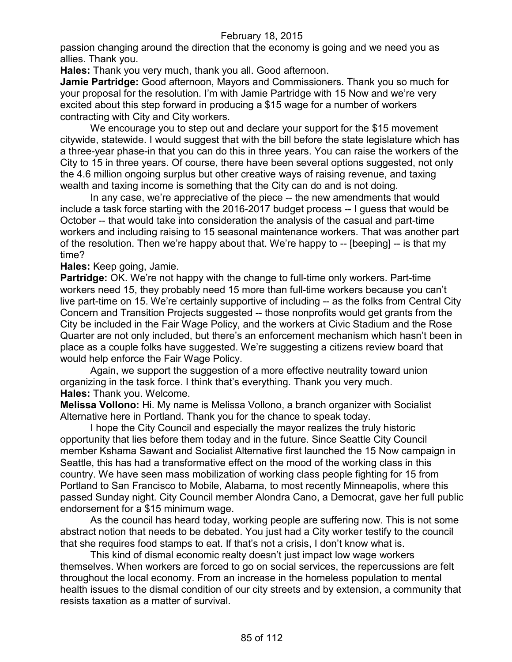passion changing around the direction that the economy is going and we need you as allies. Thank you.

**Hales:** Thank you very much, thank you all. Good afternoon.

**Jamie Partridge:** Good afternoon, Mayors and Commissioners. Thank you so much for your proposal for the resolution. I'm with Jamie Partridge with 15 Now and we're very excited about this step forward in producing a \$15 wage for a number of workers contracting with City and City workers.

We encourage you to step out and declare your support for the \$15 movement citywide, statewide. I would suggest that with the bill before the state legislature which has a three-year phase-in that you can do this in three years. You can raise the workers of the City to 15 in three years. Of course, there have been several options suggested, not only the 4.6 million ongoing surplus but other creative ways of raising revenue, and taxing wealth and taxing income is something that the City can do and is not doing.

In any case, we're appreciative of the piece -- the new amendments that would include a task force starting with the 2016-2017 budget process -- I guess that would be October -- that would take into consideration the analysis of the casual and part-time workers and including raising to 15 seasonal maintenance workers. That was another part of the resolution. Then we're happy about that. We're happy to -- [beeping] -- is that my time?

**Hales:** Keep going, Jamie.

**Partridge:** OK. We're not happy with the change to full-time only workers. Part-time workers need 15, they probably need 15 more than full-time workers because you can't live part-time on 15. We're certainly supportive of including -- as the folks from Central City Concern and Transition Projects suggested -- those nonprofits would get grants from the City be included in the Fair Wage Policy, and the workers at Civic Stadium and the Rose Quarter are not only included, but there's an enforcement mechanism which hasn't been in place as a couple folks have suggested. We're suggesting a citizens review board that would help enforce the Fair Wage Policy.

Again, we support the suggestion of a more effective neutrality toward union organizing in the task force. I think that's everything. Thank you very much. **Hales:** Thank you. Welcome.

**Melissa Vollono:** Hi. My name is Melissa Vollono, a branch organizer with Socialist Alternative here in Portland. Thank you for the chance to speak today.

I hope the City Council and especially the mayor realizes the truly historic opportunity that lies before them today and in the future. Since Seattle City Council member Kshama Sawant and Socialist Alternative first launched the 15 Now campaign in Seattle, this has had a transformative effect on the mood of the working class in this country. We have seen mass mobilization of working class people fighting for 15 from Portland to San Francisco to Mobile, Alabama, to most recently Minneapolis, where this passed Sunday night. City Council member Alondra Cano, a Democrat, gave her full public endorsement for a \$15 minimum wage.

As the council has heard today, working people are suffering now. This is not some abstract notion that needs to be debated. You just had a City worker testify to the council that she requires food stamps to eat. If that's not a crisis, I don't know what is.

This kind of dismal economic realty doesn't just impact low wage workers themselves. When workers are forced to go on social services, the repercussions are felt throughout the local economy. From an increase in the homeless population to mental health issues to the dismal condition of our city streets and by extension, a community that resists taxation as a matter of survival.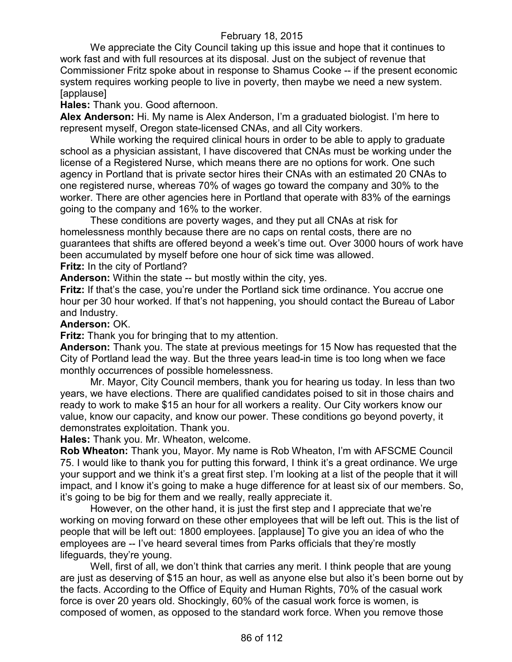We appreciate the City Council taking up this issue and hope that it continues to work fast and with full resources at its disposal. Just on the subject of revenue that Commissioner Fritz spoke about in response to Shamus Cooke -- if the present economic system requires working people to live in poverty, then maybe we need a new system. [applause]

**Hales:** Thank you. Good afternoon.

**Alex Anderson:** Hi. My name is Alex Anderson, I'm a graduated biologist. I'm here to represent myself, Oregon state-licensed CNAs, and all City workers.

While working the required clinical hours in order to be able to apply to graduate school as a physician assistant, I have discovered that CNAs must be working under the license of a Registered Nurse, which means there are no options for work. One such agency in Portland that is private sector hires their CNAs with an estimated 20 CNAs to one registered nurse, whereas 70% of wages go toward the company and 30% to the worker. There are other agencies here in Portland that operate with 83% of the earnings going to the company and 16% to the worker.

These conditions are poverty wages, and they put all CNAs at risk for homelessness monthly because there are no caps on rental costs, there are no guarantees that shifts are offered beyond a week's time out. Over 3000 hours of work have been accumulated by myself before one hour of sick time was allowed.

**Fritz:** In the city of Portland?

**Anderson:** Within the state -- but mostly within the city, yes.

**Fritz:** If that's the case, you're under the Portland sick time ordinance. You accrue one hour per 30 hour worked. If that's not happening, you should contact the Bureau of Labor and Industry.

#### **Anderson:** OK.

**Fritz:** Thank you for bringing that to my attention.

**Anderson:** Thank you. The state at previous meetings for 15 Now has requested that the City of Portland lead the way. But the three years lead-in time is too long when we face monthly occurrences of possible homelessness.

Mr. Mayor, City Council members, thank you for hearing us today. In less than two years, we have elections. There are qualified candidates poised to sit in those chairs and ready to work to make \$15 an hour for all workers a reality. Our City workers know our value, know our capacity, and know our power. These conditions go beyond poverty, it demonstrates exploitation. Thank you.

**Hales:** Thank you. Mr. Wheaton, welcome.

**Rob Wheaton:** Thank you, Mayor. My name is Rob Wheaton, I'm with AFSCME Council 75. I would like to thank you for putting this forward, I think it's a great ordinance. We urge your support and we think it's a great first step. I'm looking at a list of the people that it will impact, and I know it's going to make a huge difference for at least six of our members. So, it's going to be big for them and we really, really appreciate it.

However, on the other hand, it is just the first step and I appreciate that we're working on moving forward on these other employees that will be left out. This is the list of people that will be left out: 1800 employees. [applause] To give you an idea of who the employees are -- I've heard several times from Parks officials that they're mostly lifeguards, they're young.

Well, first of all, we don't think that carries any merit. I think people that are young are just as deserving of \$15 an hour, as well as anyone else but also it's been borne out by the facts. According to the Office of Equity and Human Rights, 70% of the casual work force is over 20 years old. Shockingly, 60% of the casual work force is women, is composed of women, as opposed to the standard work force. When you remove those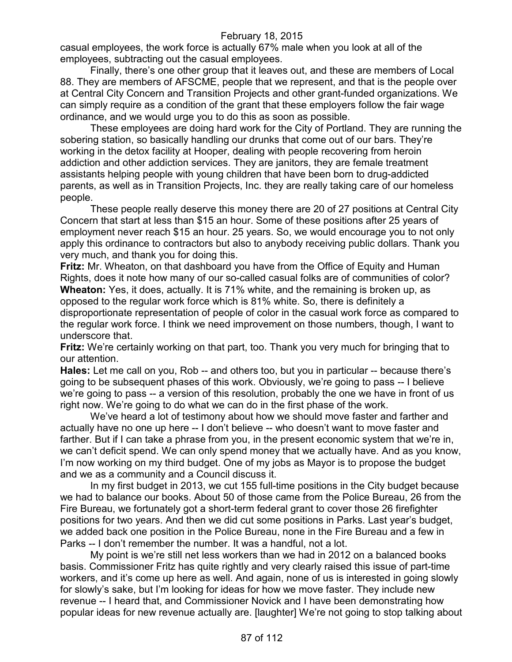casual employees, the work force is actually 67% male when you look at all of the employees, subtracting out the casual employees.

Finally, there's one other group that it leaves out, and these are members of Local 88. They are members of AFSCME, people that we represent, and that is the people over at Central City Concern and Transition Projects and other grant-funded organizations. We can simply require as a condition of the grant that these employers follow the fair wage ordinance, and we would urge you to do this as soon as possible.

These employees are doing hard work for the City of Portland. They are running the sobering station, so basically handling our drunks that come out of our bars. They're working in the detox facility at Hooper, dealing with people recovering from heroin addiction and other addiction services. They are janitors, they are female treatment assistants helping people with young children that have been born to drug-addicted parents, as well as in Transition Projects, Inc. they are really taking care of our homeless people.

These people really deserve this money there are 20 of 27 positions at Central City Concern that start at less than \$15 an hour. Some of these positions after 25 years of employment never reach \$15 an hour. 25 years. So, we would encourage you to not only apply this ordinance to contractors but also to anybody receiving public dollars. Thank you very much, and thank you for doing this.

**Fritz:** Mr. Wheaton, on that dashboard you have from the Office of Equity and Human Rights, does it note how many of our so-called casual folks are of communities of color? **Wheaton:** Yes, it does, actually. It is 71% white, and the remaining is broken up, as opposed to the regular work force which is 81% white. So, there is definitely a disproportionate representation of people of color in the casual work force as compared to the regular work force. I think we need improvement on those numbers, though, I want to

underscore that.

**Fritz:** We're certainly working on that part, too. Thank you very much for bringing that to our attention.

**Hales:** Let me call on you, Rob -- and others too, but you in particular -- because there's going to be subsequent phases of this work. Obviously, we're going to pass -- I believe we're going to pass -- a version of this resolution, probably the one we have in front of us right now. We're going to do what we can do in the first phase of the work.

We've heard a lot of testimony about how we should move faster and farther and actually have no one up here -- I don't believe -- who doesn't want to move faster and farther. But if I can take a phrase from you, in the present economic system that we're in, we can't deficit spend. We can only spend money that we actually have. And as you know, I'm now working on my third budget. One of my jobs as Mayor is to propose the budget and we as a community and a Council discuss it.

In my first budget in 2013, we cut 155 full-time positions in the City budget because we had to balance our books. About 50 of those came from the Police Bureau, 26 from the Fire Bureau, we fortunately got a short-term federal grant to cover those 26 firefighter positions for two years. And then we did cut some positions in Parks. Last year's budget, we added back one position in the Police Bureau, none in the Fire Bureau and a few in Parks -- I don't remember the number. It was a handful, not a lot.

My point is we're still net less workers than we had in 2012 on a balanced books basis. Commissioner Fritz has quite rightly and very clearly raised this issue of part-time workers, and it's come up here as well. And again, none of us is interested in going slowly for slowly's sake, but I'm looking for ideas for how we move faster. They include new revenue -- I heard that, and Commissioner Novick and I have been demonstrating how popular ideas for new revenue actually are. [laughter] We're not going to stop talking about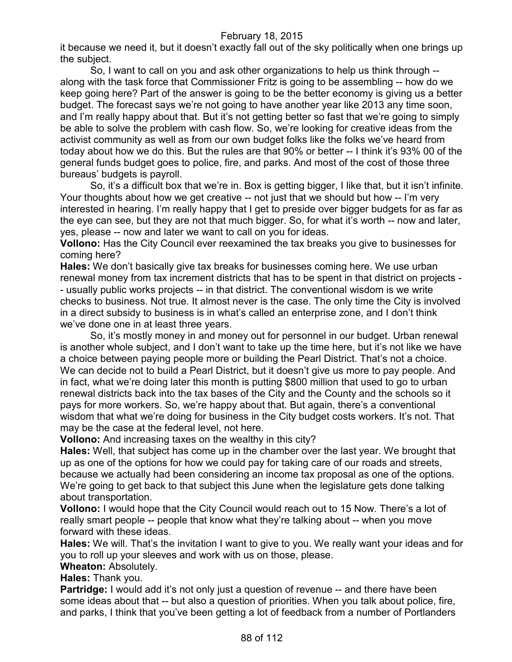it because we need it, but it doesn't exactly fall out of the sky politically when one brings up the subject.

So, I want to call on you and ask other organizations to help us think through - along with the task force that Commissioner Fritz is going to be assembling -- how do we keep going here? Part of the answer is going to be the better economy is giving us a better budget. The forecast says we're not going to have another year like 2013 any time soon, and I'm really happy about that. But it's not getting better so fast that we're going to simply be able to solve the problem with cash flow. So, we're looking for creative ideas from the activist community as well as from our own budget folks like the folks we've heard from today about how we do this. But the rules are that 90% or better -- I think it's 93% 00 of the general funds budget goes to police, fire, and parks. And most of the cost of those three bureaus' budgets is payroll.

So, it's a difficult box that we're in. Box is getting bigger, I like that, but it isn't infinite. Your thoughts about how we get creative -- not just that we should but how -- I'm very interested in hearing. I'm really happy that I get to preside over bigger budgets for as far as the eye can see, but they are not that much bigger. So, for what it's worth -- now and later, yes, please -- now and later we want to call on you for ideas.

**Vollono:** Has the City Council ever reexamined the tax breaks you give to businesses for coming here?

**Hales:** We don't basically give tax breaks for businesses coming here. We use urban renewal money from tax increment districts that has to be spent in that district on projects - - usually public works projects -- in that district. The conventional wisdom is we write checks to business. Not true. It almost never is the case. The only time the City is involved in a direct subsidy to business is in what's called an enterprise zone, and I don't think we've done one in at least three years.

So, it's mostly money in and money out for personnel in our budget. Urban renewal is another whole subject, and I don't want to take up the time here, but it's not like we have a choice between paying people more or building the Pearl District. That's not a choice. We can decide not to build a Pearl District, but it doesn't give us more to pay people. And in fact, what we're doing later this month is putting \$800 million that used to go to urban renewal districts back into the tax bases of the City and the County and the schools so it pays for more workers. So, we're happy about that. But again, there's a conventional wisdom that what we're doing for business in the City budget costs workers. It's not. That may be the case at the federal level, not here.

**Vollono:** And increasing taxes on the wealthy in this city?

**Hales:** Well, that subject has come up in the chamber over the last year. We brought that up as one of the options for how we could pay for taking care of our roads and streets, because we actually had been considering an income tax proposal as one of the options. We're going to get back to that subject this June when the legislature gets done talking about transportation.

**Vollono:** I would hope that the City Council would reach out to 15 Now. There's a lot of really smart people -- people that know what they're talking about -- when you move forward with these ideas.

**Hales:** We will. That's the invitation I want to give to you. We really want your ideas and for you to roll up your sleeves and work with us on those, please.

## **Wheaton:** Absolutely.

**Hales:** Thank you.

**Partridge:** I would add it's not only just a question of revenue -- and there have been some ideas about that -- but also a question of priorities. When you talk about police, fire, and parks, I think that you've been getting a lot of feedback from a number of Portlanders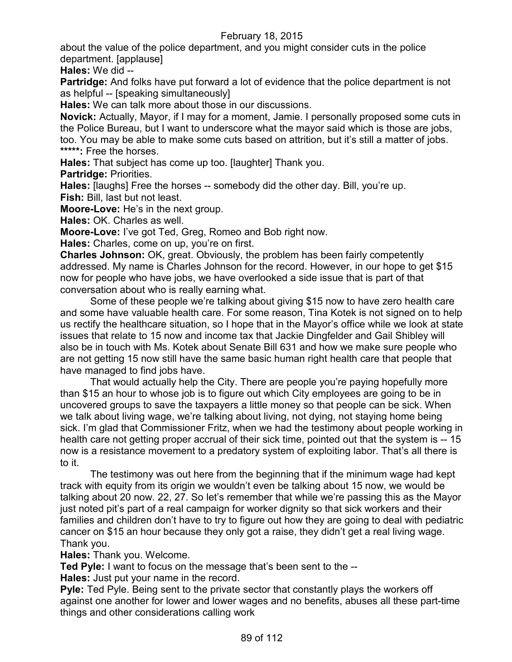about the value of the police department, and you might consider cuts in the police department. [applause]

**Hales:** We did --

**Partridge:** And folks have put forward a lot of evidence that the police department is not as helpful -- [speaking simultaneously]

**Hales:** We can talk more about those in our discussions.

**Novick:** Actually, Mayor, if I may for a moment, Jamie. I personally proposed some cuts in the Police Bureau, but I want to underscore what the mayor said which is those are jobs, too. You may be able to make some cuts based on attrition, but it's still a matter of jobs. **\*\*\*\*\*:** Free the horses.

**Hales:** That subject has come up too. [laughter] Thank you.

**Partridge:** Priorities.

**Hales:** [laughs] Free the horses -- somebody did the other day. Bill, you're up. **Fish:** Bill, last but not least.

**Moore-Love:** He's in the next group.

**Hales:** OK. Charles as well.

**Moore-Love:** I've got Ted, Greg, Romeo and Bob right now.

**Hales:** Charles, come on up, you're on first.

**Charles Johnson:** OK, great. Obviously, the problem has been fairly competently addressed. My name is Charles Johnson for the record. However, in our hope to get \$15 now for people who have jobs, we have overlooked a side issue that is part of that conversation about who is really earning what.

Some of these people we're talking about giving \$15 now to have zero health care and some have valuable health care. For some reason, Tina Kotek is not signed on to help us rectify the healthcare situation, so I hope that in the Mayor's office while we look at state issues that relate to 15 now and income tax that Jackie Dingfelder and Gail Shibley will also be in touch with Ms. Kotek about Senate Bill 631 and how we make sure people who are not getting 15 now still have the same basic human right health care that people that have managed to find jobs have.

That would actually help the City. There are people you're paying hopefully more than \$15 an hour to whose job is to figure out which City employees are going to be in uncovered groups to save the taxpayers a little money so that people can be sick. When we talk about living wage, we're talking about living, not dying, not staying home being sick. I'm glad that Commissioner Fritz, when we had the testimony about people working in health care not getting proper accrual of their sick time, pointed out that the system is -- 15 now is a resistance movement to a predatory system of exploiting labor. That's all there is to it.

The testimony was out here from the beginning that if the minimum wage had kept track with equity from its origin we wouldn't even be talking about 15 now, we would be talking about 20 now. 22, 27. So let's remember that while we're passing this as the Mayor just noted pit's part of a real campaign for worker dignity so that sick workers and their families and children don't have to try to figure out how they are going to deal with pediatric cancer on \$15 an hour because they only got a raise, they didn't get a real living wage. Thank you.

**Hales:** Thank you. Welcome.

**Ted Pyle:** I want to focus on the message that's been sent to the --

**Hales:** Just put your name in the record.

**Pyle:** Ted Pyle. Being sent to the private sector that constantly plays the workers off against one another for lower and lower wages and no benefits, abuses all these part-time things and other considerations calling work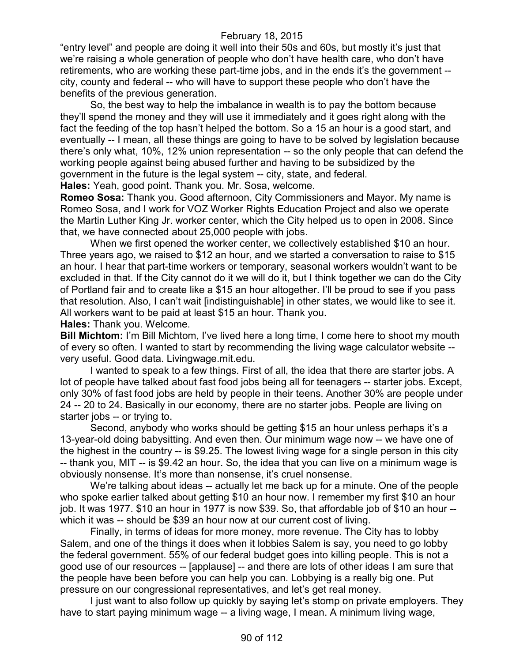"entry level" and people are doing it well into their 50s and 60s, but mostly it's just that we're raising a whole generation of people who don't have health care, who don't have retirements, who are working these part-time jobs, and in the ends it's the government - city, county and federal -- who will have to support these people who don't have the benefits of the previous generation.

So, the best way to help the imbalance in wealth is to pay the bottom because they'll spend the money and they will use it immediately and it goes right along with the fact the feeding of the top hasn't helped the bottom. So a 15 an hour is a good start, and eventually -- I mean, all these things are going to have to be solved by legislation because there's only what, 10%, 12% union representation -- so the only people that can defend the working people against being abused further and having to be subsidized by the government in the future is the legal system -- city, state, and federal.

**Hales:** Yeah, good point. Thank you. Mr. Sosa, welcome.

**Romeo Sosa:** Thank you. Good afternoon, City Commissioners and Mayor. My name is Romeo Sosa, and I work for VOZ Worker Rights Education Project and also we operate the Martin Luther King Jr. worker center, which the City helped us to open in 2008. Since that, we have connected about 25,000 people with jobs.

When we first opened the worker center, we collectively established \$10 an hour. Three years ago, we raised to \$12 an hour, and we started a conversation to raise to \$15 an hour. I hear that part-time workers or temporary, seasonal workers wouldn't want to be excluded in that. If the City cannot do it we will do it, but I think together we can do the City of Portland fair and to create like a \$15 an hour altogether. I'll be proud to see if you pass that resolution. Also, I can't wait [indistinguishable] in other states, we would like to see it. All workers want to be paid at least \$15 an hour. Thank you.

**Hales:** Thank you. Welcome.

**Bill Michtom:** I'm Bill Michtom, I've lived here a long time, I come here to shoot my mouth of every so often. I wanted to start by recommending the living wage calculator website - very useful. Good data. Livingwage.mit.edu.

I wanted to speak to a few things. First of all, the idea that there are starter jobs. A lot of people have talked about fast food jobs being all for teenagers -- starter jobs. Except, only 30% of fast food jobs are held by people in their teens. Another 30% are people under 24 -- 20 to 24. Basically in our economy, there are no starter jobs. People are living on starter jobs -- or trying to.

Second, anybody who works should be getting \$15 an hour unless perhaps it's a 13-year-old doing babysitting. And even then. Our minimum wage now -- we have one of the highest in the country -- is \$9.25. The lowest living wage for a single person in this city -- thank you, MIT -- is \$9.42 an hour. So, the idea that you can live on a minimum wage is obviously nonsense. It's more than nonsense, it's cruel nonsense.

We're talking about ideas -- actually let me back up for a minute. One of the people who spoke earlier talked about getting \$10 an hour now. I remember my first \$10 an hour job. It was 1977. \$10 an hour in 1977 is now \$39. So, that affordable job of \$10 an hour - which it was -- should be \$39 an hour now at our current cost of living.

Finally, in terms of ideas for more money, more revenue. The City has to lobby Salem, and one of the things it does when it lobbies Salem is say, you need to go lobby the federal government. 55% of our federal budget goes into killing people. This is not a good use of our resources -- [applause] -- and there are lots of other ideas I am sure that the people have been before you can help you can. Lobbying is a really big one. Put pressure on our congressional representatives, and let's get real money.

I just want to also follow up quickly by saying let's stomp on private employers. They have to start paying minimum wage -- a living wage, I mean. A minimum living wage,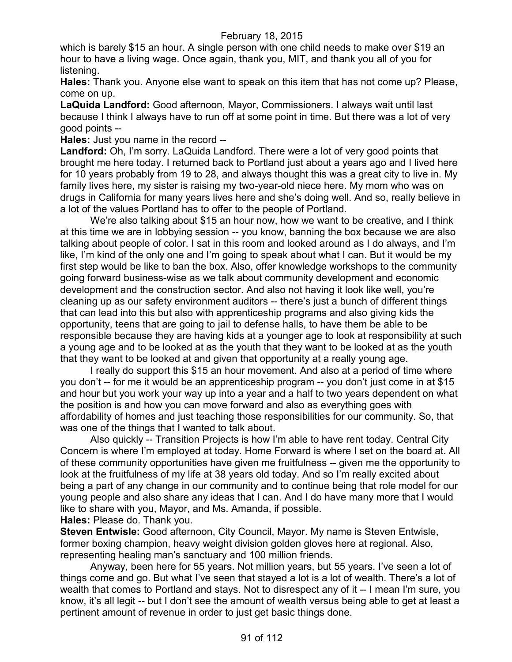which is barely \$15 an hour. A single person with one child needs to make over \$19 an hour to have a living wage. Once again, thank you, MIT, and thank you all of you for listening.

**Hales:** Thank you. Anyone else want to speak on this item that has not come up? Please, come on up.

**LaQuida Landford:** Good afternoon, Mayor, Commissioners. I always wait until last because I think I always have to run off at some point in time. But there was a lot of very good points --

**Hales:** Just you name in the record --

**Landford:** Oh, I'm sorry. LaQuida Landford. There were a lot of very good points that brought me here today. I returned back to Portland just about a years ago and I lived here for 10 years probably from 19 to 28, and always thought this was a great city to live in. My family lives here, my sister is raising my two-year-old niece here. My mom who was on drugs in California for many years lives here and she's doing well. And so, really believe in a lot of the values Portland has to offer to the people of Portland.

We're also talking about \$15 an hour now, how we want to be creative, and I think at this time we are in lobbying session -- you know, banning the box because we are also talking about people of color. I sat in this room and looked around as I do always, and I'm like, I'm kind of the only one and I'm going to speak about what I can. But it would be my first step would be like to ban the box. Also, offer knowledge workshops to the community going forward business-wise as we talk about community development and economic development and the construction sector. And also not having it look like well, you're cleaning up as our safety environment auditors -- there's just a bunch of different things that can lead into this but also with apprenticeship programs and also giving kids the opportunity, teens that are going to jail to defense halls, to have them be able to be responsible because they are having kids at a younger age to look at responsibility at such a young age and to be looked at as the youth that they want to be looked at as the youth that they want to be looked at and given that opportunity at a really young age.

I really do support this \$15 an hour movement. And also at a period of time where you don't -- for me it would be an apprenticeship program -- you don't just come in at \$15 and hour but you work your way up into a year and a half to two years dependent on what the position is and how you can move forward and also as everything goes with affordability of homes and just teaching those responsibilities for our community. So, that was one of the things that I wanted to talk about.

Also quickly -- Transition Projects is how I'm able to have rent today. Central City Concern is where I'm employed at today. Home Forward is where I set on the board at. All of these community opportunities have given me fruitfulness -- given me the opportunity to look at the fruitfulness of my life at 38 years old today. And so I'm really excited about being a part of any change in our community and to continue being that role model for our young people and also share any ideas that I can. And I do have many more that I would like to share with you, Mayor, and Ms. Amanda, if possible.

**Hales:** Please do. Thank you.

**Steven Entwisle:** Good afternoon, City Council, Mayor. My name is Steven Entwisle, former boxing champion, heavy weight division golden gloves here at regional. Also, representing healing man's sanctuary and 100 million friends.

Anyway, been here for 55 years. Not million years, but 55 years. I've seen a lot of things come and go. But what I've seen that stayed a lot is a lot of wealth. There's a lot of wealth that comes to Portland and stays. Not to disrespect any of it -- I mean I'm sure, you know, it's all legit -- but I don't see the amount of wealth versus being able to get at least a pertinent amount of revenue in order to just get basic things done.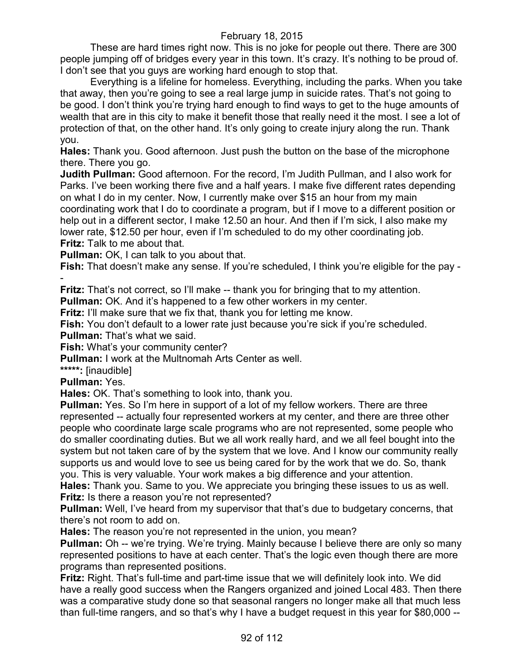These are hard times right now. This is no joke for people out there. There are 300 people jumping off of bridges every year in this town. It's crazy. It's nothing to be proud of. I don't see that you guys are working hard enough to stop that.

Everything is a lifeline for homeless. Everything, including the parks. When you take that away, then you're going to see a real large jump in suicide rates. That's not going to be good. I don't think you're trying hard enough to find ways to get to the huge amounts of wealth that are in this city to make it benefit those that really need it the most. I see a lot of protection of that, on the other hand. It's only going to create injury along the run. Thank you.

**Hales:** Thank you. Good afternoon. Just push the button on the base of the microphone there. There you go.

**Judith Pullman:** Good afternoon. For the record, I'm Judith Pullman, and I also work for Parks. I've been working there five and a half years. I make five different rates depending on what I do in my center. Now, I currently make over \$15 an hour from my main coordinating work that I do to coordinate a program, but if I move to a different position or help out in a different sector, I make 12.50 an hour. And then if I'm sick, I also make my lower rate, \$12.50 per hour, even if I'm scheduled to do my other coordinating job. **Fritz:** Talk to me about that.

**Pullman:** OK, I can talk to you about that.

**Fish:** That doesn't make any sense. If you're scheduled, I think you're eligible for the pay - -

**Fritz:** That's not correct, so I'll make -- thank you for bringing that to my attention.

**Pullman:** OK. And it's happened to a few other workers in my center.

**Fritz:** I'll make sure that we fix that, thank you for letting me know.

**Fish:** You don't default to a lower rate just because you're sick if you're scheduled. **Pullman:** That's what we said.

**Fish:** What's your community center?

**Pullman:** I work at the Multnomah Arts Center as well.

**\*\*\*\*\*:** [inaudible]

**Pullman:** Yes.

**Hales:** OK. That's something to look into, thank you.

**Pullman:** Yes. So I'm here in support of a lot of my fellow workers. There are three represented -- actually four represented workers at my center, and there are three other people who coordinate large scale programs who are not represented, some people who do smaller coordinating duties. But we all work really hard, and we all feel bought into the system but not taken care of by the system that we love. And I know our community really supports us and would love to see us being cared for by the work that we do. So, thank you. This is very valuable. Your work makes a big difference and your attention.

**Hales:** Thank you. Same to you. We appreciate you bringing these issues to us as well. **Fritz:** Is there a reason you're not represented?

**Pullman:** Well, I've heard from my supervisor that that's due to budgetary concerns, that there's not room to add on.

**Hales:** The reason you're not represented in the union, you mean?

**Pullman:** Oh -- we're trying. We're trying. Mainly because I believe there are only so many represented positions to have at each center. That's the logic even though there are more programs than represented positions.

**Fritz:** Right. That's full-time and part-time issue that we will definitely look into. We did have a really good success when the Rangers organized and joined Local 483. Then there was a comparative study done so that seasonal rangers no longer make all that much less than full-time rangers, and so that's why I have a budget request in this year for \$80,000 --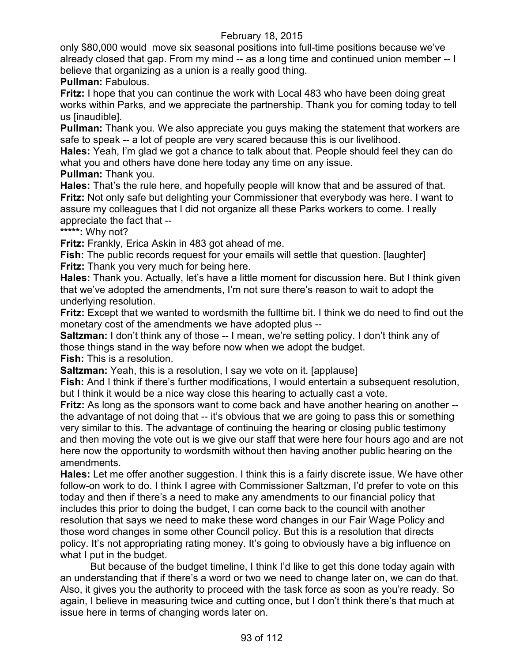only \$80,000 would move six seasonal positions into full-time positions because we've already closed that gap. From my mind -- as a long time and continued union member -- I believe that organizing as a union is a really good thing.

**Pullman:** Fabulous.

**Fritz:** I hope that you can continue the work with Local 483 who have been doing great works within Parks, and we appreciate the partnership. Thank you for coming today to tell us [inaudible].

**Pullman:** Thank you. We also appreciate you guys making the statement that workers are safe to speak -- a lot of people are very scared because this is our livelihood.

**Hales:** Yeah, I'm glad we got a chance to talk about that. People should feel they can do what you and others have done here today any time on any issue.

**Pullman:** Thank you.

**Hales:** That's the rule here, and hopefully people will know that and be assured of that. **Fritz:** Not only safe but delighting your Commissioner that everybody was here. I want to assure my colleagues that I did not organize all these Parks workers to come. I really appreciate the fact that --

**\*\*\*\*\*:** Why not?

**Fritz:** Frankly, Erica Askin in 483 got ahead of me.

**Fish:** The public records request for your emails will settle that question. [laughter] **Fritz:** Thank you very much for being here.

**Hales:** Thank you. Actually, let's have a little moment for discussion here. But I think given that we've adopted the amendments, I'm not sure there's reason to wait to adopt the underlying resolution.

**Fritz:** Except that we wanted to wordsmith the fulltime bit. I think we do need to find out the monetary cost of the amendments we have adopted plus --

**Saltzman:** I don't think any of those -- I mean, we're setting policy. I don't think any of those things stand in the way before now when we adopt the budget. **Fish:** This is a resolution.

**Saltzman:** Yeah, this is a resolution, I say we vote on it. [applause]

**Fish:** And I think if there's further modifications, I would entertain a subsequent resolution, but I think it would be a nice way close this hearing to actually cast a vote.

**Fritz:** As long as the sponsors want to come back and have another hearing on another - the advantage of not doing that -- it's obvious that we are going to pass this or something very similar to this. The advantage of continuing the hearing or closing public testimony and then moving the vote out is we give our staff that were here four hours ago and are not here now the opportunity to wordsmith without then having another public hearing on the amendments.

**Hales:** Let me offer another suggestion. I think this is a fairly discrete issue. We have other follow-on work to do. I think I agree with Commissioner Saltzman, I'd prefer to vote on this today and then if there's a need to make any amendments to our financial policy that includes this prior to doing the budget, I can come back to the council with another resolution that says we need to make these word changes in our Fair Wage Policy and those word changes in some other Council policy. But this is a resolution that directs policy. It's not appropriating rating money. It's going to obviously have a big influence on what I put in the budget.

But because of the budget timeline, I think I'd like to get this done today again with an understanding that if there's a word or two we need to change later on, we can do that. Also, it gives you the authority to proceed with the task force as soon as you're ready. So again, I believe in measuring twice and cutting once, but I don't think there's that much at issue here in terms of changing words later on.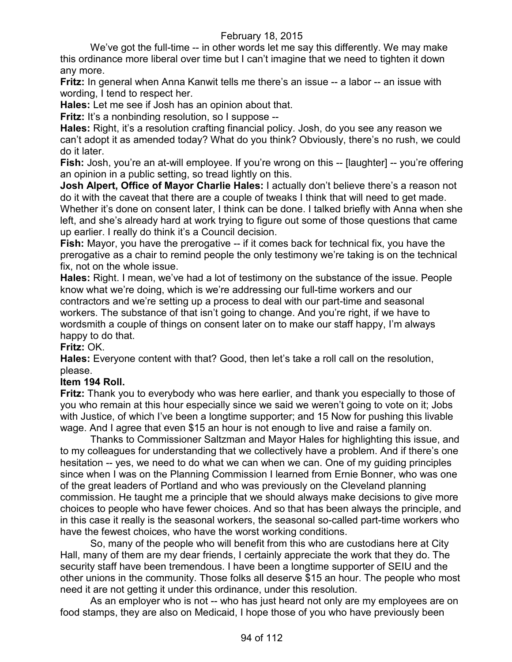We've got the full-time -- in other words let me say this differently. We may make this ordinance more liberal over time but I can't imagine that we need to tighten it down any more.

**Fritz:** In general when Anna Kanwit tells me there's an issue -- a labor -- an issue with wording, I tend to respect her.

**Hales:** Let me see if Josh has an opinion about that.

**Fritz:** It's a nonbinding resolution, so I suppose --

**Hales:** Right, it's a resolution crafting financial policy. Josh, do you see any reason we can't adopt it as amended today? What do you think? Obviously, there's no rush, we could do it later.

**Fish:** Josh, you're an at-will employee. If you're wrong on this -- [laughter] -- you're offering an opinion in a public setting, so tread lightly on this.

**Josh Alpert, Office of Mayor Charlie Hales:** I actually don't believe there's a reason not do it with the caveat that there are a couple of tweaks I think that will need to get made. Whether it's done on consent later, I think can be done. I talked briefly with Anna when she left, and she's already hard at work trying to figure out some of those questions that came up earlier. I really do think it's a Council decision.

**Fish:** Mayor, you have the prerogative -- if it comes back for technical fix, you have the prerogative as a chair to remind people the only testimony we're taking is on the technical fix, not on the whole issue.

**Hales:** Right. I mean, we've had a lot of testimony on the substance of the issue. People know what we're doing, which is we're addressing our full-time workers and our contractors and we're setting up a process to deal with our part-time and seasonal workers. The substance of that isn't going to change. And you're right, if we have to wordsmith a couple of things on consent later on to make our staff happy, I'm always happy to do that.

**Fritz:** OK.

**Hales:** Everyone content with that? Good, then let's take a roll call on the resolution, please.

## **Item 194 Roll.**

**Fritz:** Thank you to everybody who was here earlier, and thank you especially to those of you who remain at this hour especially since we said we weren't going to vote on it; Jobs with Justice, of which I've been a longtime supporter; and 15 Now for pushing this livable wage. And I agree that even \$15 an hour is not enough to live and raise a family on.

Thanks to Commissioner Saltzman and Mayor Hales for highlighting this issue, and to my colleagues for understanding that we collectively have a problem. And if there's one hesitation -- yes, we need to do what we can when we can. One of my guiding principles since when I was on the Planning Commission I learned from Ernie Bonner, who was one of the great leaders of Portland and who was previously on the Cleveland planning commission. He taught me a principle that we should always make decisions to give more choices to people who have fewer choices. And so that has been always the principle, and in this case it really is the seasonal workers, the seasonal so-called part-time workers who have the fewest choices, who have the worst working conditions.

So, many of the people who will benefit from this who are custodians here at City Hall, many of them are my dear friends, I certainly appreciate the work that they do. The security staff have been tremendous. I have been a longtime supporter of SEIU and the other unions in the community. Those folks all deserve \$15 an hour. The people who most need it are not getting it under this ordinance, under this resolution.

As an employer who is not -- who has just heard not only are my employees are on food stamps, they are also on Medicaid, I hope those of you who have previously been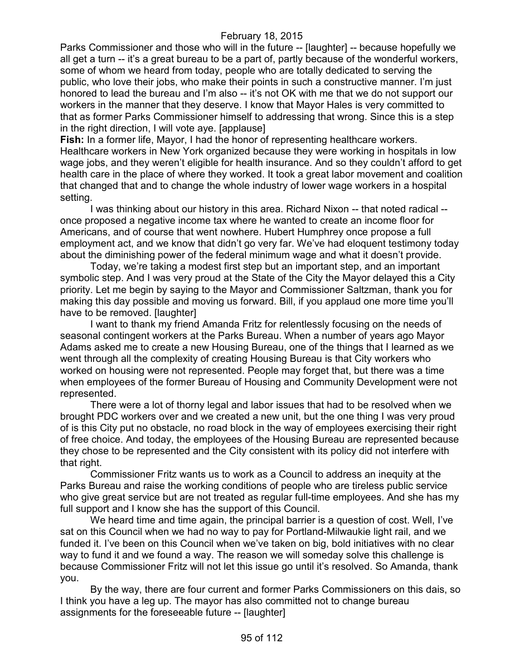Parks Commissioner and those who will in the future -- [laughter] -- because hopefully we all get a turn -- it's a great bureau to be a part of, partly because of the wonderful workers, some of whom we heard from today, people who are totally dedicated to serving the public, who love their jobs, who make their points in such a constructive manner. I'm just honored to lead the bureau and I'm also -- it's not OK with me that we do not support our workers in the manner that they deserve. I know that Mayor Hales is very committed to that as former Parks Commissioner himself to addressing that wrong. Since this is a step in the right direction, I will vote aye. [applause]

**Fish:** In a former life, Mayor, I had the honor of representing healthcare workers. Healthcare workers in New York organized because they were working in hospitals in low wage jobs, and they weren't eligible for health insurance. And so they couldn't afford to get health care in the place of where they worked. It took a great labor movement and coalition that changed that and to change the whole industry of lower wage workers in a hospital setting.

I was thinking about our history in this area. Richard Nixon -- that noted radical - once proposed a negative income tax where he wanted to create an income floor for Americans, and of course that went nowhere. Hubert Humphrey once propose a full employment act, and we know that didn't go very far. We've had eloquent testimony today about the diminishing power of the federal minimum wage and what it doesn't provide.

Today, we're taking a modest first step but an important step, and an important symbolic step. And I was very proud at the State of the City the Mayor delayed this a City priority. Let me begin by saying to the Mayor and Commissioner Saltzman, thank you for making this day possible and moving us forward. Bill, if you applaud one more time you'll have to be removed. [laughter]

I want to thank my friend Amanda Fritz for relentlessly focusing on the needs of seasonal contingent workers at the Parks Bureau. When a number of years ago Mayor Adams asked me to create a new Housing Bureau, one of the things that I learned as we went through all the complexity of creating Housing Bureau is that City workers who worked on housing were not represented. People may forget that, but there was a time when employees of the former Bureau of Housing and Community Development were not represented.

There were a lot of thorny legal and labor issues that had to be resolved when we brought PDC workers over and we created a new unit, but the one thing I was very proud of is this City put no obstacle, no road block in the way of employees exercising their right of free choice. And today, the employees of the Housing Bureau are represented because they chose to be represented and the City consistent with its policy did not interfere with that right.

Commissioner Fritz wants us to work as a Council to address an inequity at the Parks Bureau and raise the working conditions of people who are tireless public service who give great service but are not treated as regular full-time employees. And she has my full support and I know she has the support of this Council.

We heard time and time again, the principal barrier is a question of cost. Well, I've sat on this Council when we had no way to pay for Portland-Milwaukie light rail, and we funded it. I've been on this Council when we've taken on big, bold initiatives with no clear way to fund it and we found a way. The reason we will someday solve this challenge is because Commissioner Fritz will not let this issue go until it's resolved. So Amanda, thank you.

By the way, there are four current and former Parks Commissioners on this dais, so I think you have a leg up. The mayor has also committed not to change bureau assignments for the foreseeable future -- [laughter]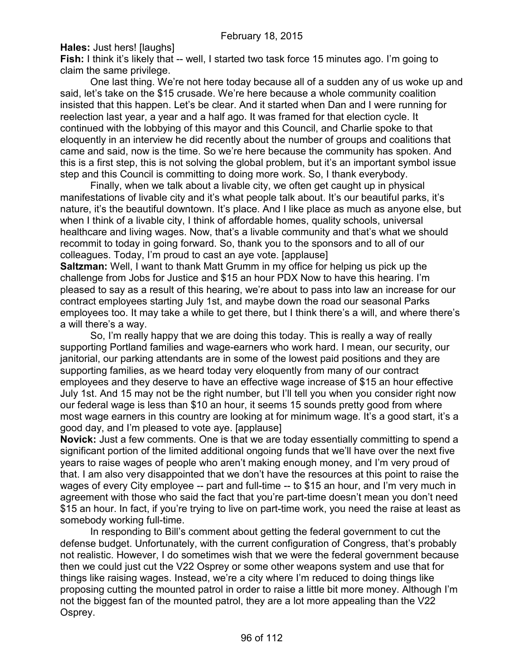**Hales:** Just hers! [laughs]

**Fish:** I think it's likely that -- well, I started two task force 15 minutes ago. I'm going to claim the same privilege.

One last thing. We're not here today because all of a sudden any of us woke up and said, let's take on the \$15 crusade. We're here because a whole community coalition insisted that this happen. Let's be clear. And it started when Dan and I were running for reelection last year, a year and a half ago. It was framed for that election cycle. It continued with the lobbying of this mayor and this Council, and Charlie spoke to that eloquently in an interview he did recently about the number of groups and coalitions that came and said, now is the time. So we're here because the community has spoken. And this is a first step, this is not solving the global problem, but it's an important symbol issue step and this Council is committing to doing more work. So, I thank everybody.

Finally, when we talk about a livable city, we often get caught up in physical manifestations of livable city and it's what people talk about. It's our beautiful parks, it's nature, it's the beautiful downtown. It's place. And I like place as much as anyone else, but when I think of a livable city, I think of affordable homes, quality schools, universal healthcare and living wages. Now, that's a livable community and that's what we should recommit to today in going forward. So, thank you to the sponsors and to all of our colleagues. Today, I'm proud to cast an aye vote. [applause]

**Saltzman:** Well, I want to thank Matt Grumm in my office for helping us pick up the challenge from Jobs for Justice and \$15 an hour PDX Now to have this hearing. I'm pleased to say as a result of this hearing, we're about to pass into law an increase for our contract employees starting July 1st, and maybe down the road our seasonal Parks employees too. It may take a while to get there, but I think there's a will, and where there's a will there's a way.

So, I'm really happy that we are doing this today. This is really a way of really supporting Portland families and wage-earners who work hard. I mean, our security, our janitorial, our parking attendants are in some of the lowest paid positions and they are supporting families, as we heard today very eloquently from many of our contract employees and they deserve to have an effective wage increase of \$15 an hour effective July 1st. And 15 may not be the right number, but I'll tell you when you consider right now our federal wage is less than \$10 an hour, it seems 15 sounds pretty good from where most wage earners in this country are looking at for minimum wage. It's a good start, it's a good day, and I'm pleased to vote aye. [applause]

**Novick:** Just a few comments. One is that we are today essentially committing to spend a significant portion of the limited additional ongoing funds that we'll have over the next five years to raise wages of people who aren't making enough money, and I'm very proud of that. I am also very disappointed that we don't have the resources at this point to raise the wages of every City employee -- part and full-time -- to \$15 an hour, and I'm very much in agreement with those who said the fact that you're part-time doesn't mean you don't need \$15 an hour. In fact, if you're trying to live on part-time work, you need the raise at least as somebody working full-time.

In responding to Bill's comment about getting the federal government to cut the defense budget. Unfortunately, with the current configuration of Congress, that's probably not realistic. However, I do sometimes wish that we were the federal government because then we could just cut the V22 Osprey or some other weapons system and use that for things like raising wages. Instead, we're a city where I'm reduced to doing things like proposing cutting the mounted patrol in order to raise a little bit more money. Although I'm not the biggest fan of the mounted patrol, they are a lot more appealing than the V22 Osprey.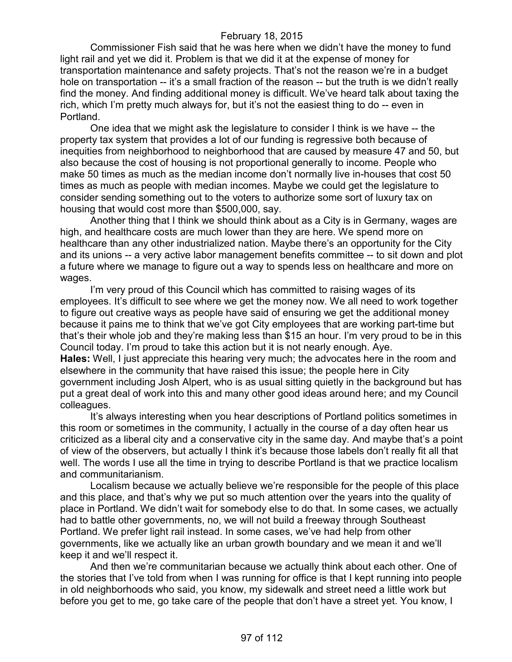Commissioner Fish said that he was here when we didn't have the money to fund light rail and yet we did it. Problem is that we did it at the expense of money for transportation maintenance and safety projects. That's not the reason we're in a budget hole on transportation -- it's a small fraction of the reason -- but the truth is we didn't really find the money. And finding additional money is difficult. We've heard talk about taxing the rich, which I'm pretty much always for, but it's not the easiest thing to do -- even in Portland.

One idea that we might ask the legislature to consider I think is we have -- the property tax system that provides a lot of our funding is regressive both because of inequities from neighborhood to neighborhood that are caused by measure 47 and 50, but also because the cost of housing is not proportional generally to income. People who make 50 times as much as the median income don't normally live in-houses that cost 50 times as much as people with median incomes. Maybe we could get the legislature to consider sending something out to the voters to authorize some sort of luxury tax on housing that would cost more than \$500,000, say.

Another thing that I think we should think about as a City is in Germany, wages are high, and healthcare costs are much lower than they are here. We spend more on healthcare than any other industrialized nation. Maybe there's an opportunity for the City and its unions -- a very active labor management benefits committee -- to sit down and plot a future where we manage to figure out a way to spends less on healthcare and more on wages.

I'm very proud of this Council which has committed to raising wages of its employees. It's difficult to see where we get the money now. We all need to work together to figure out creative ways as people have said of ensuring we get the additional money because it pains me to think that we've got City employees that are working part-time but that's their whole job and they're making less than \$15 an hour. I'm very proud to be in this Council today. I'm proud to take this action but it is not nearly enough. Aye. **Hales:** Well, I just appreciate this hearing very much; the advocates here in the room and elsewhere in the community that have raised this issue; the people here in City government including Josh Alpert, who is as usual sitting quietly in the background but has put a great deal of work into this and many other good ideas around here; and my Council colleagues.

It's always interesting when you hear descriptions of Portland politics sometimes in this room or sometimes in the community, I actually in the course of a day often hear us criticized as a liberal city and a conservative city in the same day. And maybe that's a point of view of the observers, but actually I think it's because those labels don't really fit all that well. The words I use all the time in trying to describe Portland is that we practice localism and communitarianism.

Localism because we actually believe we're responsible for the people of this place and this place, and that's why we put so much attention over the years into the quality of place in Portland. We didn't wait for somebody else to do that. In some cases, we actually had to battle other governments, no, we will not build a freeway through Southeast Portland. We prefer light rail instead. In some cases, we've had help from other governments, like we actually like an urban growth boundary and we mean it and we'll keep it and we'll respect it.

And then we're communitarian because we actually think about each other. One of the stories that I've told from when I was running for office is that I kept running into people in old neighborhoods who said, you know, my sidewalk and street need a little work but before you get to me, go take care of the people that don't have a street yet. You know, I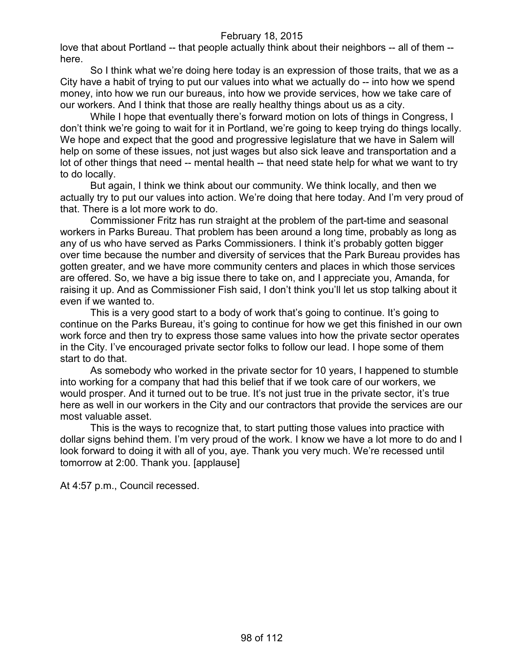love that about Portland -- that people actually think about their neighbors -- all of them - here.

So I think what we're doing here today is an expression of those traits, that we as a City have a habit of trying to put our values into what we actually do -- into how we spend money, into how we run our bureaus, into how we provide services, how we take care of our workers. And I think that those are really healthy things about us as a city.

While I hope that eventually there's forward motion on lots of things in Congress, I don't think we're going to wait for it in Portland, we're going to keep trying do things locally. We hope and expect that the good and progressive legislature that we have in Salem will help on some of these issues, not just wages but also sick leave and transportation and a lot of other things that need -- mental health -- that need state help for what we want to try to do locally.

But again, I think we think about our community. We think locally, and then we actually try to put our values into action. We're doing that here today. And I'm very proud of that. There is a lot more work to do.

Commissioner Fritz has run straight at the problem of the part-time and seasonal workers in Parks Bureau. That problem has been around a long time, probably as long as any of us who have served as Parks Commissioners. I think it's probably gotten bigger over time because the number and diversity of services that the Park Bureau provides has gotten greater, and we have more community centers and places in which those services are offered. So, we have a big issue there to take on, and I appreciate you, Amanda, for raising it up. And as Commissioner Fish said, I don't think you'll let us stop talking about it even if we wanted to.

This is a very good start to a body of work that's going to continue. It's going to continue on the Parks Bureau, it's going to continue for how we get this finished in our own work force and then try to express those same values into how the private sector operates in the City. I've encouraged private sector folks to follow our lead. I hope some of them start to do that.

As somebody who worked in the private sector for 10 years, I happened to stumble into working for a company that had this belief that if we took care of our workers, we would prosper. And it turned out to be true. It's not just true in the private sector, it's true here as well in our workers in the City and our contractors that provide the services are our most valuable asset.

This is the ways to recognize that, to start putting those values into practice with dollar signs behind them. I'm very proud of the work. I know we have a lot more to do and I look forward to doing it with all of you, aye. Thank you very much. We're recessed until tomorrow at 2:00. Thank you. [applause]

At 4:57 p.m., Council recessed.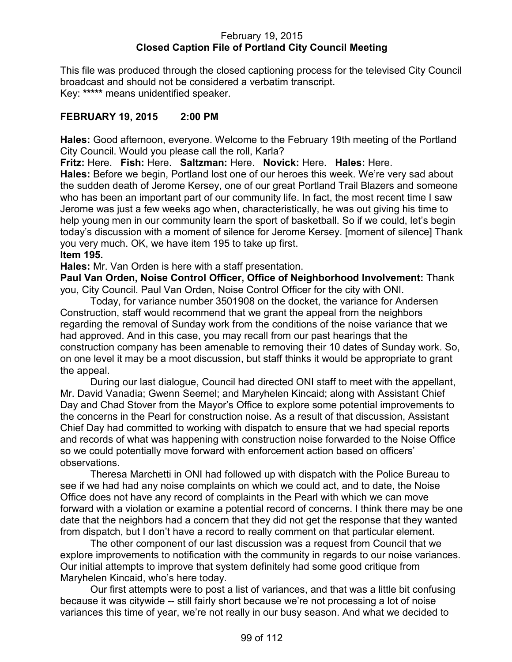#### February 19, 2015 **Closed Caption File of Portland City Council Meeting**

This file was produced through the closed captioning process for the televised City Council broadcast and should not be considered a verbatim transcript. Key: **\*\*\*\*\*** means unidentified speaker.

## **FEBRUARY 19, 2015 2:00 PM**

**Hales:** Good afternoon, everyone. Welcome to the February 19th meeting of the Portland City Council. Would you please call the roll, Karla?

**Fritz:** Here. **Fish:** Here. **Saltzman:** Here. **Novick:** Here. **Hales:** Here.

**Hales:** Before we begin, Portland lost one of our heroes this week. We're very sad about the sudden death of Jerome Kersey, one of our great Portland Trail Blazers and someone who has been an important part of our community life. In fact, the most recent time I saw Jerome was just a few weeks ago when, characteristically, he was out giving his time to help young men in our community learn the sport of basketball. So if we could, let's begin today's discussion with a moment of silence for Jerome Kersey. [moment of silence] Thank you very much. OK, we have item 195 to take up first.

#### **Item 195.**

**Hales:** Mr. Van Orden is here with a staff presentation.

**Paul Van Orden, Noise Control Officer, Office of Neighborhood Involvement:** Thank you, City Council. Paul Van Orden, Noise Control Officer for the city with ONI.

Today, for variance number 3501908 on the docket, the variance for Andersen Construction, staff would recommend that we grant the appeal from the neighbors regarding the removal of Sunday work from the conditions of the noise variance that we had approved. And in this case, you may recall from our past hearings that the construction company has been amenable to removing their 10 dates of Sunday work. So, on one level it may be a moot discussion, but staff thinks it would be appropriate to grant the appeal.

During our last dialogue, Council had directed ONI staff to meet with the appellant, Mr. David Vanadia; Gwenn Seemel; and Maryhelen Kincaid; along with Assistant Chief Day and Chad Stover from the Mayor's Office to explore some potential improvements to the concerns in the Pearl for construction noise. As a result of that discussion, Assistant Chief Day had committed to working with dispatch to ensure that we had special reports and records of what was happening with construction noise forwarded to the Noise Office so we could potentially move forward with enforcement action based on officers' observations.

Theresa Marchetti in ONI had followed up with dispatch with the Police Bureau to see if we had had any noise complaints on which we could act, and to date, the Noise Office does not have any record of complaints in the Pearl with which we can move forward with a violation or examine a potential record of concerns. I think there may be one date that the neighbors had a concern that they did not get the response that they wanted from dispatch, but I don't have a record to really comment on that particular element.

The other component of our last discussion was a request from Council that we explore improvements to notification with the community in regards to our noise variances. Our initial attempts to improve that system definitely had some good critique from Maryhelen Kincaid, who's here today.

Our first attempts were to post a list of variances, and that was a little bit confusing because it was citywide -- still fairly short because we're not processing a lot of noise variances this time of year, we're not really in our busy season. And what we decided to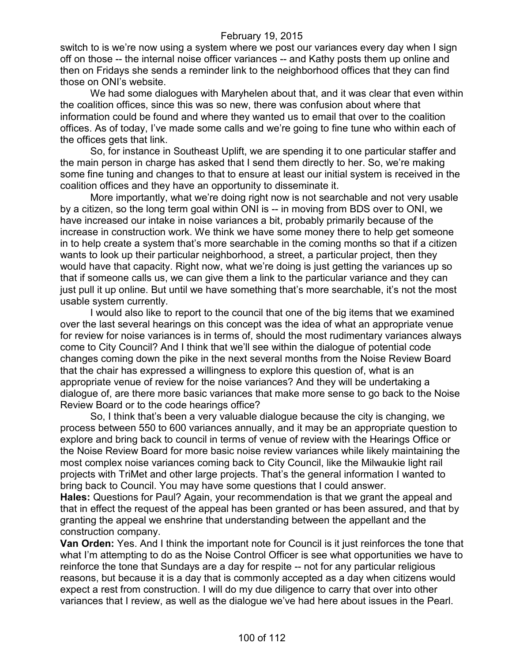switch to is we're now using a system where we post our variances every day when I sign off on those -- the internal noise officer variances -- and Kathy posts them up online and then on Fridays she sends a reminder link to the neighborhood offices that they can find those on ONI's website.

We had some dialogues with Maryhelen about that, and it was clear that even within the coalition offices, since this was so new, there was confusion about where that information could be found and where they wanted us to email that over to the coalition offices. As of today, I've made some calls and we're going to fine tune who within each of the offices gets that link.

So, for instance in Southeast Uplift, we are spending it to one particular staffer and the main person in charge has asked that I send them directly to her. So, we're making some fine tuning and changes to that to ensure at least our initial system is received in the coalition offices and they have an opportunity to disseminate it.

More importantly, what we're doing right now is not searchable and not very usable by a citizen, so the long term goal within ONI is -- in moving from BDS over to ONI, we have increased our intake in noise variances a bit, probably primarily because of the increase in construction work. We think we have some money there to help get someone in to help create a system that's more searchable in the coming months so that if a citizen wants to look up their particular neighborhood, a street, a particular project, then they would have that capacity. Right now, what we're doing is just getting the variances up so that if someone calls us, we can give them a link to the particular variance and they can just pull it up online. But until we have something that's more searchable, it's not the most usable system currently.

I would also like to report to the council that one of the big items that we examined over the last several hearings on this concept was the idea of what an appropriate venue for review for noise variances is in terms of, should the most rudimentary variances always come to City Council? And I think that we'll see within the dialogue of potential code changes coming down the pike in the next several months from the Noise Review Board that the chair has expressed a willingness to explore this question of, what is an appropriate venue of review for the noise variances? And they will be undertaking a dialogue of, are there more basic variances that make more sense to go back to the Noise Review Board or to the code hearings office?

So, I think that's been a very valuable dialogue because the city is changing, we process between 550 to 600 variances annually, and it may be an appropriate question to explore and bring back to council in terms of venue of review with the Hearings Office or the Noise Review Board for more basic noise review variances while likely maintaining the most complex noise variances coming back to City Council, like the Milwaukie light rail projects with TriMet and other large projects. That's the general information I wanted to bring back to Council. You may have some questions that I could answer.

**Hales:** Questions for Paul? Again, your recommendation is that we grant the appeal and that in effect the request of the appeal has been granted or has been assured, and that by granting the appeal we enshrine that understanding between the appellant and the construction company.

**Van Orden:** Yes. And I think the important note for Council is it just reinforces the tone that what I'm attempting to do as the Noise Control Officer is see what opportunities we have to reinforce the tone that Sundays are a day for respite -- not for any particular religious reasons, but because it is a day that is commonly accepted as a day when citizens would expect a rest from construction. I will do my due diligence to carry that over into other variances that I review, as well as the dialogue we've had here about issues in the Pearl.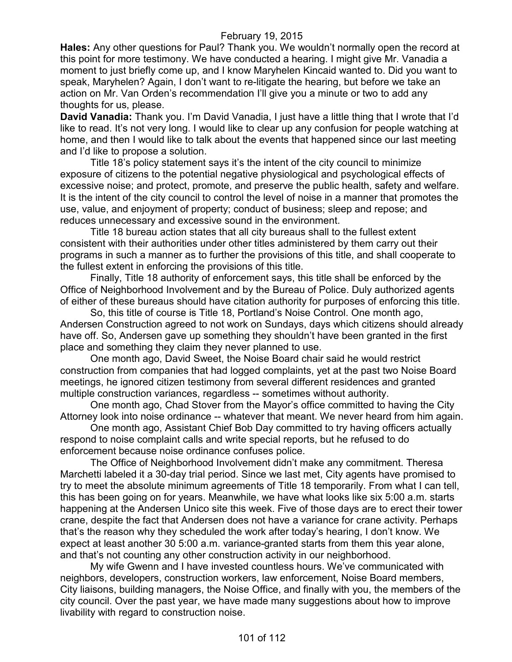**Hales:** Any other questions for Paul? Thank you. We wouldn't normally open the record at this point for more testimony. We have conducted a hearing. I might give Mr. Vanadia a moment to just briefly come up, and I know Maryhelen Kincaid wanted to. Did you want to speak, Maryhelen? Again, I don't want to re-litigate the hearing, but before we take an action on Mr. Van Orden's recommendation I'll give you a minute or two to add any thoughts for us, please.

**David Vanadia:** Thank you. I'm David Vanadia, I just have a little thing that I wrote that I'd like to read. It's not very long. I would like to clear up any confusion for people watching at home, and then I would like to talk about the events that happened since our last meeting and I'd like to propose a solution.

Title 18's policy statement says it's the intent of the city council to minimize exposure of citizens to the potential negative physiological and psychological effects of excessive noise; and protect, promote, and preserve the public health, safety and welfare. It is the intent of the city council to control the level of noise in a manner that promotes the use, value, and enjoyment of property; conduct of business; sleep and repose; and reduces unnecessary and excessive sound in the environment.

Title 18 bureau action states that all city bureaus shall to the fullest extent consistent with their authorities under other titles administered by them carry out their programs in such a manner as to further the provisions of this title, and shall cooperate to the fullest extent in enforcing the provisions of this title.

Finally, Title 18 authority of enforcement says, this title shall be enforced by the Office of Neighborhood Involvement and by the Bureau of Police. Duly authorized agents of either of these bureaus should have citation authority for purposes of enforcing this title.

So, this title of course is Title 18, Portland's Noise Control. One month ago, Andersen Construction agreed to not work on Sundays, days which citizens should already have off. So, Andersen gave up something they shouldn't have been granted in the first place and something they claim they never planned to use.

One month ago, David Sweet, the Noise Board chair said he would restrict construction from companies that had logged complaints, yet at the past two Noise Board meetings, he ignored citizen testimony from several different residences and granted multiple construction variances, regardless -- sometimes without authority.

One month ago, Chad Stover from the Mayor's office committed to having the City Attorney look into noise ordinance -- whatever that meant. We never heard from him again.

One month ago, Assistant Chief Bob Day committed to try having officers actually respond to noise complaint calls and write special reports, but he refused to do enforcement because noise ordinance confuses police.

The Office of Neighborhood Involvement didn't make any commitment. Theresa Marchetti labeled it a 30-day trial period. Since we last met, City agents have promised to try to meet the absolute minimum agreements of Title 18 temporarily. From what I can tell, this has been going on for years. Meanwhile, we have what looks like six 5:00 a.m. starts happening at the Andersen Unico site this week. Five of those days are to erect their tower crane, despite the fact that Andersen does not have a variance for crane activity. Perhaps that's the reason why they scheduled the work after today's hearing, I don't know. We expect at least another 30 5:00 a.m. variance-granted starts from them this year alone, and that's not counting any other construction activity in our neighborhood.

My wife Gwenn and I have invested countless hours. We've communicated with neighbors, developers, construction workers, law enforcement, Noise Board members, City liaisons, building managers, the Noise Office, and finally with you, the members of the city council. Over the past year, we have made many suggestions about how to improve livability with regard to construction noise.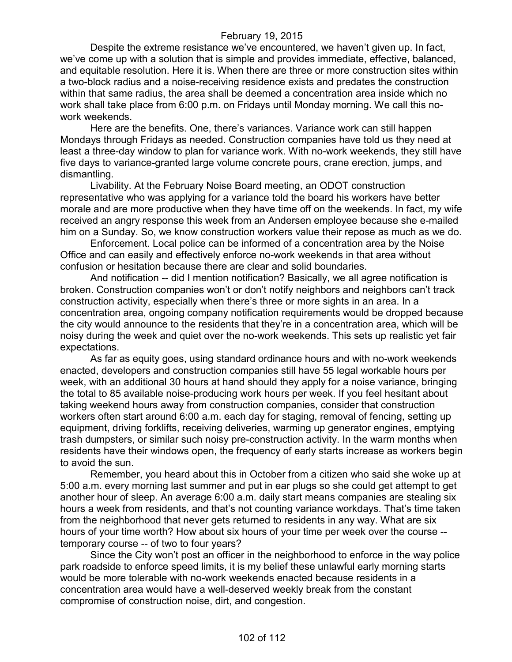Despite the extreme resistance we've encountered, we haven't given up. In fact, we've come up with a solution that is simple and provides immediate, effective, balanced, and equitable resolution. Here it is. When there are three or more construction sites within a two-block radius and a noise-receiving residence exists and predates the construction within that same radius, the area shall be deemed a concentration area inside which no work shall take place from 6:00 p.m. on Fridays until Monday morning. We call this nowork weekends.

Here are the benefits. One, there's variances. Variance work can still happen Mondays through Fridays as needed. Construction companies have told us they need at least a three-day window to plan for variance work. With no-work weekends, they still have five days to variance-granted large volume concrete pours, crane erection, jumps, and dismantling.

Livability. At the February Noise Board meeting, an ODOT construction representative who was applying for a variance told the board his workers have better morale and are more productive when they have time off on the weekends. In fact, my wife received an angry response this week from an Andersen employee because she e-mailed him on a Sunday. So, we know construction workers value their repose as much as we do.

Enforcement. Local police can be informed of a concentration area by the Noise Office and can easily and effectively enforce no-work weekends in that area without confusion or hesitation because there are clear and solid boundaries.

And notification -- did I mention notification? Basically, we all agree notification is broken. Construction companies won't or don't notify neighbors and neighbors can't track construction activity, especially when there's three or more sights in an area. In a concentration area, ongoing company notification requirements would be dropped because the city would announce to the residents that they're in a concentration area, which will be noisy during the week and quiet over the no-work weekends. This sets up realistic yet fair expectations.

As far as equity goes, using standard ordinance hours and with no-work weekends enacted, developers and construction companies still have 55 legal workable hours per week, with an additional 30 hours at hand should they apply for a noise variance, bringing the total to 85 available noise-producing work hours per week. If you feel hesitant about taking weekend hours away from construction companies, consider that construction workers often start around 6:00 a.m. each day for staging, removal of fencing, setting up equipment, driving forklifts, receiving deliveries, warming up generator engines, emptying trash dumpsters, or similar such noisy pre-construction activity. In the warm months when residents have their windows open, the frequency of early starts increase as workers begin to avoid the sun.

Remember, you heard about this in October from a citizen who said she woke up at 5:00 a.m. every morning last summer and put in ear plugs so she could get attempt to get another hour of sleep. An average 6:00 a.m. daily start means companies are stealing six hours a week from residents, and that's not counting variance workdays. That's time taken from the neighborhood that never gets returned to residents in any way. What are six hours of your time worth? How about six hours of your time per week over the course - temporary course -- of two to four years?

Since the City won't post an officer in the neighborhood to enforce in the way police park roadside to enforce speed limits, it is my belief these unlawful early morning starts would be more tolerable with no-work weekends enacted because residents in a concentration area would have a well-deserved weekly break from the constant compromise of construction noise, dirt, and congestion.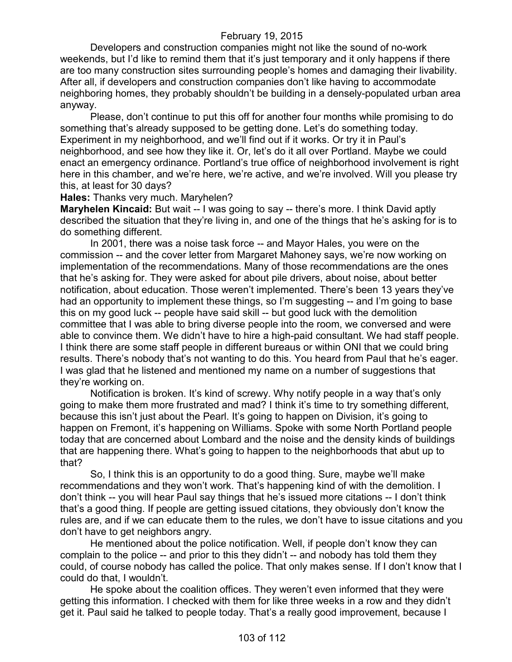Developers and construction companies might not like the sound of no-work weekends, but I'd like to remind them that it's just temporary and it only happens if there are too many construction sites surrounding people's homes and damaging their livability. After all, if developers and construction companies don't like having to accommodate neighboring homes, they probably shouldn't be building in a densely-populated urban area anyway.

Please, don't continue to put this off for another four months while promising to do something that's already supposed to be getting done. Let's do something today. Experiment in my neighborhood, and we'll find out if it works. Or try it in Paul's neighborhood, and see how they like it. Or, let's do it all over Portland. Maybe we could enact an emergency ordinance. Portland's true office of neighborhood involvement is right here in this chamber, and we're here, we're active, and we're involved. Will you please try this, at least for 30 days?

#### **Hales:** Thanks very much. Maryhelen?

**Maryhelen Kincaid:** But wait -- I was going to say -- there's more. I think David aptly described the situation that they're living in, and one of the things that he's asking for is to do something different.

In 2001, there was a noise task force -- and Mayor Hales, you were on the commission -- and the cover letter from Margaret Mahoney says, we're now working on implementation of the recommendations. Many of those recommendations are the ones that he's asking for. They were asked for about pile drivers, about noise, about better notification, about education. Those weren't implemented. There's been 13 years they've had an opportunity to implement these things, so I'm suggesting -- and I'm going to base this on my good luck -- people have said skill -- but good luck with the demolition committee that I was able to bring diverse people into the room, we conversed and were able to convince them. We didn't have to hire a high-paid consultant. We had staff people. I think there are some staff people in different bureaus or within ONI that we could bring results. There's nobody that's not wanting to do this. You heard from Paul that he's eager. I was glad that he listened and mentioned my name on a number of suggestions that they're working on.

Notification is broken. It's kind of screwy. Why notify people in a way that's only going to make them more frustrated and mad? I think it's time to try something different, because this isn't just about the Pearl. It's going to happen on Division, it's going to happen on Fremont, it's happening on Williams. Spoke with some North Portland people today that are concerned about Lombard and the noise and the density kinds of buildings that are happening there. What's going to happen to the neighborhoods that abut up to that?

So, I think this is an opportunity to do a good thing. Sure, maybe we'll make recommendations and they won't work. That's happening kind of with the demolition. I don't think -- you will hear Paul say things that he's issued more citations -- I don't think that's a good thing. If people are getting issued citations, they obviously don't know the rules are, and if we can educate them to the rules, we don't have to issue citations and you don't have to get neighbors angry.

He mentioned about the police notification. Well, if people don't know they can complain to the police -- and prior to this they didn't -- and nobody has told them they could, of course nobody has called the police. That only makes sense. If I don't know that I could do that, I wouldn't.

He spoke about the coalition offices. They weren't even informed that they were getting this information. I checked with them for like three weeks in a row and they didn't get it. Paul said he talked to people today. That's a really good improvement, because I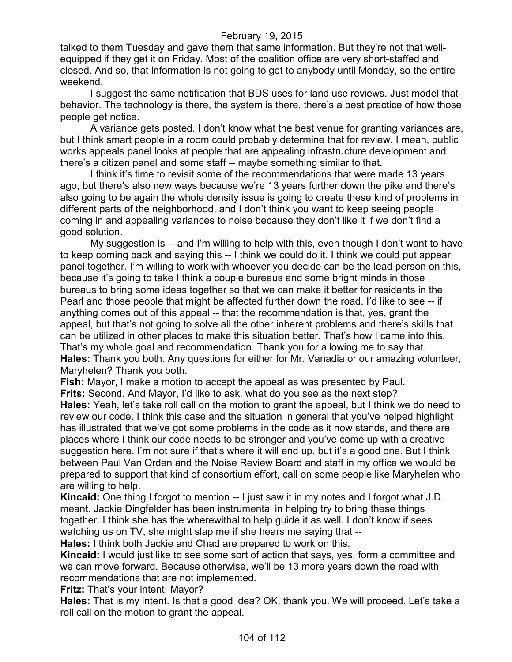talked to them Tuesday and gave them that same information. But they're not that wellequipped if they get it on Friday. Most of the coalition office are very short-staffed and closed. And so, that information is not going to get to anybody until Monday, so the entire weekend.

I suggest the same notification that BDS uses for land use reviews. Just model that behavior. The technology is there, the system is there, there's a best practice of how those people get notice.

A variance gets posted. I don't know what the best venue for granting variances are, but I think smart people in a room could probably determine that for review. I mean, public works appeals panel looks at people that are appealing infrastructure development and there's a citizen panel and some staff -- maybe something similar to that.

I think it's time to revisit some of the recommendations that were made 13 years ago, but there's also new ways because we're 13 years further down the pike and there's also going to be again the whole density issue is going to create these kind of problems in different parts of the neighborhood, and I don't think you want to keep seeing people coming in and appealing variances to noise because they don't like it if we don't find a good solution.

My suggestion is -- and I'm willing to help with this, even though I don't want to have to keep coming back and saying this -- I think we could do it. I think we could put appear panel together. I'm willing to work with whoever you decide can be the lead person on this, because it's going to take I think a couple bureaus and some bright minds in those bureaus to bring some ideas together so that we can make it better for residents in the Pearl and those people that might be affected further down the road. I'd like to see -- if anything comes out of this appeal -- that the recommendation is that, yes, grant the appeal, but that's not going to solve all the other inherent problems and there's skills that can be utilized in other places to make this situation better. That's how I came into this. That's my whole goal and recommendation. Thank you for allowing me to say that. **Hales:** Thank you both. Any questions for either for Mr. Vanadia or our amazing volunteer, Maryhelen? Thank you both.

**Fish:** Mayor, I make a motion to accept the appeal as was presented by Paul.

**Frits:** Second. And Mayor, I'd like to ask, what do you see as the next step?

**Hales:** Yeah, let's take roll call on the motion to grant the appeal, but I think we do need to review our code. I think this case and the situation in general that you've helped highlight has illustrated that we've got some problems in the code as it now stands, and there are places where I think our code needs to be stronger and you've come up with a creative suggestion here. I'm not sure if that's where it will end up, but it's a good one. But I think between Paul Van Orden and the Noise Review Board and staff in my office we would be prepared to support that kind of consortium effort, call on some people like Maryhelen who are willing to help.

**Kincaid:** One thing I forgot to mention -- I just saw it in my notes and I forgot what J.D. meant. Jackie Dingfelder has been instrumental in helping try to bring these things together. I think she has the wherewithal to help guide it as well. I don't know if sees watching us on TV, she might slap me if she hears me saying that --

**Hales:** I think both Jackie and Chad are prepared to work on this.

**Kincaid:** I would just like to see some sort of action that says, yes, form a committee and we can move forward. Because otherwise, we'll be 13 more years down the road with recommendations that are not implemented.

**Fritz:** That's your intent, Mayor?

**Hales:** That is my intent. Is that a good idea? OK, thank you. We will proceed. Let's take a roll call on the motion to grant the appeal.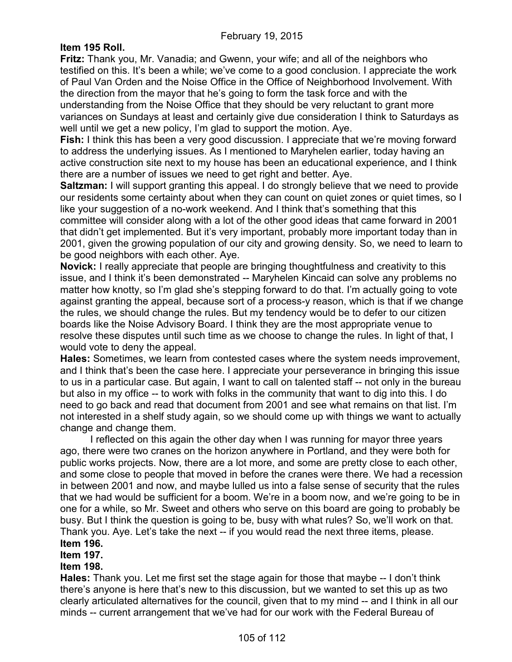## **Item 195 Roll.**

**Fritz:** Thank you, Mr. Vanadia; and Gwenn, your wife; and all of the neighbors who testified on this. It's been a while; we've come to a good conclusion. I appreciate the work of Paul Van Orden and the Noise Office in the Office of Neighborhood Involvement. With the direction from the mayor that he's going to form the task force and with the understanding from the Noise Office that they should be very reluctant to grant more variances on Sundays at least and certainly give due consideration I think to Saturdays as well until we get a new policy, I'm glad to support the motion. Aye.

**Fish:** I think this has been a very good discussion. I appreciate that we're moving forward to address the underlying issues. As I mentioned to Maryhelen earlier, today having an active construction site next to my house has been an educational experience, and I think there are a number of issues we need to get right and better. Aye.

**Saltzman:** I will support granting this appeal. I do strongly believe that we need to provide our residents some certainty about when they can count on quiet zones or quiet times, so I like your suggestion of a no-work weekend. And I think that's something that this committee will consider along with a lot of the other good ideas that came forward in 2001 that didn't get implemented. But it's very important, probably more important today than in 2001, given the growing population of our city and growing density. So, we need to learn to be good neighbors with each other. Aye.

**Novick:** I really appreciate that people are bringing thoughtfulness and creativity to this issue, and I think it's been demonstrated -- Maryhelen Kincaid can solve any problems no matter how knotty, so I'm glad she's stepping forward to do that. I'm actually going to vote against granting the appeal, because sort of a process-y reason, which is that if we change the rules, we should change the rules. But my tendency would be to defer to our citizen boards like the Noise Advisory Board. I think they are the most appropriate venue to resolve these disputes until such time as we choose to change the rules. In light of that, I would vote to deny the appeal.

**Hales:** Sometimes, we learn from contested cases where the system needs improvement, and I think that's been the case here. I appreciate your perseverance in bringing this issue to us in a particular case. But again, I want to call on talented staff -- not only in the bureau but also in my office -- to work with folks in the community that want to dig into this. I do need to go back and read that document from 2001 and see what remains on that list. I'm not interested in a shelf study again, so we should come up with things we want to actually change and change them.

I reflected on this again the other day when I was running for mayor three years ago, there were two cranes on the horizon anywhere in Portland, and they were both for public works projects. Now, there are a lot more, and some are pretty close to each other, and some close to people that moved in before the cranes were there. We had a recession in between 2001 and now, and maybe lulled us into a false sense of security that the rules that we had would be sufficient for a boom. We're in a boom now, and we're going to be in one for a while, so Mr. Sweet and others who serve on this board are going to probably be busy. But I think the question is going to be, busy with what rules? So, we'll work on that. Thank you. Aye. Let's take the next -- if you would read the next three items, please. **Item 196.**

# **Item 197.**

## **Item 198.**

**Hales:** Thank you. Let me first set the stage again for those that maybe -- I don't think there's anyone is here that's new to this discussion, but we wanted to set this up as two clearly articulated alternatives for the council, given that to my mind -- and I think in all our minds -- current arrangement that we've had for our work with the Federal Bureau of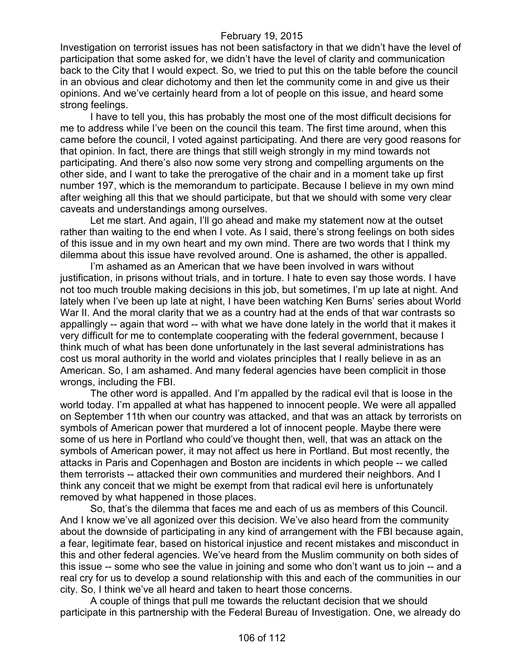Investigation on terrorist issues has not been satisfactory in that we didn't have the level of participation that some asked for, we didn't have the level of clarity and communication back to the City that I would expect. So, we tried to put this on the table before the council in an obvious and clear dichotomy and then let the community come in and give us their opinions. And we've certainly heard from a lot of people on this issue, and heard some strong feelings.

I have to tell you, this has probably the most one of the most difficult decisions for me to address while I've been on the council this team. The first time around, when this came before the council, I voted against participating. And there are very good reasons for that opinion. In fact, there are things that still weigh strongly in my mind towards not participating. And there's also now some very strong and compelling arguments on the other side, and I want to take the prerogative of the chair and in a moment take up first number 197, which is the memorandum to participate. Because I believe in my own mind after weighing all this that we should participate, but that we should with some very clear caveats and understandings among ourselves.

Let me start. And again, I'll go ahead and make my statement now at the outset rather than waiting to the end when I vote. As I said, there's strong feelings on both sides of this issue and in my own heart and my own mind. There are two words that I think my dilemma about this issue have revolved around. One is ashamed, the other is appalled.

I'm ashamed as an American that we have been involved in wars without justification, in prisons without trials, and in torture. I hate to even say those words. I have not too much trouble making decisions in this job, but sometimes, I'm up late at night. And lately when I've been up late at night, I have been watching Ken Burns' series about World War II. And the moral clarity that we as a country had at the ends of that war contrasts so appallingly -- again that word -- with what we have done lately in the world that it makes it very difficult for me to contemplate cooperating with the federal government, because I think much of what has been done unfortunately in the last several administrations has cost us moral authority in the world and violates principles that I really believe in as an American. So, I am ashamed. And many federal agencies have been complicit in those wrongs, including the FBI.

The other word is appalled. And I'm appalled by the radical evil that is loose in the world today. I'm appalled at what has happened to innocent people. We were all appalled on September 11th when our country was attacked, and that was an attack by terrorists on symbols of American power that murdered a lot of innocent people. Maybe there were some of us here in Portland who could've thought then, well, that was an attack on the symbols of American power, it may not affect us here in Portland. But most recently, the attacks in Paris and Copenhagen and Boston are incidents in which people -- we called them terrorists -- attacked their own communities and murdered their neighbors. And I think any conceit that we might be exempt from that radical evil here is unfortunately removed by what happened in those places.

So, that's the dilemma that faces me and each of us as members of this Council. And I know we've all agonized over this decision. We've also heard from the community about the downside of participating in any kind of arrangement with the FBI because again, a fear, legitimate fear, based on historical injustice and recent mistakes and misconduct in this and other federal agencies. We've heard from the Muslim community on both sides of this issue -- some who see the value in joining and some who don't want us to join -- and a real cry for us to develop a sound relationship with this and each of the communities in our city. So, I think we've all heard and taken to heart those concerns.

A couple of things that pull me towards the reluctant decision that we should participate in this partnership with the Federal Bureau of Investigation. One, we already do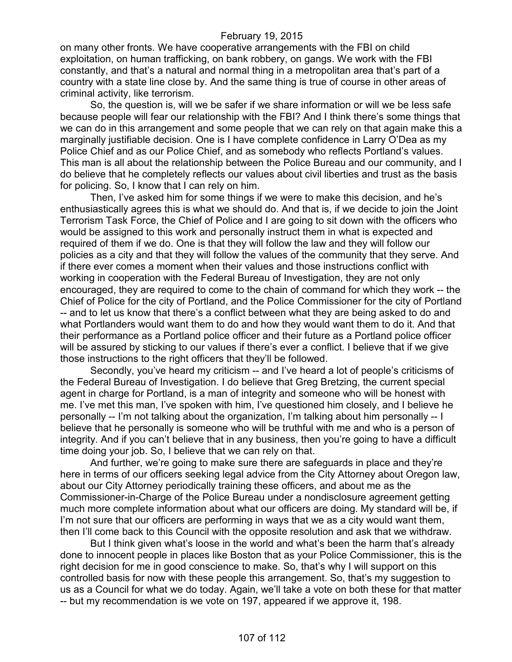on many other fronts. We have cooperative arrangements with the FBI on child exploitation, on human trafficking, on bank robbery, on gangs. We work with the FBI constantly, and that's a natural and normal thing in a metropolitan area that's part of a country with a state line close by. And the same thing is true of course in other areas of criminal activity, like terrorism.

So, the question is, will we be safer if we share information or will we be less safe because people will fear our relationship with the FBI? And I think there's some things that we can do in this arrangement and some people that we can rely on that again make this a marginally justifiable decision. One is I have complete confidence in Larry O'Dea as my Police Chief and as our Police Chief, and as somebody who reflects Portland's values. This man is all about the relationship between the Police Bureau and our community, and I do believe that he completely reflects our values about civil liberties and trust as the basis for policing. So, I know that I can rely on him.

Then, I've asked him for some things if we were to make this decision, and he's enthusiastically agrees this is what we should do. And that is, if we decide to join the Joint Terrorism Task Force, the Chief of Police and I are going to sit down with the officers who would be assigned to this work and personally instruct them in what is expected and required of them if we do. One is that they will follow the law and they will follow our policies as a city and that they will follow the values of the community that they serve. And if there ever comes a moment when their values and those instructions conflict with working in cooperation with the Federal Bureau of Investigation, they are not only encouraged, they are required to come to the chain of command for which they work -- the Chief of Police for the city of Portland, and the Police Commissioner for the city of Portland -- and to let us know that there's a conflict between what they are being asked to do and what Portlanders would want them to do and how they would want them to do it. And that their performance as a Portland police officer and their future as a Portland police officer will be assured by sticking to our values if there's ever a conflict. I believe that if we give those instructions to the right officers that they'll be followed.

Secondly, you've heard my criticism -- and I've heard a lot of people's criticisms of the Federal Bureau of Investigation. I do believe that Greg Bretzing, the current special agent in charge for Portland, is a man of integrity and someone who will be honest with me. I've met this man, I've spoken with him, I've questioned him closely, and I believe he personally -- I'm not talking about the organization, I'm talking about him personally -- I believe that he personally is someone who will be truthful with me and who is a person of integrity. And if you can't believe that in any business, then you're going to have a difficult time doing your job. So, I believe that we can rely on that.

And further, we're going to make sure there are safeguards in place and they're here in terms of our officers seeking legal advice from the City Attorney about Oregon law, about our City Attorney periodically training these officers, and about me as the Commissioner-in-Charge of the Police Bureau under a nondisclosure agreement getting much more complete information about what our officers are doing. My standard will be, if I'm not sure that our officers are performing in ways that we as a city would want them, then I'll come back to this Council with the opposite resolution and ask that we withdraw.

But I think given what's loose in the world and what's been the harm that's already done to innocent people in places like Boston that as your Police Commissioner, this is the right decision for me in good conscience to make. So, that's why I will support on this controlled basis for now with these people this arrangement. So, that's my suggestion to us as a Council for what we do today. Again, we'll take a vote on both these for that matter -- but my recommendation is we vote on 197, appeared if we approve it, 198.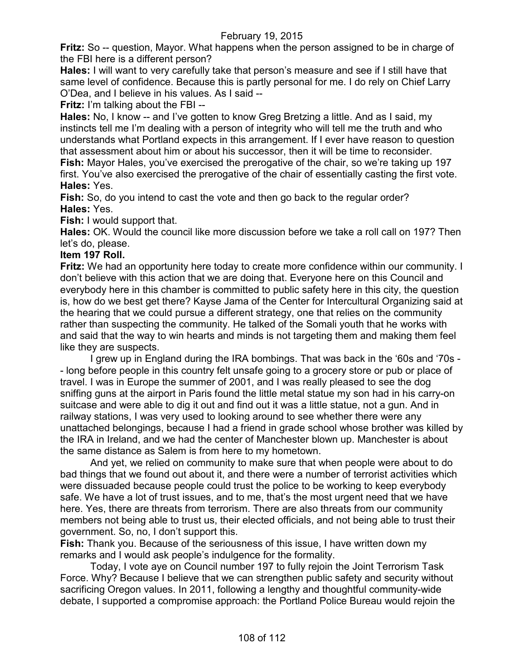**Fritz:** So -- question, Mayor. What happens when the person assigned to be in charge of the FBI here is a different person?

**Hales:** I will want to very carefully take that person's measure and see if I still have that same level of confidence. Because this is partly personal for me. I do rely on Chief Larry O'Dea, and I believe in his values. As I said --

**Fritz:** I'm talking about the FBI --

**Hales:** No, I know -- and I've gotten to know Greg Bretzing a little. And as I said, my instincts tell me I'm dealing with a person of integrity who will tell me the truth and who understands what Portland expects in this arrangement. If I ever have reason to question that assessment about him or about his successor, then it will be time to reconsider. **Fish:** Mayor Hales, you've exercised the prerogative of the chair, so we're taking up 197 first. You've also exercised the prerogative of the chair of essentially casting the first vote. **Hales:** Yes.

**Fish:** So, do you intend to cast the vote and then go back to the regular order? **Hales:** Yes.

**Fish:** I would support that.

**Hales:** OK. Would the council like more discussion before we take a roll call on 197? Then let's do, please.

## **Item 197 Roll.**

**Fritz:** We had an opportunity here today to create more confidence within our community. I don't believe with this action that we are doing that. Everyone here on this Council and everybody here in this chamber is committed to public safety here in this city, the question is, how do we best get there? Kayse Jama of the Center for Intercultural Organizing said at the hearing that we could pursue a different strategy, one that relies on the community rather than suspecting the community. He talked of the Somali youth that he works with and said that the way to win hearts and minds is not targeting them and making them feel like they are suspects.

I grew up in England during the IRA bombings. That was back in the '60s and '70s - - long before people in this country felt unsafe going to a grocery store or pub or place of travel. I was in Europe the summer of 2001, and I was really pleased to see the dog sniffing guns at the airport in Paris found the little metal statue my son had in his carry-on suitcase and were able to dig it out and find out it was a little statue, not a gun. And in railway stations, I was very used to looking around to see whether there were any unattached belongings, because I had a friend in grade school whose brother was killed by the IRA in Ireland, and we had the center of Manchester blown up. Manchester is about the same distance as Salem is from here to my hometown.

And yet, we relied on community to make sure that when people were about to do bad things that we found out about it, and there were a number of terrorist activities which were dissuaded because people could trust the police to be working to keep everybody safe. We have a lot of trust issues, and to me, that's the most urgent need that we have here. Yes, there are threats from terrorism. There are also threats from our community members not being able to trust us, their elected officials, and not being able to trust their government. So, no, I don't support this.

**Fish:** Thank you. Because of the seriousness of this issue, I have written down my remarks and I would ask people's indulgence for the formality.

Today, I vote aye on Council number 197 to fully rejoin the Joint Terrorism Task Force. Why? Because I believe that we can strengthen public safety and security without sacrificing Oregon values. In 2011, following a lengthy and thoughtful community-wide debate, I supported a compromise approach: the Portland Police Bureau would rejoin the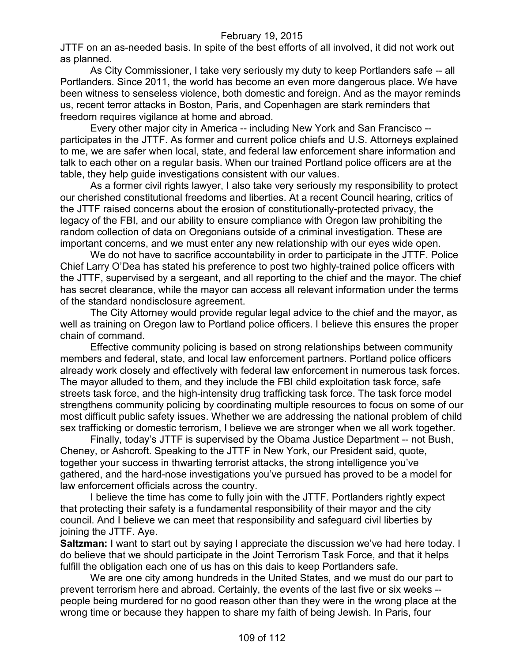JTTF on an as-needed basis. In spite of the best efforts of all involved, it did not work out as planned.

As City Commissioner, I take very seriously my duty to keep Portlanders safe -- all Portlanders. Since 2011, the world has become an even more dangerous place. We have been witness to senseless violence, both domestic and foreign. And as the mayor reminds us, recent terror attacks in Boston, Paris, and Copenhagen are stark reminders that freedom requires vigilance at home and abroad.

Every other major city in America -- including New York and San Francisco - participates in the JTTF. As former and current police chiefs and U.S. Attorneys explained to me, we are safer when local, state, and federal law enforcement share information and talk to each other on a regular basis. When our trained Portland police officers are at the table, they help guide investigations consistent with our values.

As a former civil rights lawyer, I also take very seriously my responsibility to protect our cherished constitutional freedoms and liberties. At a recent Council hearing, critics of the JTTF raised concerns about the erosion of constitutionally-protected privacy, the legacy of the FBI, and our ability to ensure compliance with Oregon law prohibiting the random collection of data on Oregonians outside of a criminal investigation. These are important concerns, and we must enter any new relationship with our eyes wide open.

We do not have to sacrifice accountability in order to participate in the JTTF. Police Chief Larry O'Dea has stated his preference to post two highly-trained police officers with the JTTF, supervised by a sergeant, and all reporting to the chief and the mayor. The chief has secret clearance, while the mayor can access all relevant information under the terms of the standard nondisclosure agreement.

The City Attorney would provide regular legal advice to the chief and the mayor, as well as training on Oregon law to Portland police officers. I believe this ensures the proper chain of command.

Effective community policing is based on strong relationships between community members and federal, state, and local law enforcement partners. Portland police officers already work closely and effectively with federal law enforcement in numerous task forces. The mayor alluded to them, and they include the FBI child exploitation task force, safe streets task force, and the high-intensity drug trafficking task force. The task force model strengthens community policing by coordinating multiple resources to focus on some of our most difficult public safety issues. Whether we are addressing the national problem of child sex trafficking or domestic terrorism, I believe we are stronger when we all work together.

Finally, today's JTTF is supervised by the Obama Justice Department -- not Bush, Cheney, or Ashcroft. Speaking to the JTTF in New York, our President said, quote, together your success in thwarting terrorist attacks, the strong intelligence you've gathered, and the hard-nose investigations you've pursued has proved to be a model for law enforcement officials across the country.

I believe the time has come to fully join with the JTTF. Portlanders rightly expect that protecting their safety is a fundamental responsibility of their mayor and the city council. And I believe we can meet that responsibility and safeguard civil liberties by joining the JTTF. Aye.

**Saltzman:** I want to start out by saying I appreciate the discussion we've had here today. I do believe that we should participate in the Joint Terrorism Task Force, and that it helps fulfill the obligation each one of us has on this dais to keep Portlanders safe.

We are one city among hundreds in the United States, and we must do our part to prevent terrorism here and abroad. Certainly, the events of the last five or six weeks - people being murdered for no good reason other than they were in the wrong place at the wrong time or because they happen to share my faith of being Jewish. In Paris, four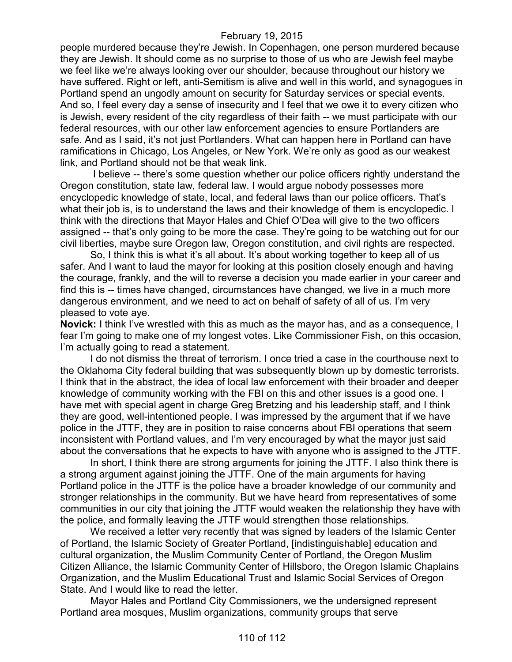people murdered because they're Jewish. In Copenhagen, one person murdered because they are Jewish. It should come as no surprise to those of us who are Jewish feel maybe we feel like we're always looking over our shoulder, because throughout our history we have suffered. Right or left, anti-Semitism is alive and well in this world, and synagogues in Portland spend an ungodly amount on security for Saturday services or special events. And so, I feel every day a sense of insecurity and I feel that we owe it to every citizen who is Jewish, every resident of the city regardless of their faith -- we must participate with our federal resources, with our other law enforcement agencies to ensure Portlanders are safe. And as I said, it's not just Portlanders. What can happen here in Portland can have ramifications in Chicago, Los Angeles, or New York. We're only as good as our weakest link, and Portland should not be that weak link.

I believe -- there's some question whether our police officers rightly understand the Oregon constitution, state law, federal law. I would argue nobody possesses more encyclopedic knowledge of state, local, and federal laws than our police officers. That's what their job is, is to understand the laws and their knowledge of them is encyclopedic. I think with the directions that Mayor Hales and Chief O'Dea will give to the two officers assigned -- that's only going to be more the case. They're going to be watching out for our civil liberties, maybe sure Oregon law, Oregon constitution, and civil rights are respected.

So, I think this is what it's all about. It's about working together to keep all of us safer. And I want to laud the mayor for looking at this position closely enough and having the courage, frankly, and the will to reverse a decision you made earlier in your career and find this is -- times have changed, circumstances have changed, we live in a much more dangerous environment, and we need to act on behalf of safety of all of us. I'm very pleased to vote aye.

**Novick:** I think I've wrestled with this as much as the mayor has, and as a consequence, I fear I'm going to make one of my longest votes. Like Commissioner Fish, on this occasion, I'm actually going to read a statement.

I do not dismiss the threat of terrorism. I once tried a case in the courthouse next to the Oklahoma City federal building that was subsequently blown up by domestic terrorists. I think that in the abstract, the idea of local law enforcement with their broader and deeper knowledge of community working with the FBI on this and other issues is a good one. I have met with special agent in charge Greg Bretzing and his leadership staff, and I think they are good, well-intentioned people. I was impressed by the argument that if we have police in the JTTF, they are in position to raise concerns about FBI operations that seem inconsistent with Portland values, and I'm very encouraged by what the mayor just said about the conversations that he expects to have with anyone who is assigned to the JTTF.

In short, I think there are strong arguments for joining the JTTF. I also think there is a strong argument against joining the JTTF. One of the main arguments for having Portland police in the JTTF is the police have a broader knowledge of our community and stronger relationships in the community. But we have heard from representatives of some communities in our city that joining the JTTF would weaken the relationship they have with the police, and formally leaving the JTTF would strengthen those relationships.

We received a letter very recently that was signed by leaders of the Islamic Center of Portland, the Islamic Society of Greater Portland, [indistinguishable] education and cultural organization, the Muslim Community Center of Portland, the Oregon Muslim Citizen Alliance, the Islamic Community Center of Hillsboro, the Oregon Islamic Chaplains Organization, and the Muslim Educational Trust and Islamic Social Services of Oregon State. And I would like to read the letter.

Mayor Hales and Portland City Commissioners, we the undersigned represent Portland area mosques, Muslim organizations, community groups that serve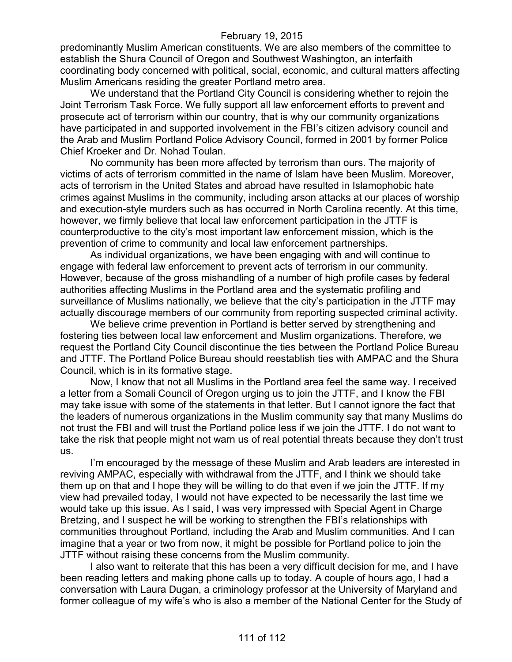## February 19, 2015

predominantly Muslim American constituents. We are also members of the committee to establish the Shura Council of Oregon and Southwest Washington, an interfaith coordinating body concerned with political, social, economic, and cultural matters affecting Muslim Americans residing the greater Portland metro area.

We understand that the Portland City Council is considering whether to rejoin the Joint Terrorism Task Force. We fully support all law enforcement efforts to prevent and prosecute act of terrorism within our country, that is why our community organizations have participated in and supported involvement in the FBI's citizen advisory council and the Arab and Muslim Portland Police Advisory Council, formed in 2001 by former Police Chief Kroeker and Dr. Nohad Toulan.

No community has been more affected by terrorism than ours. The majority of victims of acts of terrorism committed in the name of Islam have been Muslim. Moreover, acts of terrorism in the United States and abroad have resulted in Islamophobic hate crimes against Muslims in the community, including arson attacks at our places of worship and execution-style murders such as has occurred in North Carolina recently. At this time, however, we firmly believe that local law enforcement participation in the JTTF is counterproductive to the city's most important law enforcement mission, which is the prevention of crime to community and local law enforcement partnerships.

As individual organizations, we have been engaging with and will continue to engage with federal law enforcement to prevent acts of terrorism in our community. However, because of the gross mishandling of a number of high profile cases by federal authorities affecting Muslims in the Portland area and the systematic profiling and surveillance of Muslims nationally, we believe that the city's participation in the JTTF may actually discourage members of our community from reporting suspected criminal activity.

We believe crime prevention in Portland is better served by strengthening and fostering ties between local law enforcement and Muslim organizations. Therefore, we request the Portland City Council discontinue the ties between the Portland Police Bureau and JTTF. The Portland Police Bureau should reestablish ties with AMPAC and the Shura Council, which is in its formative stage.

Now, I know that not all Muslims in the Portland area feel the same way. I received a letter from a Somali Council of Oregon urging us to join the JTTF, and I know the FBI may take issue with some of the statements in that letter. But I cannot ignore the fact that the leaders of numerous organizations in the Muslim community say that many Muslims do not trust the FBI and will trust the Portland police less if we join the JTTF. I do not want to take the risk that people might not warn us of real potential threats because they don't trust us.

I'm encouraged by the message of these Muslim and Arab leaders are interested in reviving AMPAC, especially with withdrawal from the JTTF, and I think we should take them up on that and I hope they will be willing to do that even if we join the JTTF. If my view had prevailed today, I would not have expected to be necessarily the last time we would take up this issue. As I said, I was very impressed with Special Agent in Charge Bretzing, and I suspect he will be working to strengthen the FBI's relationships with communities throughout Portland, including the Arab and Muslim communities. And I can imagine that a year or two from now, it might be possible for Portland police to join the JTTF without raising these concerns from the Muslim community.

I also want to reiterate that this has been a very difficult decision for me, and I have been reading letters and making phone calls up to today. A couple of hours ago, I had a conversation with Laura Dugan, a criminology professor at the University of Maryland and former colleague of my wife's who is also a member of the National Center for the Study of